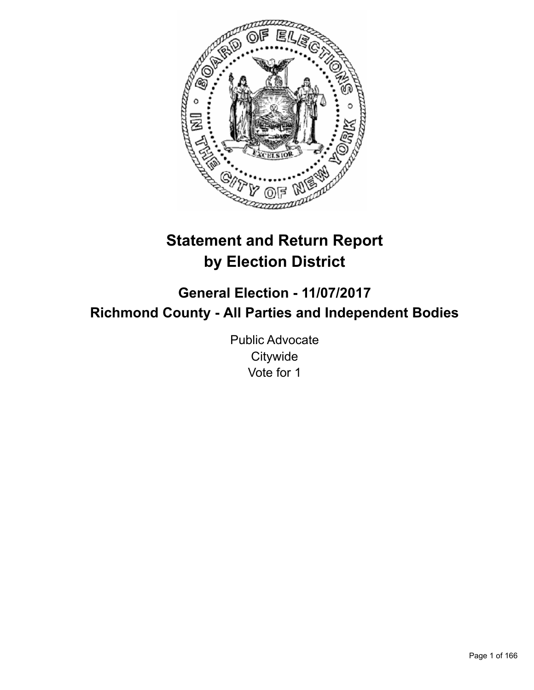

# **Statement and Return Report by Election District**

**General Election - 11/07/2017 Richmond County - All Parties and Independent Bodies**

> Public Advocate **Citywide** Vote for 1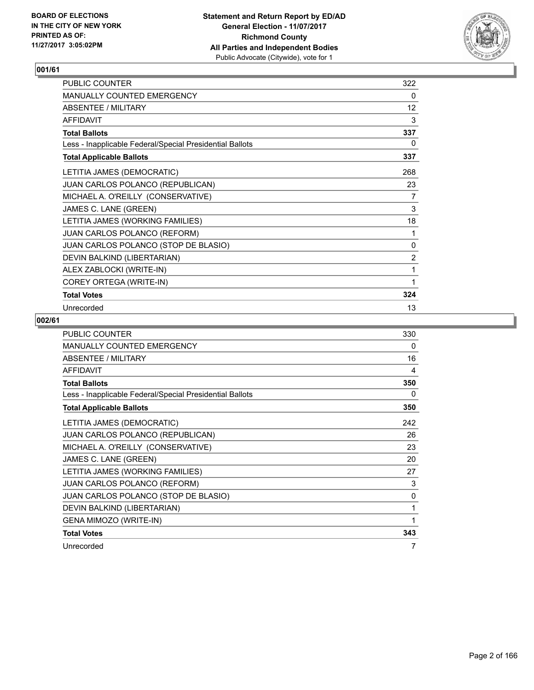

| PUBLIC COUNTER                                           | 322            |
|----------------------------------------------------------|----------------|
| MANUALLY COUNTED EMERGENCY                               | 0              |
| <b>ABSENTEE / MILITARY</b>                               | 12             |
| <b>AFFIDAVIT</b>                                         | 3              |
| <b>Total Ballots</b>                                     | 337            |
| Less - Inapplicable Federal/Special Presidential Ballots | 0              |
| <b>Total Applicable Ballots</b>                          | 337            |
| LETITIA JAMES (DEMOCRATIC)                               | 268            |
| JUAN CARLOS POLANCO (REPUBLICAN)                         | 23             |
| MICHAEL A. O'REILLY (CONSERVATIVE)                       | 7              |
| JAMES C. LANE (GREEN)                                    | 3              |
| LETITIA JAMES (WORKING FAMILIES)                         | 18             |
| JUAN CARLOS POLANCO (REFORM)                             | 1              |
| JUAN CARLOS POLANCO (STOP DE BLASIO)                     | 0              |
| DEVIN BALKIND (LIBERTARIAN)                              | $\overline{2}$ |
| ALEX ZABLOCKI (WRITE-IN)                                 | 1              |
| COREY ORTEGA (WRITE-IN)                                  | 1              |
| <b>Total Votes</b>                                       | 324            |
| Unrecorded                                               | 13             |

| <b>PUBLIC COUNTER</b>                                    | 330 |
|----------------------------------------------------------|-----|
| MANUALLY COUNTED EMERGENCY                               | 0   |
| ABSENTEE / MILITARY                                      | 16  |
| <b>AFFIDAVIT</b>                                         | 4   |
| <b>Total Ballots</b>                                     | 350 |
| Less - Inapplicable Federal/Special Presidential Ballots | 0   |
| <b>Total Applicable Ballots</b>                          | 350 |
| LETITIA JAMES (DEMOCRATIC)                               | 242 |
| JUAN CARLOS POLANCO (REPUBLICAN)                         | 26  |
| MICHAEL A. O'REILLY (CONSERVATIVE)                       | 23  |
| JAMES C. LANE (GREEN)                                    | 20  |
| LETITIA JAMES (WORKING FAMILIES)                         | 27  |
| <b>JUAN CARLOS POLANCO (REFORM)</b>                      | 3   |
| JUAN CARLOS POLANCO (STOP DE BLASIO)                     | 0   |
| DEVIN BALKIND (LIBERTARIAN)                              | 1   |
| GENA MIMOZO (WRITE-IN)                                   | 1   |
| <b>Total Votes</b>                                       | 343 |
| Unrecorded                                               | 7   |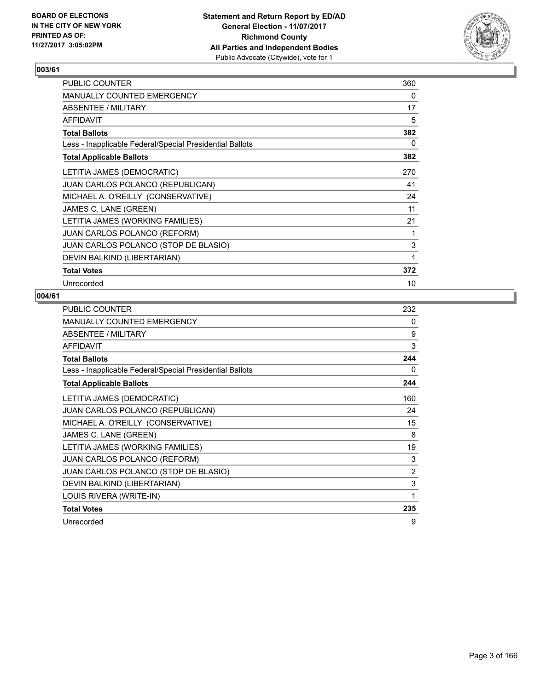

| PUBLIC COUNTER                                           | 360 |
|----------------------------------------------------------|-----|
| <b>MANUALLY COUNTED EMERGENCY</b>                        | 0   |
| ABSENTEE / MILITARY                                      | 17  |
| <b>AFFIDAVIT</b>                                         | 5   |
| <b>Total Ballots</b>                                     | 382 |
| Less - Inapplicable Federal/Special Presidential Ballots | 0   |
| <b>Total Applicable Ballots</b>                          | 382 |
| LETITIA JAMES (DEMOCRATIC)                               | 270 |
| <b>JUAN CARLOS POLANCO (REPUBLICAN)</b>                  | 41  |
| MICHAEL A. O'REILLY (CONSERVATIVE)                       | 24  |
| JAMES C. LANE (GREEN)                                    | 11  |
| LETITIA JAMES (WORKING FAMILIES)                         | 21  |
| <b>JUAN CARLOS POLANCO (REFORM)</b>                      | 1   |
| JUAN CARLOS POLANCO (STOP DE BLASIO)                     | 3   |
| DEVIN BALKIND (LIBERTARIAN)                              | 1   |
| <b>Total Votes</b>                                       | 372 |
| Unrecorded                                               | 10  |

| <b>PUBLIC COUNTER</b>                                    | 232 |
|----------------------------------------------------------|-----|
| MANUALLY COUNTED EMERGENCY                               | 0   |
| ABSENTEE / MILITARY                                      | 9   |
| <b>AFFIDAVIT</b>                                         | 3   |
| <b>Total Ballots</b>                                     | 244 |
| Less - Inapplicable Federal/Special Presidential Ballots | 0   |
| <b>Total Applicable Ballots</b>                          | 244 |
| LETITIA JAMES (DEMOCRATIC)                               | 160 |
| <b>JUAN CARLOS POLANCO (REPUBLICAN)</b>                  | 24  |
| MICHAEL A. O'REILLY (CONSERVATIVE)                       | 15  |
| JAMES C. LANE (GREEN)                                    | 8   |
| LETITIA JAMES (WORKING FAMILIES)                         | 19  |
| <b>JUAN CARLOS POLANCO (REFORM)</b>                      | 3   |
| JUAN CARLOS POLANCO (STOP DE BLASIO)                     | 2   |
| DEVIN BALKIND (LIBERTARIAN)                              | 3   |
| LOUIS RIVERA (WRITE-IN)                                  | 1   |
| <b>Total Votes</b>                                       | 235 |
| Unrecorded                                               | 9   |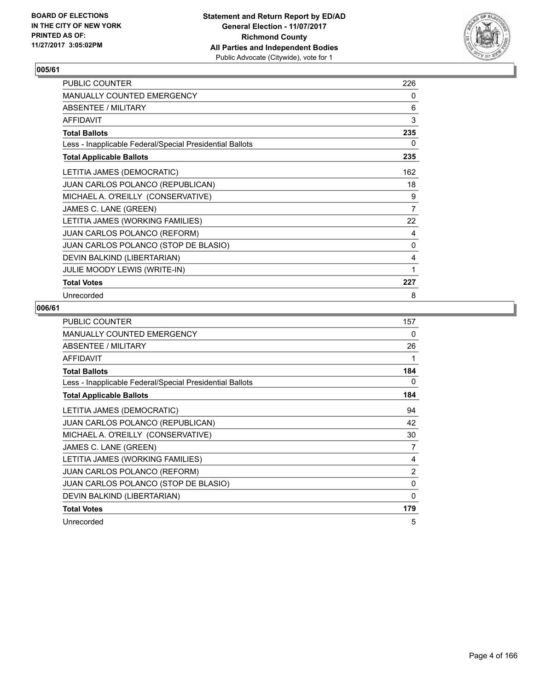

| PUBLIC COUNTER                                           | 226 |
|----------------------------------------------------------|-----|
| <b>MANUALLY COUNTED EMERGENCY</b>                        | 0   |
| ABSENTEE / MILITARY                                      | 6   |
| <b>AFFIDAVIT</b>                                         | 3   |
| <b>Total Ballots</b>                                     | 235 |
| Less - Inapplicable Federal/Special Presidential Ballots | 0   |
| <b>Total Applicable Ballots</b>                          | 235 |
| LETITIA JAMES (DEMOCRATIC)                               | 162 |
| <b>JUAN CARLOS POLANCO (REPUBLICAN)</b>                  | 18  |
| MICHAEL A. O'REILLY (CONSERVATIVE)                       | 9   |
| JAMES C. LANE (GREEN)                                    | 7   |
| LETITIA JAMES (WORKING FAMILIES)                         | 22  |
| <b>JUAN CARLOS POLANCO (REFORM)</b>                      | 4   |
| JUAN CARLOS POLANCO (STOP DE BLASIO)                     | 0   |
| DEVIN BALKIND (LIBERTARIAN)                              | 4   |
| <b>JULIE MOODY LEWIS (WRITE-IN)</b>                      | 1   |
| <b>Total Votes</b>                                       | 227 |
| Unrecorded                                               | 8   |

| <b>PUBLIC COUNTER</b>                                    | 157            |
|----------------------------------------------------------|----------------|
| MANUALLY COUNTED EMERGENCY                               | 0              |
| ABSENTEE / MILITARY                                      | 26             |
| <b>AFFIDAVIT</b>                                         | 1              |
| <b>Total Ballots</b>                                     | 184            |
| Less - Inapplicable Federal/Special Presidential Ballots | 0              |
| <b>Total Applicable Ballots</b>                          | 184            |
| LETITIA JAMES (DEMOCRATIC)                               | 94             |
| <b>JUAN CARLOS POLANCO (REPUBLICAN)</b>                  | 42             |
| MICHAEL A. O'REILLY (CONSERVATIVE)                       | 30             |
| JAMES C. LANE (GREEN)                                    | 7              |
| LETITIA JAMES (WORKING FAMILIES)                         | 4              |
| <b>JUAN CARLOS POLANCO (REFORM)</b>                      | $\overline{2}$ |
| JUAN CARLOS POLANCO (STOP DE BLASIO)                     | $\Omega$       |
| DEVIN BALKIND (LIBERTARIAN)                              | 0              |
| <b>Total Votes</b>                                       | 179            |
| Unrecorded                                               | 5              |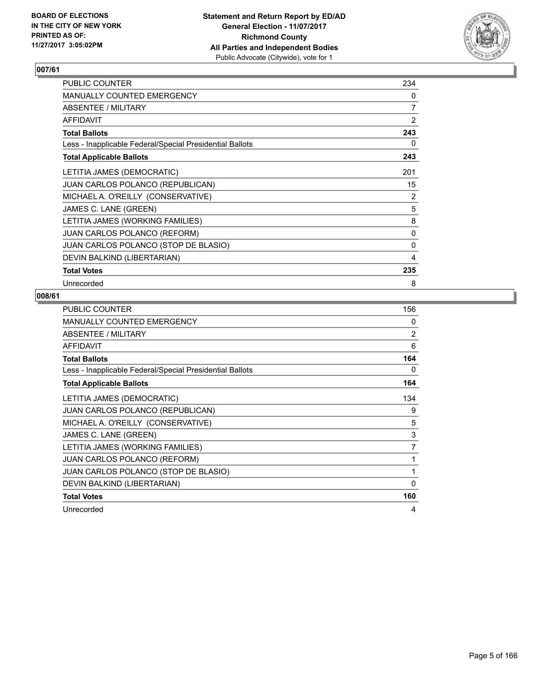

| <b>PUBLIC COUNTER</b>                                    | 234            |
|----------------------------------------------------------|----------------|
| <b>MANUALLY COUNTED EMERGENCY</b>                        | 0              |
| ABSENTEE / MILITARY                                      | $\overline{7}$ |
| <b>AFFIDAVIT</b>                                         | 2              |
| <b>Total Ballots</b>                                     | 243            |
| Less - Inapplicable Federal/Special Presidential Ballots | 0              |
| <b>Total Applicable Ballots</b>                          | 243            |
| LETITIA JAMES (DEMOCRATIC)                               | 201            |
| <b>JUAN CARLOS POLANCO (REPUBLICAN)</b>                  | 15             |
| MICHAEL A. O'REILLY (CONSERVATIVE)                       | 2              |
| JAMES C. LANE (GREEN)                                    | 5              |
| LETITIA JAMES (WORKING FAMILIES)                         | 8              |
| <b>JUAN CARLOS POLANCO (REFORM)</b>                      | 0              |
| JUAN CARLOS POLANCO (STOP DE BLASIO)                     | $\mathbf{0}$   |
| DEVIN BALKIND (LIBERTARIAN)                              | 4              |
| <b>Total Votes</b>                                       | 235            |
| Unrecorded                                               | 8              |

| <b>PUBLIC COUNTER</b>                                    | 156      |
|----------------------------------------------------------|----------|
| MANUALLY COUNTED EMERGENCY                               | 0        |
| ABSENTEE / MILITARY                                      | 2        |
| AFFIDAVIT                                                | 6        |
| <b>Total Ballots</b>                                     | 164      |
| Less - Inapplicable Federal/Special Presidential Ballots | 0        |
| <b>Total Applicable Ballots</b>                          | 164      |
| LETITIA JAMES (DEMOCRATIC)                               | 134      |
| JUAN CARLOS POLANCO (REPUBLICAN)                         | 9        |
| MICHAEL A. O'REILLY (CONSERVATIVE)                       | 5        |
| JAMES C. LANE (GREEN)                                    | 3        |
| LETITIA JAMES (WORKING FAMILIES)                         | 7        |
| <b>JUAN CARLOS POLANCO (REFORM)</b>                      | 1        |
| JUAN CARLOS POLANCO (STOP DE BLASIO)                     | 1        |
| DEVIN BALKIND (LIBERTARIAN)                              | $\Omega$ |
| <b>Total Votes</b>                                       | 160      |
| Unrecorded                                               | 4        |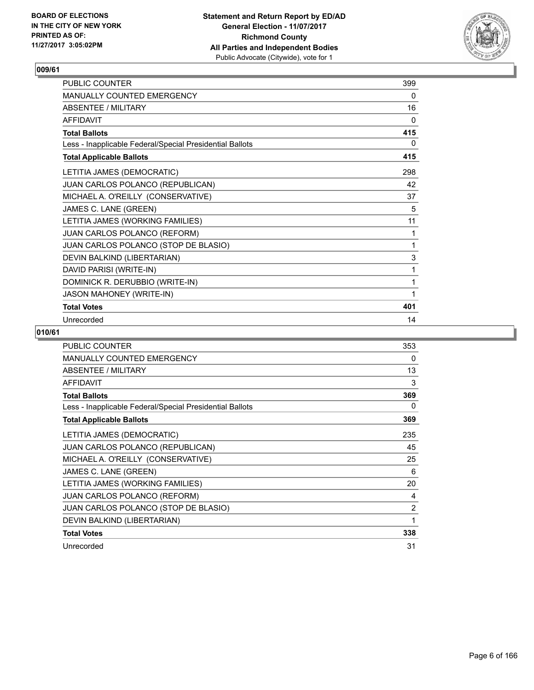

| PUBLIC COUNTER                                           | 399 |
|----------------------------------------------------------|-----|
| <b>MANUALLY COUNTED EMERGENCY</b>                        | 0   |
| <b>ABSENTEE / MILITARY</b>                               | 16  |
| <b>AFFIDAVIT</b>                                         | 0   |
| <b>Total Ballots</b>                                     | 415 |
| Less - Inapplicable Federal/Special Presidential Ballots | 0   |
| <b>Total Applicable Ballots</b>                          | 415 |
| LETITIA JAMES (DEMOCRATIC)                               | 298 |
| JUAN CARLOS POLANCO (REPUBLICAN)                         | 42  |
| MICHAEL A. O'REILLY (CONSERVATIVE)                       | 37  |
| JAMES C. LANE (GREEN)                                    | 5   |
| LETITIA JAMES (WORKING FAMILIES)                         | 11  |
| JUAN CARLOS POLANCO (REFORM)                             | 1   |
| JUAN CARLOS POLANCO (STOP DE BLASIO)                     | 1   |
| DEVIN BALKIND (LIBERTARIAN)                              | 3   |
| DAVID PARISI (WRITE-IN)                                  | 1   |
| DOMINICK R. DERUBBIO (WRITE-IN)                          | 1   |
| <b>JASON MAHONEY (WRITE-IN)</b>                          | 1   |
| <b>Total Votes</b>                                       | 401 |
| Unrecorded                                               | 14  |

| <b>PUBLIC COUNTER</b>                                    | 353 |
|----------------------------------------------------------|-----|
| <b>MANUALLY COUNTED EMERGENCY</b>                        | 0   |
| <b>ABSENTEE / MILITARY</b>                               | 13  |
| AFFIDAVIT                                                | 3   |
| <b>Total Ballots</b>                                     | 369 |
| Less - Inapplicable Federal/Special Presidential Ballots | 0   |
| <b>Total Applicable Ballots</b>                          | 369 |
| LETITIA JAMES (DEMOCRATIC)                               | 235 |
| JUAN CARLOS POLANCO (REPUBLICAN)                         | 45  |
| MICHAEL A. O'REILLY (CONSERVATIVE)                       | 25  |
| JAMES C. LANE (GREEN)                                    | 6   |
| LETITIA JAMES (WORKING FAMILIES)                         | 20  |
| <b>JUAN CARLOS POLANCO (REFORM)</b>                      | 4   |
| JUAN CARLOS POLANCO (STOP DE BLASIO)                     | 2   |
| DEVIN BALKIND (LIBERTARIAN)                              | 1   |
| <b>Total Votes</b>                                       | 338 |
| Unrecorded                                               | 31  |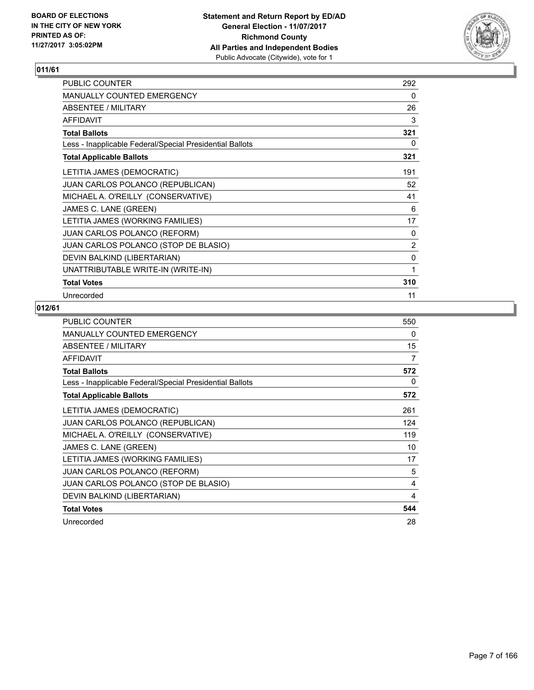

| <b>PUBLIC COUNTER</b>                                    | 292            |
|----------------------------------------------------------|----------------|
| MANUALLY COUNTED EMERGENCY                               | 0              |
| ABSENTEE / MILITARY                                      | 26             |
| <b>AFFIDAVIT</b>                                         | 3              |
| <b>Total Ballots</b>                                     | 321            |
| Less - Inapplicable Federal/Special Presidential Ballots | 0              |
| <b>Total Applicable Ballots</b>                          | 321            |
| LETITIA JAMES (DEMOCRATIC)                               | 191            |
| JUAN CARLOS POLANCO (REPUBLICAN)                         | 52             |
| MICHAEL A. O'REILLY (CONSERVATIVE)                       | 41             |
| JAMES C. LANE (GREEN)                                    | 6              |
| LETITIA JAMES (WORKING FAMILIES)                         | 17             |
| JUAN CARLOS POLANCO (REFORM)                             | 0              |
| JUAN CARLOS POLANCO (STOP DE BLASIO)                     | $\overline{2}$ |
| DEVIN BALKIND (LIBERTARIAN)                              | 0              |
| UNATTRIBUTABLE WRITE-IN (WRITE-IN)                       | 1              |
| <b>Total Votes</b>                                       | 310            |
| Unrecorded                                               | 11             |

| PUBLIC COUNTER                                           | 550 |
|----------------------------------------------------------|-----|
| <b>MANUALLY COUNTED EMERGENCY</b>                        | 0   |
| ABSENTEE / MILITARY                                      | 15  |
| <b>AFFIDAVIT</b>                                         | 7   |
| <b>Total Ballots</b>                                     | 572 |
| Less - Inapplicable Federal/Special Presidential Ballots | 0   |
| <b>Total Applicable Ballots</b>                          | 572 |
| LETITIA JAMES (DEMOCRATIC)                               | 261 |
| <b>JUAN CARLOS POLANCO (REPUBLICAN)</b>                  | 124 |
| MICHAEL A. O'REILLY (CONSERVATIVE)                       | 119 |
| JAMES C. LANE (GREEN)                                    | 10  |
| LETITIA JAMES (WORKING FAMILIES)                         | 17  |
| <b>JUAN CARLOS POLANCO (REFORM)</b>                      | 5   |
| JUAN CARLOS POLANCO (STOP DE BLASIO)                     | 4   |
| DEVIN BALKIND (LIBERTARIAN)                              | 4   |
| <b>Total Votes</b>                                       | 544 |
| Unrecorded                                               | 28  |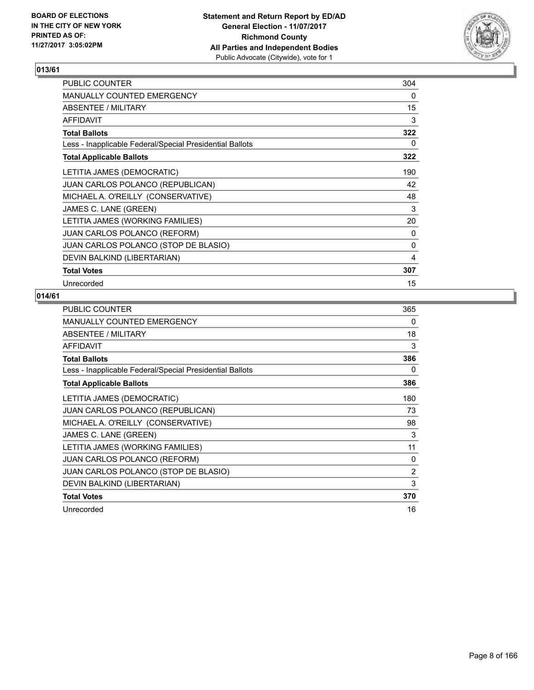

| PUBLIC COUNTER                                           | 304 |
|----------------------------------------------------------|-----|
| <b>MANUALLY COUNTED EMERGENCY</b>                        | 0   |
| ABSENTEE / MILITARY                                      | 15  |
| <b>AFFIDAVIT</b>                                         | 3   |
| <b>Total Ballots</b>                                     | 322 |
| Less - Inapplicable Federal/Special Presidential Ballots | 0   |
| <b>Total Applicable Ballots</b>                          | 322 |
| LETITIA JAMES (DEMOCRATIC)                               | 190 |
| JUAN CARLOS POLANCO (REPUBLICAN)                         | 42  |
| MICHAEL A. O'REILLY (CONSERVATIVE)                       | 48  |
| JAMES C. LANE (GREEN)                                    | 3   |
| LETITIA JAMES (WORKING FAMILIES)                         | 20  |
| JUAN CARLOS POLANCO (REFORM)                             | 0   |
| JUAN CARLOS POLANCO (STOP DE BLASIO)                     | 0   |
| DEVIN BALKIND (LIBERTARIAN)                              | 4   |
| <b>Total Votes</b>                                       | 307 |
| Unrecorded                                               | 15  |

| <b>PUBLIC COUNTER</b>                                    | 365 |
|----------------------------------------------------------|-----|
| <b>MANUALLY COUNTED EMERGENCY</b>                        | 0   |
| ABSENTEE / MILITARY                                      | 18  |
| AFFIDAVIT                                                | 3   |
| <b>Total Ballots</b>                                     | 386 |
| Less - Inapplicable Federal/Special Presidential Ballots | 0   |
| <b>Total Applicable Ballots</b>                          | 386 |
| LETITIA JAMES (DEMOCRATIC)                               | 180 |
| <b>JUAN CARLOS POLANCO (REPUBLICAN)</b>                  | 73  |
| MICHAEL A. O'REILLY (CONSERVATIVE)                       | 98  |
| JAMES C. LANE (GREEN)                                    | 3   |
| LETITIA JAMES (WORKING FAMILIES)                         | 11  |
| JUAN CARLOS POLANCO (REFORM)                             | 0   |
| JUAN CARLOS POLANCO (STOP DE BLASIO)                     | 2   |
| DEVIN BALKIND (LIBERTARIAN)                              | 3   |
| <b>Total Votes</b>                                       | 370 |
| Unrecorded                                               | 16  |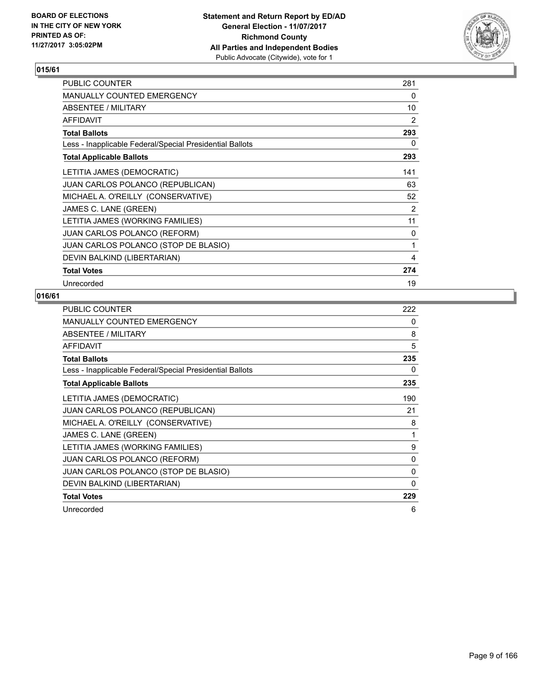

| PUBLIC COUNTER                                           | 281 |
|----------------------------------------------------------|-----|
| <b>MANUALLY COUNTED EMERGENCY</b>                        | 0   |
| ABSENTEE / MILITARY                                      | 10  |
| <b>AFFIDAVIT</b>                                         | 2   |
| <b>Total Ballots</b>                                     | 293 |
| Less - Inapplicable Federal/Special Presidential Ballots | 0   |
| <b>Total Applicable Ballots</b>                          | 293 |
| LETITIA JAMES (DEMOCRATIC)                               | 141 |
| JUAN CARLOS POLANCO (REPUBLICAN)                         | 63  |
| MICHAEL A. O'REILLY (CONSERVATIVE)                       | 52  |
| JAMES C. LANE (GREEN)                                    | 2   |
| LETITIA JAMES (WORKING FAMILIES)                         | 11  |
| JUAN CARLOS POLANCO (REFORM)                             | 0   |
| JUAN CARLOS POLANCO (STOP DE BLASIO)                     | 1   |
| DEVIN BALKIND (LIBERTARIAN)                              | 4   |
| <b>Total Votes</b>                                       | 274 |
| Unrecorded                                               | 19  |

| <b>PUBLIC COUNTER</b>                                    | 222 |
|----------------------------------------------------------|-----|
| <b>MANUALLY COUNTED EMERGENCY</b>                        | 0   |
| ABSENTEE / MILITARY                                      | 8   |
| AFFIDAVIT                                                | 5   |
| <b>Total Ballots</b>                                     | 235 |
| Less - Inapplicable Federal/Special Presidential Ballots | 0   |
| <b>Total Applicable Ballots</b>                          | 235 |
| LETITIA JAMES (DEMOCRATIC)                               | 190 |
| <b>JUAN CARLOS POLANCO (REPUBLICAN)</b>                  | 21  |
| MICHAEL A. O'REILLY (CONSERVATIVE)                       | 8   |
| JAMES C. LANE (GREEN)                                    | 1   |
| LETITIA JAMES (WORKING FAMILIES)                         | 9   |
| <b>JUAN CARLOS POLANCO (REFORM)</b>                      | 0   |
| JUAN CARLOS POLANCO (STOP DE BLASIO)                     | 0   |
| DEVIN BALKIND (LIBERTARIAN)                              | 0   |
| <b>Total Votes</b>                                       | 229 |
| Unrecorded                                               | 6   |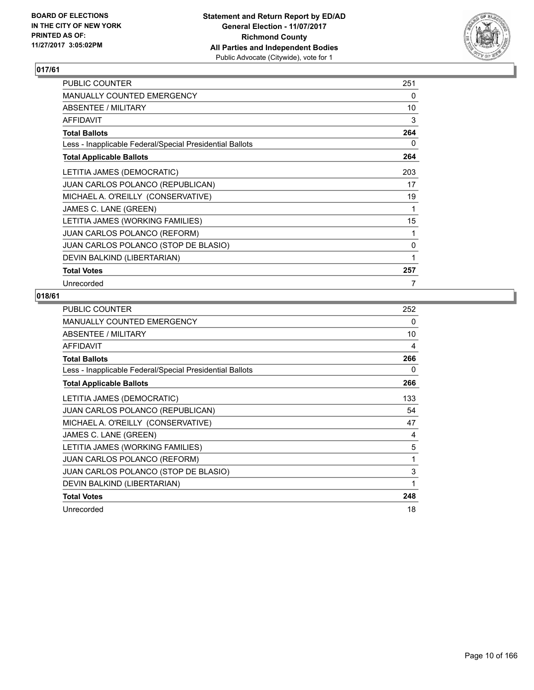

| PUBLIC COUNTER                                           | 251 |
|----------------------------------------------------------|-----|
| <b>MANUALLY COUNTED EMERGENCY</b>                        | 0   |
| ABSENTEE / MILITARY                                      | 10  |
| <b>AFFIDAVIT</b>                                         | 3   |
| <b>Total Ballots</b>                                     | 264 |
| Less - Inapplicable Federal/Special Presidential Ballots | 0   |
| <b>Total Applicable Ballots</b>                          | 264 |
| LETITIA JAMES (DEMOCRATIC)                               | 203 |
| <b>JUAN CARLOS POLANCO (REPUBLICAN)</b>                  | 17  |
| MICHAEL A. O'REILLY (CONSERVATIVE)                       | 19  |
| JAMES C. LANE (GREEN)                                    | 1   |
| LETITIA JAMES (WORKING FAMILIES)                         | 15  |
| <b>JUAN CARLOS POLANCO (REFORM)</b>                      | 1   |
| JUAN CARLOS POLANCO (STOP DE BLASIO)                     | 0   |
| DEVIN BALKIND (LIBERTARIAN)                              | 1   |
| <b>Total Votes</b>                                       | 257 |
| Unrecorded                                               | 7   |

| <b>PUBLIC COUNTER</b>                                    | 252 |
|----------------------------------------------------------|-----|
| <b>MANUALLY COUNTED EMERGENCY</b>                        | 0   |
| ABSENTEE / MILITARY                                      | 10  |
| AFFIDAVIT                                                | 4   |
| <b>Total Ballots</b>                                     | 266 |
| Less - Inapplicable Federal/Special Presidential Ballots | 0   |
| <b>Total Applicable Ballots</b>                          | 266 |
| LETITIA JAMES (DEMOCRATIC)                               | 133 |
| <b>JUAN CARLOS POLANCO (REPUBLICAN)</b>                  | 54  |
| MICHAEL A. O'REILLY (CONSERVATIVE)                       | 47  |
| JAMES C. LANE (GREEN)                                    | 4   |
| LETITIA JAMES (WORKING FAMILIES)                         | 5   |
| JUAN CARLOS POLANCO (REFORM)                             | 1   |
| JUAN CARLOS POLANCO (STOP DE BLASIO)                     | 3   |
| DEVIN BALKIND (LIBERTARIAN)                              | 1   |
| <b>Total Votes</b>                                       | 248 |
| Unrecorded                                               | 18  |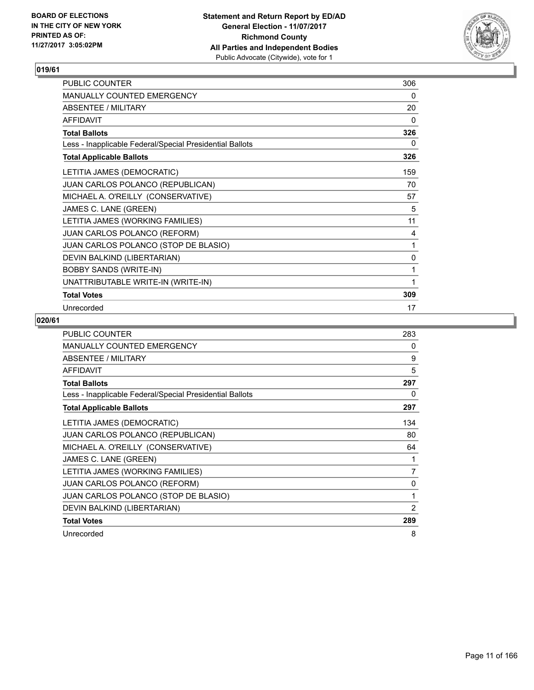

| PUBLIC COUNTER                                           | 306 |
|----------------------------------------------------------|-----|
| MANUALLY COUNTED EMERGENCY                               | 0   |
| <b>ABSENTEE / MILITARY</b>                               | 20  |
| <b>AFFIDAVIT</b>                                         | 0   |
| <b>Total Ballots</b>                                     | 326 |
| Less - Inapplicable Federal/Special Presidential Ballots | 0   |
| <b>Total Applicable Ballots</b>                          | 326 |
| LETITIA JAMES (DEMOCRATIC)                               | 159 |
| JUAN CARLOS POLANCO (REPUBLICAN)                         | 70  |
| MICHAEL A. O'REILLY (CONSERVATIVE)                       | 57  |
| JAMES C. LANE (GREEN)                                    | 5   |
| LETITIA JAMES (WORKING FAMILIES)                         | 11  |
| JUAN CARLOS POLANCO (REFORM)                             | 4   |
| JUAN CARLOS POLANCO (STOP DE BLASIO)                     | 1   |
| DEVIN BALKIND (LIBERTARIAN)                              | 0   |
| <b>BOBBY SANDS (WRITE-IN)</b>                            | 1   |
| UNATTRIBUTABLE WRITE-IN (WRITE-IN)                       | 1   |
| <b>Total Votes</b>                                       | 309 |
| Unrecorded                                               | 17  |

| <b>PUBLIC COUNTER</b>                                    | 283            |
|----------------------------------------------------------|----------------|
| <b>MANUALLY COUNTED EMERGENCY</b>                        | 0              |
| <b>ABSENTEE / MILITARY</b>                               | 9              |
| <b>AFFIDAVIT</b>                                         | 5              |
| <b>Total Ballots</b>                                     | 297            |
| Less - Inapplicable Federal/Special Presidential Ballots | 0              |
| <b>Total Applicable Ballots</b>                          | 297            |
| LETITIA JAMES (DEMOCRATIC)                               | 134            |
| <b>JUAN CARLOS POLANCO (REPUBLICAN)</b>                  | 80             |
| MICHAEL A. O'REILLY (CONSERVATIVE)                       | 64             |
| JAMES C. LANE (GREEN)                                    | 1              |
| LETITIA JAMES (WORKING FAMILIES)                         | 7              |
| JUAN CARLOS POLANCO (REFORM)                             | 0              |
| JUAN CARLOS POLANCO (STOP DE BLASIO)                     | 1              |
| DEVIN BALKIND (LIBERTARIAN)                              | $\overline{2}$ |
| <b>Total Votes</b>                                       | 289            |
| Unrecorded                                               | 8              |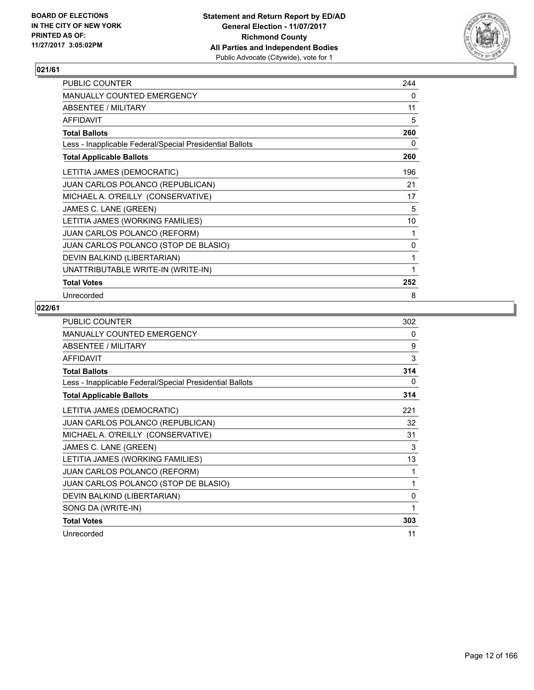

| PUBLIC COUNTER                                           | 244 |
|----------------------------------------------------------|-----|
| MANUALLY COUNTED EMERGENCY                               | 0   |
| ABSENTEE / MILITARY                                      | 11  |
| <b>AFFIDAVIT</b>                                         | 5   |
| <b>Total Ballots</b>                                     | 260 |
| Less - Inapplicable Federal/Special Presidential Ballots | 0   |
| <b>Total Applicable Ballots</b>                          | 260 |
| LETITIA JAMES (DEMOCRATIC)                               | 196 |
| JUAN CARLOS POLANCO (REPUBLICAN)                         | 21  |
| MICHAEL A. O'REILLY (CONSERVATIVE)                       | 17  |
| JAMES C. LANE (GREEN)                                    | 5   |
| LETITIA JAMES (WORKING FAMILIES)                         | 10  |
| JUAN CARLOS POLANCO (REFORM)                             | 1   |
| JUAN CARLOS POLANCO (STOP DE BLASIO)                     | 0   |
| DEVIN BALKIND (LIBERTARIAN)                              | 1   |
| UNATTRIBUTABLE WRITE-IN (WRITE-IN)                       | 1   |
| <b>Total Votes</b>                                       | 252 |
| Unrecorded                                               | 8   |

| <b>PUBLIC COUNTER</b>                                    | 302 |
|----------------------------------------------------------|-----|
| MANUALLY COUNTED EMERGENCY                               | 0   |
| <b>ABSENTEE / MILITARY</b>                               | 9   |
| <b>AFFIDAVIT</b>                                         | 3   |
| <b>Total Ballots</b>                                     | 314 |
| Less - Inapplicable Federal/Special Presidential Ballots | 0   |
| <b>Total Applicable Ballots</b>                          | 314 |
| LETITIA JAMES (DEMOCRATIC)                               | 221 |
| <b>JUAN CARLOS POLANCO (REPUBLICAN)</b>                  | 32  |
| MICHAEL A. O'REILLY (CONSERVATIVE)                       | 31  |
| JAMES C. LANE (GREEN)                                    | 3   |
| LETITIA JAMES (WORKING FAMILIES)                         | 13  |
| JUAN CARLOS POLANCO (REFORM)                             | 1   |
| JUAN CARLOS POLANCO (STOP DE BLASIO)                     | 1   |
| DEVIN BALKIND (LIBERTARIAN)                              | 0   |
| SONG DA (WRITE-IN)                                       | 1   |
| <b>Total Votes</b>                                       | 303 |
| Unrecorded                                               | 11  |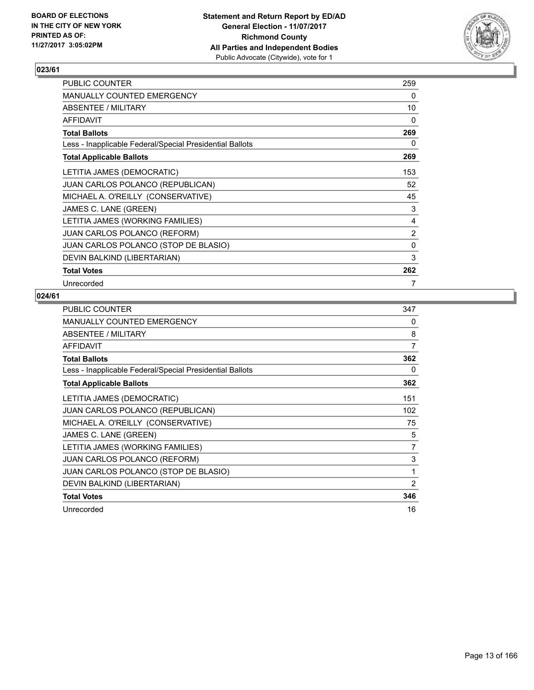

| PUBLIC COUNTER                                           | 259          |
|----------------------------------------------------------|--------------|
| <b>MANUALLY COUNTED EMERGENCY</b>                        | 0            |
| ABSENTEE / MILITARY                                      | 10           |
| <b>AFFIDAVIT</b>                                         | 0            |
| <b>Total Ballots</b>                                     | 269          |
| Less - Inapplicable Federal/Special Presidential Ballots | 0            |
| <b>Total Applicable Ballots</b>                          | 269          |
| LETITIA JAMES (DEMOCRATIC)                               | 153          |
| <b>JUAN CARLOS POLANCO (REPUBLICAN)</b>                  | 52           |
| MICHAEL A. O'REILLY (CONSERVATIVE)                       | 45           |
| JAMES C. LANE (GREEN)                                    | 3            |
| LETITIA JAMES (WORKING FAMILIES)                         | 4            |
| <b>JUAN CARLOS POLANCO (REFORM)</b>                      | 2            |
| JUAN CARLOS POLANCO (STOP DE BLASIO)                     | $\mathbf{0}$ |
| DEVIN BALKIND (LIBERTARIAN)                              | 3            |
| <b>Total Votes</b>                                       | 262          |
| Unrecorded                                               | 7            |

| <b>PUBLIC COUNTER</b>                                    | 347 |
|----------------------------------------------------------|-----|
| MANUALLY COUNTED EMERGENCY                               | 0   |
| ABSENTEE / MILITARY                                      | 8   |
| <b>AFFIDAVIT</b>                                         | 7   |
| <b>Total Ballots</b>                                     | 362 |
| Less - Inapplicable Federal/Special Presidential Ballots | 0   |
| <b>Total Applicable Ballots</b>                          | 362 |
| LETITIA JAMES (DEMOCRATIC)                               | 151 |
| JUAN CARLOS POLANCO (REPUBLICAN)                         | 102 |
| MICHAEL A. O'REILLY (CONSERVATIVE)                       | 75  |
| JAMES C. LANE (GREEN)                                    | 5   |
| LETITIA JAMES (WORKING FAMILIES)                         | 7   |
| <b>JUAN CARLOS POLANCO (REFORM)</b>                      | 3   |
| JUAN CARLOS POLANCO (STOP DE BLASIO)                     | 1   |
| DEVIN BALKIND (LIBERTARIAN)                              | 2   |
| <b>Total Votes</b>                                       | 346 |
| Unrecorded                                               | 16  |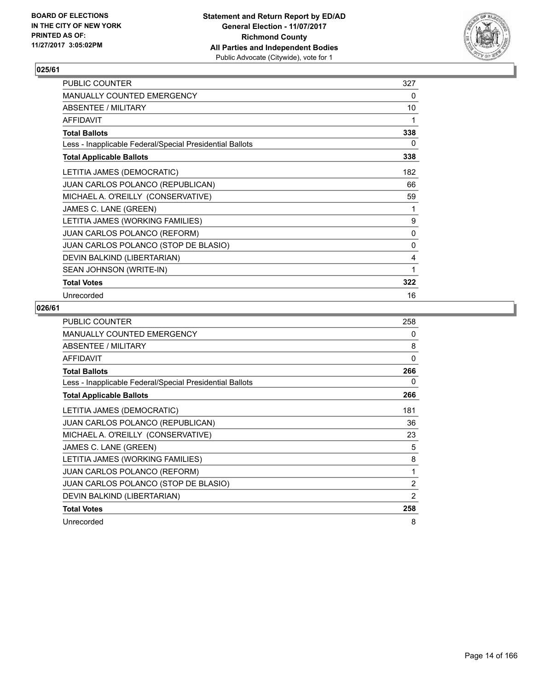

| PUBLIC COUNTER                                           | 327 |
|----------------------------------------------------------|-----|
| <b>MANUALLY COUNTED EMERGENCY</b>                        | 0   |
| ABSENTEE / MILITARY                                      | 10  |
| <b>AFFIDAVIT</b>                                         | 1   |
| <b>Total Ballots</b>                                     | 338 |
| Less - Inapplicable Federal/Special Presidential Ballots | 0   |
| <b>Total Applicable Ballots</b>                          | 338 |
| LETITIA JAMES (DEMOCRATIC)                               | 182 |
| <b>JUAN CARLOS POLANCO (REPUBLICAN)</b>                  | 66  |
| MICHAEL A. O'REILLY (CONSERVATIVE)                       | 59  |
| JAMES C. LANE (GREEN)                                    | 1   |
| LETITIA JAMES (WORKING FAMILIES)                         | 9   |
| <b>JUAN CARLOS POLANCO (REFORM)</b>                      | 0   |
| JUAN CARLOS POLANCO (STOP DE BLASIO)                     | 0   |
| DEVIN BALKIND (LIBERTARIAN)                              | 4   |
| SEAN JOHNSON (WRITE-IN)                                  | 1   |
| <b>Total Votes</b>                                       | 322 |
| Unrecorded                                               | 16  |

| <b>PUBLIC COUNTER</b>                                    | 258            |
|----------------------------------------------------------|----------------|
| <b>MANUALLY COUNTED EMERGENCY</b>                        | 0              |
| ABSENTEE / MILITARY                                      | 8              |
| <b>AFFIDAVIT</b>                                         | 0              |
| <b>Total Ballots</b>                                     | 266            |
| Less - Inapplicable Federal/Special Presidential Ballots | 0              |
| <b>Total Applicable Ballots</b>                          | 266            |
| LETITIA JAMES (DEMOCRATIC)                               | 181            |
| <b>JUAN CARLOS POLANCO (REPUBLICAN)</b>                  | 36             |
| MICHAEL A. O'REILLY (CONSERVATIVE)                       | 23             |
| JAMES C. LANE (GREEN)                                    | 5              |
| LETITIA JAMES (WORKING FAMILIES)                         | 8              |
| <b>JUAN CARLOS POLANCO (REFORM)</b>                      | 1              |
| JUAN CARLOS POLANCO (STOP DE BLASIO)                     | 2              |
| DEVIN BALKIND (LIBERTARIAN)                              | $\overline{2}$ |
| <b>Total Votes</b>                                       | 258            |
| Unrecorded                                               | 8              |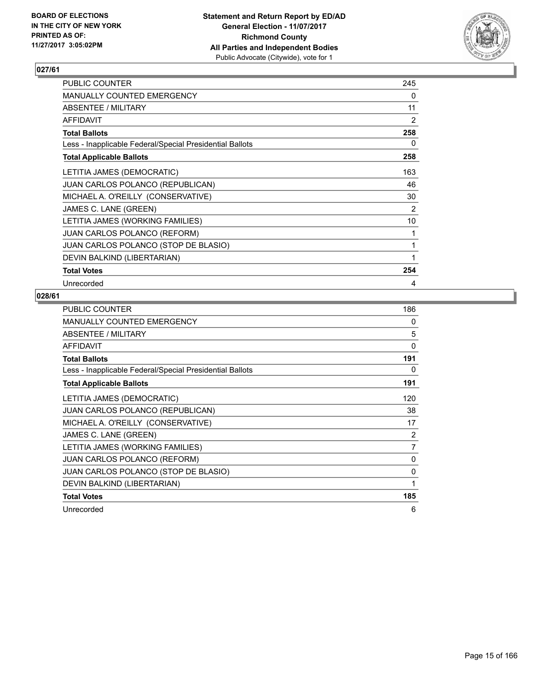

| <b>PUBLIC COUNTER</b>                                    | 245 |
|----------------------------------------------------------|-----|
| <b>MANUALLY COUNTED EMERGENCY</b>                        | 0   |
| ABSENTEE / MILITARY                                      | 11  |
| <b>AFFIDAVIT</b>                                         | 2   |
| <b>Total Ballots</b>                                     | 258 |
| Less - Inapplicable Federal/Special Presidential Ballots | 0   |
| <b>Total Applicable Ballots</b>                          | 258 |
| LETITIA JAMES (DEMOCRATIC)                               | 163 |
| <b>JUAN CARLOS POLANCO (REPUBLICAN)</b>                  | 46  |
| MICHAEL A. O'REILLY (CONSERVATIVE)                       | 30  |
| JAMES C. LANE (GREEN)                                    | 2   |
| LETITIA JAMES (WORKING FAMILIES)                         | 10  |
| <b>JUAN CARLOS POLANCO (REFORM)</b>                      | 1   |
| JUAN CARLOS POLANCO (STOP DE BLASIO)                     | 1   |
| DEVIN BALKIND (LIBERTARIAN)                              | 1   |
| <b>Total Votes</b>                                       | 254 |
| Unrecorded                                               | 4   |

| <b>PUBLIC COUNTER</b>                                    | 186 |
|----------------------------------------------------------|-----|
| <b>MANUALLY COUNTED EMERGENCY</b>                        | 0   |
| ABSENTEE / MILITARY                                      | 5   |
| <b>AFFIDAVIT</b>                                         | 0   |
| <b>Total Ballots</b>                                     | 191 |
| Less - Inapplicable Federal/Special Presidential Ballots | 0   |
| <b>Total Applicable Ballots</b>                          | 191 |
| LETITIA JAMES (DEMOCRATIC)                               | 120 |
| JUAN CARLOS POLANCO (REPUBLICAN)                         | 38  |
| MICHAEL A. O'REILLY (CONSERVATIVE)                       | 17  |
| JAMES C. LANE (GREEN)                                    | 2   |
| LETITIA JAMES (WORKING FAMILIES)                         | 7   |
| <b>JUAN CARLOS POLANCO (REFORM)</b>                      | 0   |
| JUAN CARLOS POLANCO (STOP DE BLASIO)                     | 0   |
| DEVIN BALKIND (LIBERTARIAN)                              | 1   |
| <b>Total Votes</b>                                       | 185 |
| Unrecorded                                               | 6   |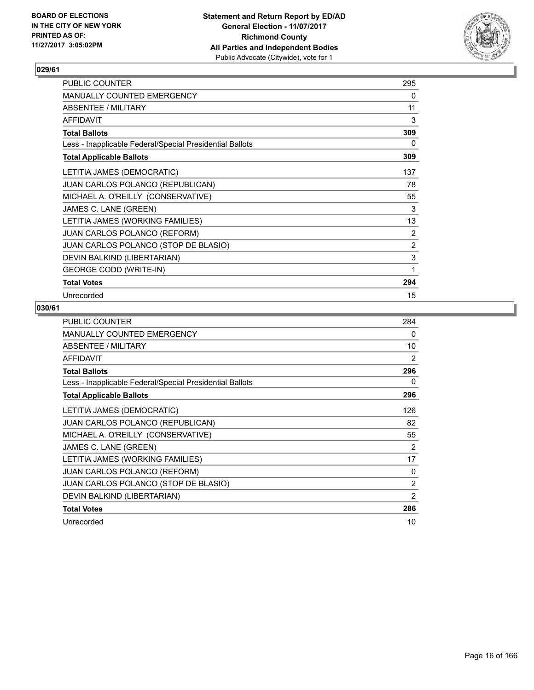

| PUBLIC COUNTER                                           | 295            |
|----------------------------------------------------------|----------------|
| <b>MANUALLY COUNTED EMERGENCY</b>                        | 0              |
| ABSENTEE / MILITARY                                      | 11             |
| <b>AFFIDAVIT</b>                                         | 3              |
| <b>Total Ballots</b>                                     | 309            |
| Less - Inapplicable Federal/Special Presidential Ballots | 0              |
| <b>Total Applicable Ballots</b>                          | 309            |
| LETITIA JAMES (DEMOCRATIC)                               | 137            |
| JUAN CARLOS POLANCO (REPUBLICAN)                         | 78             |
| MICHAEL A. O'REILLY (CONSERVATIVE)                       | 55             |
| JAMES C. LANE (GREEN)                                    | 3              |
| LETITIA JAMES (WORKING FAMILIES)                         | 13             |
| <b>JUAN CARLOS POLANCO (REFORM)</b>                      | 2              |
| JUAN CARLOS POLANCO (STOP DE BLASIO)                     | $\overline{2}$ |
| DEVIN BALKIND (LIBERTARIAN)                              | 3              |
| <b>GEORGE CODD (WRITE-IN)</b>                            | 1              |
| <b>Total Votes</b>                                       | 294            |
| Unrecorded                                               | 15             |

| <b>PUBLIC COUNTER</b>                                    | 284            |
|----------------------------------------------------------|----------------|
| <b>MANUALLY COUNTED EMERGENCY</b>                        | 0              |
| <b>ABSENTEE / MILITARY</b>                               | 10             |
| <b>AFFIDAVIT</b>                                         | 2              |
| <b>Total Ballots</b>                                     | 296            |
| Less - Inapplicable Federal/Special Presidential Ballots | 0              |
| <b>Total Applicable Ballots</b>                          | 296            |
| LETITIA JAMES (DEMOCRATIC)                               | 126            |
| <b>JUAN CARLOS POLANCO (REPUBLICAN)</b>                  | 82             |
| MICHAEL A. O'REILLY (CONSERVATIVE)                       | 55             |
| JAMES C. LANE (GREEN)                                    | $\overline{2}$ |
| LETITIA JAMES (WORKING FAMILIES)                         | 17             |
| <b>JUAN CARLOS POLANCO (REFORM)</b>                      | 0              |
| JUAN CARLOS POLANCO (STOP DE BLASIO)                     | 2              |
| DEVIN BALKIND (LIBERTARIAN)                              | $\overline{2}$ |
| <b>Total Votes</b>                                       | 286            |
| Unrecorded                                               | 10             |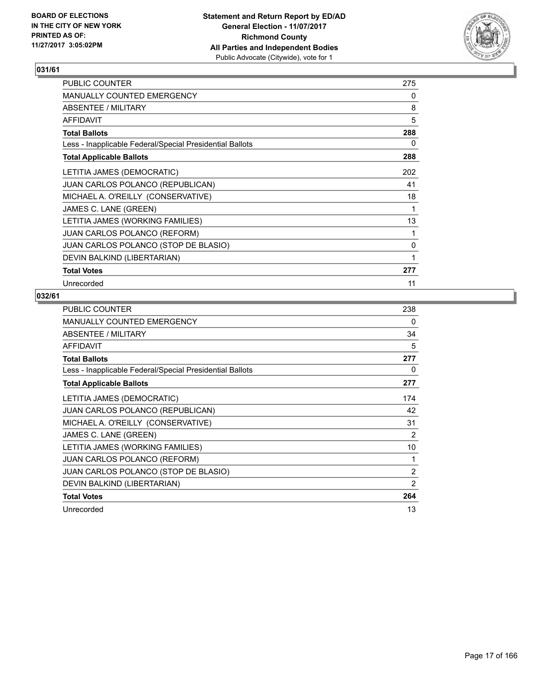

| <b>PUBLIC COUNTER</b>                                    | 275 |
|----------------------------------------------------------|-----|
| MANUALLY COUNTED EMERGENCY                               | 0   |
| ABSENTEE / MILITARY                                      | 8   |
| <b>AFFIDAVIT</b>                                         | 5   |
| <b>Total Ballots</b>                                     | 288 |
| Less - Inapplicable Federal/Special Presidential Ballots | 0   |
| <b>Total Applicable Ballots</b>                          | 288 |
| LETITIA JAMES (DEMOCRATIC)                               | 202 |
| <b>JUAN CARLOS POLANCO (REPUBLICAN)</b>                  | 41  |
| MICHAEL A. O'REILLY (CONSERVATIVE)                       | 18  |
| JAMES C. LANE (GREEN)                                    | 1   |
| LETITIA JAMES (WORKING FAMILIES)                         | 13  |
| <b>JUAN CARLOS POLANCO (REFORM)</b>                      | 1   |
| JUAN CARLOS POLANCO (STOP DE BLASIO)                     | 0   |
| DEVIN BALKIND (LIBERTARIAN)                              | 1   |
| <b>Total Votes</b>                                       | 277 |
| Unrecorded                                               | 11  |

| <b>PUBLIC COUNTER</b>                                    | 238 |
|----------------------------------------------------------|-----|
| <b>MANUALLY COUNTED EMERGENCY</b>                        | 0   |
| ABSENTEE / MILITARY                                      | 34  |
| AFFIDAVIT                                                | 5   |
| <b>Total Ballots</b>                                     | 277 |
| Less - Inapplicable Federal/Special Presidential Ballots | 0   |
| <b>Total Applicable Ballots</b>                          | 277 |
| LETITIA JAMES (DEMOCRATIC)                               | 174 |
| <b>JUAN CARLOS POLANCO (REPUBLICAN)</b>                  | 42  |
| MICHAEL A. O'REILLY (CONSERVATIVE)                       | 31  |
| JAMES C. LANE (GREEN)                                    | 2   |
| LETITIA JAMES (WORKING FAMILIES)                         | 10  |
| JUAN CARLOS POLANCO (REFORM)                             | 1   |
| JUAN CARLOS POLANCO (STOP DE BLASIO)                     | 2   |
| DEVIN BALKIND (LIBERTARIAN)                              | 2   |
| <b>Total Votes</b>                                       | 264 |
| Unrecorded                                               | 13  |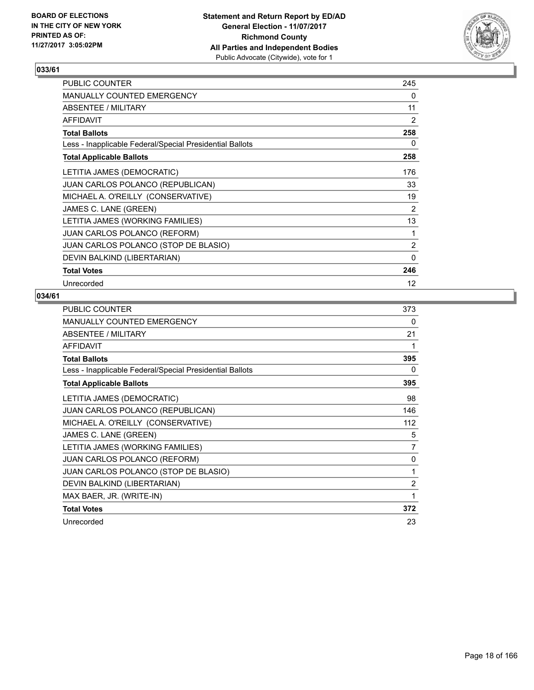

| <b>PUBLIC COUNTER</b>                                    | 245               |
|----------------------------------------------------------|-------------------|
| <b>MANUALLY COUNTED EMERGENCY</b>                        | 0                 |
| ABSENTEE / MILITARY                                      | 11                |
| <b>AFFIDAVIT</b>                                         | 2                 |
| <b>Total Ballots</b>                                     | 258               |
| Less - Inapplicable Federal/Special Presidential Ballots | 0                 |
| <b>Total Applicable Ballots</b>                          | 258               |
| LETITIA JAMES (DEMOCRATIC)                               | 176               |
| <b>JUAN CARLOS POLANCO (REPUBLICAN)</b>                  | 33                |
| MICHAEL A. O'REILLY (CONSERVATIVE)                       | 19                |
| JAMES C. LANE (GREEN)                                    | 2                 |
| LETITIA JAMES (WORKING FAMILIES)                         | 13                |
| <b>JUAN CARLOS POLANCO (REFORM)</b>                      | 1                 |
| JUAN CARLOS POLANCO (STOP DE BLASIO)                     | 2                 |
| DEVIN BALKIND (LIBERTARIAN)                              | 0                 |
| <b>Total Votes</b>                                       | 246               |
| Unrecorded                                               | $12 \overline{ }$ |

| <b>PUBLIC COUNTER</b>                                    | 373 |
|----------------------------------------------------------|-----|
| MANUALLY COUNTED EMERGENCY                               | 0   |
| ABSENTEE / MILITARY                                      | 21  |
| <b>AFFIDAVIT</b>                                         | 1   |
| <b>Total Ballots</b>                                     | 395 |
| Less - Inapplicable Federal/Special Presidential Ballots | 0   |
| <b>Total Applicable Ballots</b>                          | 395 |
| LETITIA JAMES (DEMOCRATIC)                               | 98  |
| <b>JUAN CARLOS POLANCO (REPUBLICAN)</b>                  | 146 |
| MICHAEL A. O'REILLY (CONSERVATIVE)                       | 112 |
| JAMES C. LANE (GREEN)                                    | 5   |
| LETITIA JAMES (WORKING FAMILIES)                         | 7   |
| JUAN CARLOS POLANCO (REFORM)                             | 0   |
| JUAN CARLOS POLANCO (STOP DE BLASIO)                     | 1   |
| DEVIN BALKIND (LIBERTARIAN)                              | 2   |
| MAX BAER, JR. (WRITE-IN)                                 | 1   |
| <b>Total Votes</b>                                       | 372 |
| Unrecorded                                               | 23  |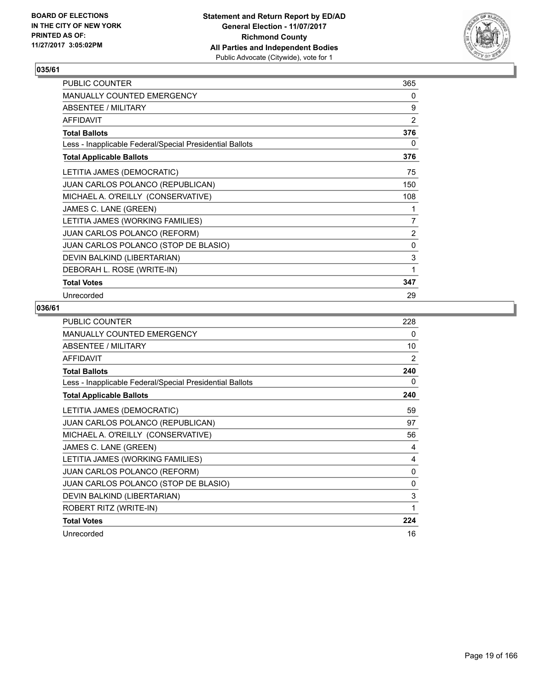

| PUBLIC COUNTER                                           | 365            |
|----------------------------------------------------------|----------------|
| MANUALLY COUNTED EMERGENCY                               | 0              |
| ABSENTEE / MILITARY                                      | 9              |
| <b>AFFIDAVIT</b>                                         | $\overline{2}$ |
| <b>Total Ballots</b>                                     | 376            |
| Less - Inapplicable Federal/Special Presidential Ballots | 0              |
| <b>Total Applicable Ballots</b>                          | 376            |
| LETITIA JAMES (DEMOCRATIC)                               | 75             |
| JUAN CARLOS POLANCO (REPUBLICAN)                         | 150            |
| MICHAEL A. O'REILLY (CONSERVATIVE)                       | 108            |
| JAMES C. LANE (GREEN)                                    | 1              |
| LETITIA JAMES (WORKING FAMILIES)                         | 7              |
| JUAN CARLOS POLANCO (REFORM)                             | $\overline{2}$ |
| JUAN CARLOS POLANCO (STOP DE BLASIO)                     | 0              |
| DEVIN BALKIND (LIBERTARIAN)                              | 3              |
| DEBORAH L. ROSE (WRITE-IN)                               | 1              |
| <b>Total Votes</b>                                       | 347            |
| Unrecorded                                               | 29             |

| <b>PUBLIC COUNTER</b>                                    | 228            |
|----------------------------------------------------------|----------------|
| <b>MANUALLY COUNTED EMERGENCY</b>                        | 0              |
| ABSENTEE / MILITARY                                      | 10             |
| <b>AFFIDAVIT</b>                                         | $\overline{2}$ |
| <b>Total Ballots</b>                                     | 240            |
| Less - Inapplicable Federal/Special Presidential Ballots | 0              |
| <b>Total Applicable Ballots</b>                          | 240            |
| LETITIA JAMES (DEMOCRATIC)                               | 59             |
| JUAN CARLOS POLANCO (REPUBLICAN)                         | 97             |
| MICHAEL A. O'REILLY (CONSERVATIVE)                       | 56             |
| JAMES C. LANE (GREEN)                                    | 4              |
| LETITIA JAMES (WORKING FAMILIES)                         | 4              |
| <b>JUAN CARLOS POLANCO (REFORM)</b>                      | 0              |
| JUAN CARLOS POLANCO (STOP DE BLASIO)                     | 0              |
| DEVIN BALKIND (LIBERTARIAN)                              | 3              |
| ROBERT RITZ (WRITE-IN)                                   | 1              |
| <b>Total Votes</b>                                       | 224            |
| Unrecorded                                               | 16             |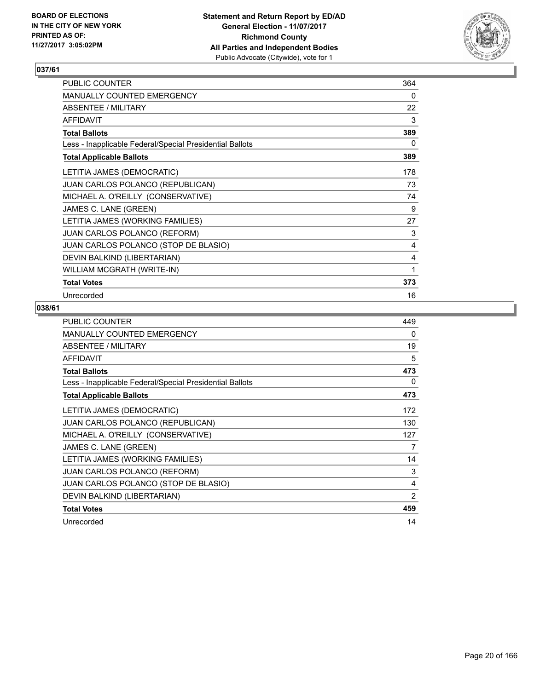

| PUBLIC COUNTER                                           | 364 |
|----------------------------------------------------------|-----|
| <b>MANUALLY COUNTED EMERGENCY</b>                        | 0   |
| ABSENTEE / MILITARY                                      | 22  |
| <b>AFFIDAVIT</b>                                         | 3   |
| <b>Total Ballots</b>                                     | 389 |
| Less - Inapplicable Federal/Special Presidential Ballots | 0   |
| <b>Total Applicable Ballots</b>                          | 389 |
| LETITIA JAMES (DEMOCRATIC)                               | 178 |
| JUAN CARLOS POLANCO (REPUBLICAN)                         | 73  |
| MICHAEL A. O'REILLY (CONSERVATIVE)                       | 74  |
| JAMES C. LANE (GREEN)                                    | 9   |
| LETITIA JAMES (WORKING FAMILIES)                         | 27  |
| <b>JUAN CARLOS POLANCO (REFORM)</b>                      | 3   |
| JUAN CARLOS POLANCO (STOP DE BLASIO)                     | 4   |
| DEVIN BALKIND (LIBERTARIAN)                              | 4   |
| WILLIAM MCGRATH (WRITE-IN)                               | 1   |
| <b>Total Votes</b>                                       | 373 |
| Unrecorded                                               | 16  |

| <b>PUBLIC COUNTER</b>                                    | 449            |
|----------------------------------------------------------|----------------|
| <b>MANUALLY COUNTED EMERGENCY</b>                        | 0              |
| ABSENTEE / MILITARY                                      | 19             |
| <b>AFFIDAVIT</b>                                         | 5              |
| <b>Total Ballots</b>                                     | 473            |
| Less - Inapplicable Federal/Special Presidential Ballots | 0              |
| <b>Total Applicable Ballots</b>                          | 473            |
| LETITIA JAMES (DEMOCRATIC)                               | 172            |
| <b>JUAN CARLOS POLANCO (REPUBLICAN)</b>                  | 130            |
| MICHAEL A. O'REILLY (CONSERVATIVE)                       | 127            |
| JAMES C. LANE (GREEN)                                    | 7              |
| LETITIA JAMES (WORKING FAMILIES)                         | 14             |
| <b>JUAN CARLOS POLANCO (REFORM)</b>                      | 3              |
| JUAN CARLOS POLANCO (STOP DE BLASIO)                     | 4              |
| DEVIN BALKIND (LIBERTARIAN)                              | $\overline{2}$ |
| <b>Total Votes</b>                                       | 459            |
| Unrecorded                                               | 14             |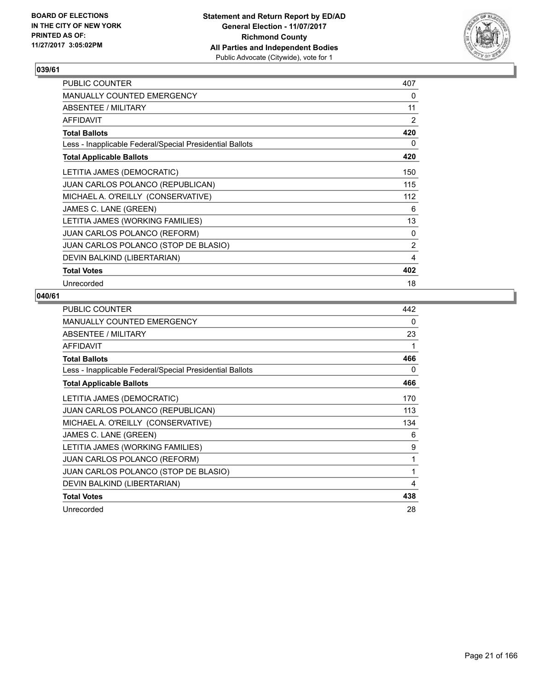

| PUBLIC COUNTER                                           | 407 |
|----------------------------------------------------------|-----|
| <b>MANUALLY COUNTED EMERGENCY</b>                        | 0   |
| ABSENTEE / MILITARY                                      | 11  |
| <b>AFFIDAVIT</b>                                         | 2   |
| <b>Total Ballots</b>                                     | 420 |
| Less - Inapplicable Federal/Special Presidential Ballots | 0   |
| <b>Total Applicable Ballots</b>                          | 420 |
| LETITIA JAMES (DEMOCRATIC)                               | 150 |
| <b>JUAN CARLOS POLANCO (REPUBLICAN)</b>                  | 115 |
| MICHAEL A. O'REILLY (CONSERVATIVE)                       | 112 |
| JAMES C. LANE (GREEN)                                    | 6   |
| LETITIA JAMES (WORKING FAMILIES)                         | 13  |
| <b>JUAN CARLOS POLANCO (REFORM)</b>                      | 0   |
| JUAN CARLOS POLANCO (STOP DE BLASIO)                     | 2   |
| DEVIN BALKIND (LIBERTARIAN)                              | 4   |
| <b>Total Votes</b>                                       | 402 |
| Unrecorded                                               | 18  |

| <b>PUBLIC COUNTER</b>                                    | 442 |
|----------------------------------------------------------|-----|
| <b>MANUALLY COUNTED EMERGENCY</b>                        | 0   |
| ABSENTEE / MILITARY                                      | 23  |
| <b>AFFIDAVIT</b>                                         | 1   |
| <b>Total Ballots</b>                                     | 466 |
| Less - Inapplicable Federal/Special Presidential Ballots | 0   |
| <b>Total Applicable Ballots</b>                          | 466 |
| LETITIA JAMES (DEMOCRATIC)                               | 170 |
| <b>JUAN CARLOS POLANCO (REPUBLICAN)</b>                  | 113 |
| MICHAEL A. O'REILLY (CONSERVATIVE)                       | 134 |
| JAMES C. LANE (GREEN)                                    | 6   |
| LETITIA JAMES (WORKING FAMILIES)                         | 9   |
| <b>JUAN CARLOS POLANCO (REFORM)</b>                      | 1   |
| JUAN CARLOS POLANCO (STOP DE BLASIO)                     | 1   |
| DEVIN BALKIND (LIBERTARIAN)                              | 4   |
| <b>Total Votes</b>                                       | 438 |
| Unrecorded                                               | 28  |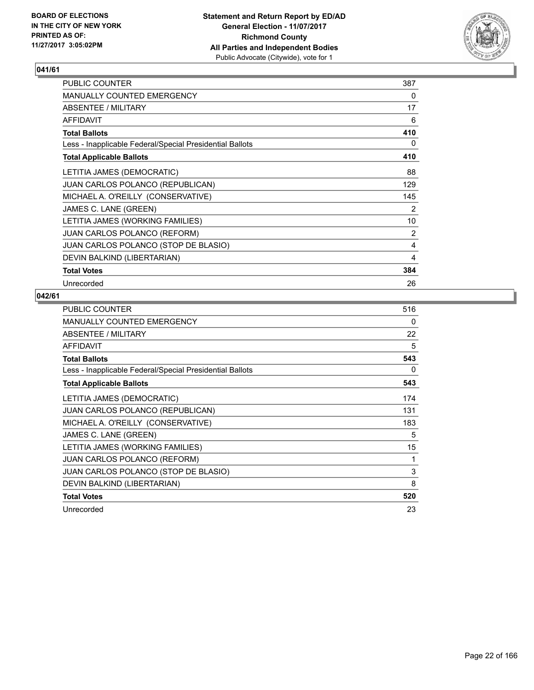

| PUBLIC COUNTER                                           | 387 |
|----------------------------------------------------------|-----|
| <b>MANUALLY COUNTED EMERGENCY</b>                        | 0   |
| ABSENTEE / MILITARY                                      | 17  |
| <b>AFFIDAVIT</b>                                         | 6   |
| <b>Total Ballots</b>                                     | 410 |
| Less - Inapplicable Federal/Special Presidential Ballots | 0   |
| <b>Total Applicable Ballots</b>                          | 410 |
| LETITIA JAMES (DEMOCRATIC)                               | 88  |
| JUAN CARLOS POLANCO (REPUBLICAN)                         | 129 |
| MICHAEL A. O'REILLY (CONSERVATIVE)                       | 145 |
| JAMES C. LANE (GREEN)                                    | 2   |
| LETITIA JAMES (WORKING FAMILIES)                         | 10  |
| JUAN CARLOS POLANCO (REFORM)                             | 2   |
| JUAN CARLOS POLANCO (STOP DE BLASIO)                     | 4   |
| DEVIN BALKIND (LIBERTARIAN)                              | 4   |
| <b>Total Votes</b>                                       | 384 |
| Unrecorded                                               | 26  |

| <b>PUBLIC COUNTER</b>                                    | 516 |
|----------------------------------------------------------|-----|
| <b>MANUALLY COUNTED EMERGENCY</b>                        | 0   |
| ABSENTEE / MILITARY                                      | 22  |
| <b>AFFIDAVIT</b>                                         | 5   |
| <b>Total Ballots</b>                                     | 543 |
| Less - Inapplicable Federal/Special Presidential Ballots | 0   |
| <b>Total Applicable Ballots</b>                          | 543 |
| LETITIA JAMES (DEMOCRATIC)                               | 174 |
| JUAN CARLOS POLANCO (REPUBLICAN)                         | 131 |
| MICHAEL A. O'REILLY (CONSERVATIVE)                       | 183 |
| JAMES C. LANE (GREEN)                                    | 5   |
| LETITIA JAMES (WORKING FAMILIES)                         | 15  |
| <b>JUAN CARLOS POLANCO (REFORM)</b>                      | 1   |
| JUAN CARLOS POLANCO (STOP DE BLASIO)                     | 3   |
| DEVIN BALKIND (LIBERTARIAN)                              | 8   |
| <b>Total Votes</b>                                       | 520 |
| Unrecorded                                               | 23  |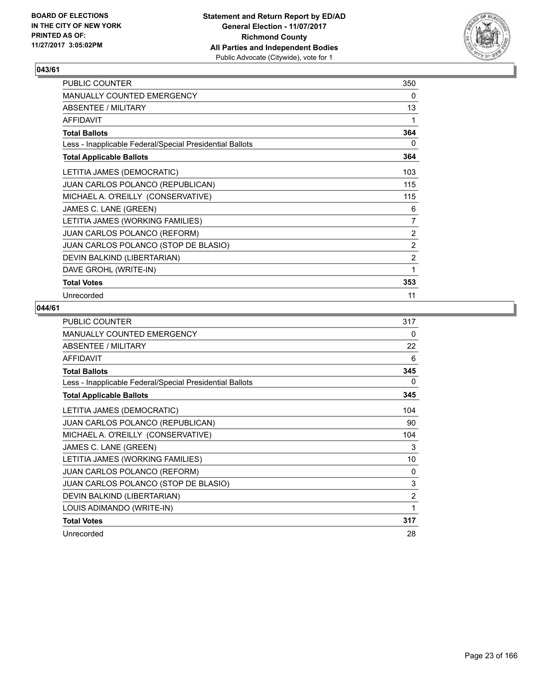

| PUBLIC COUNTER                                           | 350            |
|----------------------------------------------------------|----------------|
| <b>MANUALLY COUNTED EMERGENCY</b>                        | 0              |
| ABSENTEE / MILITARY                                      | 13             |
| <b>AFFIDAVIT</b>                                         | 1              |
| <b>Total Ballots</b>                                     | 364            |
| Less - Inapplicable Federal/Special Presidential Ballots | 0              |
| <b>Total Applicable Ballots</b>                          | 364            |
| LETITIA JAMES (DEMOCRATIC)                               | 103            |
| <b>JUAN CARLOS POLANCO (REPUBLICAN)</b>                  | 115            |
| MICHAEL A. O'REILLY (CONSERVATIVE)                       | 115            |
| JAMES C. LANE (GREEN)                                    | 6              |
| LETITIA JAMES (WORKING FAMILIES)                         | 7              |
| <b>JUAN CARLOS POLANCO (REFORM)</b>                      | $\overline{2}$ |
| JUAN CARLOS POLANCO (STOP DE BLASIO)                     | $\overline{2}$ |
| DEVIN BALKIND (LIBERTARIAN)                              | 2              |
| DAVE GROHL (WRITE-IN)                                    | 1              |
| <b>Total Votes</b>                                       | 353            |
| Unrecorded                                               | 11             |

| PUBLIC COUNTER                                           | 317            |
|----------------------------------------------------------|----------------|
| MANUALLY COUNTED EMERGENCY                               | 0              |
| ABSENTEE / MILITARY                                      | 22             |
| <b>AFFIDAVIT</b>                                         | 6              |
| <b>Total Ballots</b>                                     | 345            |
| Less - Inapplicable Federal/Special Presidential Ballots | 0              |
| <b>Total Applicable Ballots</b>                          | 345            |
| LETITIA JAMES (DEMOCRATIC)                               | 104            |
| JUAN CARLOS POLANCO (REPUBLICAN)                         | 90             |
| MICHAEL A. O'REILLY (CONSERVATIVE)                       | 104            |
| JAMES C. LANE (GREEN)                                    | 3              |
| LETITIA JAMES (WORKING FAMILIES)                         | 10             |
| <b>JUAN CARLOS POLANCO (REFORM)</b>                      | $\Omega$       |
| JUAN CARLOS POLANCO (STOP DE BLASIO)                     | 3              |
| DEVIN BALKIND (LIBERTARIAN)                              | $\overline{2}$ |
| LOUIS ADIMANDO (WRITE-IN)                                | 1              |
| <b>Total Votes</b>                                       | 317            |
| Unrecorded                                               | 28             |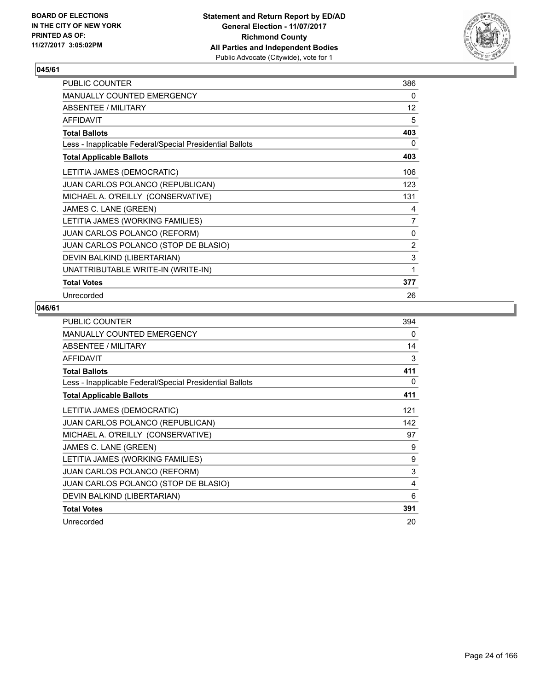

| PUBLIC COUNTER                                           | 386            |
|----------------------------------------------------------|----------------|
| <b>MANUALLY COUNTED EMERGENCY</b>                        | 0              |
| ABSENTEE / MILITARY                                      | 12             |
| <b>AFFIDAVIT</b>                                         | 5              |
| <b>Total Ballots</b>                                     | 403            |
| Less - Inapplicable Federal/Special Presidential Ballots | 0              |
| <b>Total Applicable Ballots</b>                          | 403            |
| LETITIA JAMES (DEMOCRATIC)                               | 106            |
| JUAN CARLOS POLANCO (REPUBLICAN)                         | 123            |
| MICHAEL A. O'REILLY (CONSERVATIVE)                       | 131            |
| JAMES C. LANE (GREEN)                                    | 4              |
| LETITIA JAMES (WORKING FAMILIES)                         | 7              |
| <b>JUAN CARLOS POLANCO (REFORM)</b>                      | 0              |
| JUAN CARLOS POLANCO (STOP DE BLASIO)                     | $\overline{2}$ |
| DEVIN BALKIND (LIBERTARIAN)                              | 3              |
| UNATTRIBUTABLE WRITE-IN (WRITE-IN)                       | 1              |
| <b>Total Votes</b>                                       | 377            |
| Unrecorded                                               | 26             |

| <b>PUBLIC COUNTER</b>                                    | 394 |
|----------------------------------------------------------|-----|
| <b>MANUALLY COUNTED EMERGENCY</b>                        | 0   |
| ABSENTEE / MILITARY                                      | 14  |
| <b>AFFIDAVIT</b>                                         | 3   |
| <b>Total Ballots</b>                                     | 411 |
| Less - Inapplicable Federal/Special Presidential Ballots | 0   |
| <b>Total Applicable Ballots</b>                          | 411 |
| LETITIA JAMES (DEMOCRATIC)                               | 121 |
| <b>JUAN CARLOS POLANCO (REPUBLICAN)</b>                  | 142 |
| MICHAEL A. O'REILLY (CONSERVATIVE)                       | 97  |
| JAMES C. LANE (GREEN)                                    | 9   |
| LETITIA JAMES (WORKING FAMILIES)                         | 9   |
| <b>JUAN CARLOS POLANCO (REFORM)</b>                      | 3   |
| JUAN CARLOS POLANCO (STOP DE BLASIO)                     | 4   |
| DEVIN BALKIND (LIBERTARIAN)                              | 6   |
| <b>Total Votes</b>                                       | 391 |
| Unrecorded                                               | 20  |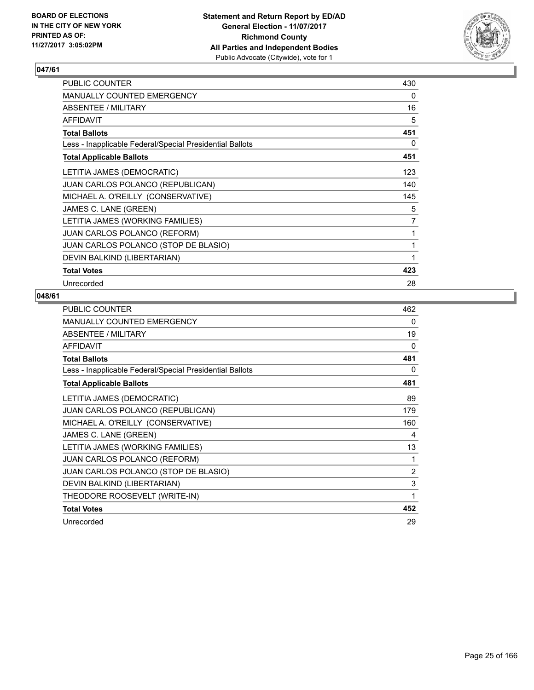

| PUBLIC COUNTER                                           | 430 |
|----------------------------------------------------------|-----|
| <b>MANUALLY COUNTED EMERGENCY</b>                        | 0   |
| <b>ABSENTEE / MILITARY</b>                               | 16  |
| <b>AFFIDAVIT</b>                                         | 5   |
| <b>Total Ballots</b>                                     | 451 |
| Less - Inapplicable Federal/Special Presidential Ballots | 0   |
| <b>Total Applicable Ballots</b>                          | 451 |
| LETITIA JAMES (DEMOCRATIC)                               | 123 |
| <b>JUAN CARLOS POLANCO (REPUBLICAN)</b>                  | 140 |
| MICHAEL A. O'REILLY (CONSERVATIVE)                       | 145 |
| JAMES C. LANE (GREEN)                                    | 5   |
| LETITIA JAMES (WORKING FAMILIES)                         | 7   |
| JUAN CARLOS POLANCO (REFORM)                             | 1   |
| JUAN CARLOS POLANCO (STOP DE BLASIO)                     | 1   |
| DEVIN BALKIND (LIBERTARIAN)                              | 1   |
| <b>Total Votes</b>                                       | 423 |
| Unrecorded                                               | 28  |

| PUBLIC COUNTER                                           | 462            |
|----------------------------------------------------------|----------------|
| MANUALLY COUNTED EMERGENCY                               | 0              |
| ABSENTEE / MILITARY                                      | 19             |
| <b>AFFIDAVIT</b>                                         | $\Omega$       |
| <b>Total Ballots</b>                                     | 481            |
| Less - Inapplicable Federal/Special Presidential Ballots | 0              |
| <b>Total Applicable Ballots</b>                          | 481            |
| LETITIA JAMES (DEMOCRATIC)                               | 89             |
| <b>JUAN CARLOS POLANCO (REPUBLICAN)</b>                  | 179            |
| MICHAEL A. O'REILLY (CONSERVATIVE)                       | 160            |
| JAMES C. LANE (GREEN)                                    | 4              |
| LETITIA JAMES (WORKING FAMILIES)                         | 13             |
| JUAN CARLOS POLANCO (REFORM)                             | 1              |
| JUAN CARLOS POLANCO (STOP DE BLASIO)                     | $\overline{2}$ |
| DEVIN BALKIND (LIBERTARIAN)                              | 3              |
| THEODORE ROOSEVELT (WRITE-IN)                            | 1              |
| <b>Total Votes</b>                                       | 452            |
| Unrecorded                                               | 29             |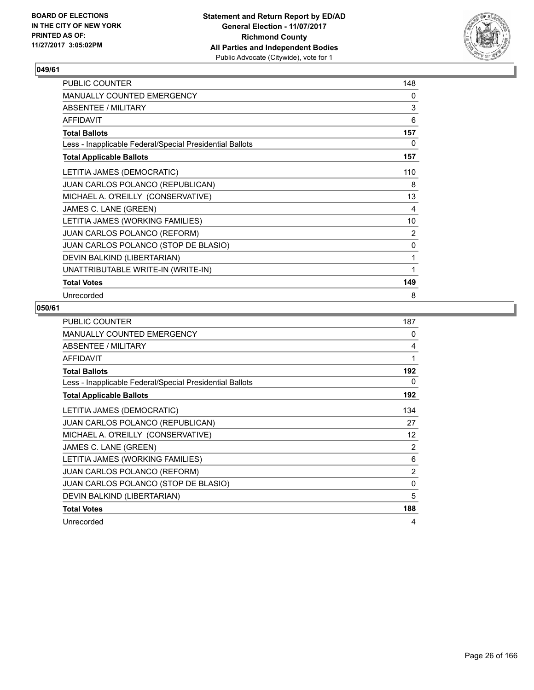

| PUBLIC COUNTER                                           | 148            |
|----------------------------------------------------------|----------------|
| <b>MANUALLY COUNTED EMERGENCY</b>                        | 0              |
| ABSENTEE / MILITARY                                      | 3              |
| <b>AFFIDAVIT</b>                                         | 6              |
| <b>Total Ballots</b>                                     | 157            |
| Less - Inapplicable Federal/Special Presidential Ballots | 0              |
| <b>Total Applicable Ballots</b>                          | 157            |
| LETITIA JAMES (DEMOCRATIC)                               | 110            |
| JUAN CARLOS POLANCO (REPUBLICAN)                         | 8              |
| MICHAEL A. O'REILLY (CONSERVATIVE)                       | 13             |
| JAMES C. LANE (GREEN)                                    | 4              |
| LETITIA JAMES (WORKING FAMILIES)                         | 10             |
| <b>JUAN CARLOS POLANCO (REFORM)</b>                      | $\overline{2}$ |
| JUAN CARLOS POLANCO (STOP DE BLASIO)                     | 0              |
| DEVIN BALKIND (LIBERTARIAN)                              | 1              |
| UNATTRIBUTABLE WRITE-IN (WRITE-IN)                       | 1              |
| <b>Total Votes</b>                                       | 149            |
| Unrecorded                                               | 8              |

| <b>PUBLIC COUNTER</b>                                    | 187            |
|----------------------------------------------------------|----------------|
| <b>MANUALLY COUNTED EMERGENCY</b>                        | 0              |
| ABSENTEE / MILITARY                                      | 4              |
| AFFIDAVIT                                                | 1              |
| <b>Total Ballots</b>                                     | 192            |
| Less - Inapplicable Federal/Special Presidential Ballots | 0              |
| <b>Total Applicable Ballots</b>                          | 192            |
| LETITIA JAMES (DEMOCRATIC)                               | 134            |
| JUAN CARLOS POLANCO (REPUBLICAN)                         | 27             |
| MICHAEL A. O'REILLY (CONSERVATIVE)                       | 12             |
| JAMES C. LANE (GREEN)                                    | 2              |
| LETITIA JAMES (WORKING FAMILIES)                         | 6              |
| <b>JUAN CARLOS POLANCO (REFORM)</b>                      | $\overline{2}$ |
| JUAN CARLOS POLANCO (STOP DE BLASIO)                     | 0              |
| DEVIN BALKIND (LIBERTARIAN)                              | 5              |
| <b>Total Votes</b>                                       | 188            |
| Unrecorded                                               | 4              |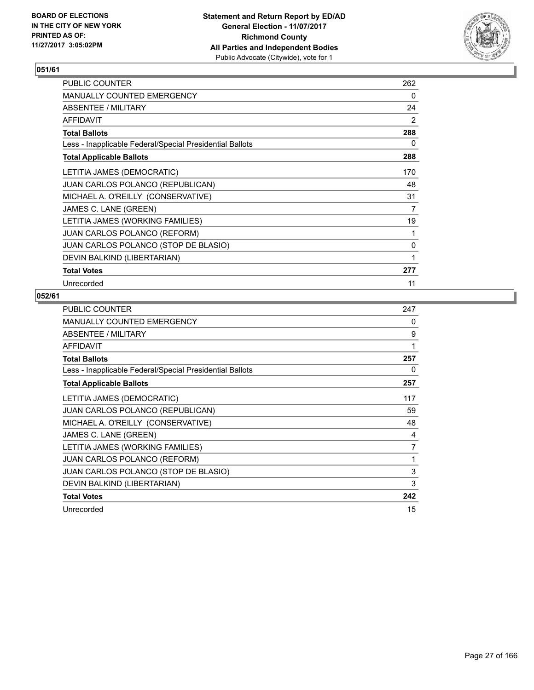

| <b>PUBLIC COUNTER</b>                                    | 262 |
|----------------------------------------------------------|-----|
| <b>MANUALLY COUNTED EMERGENCY</b>                        | 0   |
| ABSENTEE / MILITARY                                      | 24  |
| <b>AFFIDAVIT</b>                                         | 2   |
| <b>Total Ballots</b>                                     | 288 |
| Less - Inapplicable Federal/Special Presidential Ballots | 0   |
| <b>Total Applicable Ballots</b>                          | 288 |
| LETITIA JAMES (DEMOCRATIC)                               | 170 |
| <b>JUAN CARLOS POLANCO (REPUBLICAN)</b>                  | 48  |
| MICHAEL A. O'REILLY (CONSERVATIVE)                       | 31  |
| JAMES C. LANE (GREEN)                                    | 7   |
| LETITIA JAMES (WORKING FAMILIES)                         | 19  |
| <b>JUAN CARLOS POLANCO (REFORM)</b>                      | 1   |
| JUAN CARLOS POLANCO (STOP DE BLASIO)                     | 0   |
| DEVIN BALKIND (LIBERTARIAN)                              | 1   |
| <b>Total Votes</b>                                       | 277 |
| Unrecorded                                               | 11  |

| <b>PUBLIC COUNTER</b>                                    | 247 |
|----------------------------------------------------------|-----|
| <b>MANUALLY COUNTED EMERGENCY</b>                        | 0   |
| ABSENTEE / MILITARY                                      | 9   |
| <b>AFFIDAVIT</b>                                         | 1   |
| <b>Total Ballots</b>                                     | 257 |
| Less - Inapplicable Federal/Special Presidential Ballots | 0   |
| <b>Total Applicable Ballots</b>                          | 257 |
| LETITIA JAMES (DEMOCRATIC)                               | 117 |
| JUAN CARLOS POLANCO (REPUBLICAN)                         | 59  |
| MICHAEL A. O'REILLY (CONSERVATIVE)                       | 48  |
| JAMES C. LANE (GREEN)                                    | 4   |
| LETITIA JAMES (WORKING FAMILIES)                         | 7   |
| <b>JUAN CARLOS POLANCO (REFORM)</b>                      | 1   |
| JUAN CARLOS POLANCO (STOP DE BLASIO)                     | 3   |
| DEVIN BALKIND (LIBERTARIAN)                              | 3   |
| <b>Total Votes</b>                                       | 242 |
| Unrecorded                                               | 15  |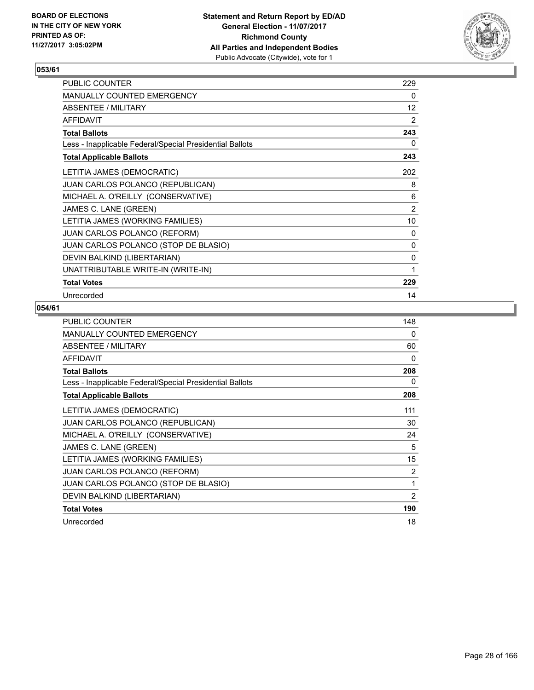

| PUBLIC COUNTER                                           | 229            |
|----------------------------------------------------------|----------------|
| <b>MANUALLY COUNTED EMERGENCY</b>                        | 0              |
| ABSENTEE / MILITARY                                      | 12             |
| <b>AFFIDAVIT</b>                                         | 2              |
| <b>Total Ballots</b>                                     | 243            |
| Less - Inapplicable Federal/Special Presidential Ballots | 0              |
| <b>Total Applicable Ballots</b>                          | 243            |
| LETITIA JAMES (DEMOCRATIC)                               | 202            |
| JUAN CARLOS POLANCO (REPUBLICAN)                         | 8              |
| MICHAEL A. O'REILLY (CONSERVATIVE)                       | 6              |
| JAMES C. LANE (GREEN)                                    | $\overline{2}$ |
| LETITIA JAMES (WORKING FAMILIES)                         | 10             |
| JUAN CARLOS POLANCO (REFORM)                             | 0              |
| JUAN CARLOS POLANCO (STOP DE BLASIO)                     | 0              |
| DEVIN BALKIND (LIBERTARIAN)                              | 0              |
| UNATTRIBUTABLE WRITE-IN (WRITE-IN)                       | 1              |
| <b>Total Votes</b>                                       | 229            |
| Unrecorded                                               | 14             |

| <b>PUBLIC COUNTER</b>                                    | 148 |
|----------------------------------------------------------|-----|
| <b>MANUALLY COUNTED EMERGENCY</b>                        | 0   |
| ABSENTEE / MILITARY                                      | 60  |
| <b>AFFIDAVIT</b>                                         | 0   |
| <b>Total Ballots</b>                                     | 208 |
| Less - Inapplicable Federal/Special Presidential Ballots | 0   |
| <b>Total Applicable Ballots</b>                          | 208 |
| LETITIA JAMES (DEMOCRATIC)                               | 111 |
| <b>JUAN CARLOS POLANCO (REPUBLICAN)</b>                  | 30  |
| MICHAEL A. O'REILLY (CONSERVATIVE)                       | 24  |
| JAMES C. LANE (GREEN)                                    | 5   |
| LETITIA JAMES (WORKING FAMILIES)                         | 15  |
| <b>JUAN CARLOS POLANCO (REFORM)</b>                      | 2   |
| JUAN CARLOS POLANCO (STOP DE BLASIO)                     | 1   |
| DEVIN BALKIND (LIBERTARIAN)                              | 2   |
| <b>Total Votes</b>                                       | 190 |
| Unrecorded                                               | 18  |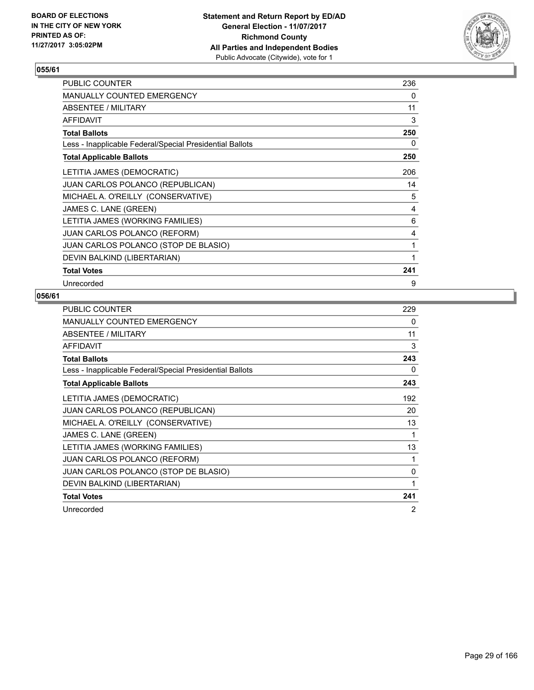

| <b>PUBLIC COUNTER</b>                                    | 236 |
|----------------------------------------------------------|-----|
| <b>MANUALLY COUNTED EMERGENCY</b>                        | 0   |
| ABSENTEE / MILITARY                                      | 11  |
| <b>AFFIDAVIT</b>                                         | 3   |
| <b>Total Ballots</b>                                     | 250 |
| Less - Inapplicable Federal/Special Presidential Ballots | 0   |
| <b>Total Applicable Ballots</b>                          | 250 |
| LETITIA JAMES (DEMOCRATIC)                               | 206 |
| <b>JUAN CARLOS POLANCO (REPUBLICAN)</b>                  | 14  |
| MICHAEL A. O'REILLY (CONSERVATIVE)                       | 5   |
| JAMES C. LANE (GREEN)                                    | 4   |
| LETITIA JAMES (WORKING FAMILIES)                         | 6   |
| <b>JUAN CARLOS POLANCO (REFORM)</b>                      | 4   |
| JUAN CARLOS POLANCO (STOP DE BLASIO)                     | 1   |
| DEVIN BALKIND (LIBERTARIAN)                              | 1   |
| <b>Total Votes</b>                                       | 241 |
| Unrecorded                                               | 9   |

| <b>PUBLIC COUNTER</b>                                    | 229 |
|----------------------------------------------------------|-----|
| <b>MANUALLY COUNTED EMERGENCY</b>                        | 0   |
| ABSENTEE / MILITARY                                      | 11  |
| <b>AFFIDAVIT</b>                                         | 3   |
| <b>Total Ballots</b>                                     | 243 |
| Less - Inapplicable Federal/Special Presidential Ballots | 0   |
| <b>Total Applicable Ballots</b>                          | 243 |
| LETITIA JAMES (DEMOCRATIC)                               | 192 |
| JUAN CARLOS POLANCO (REPUBLICAN)                         | 20  |
| MICHAEL A. O'REILLY (CONSERVATIVE)                       | 13  |
| JAMES C. LANE (GREEN)                                    | 1   |
| LETITIA JAMES (WORKING FAMILIES)                         | 13  |
| <b>JUAN CARLOS POLANCO (REFORM)</b>                      | 1   |
| JUAN CARLOS POLANCO (STOP DE BLASIO)                     | 0   |
| DEVIN BALKIND (LIBERTARIAN)                              | 1   |
| <b>Total Votes</b>                                       | 241 |
| Unrecorded                                               | 2   |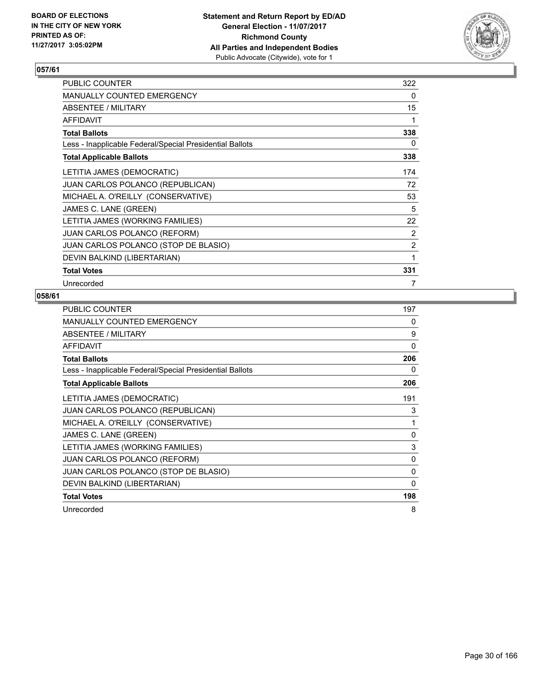

| PUBLIC COUNTER                                           | 322            |
|----------------------------------------------------------|----------------|
| <b>MANUALLY COUNTED EMERGENCY</b>                        | 0              |
| ABSENTEE / MILITARY                                      | 15             |
| <b>AFFIDAVIT</b>                                         | 1              |
| <b>Total Ballots</b>                                     | 338            |
| Less - Inapplicable Federal/Special Presidential Ballots | 0              |
| <b>Total Applicable Ballots</b>                          | 338            |
| LETITIA JAMES (DEMOCRATIC)                               | 174            |
| <b>JUAN CARLOS POLANCO (REPUBLICAN)</b>                  | 72             |
| MICHAEL A. O'REILLY (CONSERVATIVE)                       | 53             |
| JAMES C. LANE (GREEN)                                    | 5              |
| LETITIA JAMES (WORKING FAMILIES)                         | 22             |
| <b>JUAN CARLOS POLANCO (REFORM)</b>                      | 2              |
| JUAN CARLOS POLANCO (STOP DE BLASIO)                     | $\overline{2}$ |
| DEVIN BALKIND (LIBERTARIAN)                              | 1              |
| <b>Total Votes</b>                                       | 331            |
| Unrecorded                                               | 7              |

| <b>PUBLIC COUNTER</b>                                    | 197      |
|----------------------------------------------------------|----------|
| MANUALLY COUNTED EMERGENCY                               | 0        |
| ABSENTEE / MILITARY                                      | 9        |
| AFFIDAVIT                                                | 0        |
| <b>Total Ballots</b>                                     | 206      |
| Less - Inapplicable Federal/Special Presidential Ballots | 0        |
| <b>Total Applicable Ballots</b>                          | 206      |
| LETITIA JAMES (DEMOCRATIC)                               | 191      |
| JUAN CARLOS POLANCO (REPUBLICAN)                         | 3        |
| MICHAEL A. O'REILLY (CONSERVATIVE)                       | 1        |
| JAMES C. LANE (GREEN)                                    | 0        |
| LETITIA JAMES (WORKING FAMILIES)                         | 3        |
| <b>JUAN CARLOS POLANCO (REFORM)</b>                      | 0        |
| JUAN CARLOS POLANCO (STOP DE BLASIO)                     | 0        |
| DEVIN BALKIND (LIBERTARIAN)                              | $\Omega$ |
| <b>Total Votes</b>                                       | 198      |
| Unrecorded                                               | 8        |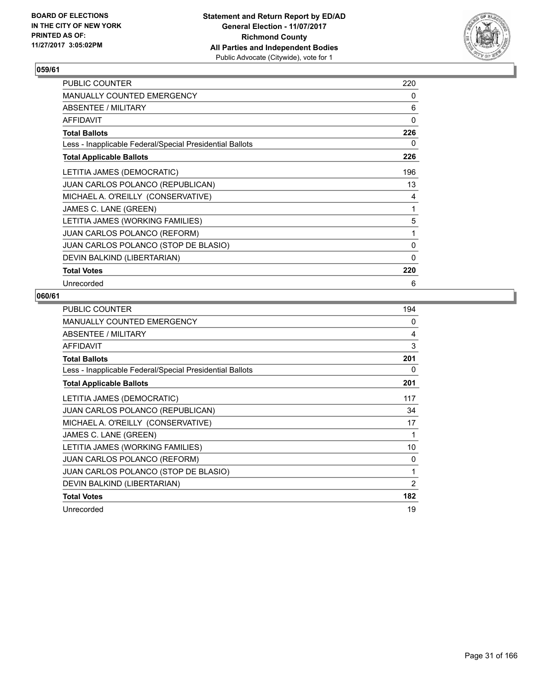

| <b>PUBLIC COUNTER</b>                                    | 220 |
|----------------------------------------------------------|-----|
| <b>MANUALLY COUNTED EMERGENCY</b>                        | 0   |
| ABSENTEE / MILITARY                                      | 6   |
| <b>AFFIDAVIT</b>                                         | 0   |
| <b>Total Ballots</b>                                     | 226 |
| Less - Inapplicable Federal/Special Presidential Ballots | 0   |
| <b>Total Applicable Ballots</b>                          | 226 |
| LETITIA JAMES (DEMOCRATIC)                               | 196 |
| <b>JUAN CARLOS POLANCO (REPUBLICAN)</b>                  | 13  |
| MICHAEL A. O'REILLY (CONSERVATIVE)                       | 4   |
| JAMES C. LANE (GREEN)                                    | 1   |
| LETITIA JAMES (WORKING FAMILIES)                         | 5   |
| <b>JUAN CARLOS POLANCO (REFORM)</b>                      | 1   |
| JUAN CARLOS POLANCO (STOP DE BLASIO)                     | 0   |
| DEVIN BALKIND (LIBERTARIAN)                              | 0   |
| <b>Total Votes</b>                                       | 220 |
| Unrecorded                                               | 6   |

| <b>PUBLIC COUNTER</b>                                    | 194 |
|----------------------------------------------------------|-----|
| MANUALLY COUNTED EMERGENCY                               | 0   |
| ABSENTEE / MILITARY                                      | 4   |
| AFFIDAVIT                                                | 3   |
| <b>Total Ballots</b>                                     | 201 |
| Less - Inapplicable Federal/Special Presidential Ballots | 0   |
| <b>Total Applicable Ballots</b>                          | 201 |
| LETITIA JAMES (DEMOCRATIC)                               | 117 |
| JUAN CARLOS POLANCO (REPUBLICAN)                         | 34  |
| MICHAEL A. O'REILLY (CONSERVATIVE)                       | 17  |
| JAMES C. LANE (GREEN)                                    | 1   |
| LETITIA JAMES (WORKING FAMILIES)                         | 10  |
| <b>JUAN CARLOS POLANCO (REFORM)</b>                      | 0   |
| JUAN CARLOS POLANCO (STOP DE BLASIO)                     | 1   |
| DEVIN BALKIND (LIBERTARIAN)                              | 2   |
| <b>Total Votes</b>                                       | 182 |
| Unrecorded                                               | 19  |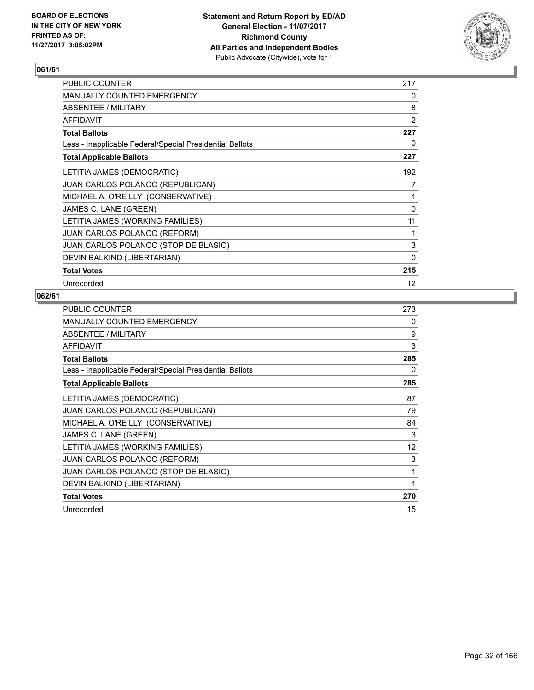

| <b>PUBLIC COUNTER</b>                                    | 217               |
|----------------------------------------------------------|-------------------|
| <b>MANUALLY COUNTED EMERGENCY</b>                        | 0                 |
| ABSENTEE / MILITARY                                      | 8                 |
| <b>AFFIDAVIT</b>                                         | 2                 |
| <b>Total Ballots</b>                                     | 227               |
| Less - Inapplicable Federal/Special Presidential Ballots | 0                 |
| <b>Total Applicable Ballots</b>                          | 227               |
| LETITIA JAMES (DEMOCRATIC)                               | 192               |
| <b>JUAN CARLOS POLANCO (REPUBLICAN)</b>                  | 7                 |
| MICHAEL A. O'REILLY (CONSERVATIVE)                       | 1                 |
| JAMES C. LANE (GREEN)                                    | $\Omega$          |
| LETITIA JAMES (WORKING FAMILIES)                         | 11                |
| <b>JUAN CARLOS POLANCO (REFORM)</b>                      | 1                 |
| JUAN CARLOS POLANCO (STOP DE BLASIO)                     | 3                 |
| DEVIN BALKIND (LIBERTARIAN)                              | 0                 |
| <b>Total Votes</b>                                       | 215               |
| Unrecorded                                               | $12 \overline{ }$ |

| <b>PUBLIC COUNTER</b>                                    | 273 |
|----------------------------------------------------------|-----|
| MANUALLY COUNTED EMERGENCY                               | 0   |
| ABSENTEE / MILITARY                                      | 9   |
| AFFIDAVIT                                                | 3   |
| <b>Total Ballots</b>                                     | 285 |
| Less - Inapplicable Federal/Special Presidential Ballots | 0   |
| <b>Total Applicable Ballots</b>                          | 285 |
| LETITIA JAMES (DEMOCRATIC)                               | 87  |
| JUAN CARLOS POLANCO (REPUBLICAN)                         | 79  |
| MICHAEL A. O'REILLY (CONSERVATIVE)                       | 84  |
| JAMES C. LANE (GREEN)                                    | 3   |
| LETITIA JAMES (WORKING FAMILIES)                         | 12  |
| <b>JUAN CARLOS POLANCO (REFORM)</b>                      | 3   |
| JUAN CARLOS POLANCO (STOP DE BLASIO)                     | 1   |
| DEVIN BALKIND (LIBERTARIAN)                              | 1   |
| <b>Total Votes</b>                                       | 270 |
| Unrecorded                                               | 15  |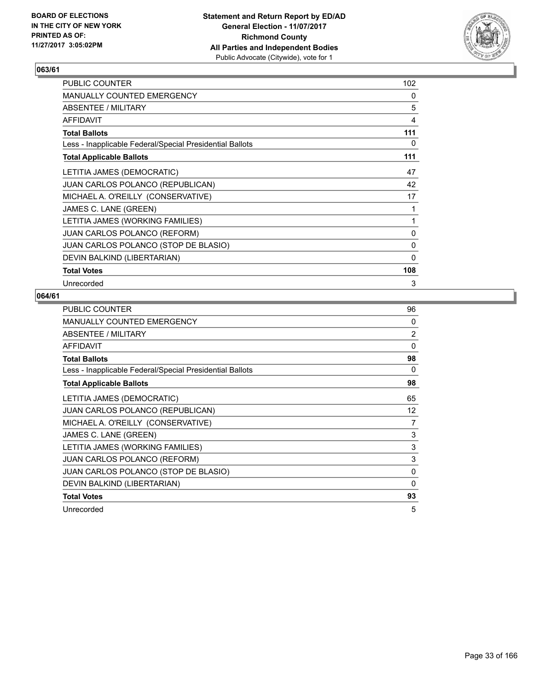

| <b>PUBLIC COUNTER</b>                                    | 102 |
|----------------------------------------------------------|-----|
| <b>MANUALLY COUNTED EMERGENCY</b>                        | 0   |
| ABSENTEE / MILITARY                                      | 5   |
| <b>AFFIDAVIT</b>                                         | 4   |
| <b>Total Ballots</b>                                     | 111 |
| Less - Inapplicable Federal/Special Presidential Ballots | 0   |
| <b>Total Applicable Ballots</b>                          | 111 |
| LETITIA JAMES (DEMOCRATIC)                               | 47  |
| <b>JUAN CARLOS POLANCO (REPUBLICAN)</b>                  | 42  |
| MICHAEL A. O'REILLY (CONSERVATIVE)                       | 17  |
| JAMES C. LANE (GREEN)                                    | 1   |
| LETITIA JAMES (WORKING FAMILIES)                         | 1   |
| <b>JUAN CARLOS POLANCO (REFORM)</b>                      | 0   |
| JUAN CARLOS POLANCO (STOP DE BLASIO)                     | 0   |
| DEVIN BALKIND (LIBERTARIAN)                              | 0   |
| <b>Total Votes</b>                                       | 108 |
| Unrecorded                                               | 3   |

| <b>PUBLIC COUNTER</b>                                    | 96       |
|----------------------------------------------------------|----------|
| <b>MANUALLY COUNTED EMERGENCY</b>                        | $\Omega$ |
| ABSENTEE / MILITARY                                      | 2        |
| <b>AFFIDAVIT</b>                                         | 0        |
| <b>Total Ballots</b>                                     | 98       |
| Less - Inapplicable Federal/Special Presidential Ballots | 0        |
| <b>Total Applicable Ballots</b>                          | 98       |
| LETITIA JAMES (DEMOCRATIC)                               | 65       |
| <b>JUAN CARLOS POLANCO (REPUBLICAN)</b>                  | 12       |
| MICHAEL A. O'REILLY (CONSERVATIVE)                       | 7        |
| JAMES C. LANE (GREEN)                                    | 3        |
| LETITIA JAMES (WORKING FAMILIES)                         | 3        |
| <b>JUAN CARLOS POLANCO (REFORM)</b>                      | 3        |
| JUAN CARLOS POLANCO (STOP DE BLASIO)                     | 0        |
| DEVIN BALKIND (LIBERTARIAN)                              | 0        |
| <b>Total Votes</b>                                       | 93       |
| Unrecorded                                               | 5        |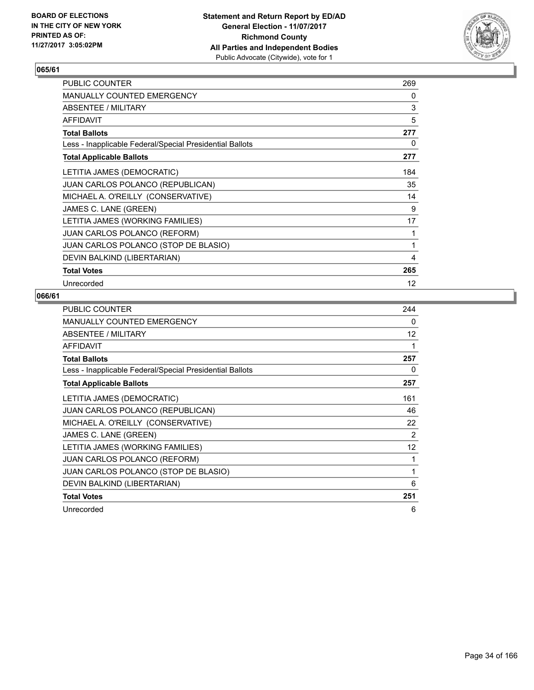

| <b>PUBLIC COUNTER</b>                                    | 269 |
|----------------------------------------------------------|-----|
| <b>MANUALLY COUNTED EMERGENCY</b>                        | 0   |
| ABSENTEE / MILITARY                                      | 3   |
| <b>AFFIDAVIT</b>                                         | 5   |
| <b>Total Ballots</b>                                     | 277 |
| Less - Inapplicable Federal/Special Presidential Ballots | 0   |
| <b>Total Applicable Ballots</b>                          | 277 |
| LETITIA JAMES (DEMOCRATIC)                               | 184 |
| <b>JUAN CARLOS POLANCO (REPUBLICAN)</b>                  | 35  |
| MICHAEL A. O'REILLY (CONSERVATIVE)                       | 14  |
| JAMES C. LANE (GREEN)                                    | 9   |
| LETITIA JAMES (WORKING FAMILIES)                         | 17  |
| <b>JUAN CARLOS POLANCO (REFORM)</b>                      | 1   |
| JUAN CARLOS POLANCO (STOP DE BLASIO)                     | 1   |
| DEVIN BALKIND (LIBERTARIAN)                              | 4   |
| <b>Total Votes</b>                                       | 265 |
| Unrecorded                                               | 12  |

| <b>PUBLIC COUNTER</b>                                    | 244 |
|----------------------------------------------------------|-----|
| <b>MANUALLY COUNTED EMERGENCY</b>                        | 0   |
| ABSENTEE / MILITARY                                      | 12  |
| <b>AFFIDAVIT</b>                                         | 1   |
| <b>Total Ballots</b>                                     | 257 |
| Less - Inapplicable Federal/Special Presidential Ballots | 0   |
| <b>Total Applicable Ballots</b>                          | 257 |
| LETITIA JAMES (DEMOCRATIC)                               | 161 |
| JUAN CARLOS POLANCO (REPUBLICAN)                         | 46  |
| MICHAEL A. O'REILLY (CONSERVATIVE)                       | 22  |
| JAMES C. LANE (GREEN)                                    | 2   |
| LETITIA JAMES (WORKING FAMILIES)                         | 12  |
| <b>JUAN CARLOS POLANCO (REFORM)</b>                      | 1   |
| JUAN CARLOS POLANCO (STOP DE BLASIO)                     | 1   |
| DEVIN BALKIND (LIBERTARIAN)                              | 6   |
| <b>Total Votes</b>                                       | 251 |
| Unrecorded                                               | 6   |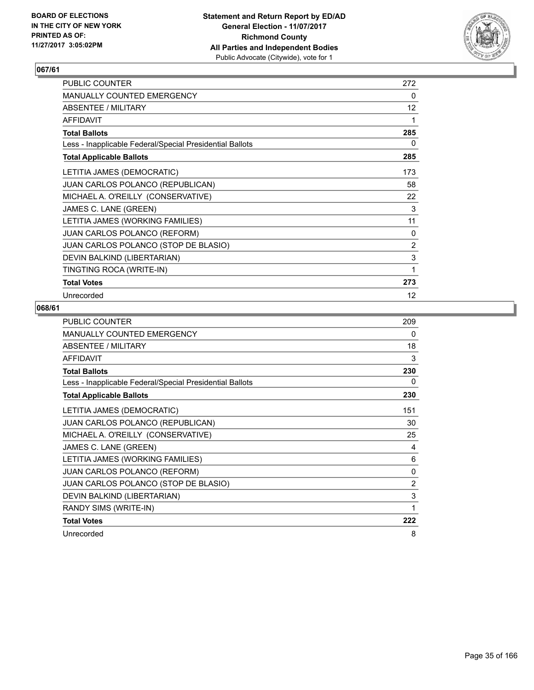

| PUBLIC COUNTER                                           | 272            |
|----------------------------------------------------------|----------------|
| <b>MANUALLY COUNTED EMERGENCY</b>                        | 0              |
| ABSENTEE / MILITARY                                      | 12             |
| <b>AFFIDAVIT</b>                                         | 1              |
| <b>Total Ballots</b>                                     | 285            |
| Less - Inapplicable Federal/Special Presidential Ballots | 0              |
| <b>Total Applicable Ballots</b>                          | 285            |
| LETITIA JAMES (DEMOCRATIC)                               | 173            |
| JUAN CARLOS POLANCO (REPUBLICAN)                         | 58             |
| MICHAEL A. O'REILLY (CONSERVATIVE)                       | 22             |
| JAMES C. LANE (GREEN)                                    | 3              |
| LETITIA JAMES (WORKING FAMILIES)                         | 11             |
| <b>JUAN CARLOS POLANCO (REFORM)</b>                      | 0              |
| JUAN CARLOS POLANCO (STOP DE BLASIO)                     | $\overline{2}$ |
| DEVIN BALKIND (LIBERTARIAN)                              | 3              |
| TINGTING ROCA (WRITE-IN)                                 | 1              |
| <b>Total Votes</b>                                       | 273            |
| Unrecorded                                               | 12             |

| <b>PUBLIC COUNTER</b>                                    | 209 |
|----------------------------------------------------------|-----|
| <b>MANUALLY COUNTED EMERGENCY</b>                        | 0   |
| ABSENTEE / MILITARY                                      | 18  |
| <b>AFFIDAVIT</b>                                         | 3   |
| <b>Total Ballots</b>                                     | 230 |
| Less - Inapplicable Federal/Special Presidential Ballots | 0   |
| <b>Total Applicable Ballots</b>                          | 230 |
| LETITIA JAMES (DEMOCRATIC)                               | 151 |
| JUAN CARLOS POLANCO (REPUBLICAN)                         | 30  |
| MICHAEL A. O'REILLY (CONSERVATIVE)                       | 25  |
| JAMES C. LANE (GREEN)                                    | 4   |
| LETITIA JAMES (WORKING FAMILIES)                         | 6   |
| <b>JUAN CARLOS POLANCO (REFORM)</b>                      | 0   |
| JUAN CARLOS POLANCO (STOP DE BLASIO)                     | 2   |
| DEVIN BALKIND (LIBERTARIAN)                              | 3   |
| RANDY SIMS (WRITE-IN)                                    | 1   |
| <b>Total Votes</b>                                       | 222 |
| Unrecorded                                               | 8   |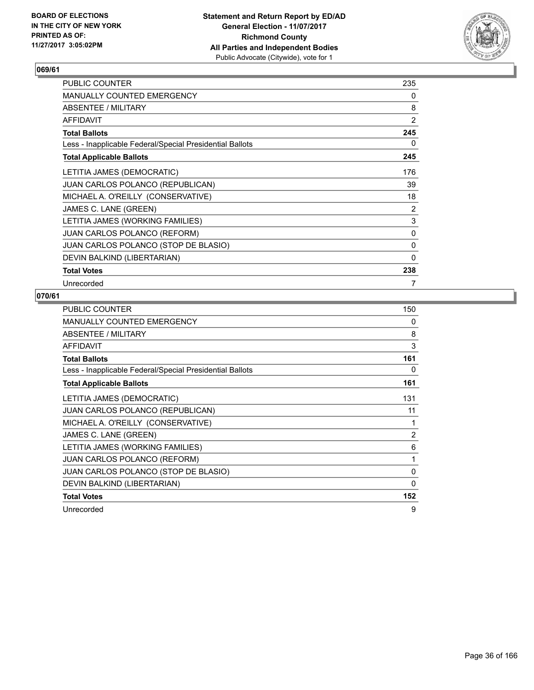

| <b>PUBLIC COUNTER</b>                                    | 235          |
|----------------------------------------------------------|--------------|
| <b>MANUALLY COUNTED EMERGENCY</b>                        | 0            |
| ABSENTEE / MILITARY                                      | 8            |
| <b>AFFIDAVIT</b>                                         | 2            |
| <b>Total Ballots</b>                                     | 245          |
| Less - Inapplicable Federal/Special Presidential Ballots | 0            |
| <b>Total Applicable Ballots</b>                          | 245          |
| LETITIA JAMES (DEMOCRATIC)                               | 176          |
| <b>JUAN CARLOS POLANCO (REPUBLICAN)</b>                  | 39           |
| MICHAEL A. O'REILLY (CONSERVATIVE)                       | 18           |
| JAMES C. LANE (GREEN)                                    | 2            |
| LETITIA JAMES (WORKING FAMILIES)                         | 3            |
| <b>JUAN CARLOS POLANCO (REFORM)</b>                      | 0            |
| JUAN CARLOS POLANCO (STOP DE BLASIO)                     | $\mathbf{0}$ |
| DEVIN BALKIND (LIBERTARIAN)                              | 0            |
| <b>Total Votes</b>                                       | 238          |
| Unrecorded                                               | 7            |

| PUBLIC COUNTER                                           | 150      |
|----------------------------------------------------------|----------|
| MANUALLY COUNTED EMERGENCY                               | 0        |
| ABSENTEE / MILITARY                                      | 8        |
| AFFIDAVIT                                                | 3        |
| <b>Total Ballots</b>                                     | 161      |
| Less - Inapplicable Federal/Special Presidential Ballots | 0        |
| <b>Total Applicable Ballots</b>                          | 161      |
| LETITIA JAMES (DEMOCRATIC)                               | 131      |
| JUAN CARLOS POLANCO (REPUBLICAN)                         | 11       |
| MICHAEL A. O'REILLY (CONSERVATIVE)                       | 1        |
| JAMES C. LANE (GREEN)                                    | 2        |
| LETITIA JAMES (WORKING FAMILIES)                         | 6        |
| <b>JUAN CARLOS POLANCO (REFORM)</b>                      | 1        |
| JUAN CARLOS POLANCO (STOP DE BLASIO)                     | 0        |
| DEVIN BALKIND (LIBERTARIAN)                              | $\Omega$ |
| <b>Total Votes</b>                                       | 152      |
| Unrecorded                                               | 9        |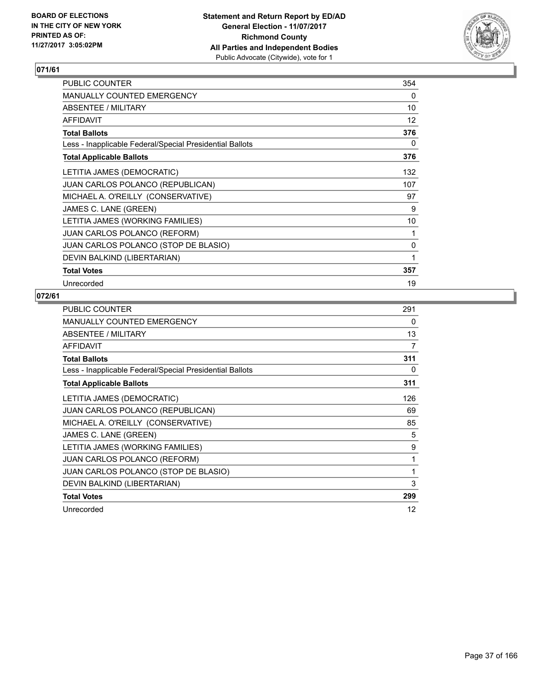

| PUBLIC COUNTER                                           | 354 |
|----------------------------------------------------------|-----|
| <b>MANUALLY COUNTED EMERGENCY</b>                        | 0   |
| ABSENTEE / MILITARY                                      | 10  |
| <b>AFFIDAVIT</b>                                         | 12  |
| <b>Total Ballots</b>                                     | 376 |
| Less - Inapplicable Federal/Special Presidential Ballots | 0   |
| <b>Total Applicable Ballots</b>                          | 376 |
| LETITIA JAMES (DEMOCRATIC)                               | 132 |
| JUAN CARLOS POLANCO (REPUBLICAN)                         | 107 |
| MICHAEL A. O'REILLY (CONSERVATIVE)                       | 97  |
| JAMES C. LANE (GREEN)                                    | 9   |
| LETITIA JAMES (WORKING FAMILIES)                         | 10  |
| <b>JUAN CARLOS POLANCO (REFORM)</b>                      | 1   |
| JUAN CARLOS POLANCO (STOP DE BLASIO)                     | 0   |
| DEVIN BALKIND (LIBERTARIAN)                              | 1   |
| <b>Total Votes</b>                                       | 357 |
| Unrecorded                                               | 19  |

| <b>PUBLIC COUNTER</b>                                    | 291 |
|----------------------------------------------------------|-----|
| <b>MANUALLY COUNTED EMERGENCY</b>                        | 0   |
| ABSENTEE / MILITARY                                      | 13  |
| <b>AFFIDAVIT</b>                                         | 7   |
| <b>Total Ballots</b>                                     | 311 |
| Less - Inapplicable Federal/Special Presidential Ballots | 0   |
| <b>Total Applicable Ballots</b>                          | 311 |
| LETITIA JAMES (DEMOCRATIC)                               | 126 |
| JUAN CARLOS POLANCO (REPUBLICAN)                         | 69  |
| MICHAEL A. O'REILLY (CONSERVATIVE)                       | 85  |
| JAMES C. LANE (GREEN)                                    | 5   |
| LETITIA JAMES (WORKING FAMILIES)                         | 9   |
| <b>JUAN CARLOS POLANCO (REFORM)</b>                      | 1   |
| JUAN CARLOS POLANCO (STOP DE BLASIO)                     | 1   |
| DEVIN BALKIND (LIBERTARIAN)                              | 3   |
| <b>Total Votes</b>                                       | 299 |
| Unrecorded                                               | 12  |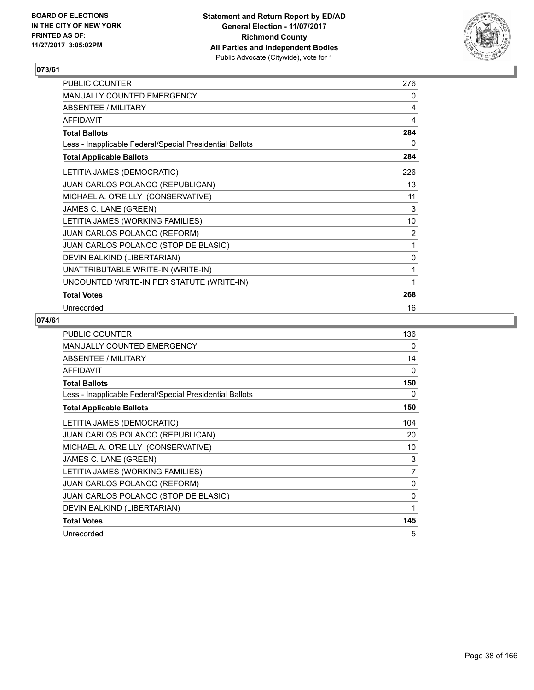

| PUBLIC COUNTER                                           | 276 |
|----------------------------------------------------------|-----|
| MANUALLY COUNTED EMERGENCY                               | 0   |
| ABSENTEE / MILITARY                                      | 4   |
| <b>AFFIDAVIT</b>                                         | 4   |
| <b>Total Ballots</b>                                     | 284 |
| Less - Inapplicable Federal/Special Presidential Ballots | 0   |
| <b>Total Applicable Ballots</b>                          | 284 |
| LETITIA JAMES (DEMOCRATIC)                               | 226 |
| JUAN CARLOS POLANCO (REPUBLICAN)                         | 13  |
| MICHAEL A. O'REILLY (CONSERVATIVE)                       | 11  |
| JAMES C. LANE (GREEN)                                    | 3   |
| LETITIA JAMES (WORKING FAMILIES)                         | 10  |
| JUAN CARLOS POLANCO (REFORM)                             | 2   |
| JUAN CARLOS POLANCO (STOP DE BLASIO)                     | 1   |
| DEVIN BALKIND (LIBERTARIAN)                              | 0   |
| UNATTRIBUTABLE WRITE-IN (WRITE-IN)                       | 1   |
| UNCOUNTED WRITE-IN PER STATUTE (WRITE-IN)                | 1   |
| <b>Total Votes</b>                                       | 268 |
| Unrecorded                                               | 16  |

| <b>PUBLIC COUNTER</b>                                    | 136      |
|----------------------------------------------------------|----------|
| MANUALLY COUNTED EMERGENCY                               | 0        |
| ABSENTEE / MILITARY                                      | 14       |
| <b>AFFIDAVIT</b>                                         | 0        |
| <b>Total Ballots</b>                                     | 150      |
| Less - Inapplicable Federal/Special Presidential Ballots | 0        |
| <b>Total Applicable Ballots</b>                          | 150      |
| LETITIA JAMES (DEMOCRATIC)                               | 104      |
| JUAN CARLOS POLANCO (REPUBLICAN)                         | 20       |
| MICHAEL A. O'REILLY (CONSERVATIVE)                       | 10       |
| JAMES C. LANE (GREEN)                                    | 3        |
| LETITIA JAMES (WORKING FAMILIES)                         | 7        |
| <b>JUAN CARLOS POLANCO (REFORM)</b>                      | 0        |
| JUAN CARLOS POLANCO (STOP DE BLASIO)                     | $\Omega$ |
| DEVIN BALKIND (LIBERTARIAN)                              | 1        |
| <b>Total Votes</b>                                       | 145      |
| Unrecorded                                               | 5        |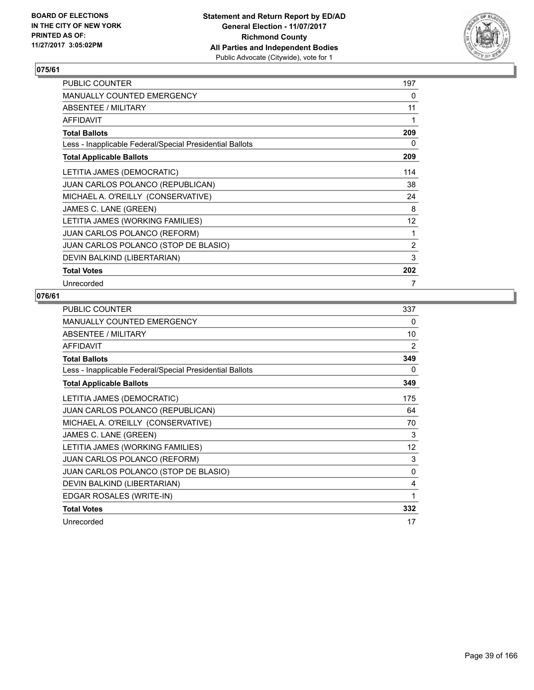

| PUBLIC COUNTER                                           | 197               |
|----------------------------------------------------------|-------------------|
| <b>MANUALLY COUNTED EMERGENCY</b>                        | 0                 |
| ABSENTEE / MILITARY                                      | 11                |
| <b>AFFIDAVIT</b>                                         | 1                 |
| <b>Total Ballots</b>                                     | 209               |
| Less - Inapplicable Federal/Special Presidential Ballots | 0                 |
| <b>Total Applicable Ballots</b>                          | 209               |
| LETITIA JAMES (DEMOCRATIC)                               | 114               |
| <b>JUAN CARLOS POLANCO (REPUBLICAN)</b>                  | 38                |
| MICHAEL A. O'REILLY (CONSERVATIVE)                       | 24                |
| JAMES C. LANE (GREEN)                                    | 8                 |
| LETITIA JAMES (WORKING FAMILIES)                         | $12 \overline{ }$ |
| <b>JUAN CARLOS POLANCO (REFORM)</b>                      | 1                 |
| JUAN CARLOS POLANCO (STOP DE BLASIO)                     | 2                 |
| DEVIN BALKIND (LIBERTARIAN)                              | 3                 |
| <b>Total Votes</b>                                       | 202               |
| Unrecorded                                               | 7                 |

| PUBLIC COUNTER                                           | 337      |
|----------------------------------------------------------|----------|
| MANUALLY COUNTED EMERGENCY                               | 0        |
| ABSENTEE / MILITARY                                      | 10       |
| <b>AFFIDAVIT</b>                                         | 2        |
| <b>Total Ballots</b>                                     | 349      |
| Less - Inapplicable Federal/Special Presidential Ballots | 0        |
| <b>Total Applicable Ballots</b>                          | 349      |
| LETITIA JAMES (DEMOCRATIC)                               | 175      |
| <b>JUAN CARLOS POLANCO (REPUBLICAN)</b>                  | 64       |
| MICHAEL A. O'REILLY (CONSERVATIVE)                       | 70       |
| JAMES C. LANE (GREEN)                                    | 3        |
| LETITIA JAMES (WORKING FAMILIES)                         | 12       |
| JUAN CARLOS POLANCO (REFORM)                             | 3        |
| JUAN CARLOS POLANCO (STOP DE BLASIO)                     | $\Omega$ |
| DEVIN BALKIND (LIBERTARIAN)                              | 4        |
| EDGAR ROSALES (WRITE-IN)                                 | 1        |
| <b>Total Votes</b>                                       | 332      |
| Unrecorded                                               | 17       |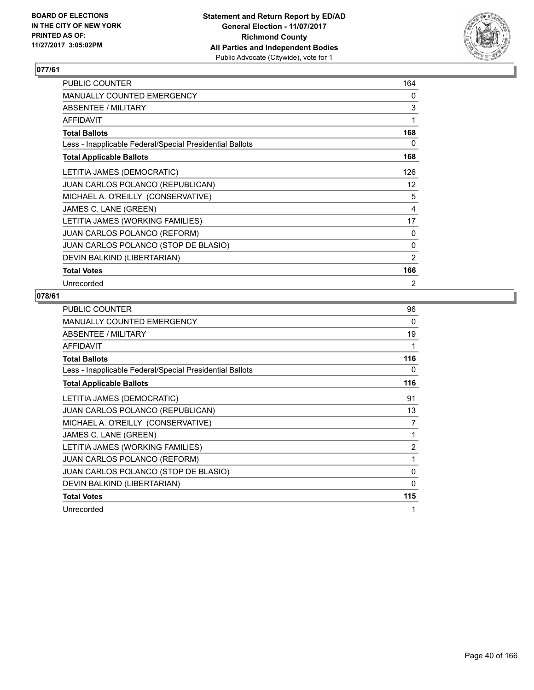

| PUBLIC COUNTER                                           | 164             |
|----------------------------------------------------------|-----------------|
| <b>MANUALLY COUNTED EMERGENCY</b>                        | 0               |
| ABSENTEE / MILITARY                                      | 3               |
| <b>AFFIDAVIT</b>                                         | 1               |
| <b>Total Ballots</b>                                     | 168             |
| Less - Inapplicable Federal/Special Presidential Ballots | 0               |
| <b>Total Applicable Ballots</b>                          | 168             |
| LETITIA JAMES (DEMOCRATIC)                               | 126             |
| <b>JUAN CARLOS POLANCO (REPUBLICAN)</b>                  | 12 <sup>°</sup> |
| MICHAEL A. O'REILLY (CONSERVATIVE)                       | 5               |
| JAMES C. LANE (GREEN)                                    | 4               |
| LETITIA JAMES (WORKING FAMILIES)                         | 17              |
| <b>JUAN CARLOS POLANCO (REFORM)</b>                      | 0               |
| JUAN CARLOS POLANCO (STOP DE BLASIO)                     | 0               |
| DEVIN BALKIND (LIBERTARIAN)                              | 2               |
| <b>Total Votes</b>                                       | 166             |
| Unrecorded                                               | 2               |

| <b>PUBLIC COUNTER</b>                                    | 96           |
|----------------------------------------------------------|--------------|
| <b>MANUALLY COUNTED EMERGENCY</b>                        | 0            |
| ABSENTEE / MILITARY                                      | 19           |
| AFFIDAVIT                                                | 1            |
| <b>Total Ballots</b>                                     | 116          |
| Less - Inapplicable Federal/Special Presidential Ballots | 0            |
| <b>Total Applicable Ballots</b>                          | 116          |
| LETITIA JAMES (DEMOCRATIC)                               | 91           |
| <b>JUAN CARLOS POLANCO (REPUBLICAN)</b>                  | 13           |
| MICHAEL A. O'REILLY (CONSERVATIVE)                       | 7            |
| JAMES C. LANE (GREEN)                                    | 1            |
| LETITIA JAMES (WORKING FAMILIES)                         | 2            |
| JUAN CARLOS POLANCO (REFORM)                             | 1            |
| JUAN CARLOS POLANCO (STOP DE BLASIO)                     | 0            |
| DEVIN BALKIND (LIBERTARIAN)                              | $\mathbf{0}$ |
| <b>Total Votes</b>                                       | 115          |
| Unrecorded                                               | 1            |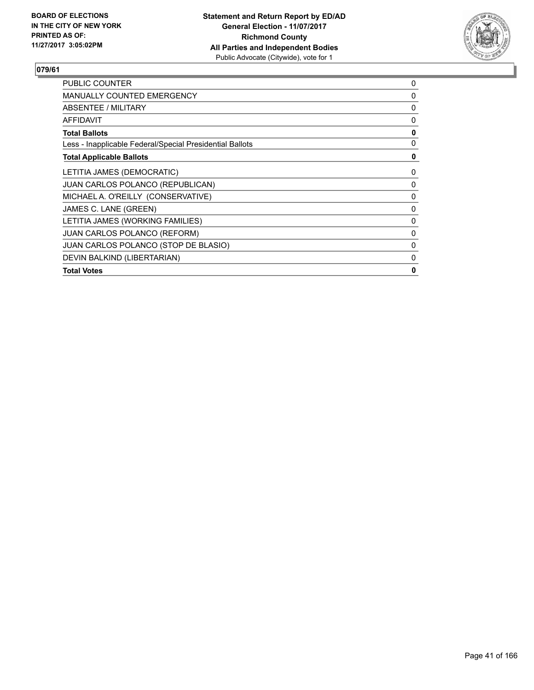

| <b>PUBLIC COUNTER</b>                                    | 0 |
|----------------------------------------------------------|---|
| MANUALLY COUNTED EMERGENCY                               | 0 |
| ABSENTEE / MILITARY                                      | 0 |
| AFFIDAVIT                                                | 0 |
| <b>Total Ballots</b>                                     | 0 |
| Less - Inapplicable Federal/Special Presidential Ballots | 0 |
| <b>Total Applicable Ballots</b>                          | 0 |
| LETITIA JAMES (DEMOCRATIC)                               | 0 |
| <b>JUAN CARLOS POLANCO (REPUBLICAN)</b>                  | 0 |
| MICHAEL A. O'REILLY (CONSERVATIVE)                       | 0 |
| JAMES C. LANE (GREEN)                                    | 0 |
| LETITIA JAMES (WORKING FAMILIES)                         | 0 |
| <b>JUAN CARLOS POLANCO (REFORM)</b>                      | 0 |
| JUAN CARLOS POLANCO (STOP DE BLASIO)                     | 0 |
| DEVIN BALKIND (LIBERTARIAN)                              | 0 |
| <b>Total Votes</b>                                       | 0 |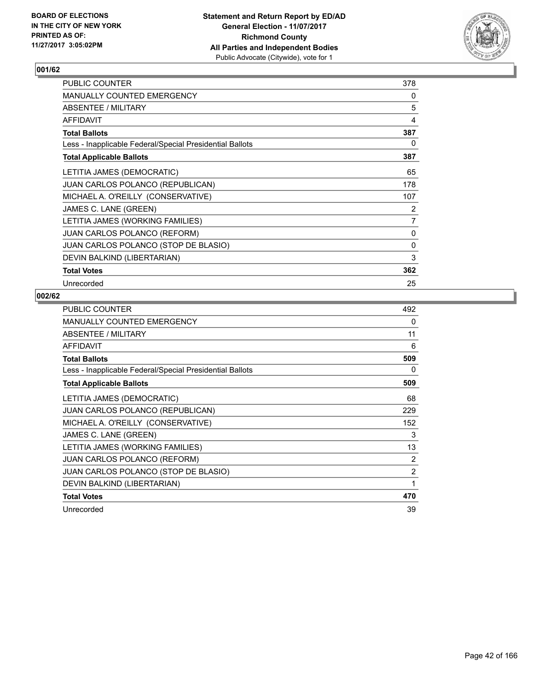

| <b>PUBLIC COUNTER</b>                                    | 378          |
|----------------------------------------------------------|--------------|
| <b>MANUALLY COUNTED EMERGENCY</b>                        | 0            |
| ABSENTEE / MILITARY                                      | 5            |
| <b>AFFIDAVIT</b>                                         | 4            |
| <b>Total Ballots</b>                                     | 387          |
| Less - Inapplicable Federal/Special Presidential Ballots | 0            |
| <b>Total Applicable Ballots</b>                          | 387          |
| LETITIA JAMES (DEMOCRATIC)                               | 65           |
| <b>JUAN CARLOS POLANCO (REPUBLICAN)</b>                  | 178          |
| MICHAEL A. O'REILLY (CONSERVATIVE)                       | 107          |
| JAMES C. LANE (GREEN)                                    | 2            |
| LETITIA JAMES (WORKING FAMILIES)                         | 7            |
| <b>JUAN CARLOS POLANCO (REFORM)</b>                      | 0            |
| JUAN CARLOS POLANCO (STOP DE BLASIO)                     | $\mathbf{0}$ |
| DEVIN BALKIND (LIBERTARIAN)                              | 3            |
| <b>Total Votes</b>                                       | 362          |
| Unrecorded                                               | 25           |

| PUBLIC COUNTER                                           | 492 |
|----------------------------------------------------------|-----|
| MANUALLY COUNTED EMERGENCY                               | 0   |
| ABSENTEE / MILITARY                                      | 11  |
| AFFIDAVIT                                                | 6   |
| <b>Total Ballots</b>                                     | 509 |
| Less - Inapplicable Federal/Special Presidential Ballots | 0   |
| <b>Total Applicable Ballots</b>                          | 509 |
| LETITIA JAMES (DEMOCRATIC)                               | 68  |
| JUAN CARLOS POLANCO (REPUBLICAN)                         | 229 |
| MICHAEL A. O'REILLY (CONSERVATIVE)                       | 152 |
| JAMES C. LANE (GREEN)                                    | 3   |
| LETITIA JAMES (WORKING FAMILIES)                         | 13  |
| <b>JUAN CARLOS POLANCO (REFORM)</b>                      | 2   |
| JUAN CARLOS POLANCO (STOP DE BLASIO)                     | 2   |
| DEVIN BALKIND (LIBERTARIAN)                              | 1   |
| <b>Total Votes</b>                                       | 470 |
| Unrecorded                                               | 39  |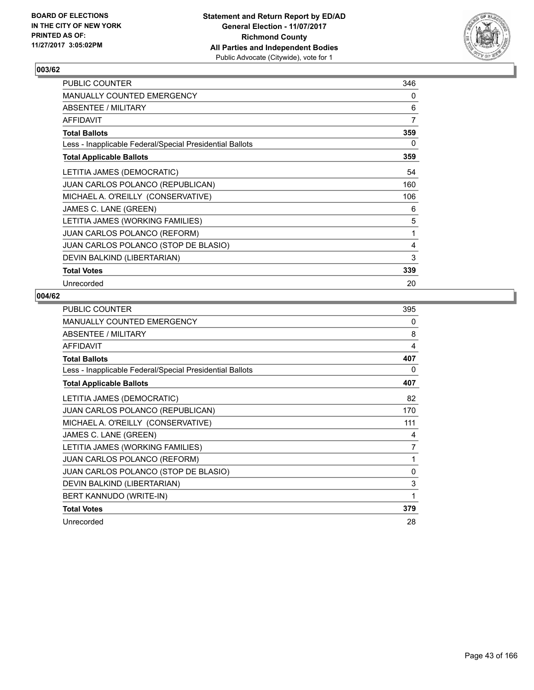

| <b>PUBLIC COUNTER</b>                                    | 346 |
|----------------------------------------------------------|-----|
| <b>MANUALLY COUNTED EMERGENCY</b>                        | 0   |
| ABSENTEE / MILITARY                                      | 6   |
| <b>AFFIDAVIT</b>                                         | 7   |
| <b>Total Ballots</b>                                     | 359 |
| Less - Inapplicable Federal/Special Presidential Ballots | 0   |
| <b>Total Applicable Ballots</b>                          | 359 |
| LETITIA JAMES (DEMOCRATIC)                               | 54  |
| JUAN CARLOS POLANCO (REPUBLICAN)                         | 160 |
| MICHAEL A. O'REILLY (CONSERVATIVE)                       | 106 |
| JAMES C. LANE (GREEN)                                    | 6   |
| LETITIA JAMES (WORKING FAMILIES)                         | 5   |
| <b>JUAN CARLOS POLANCO (REFORM)</b>                      | 1   |
| JUAN CARLOS POLANCO (STOP DE BLASIO)                     | 4   |
| DEVIN BALKIND (LIBERTARIAN)                              | 3   |
| <b>Total Votes</b>                                       | 339 |
| Unrecorded                                               | 20  |

| PUBLIC COUNTER                                           | 395 |
|----------------------------------------------------------|-----|
| MANUALLY COUNTED EMERGENCY                               | 0   |
| ABSENTEE / MILITARY                                      | 8   |
| <b>AFFIDAVIT</b>                                         | 4   |
| <b>Total Ballots</b>                                     | 407 |
| Less - Inapplicable Federal/Special Presidential Ballots | 0   |
| <b>Total Applicable Ballots</b>                          | 407 |
| LETITIA JAMES (DEMOCRATIC)                               | 82  |
| <b>JUAN CARLOS POLANCO (REPUBLICAN)</b>                  | 170 |
| MICHAEL A. O'REILLY (CONSERVATIVE)                       | 111 |
| JAMES C. LANE (GREEN)                                    | 4   |
| LETITIA JAMES (WORKING FAMILIES)                         | 7   |
| <b>JUAN CARLOS POLANCO (REFORM)</b>                      | 1   |
| JUAN CARLOS POLANCO (STOP DE BLASIO)                     | 0   |
| DEVIN BALKIND (LIBERTARIAN)                              | 3   |
| BERT KANNUDO (WRITE-IN)                                  | 1   |
| <b>Total Votes</b>                                       | 379 |
| Unrecorded                                               | 28  |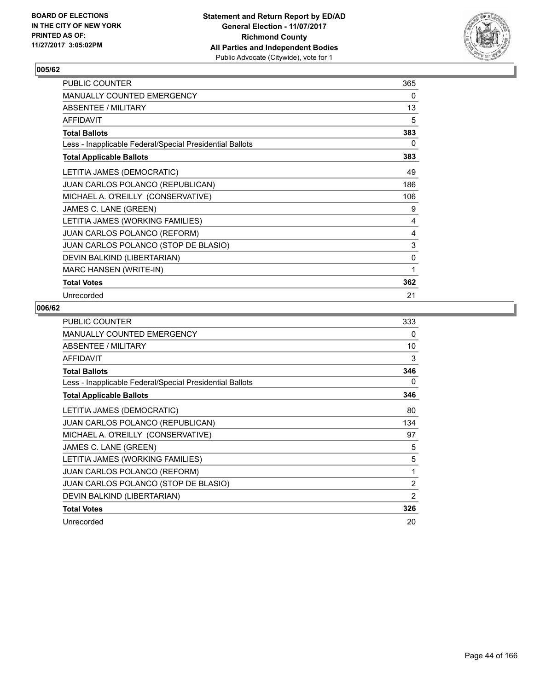

| PUBLIC COUNTER                                           | 365 |
|----------------------------------------------------------|-----|
| <b>MANUALLY COUNTED EMERGENCY</b>                        | 0   |
| ABSENTEE / MILITARY                                      | 13  |
| <b>AFFIDAVIT</b>                                         | 5   |
| <b>Total Ballots</b>                                     | 383 |
| Less - Inapplicable Federal/Special Presidential Ballots | 0   |
| <b>Total Applicable Ballots</b>                          | 383 |
| LETITIA JAMES (DEMOCRATIC)                               | 49  |
| <b>JUAN CARLOS POLANCO (REPUBLICAN)</b>                  | 186 |
| MICHAEL A. O'REILLY (CONSERVATIVE)                       | 106 |
| JAMES C. LANE (GREEN)                                    | 9   |
| LETITIA JAMES (WORKING FAMILIES)                         | 4   |
| <b>JUAN CARLOS POLANCO (REFORM)</b>                      | 4   |
| JUAN CARLOS POLANCO (STOP DE BLASIO)                     | 3   |
| DEVIN BALKIND (LIBERTARIAN)                              | 0   |
| <b>MARC HANSEN (WRITE-IN)</b>                            | 1   |
| <b>Total Votes</b>                                       | 362 |
| Unrecorded                                               | 21  |

| <b>PUBLIC COUNTER</b>                                    | 333            |
|----------------------------------------------------------|----------------|
| <b>MANUALLY COUNTED EMERGENCY</b>                        | 0              |
| ABSENTEE / MILITARY                                      | 10             |
| <b>AFFIDAVIT</b>                                         | 3              |
| <b>Total Ballots</b>                                     | 346            |
| Less - Inapplicable Federal/Special Presidential Ballots | 0              |
| <b>Total Applicable Ballots</b>                          | 346            |
| LETITIA JAMES (DEMOCRATIC)                               | 80             |
| <b>JUAN CARLOS POLANCO (REPUBLICAN)</b>                  | 134            |
| MICHAEL A. O'REILLY (CONSERVATIVE)                       | 97             |
| JAMES C. LANE (GREEN)                                    | 5              |
| LETITIA JAMES (WORKING FAMILIES)                         | 5              |
| <b>JUAN CARLOS POLANCO (REFORM)</b>                      | 1              |
| JUAN CARLOS POLANCO (STOP DE BLASIO)                     | 2              |
| DEVIN BALKIND (LIBERTARIAN)                              | $\overline{2}$ |
| <b>Total Votes</b>                                       | 326            |
| Unrecorded                                               | 20             |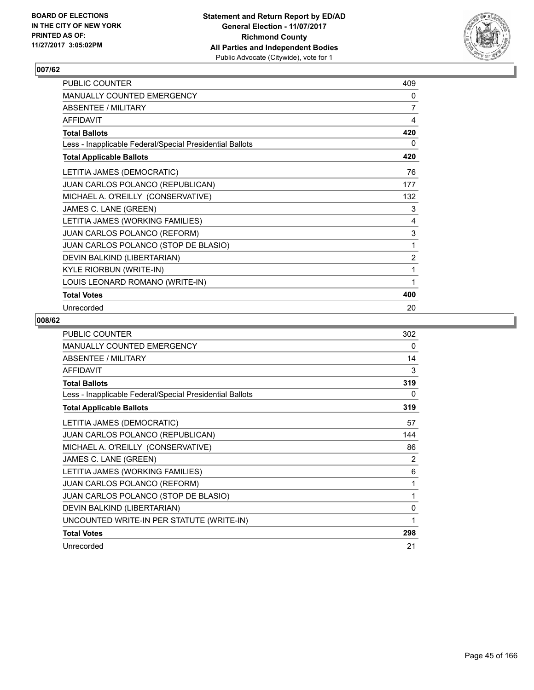

| PUBLIC COUNTER                                           | 409            |
|----------------------------------------------------------|----------------|
| MANUALLY COUNTED EMERGENCY                               | 0              |
| ABSENTEE / MILITARY                                      | 7              |
| <b>AFFIDAVIT</b>                                         | 4              |
| <b>Total Ballots</b>                                     | 420            |
| Less - Inapplicable Federal/Special Presidential Ballots | 0              |
| <b>Total Applicable Ballots</b>                          | 420            |
| LETITIA JAMES (DEMOCRATIC)                               | 76             |
| JUAN CARLOS POLANCO (REPUBLICAN)                         | 177            |
| MICHAEL A. O'REILLY (CONSERVATIVE)                       | 132            |
| JAMES C. LANE (GREEN)                                    | 3              |
| LETITIA JAMES (WORKING FAMILIES)                         | 4              |
| JUAN CARLOS POLANCO (REFORM)                             | 3              |
| JUAN CARLOS POLANCO (STOP DE BLASIO)                     | 1              |
| DEVIN BALKIND (LIBERTARIAN)                              | $\overline{2}$ |
| <b>KYLE RIORBUN (WRITE-IN)</b>                           | 1              |
| LOUIS LEONARD ROMANO (WRITE-IN)                          | 1              |
| <b>Total Votes</b>                                       | 400            |
| Unrecorded                                               | 20             |

| <b>PUBLIC COUNTER</b>                                    | 302      |
|----------------------------------------------------------|----------|
| <b>MANUALLY COUNTED EMERGENCY</b>                        | 0        |
| ABSENTEE / MILITARY                                      | 14       |
| <b>AFFIDAVIT</b>                                         | 3        |
| <b>Total Ballots</b>                                     | 319      |
| Less - Inapplicable Federal/Special Presidential Ballots | 0        |
| <b>Total Applicable Ballots</b>                          | 319      |
| LETITIA JAMES (DEMOCRATIC)                               | 57       |
| JUAN CARLOS POLANCO (REPUBLICAN)                         | 144      |
| MICHAEL A. O'REILLY (CONSERVATIVE)                       | 86       |
| JAMES C. LANE (GREEN)                                    | 2        |
| LETITIA JAMES (WORKING FAMILIES)                         | 6        |
| <b>JUAN CARLOS POLANCO (REFORM)</b>                      | 1        |
| JUAN CARLOS POLANCO (STOP DE BLASIO)                     | 1        |
| DEVIN BALKIND (LIBERTARIAN)                              | $\Omega$ |
| UNCOUNTED WRITE-IN PER STATUTE (WRITE-IN)                | 1        |
| <b>Total Votes</b>                                       | 298      |
| Unrecorded                                               | 21       |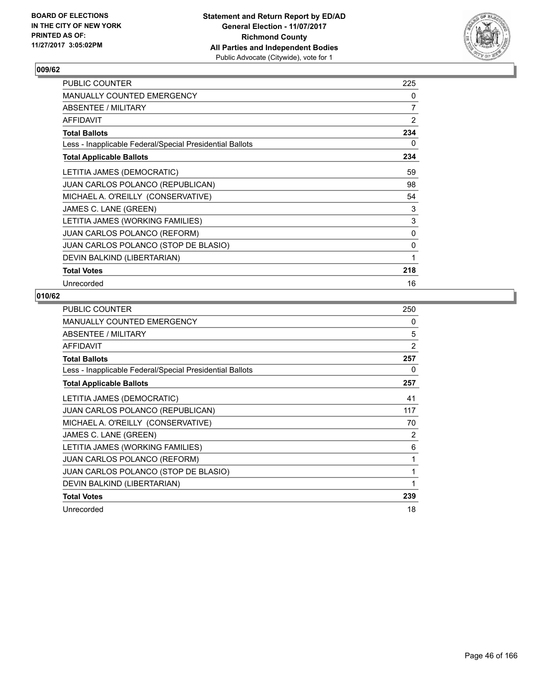

| <b>PUBLIC COUNTER</b>                                    | 225            |
|----------------------------------------------------------|----------------|
| <b>MANUALLY COUNTED EMERGENCY</b>                        | 0              |
| ABSENTEE / MILITARY                                      | $\overline{7}$ |
| <b>AFFIDAVIT</b>                                         | 2              |
| <b>Total Ballots</b>                                     | 234            |
| Less - Inapplicable Federal/Special Presidential Ballots | 0              |
| <b>Total Applicable Ballots</b>                          | 234            |
| LETITIA JAMES (DEMOCRATIC)                               | 59             |
| <b>JUAN CARLOS POLANCO (REPUBLICAN)</b>                  | 98             |
| MICHAEL A. O'REILLY (CONSERVATIVE)                       | 54             |
| JAMES C. LANE (GREEN)                                    | 3              |
| LETITIA JAMES (WORKING FAMILIES)                         | 3              |
| <b>JUAN CARLOS POLANCO (REFORM)</b>                      | 0              |
| JUAN CARLOS POLANCO (STOP DE BLASIO)                     | 0              |
| DEVIN BALKIND (LIBERTARIAN)                              | 1              |
| <b>Total Votes</b>                                       | 218            |
| Unrecorded                                               | 16             |

| <b>PUBLIC COUNTER</b>                                    | 250 |
|----------------------------------------------------------|-----|
| <b>MANUALLY COUNTED EMERGENCY</b>                        | 0   |
| ABSENTEE / MILITARY                                      | 5   |
| <b>AFFIDAVIT</b>                                         | 2   |
| <b>Total Ballots</b>                                     | 257 |
| Less - Inapplicable Federal/Special Presidential Ballots | 0   |
| <b>Total Applicable Ballots</b>                          | 257 |
| LETITIA JAMES (DEMOCRATIC)                               | 41  |
| JUAN CARLOS POLANCO (REPUBLICAN)                         | 117 |
| MICHAEL A. O'REILLY (CONSERVATIVE)                       | 70  |
| JAMES C. LANE (GREEN)                                    | 2   |
| LETITIA JAMES (WORKING FAMILIES)                         | 6   |
| <b>JUAN CARLOS POLANCO (REFORM)</b>                      | 1   |
| JUAN CARLOS POLANCO (STOP DE BLASIO)                     | 1   |
| DEVIN BALKIND (LIBERTARIAN)                              | 1   |
| <b>Total Votes</b>                                       | 239 |
| Unrecorded                                               | 18  |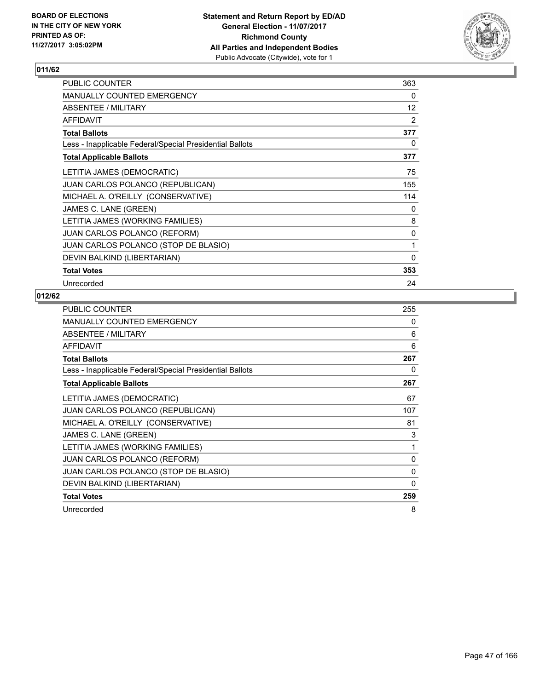

| PUBLIC COUNTER                                           | 363 |
|----------------------------------------------------------|-----|
| <b>MANUALLY COUNTED EMERGENCY</b>                        | 0   |
| ABSENTEE / MILITARY                                      | 12  |
| <b>AFFIDAVIT</b>                                         | 2   |
| <b>Total Ballots</b>                                     | 377 |
| Less - Inapplicable Federal/Special Presidential Ballots | 0   |
| <b>Total Applicable Ballots</b>                          | 377 |
| LETITIA JAMES (DEMOCRATIC)                               | 75  |
| JUAN CARLOS POLANCO (REPUBLICAN)                         | 155 |
| MICHAEL A. O'REILLY (CONSERVATIVE)                       | 114 |
| JAMES C. LANE (GREEN)                                    | 0   |
| LETITIA JAMES (WORKING FAMILIES)                         | 8   |
| <b>JUAN CARLOS POLANCO (REFORM)</b>                      | 0   |
| JUAN CARLOS POLANCO (STOP DE BLASIO)                     | 1   |
| DEVIN BALKIND (LIBERTARIAN)                              | 0   |
| <b>Total Votes</b>                                       | 353 |
| Unrecorded                                               | 24  |

| PUBLIC COUNTER                                           | 255 |
|----------------------------------------------------------|-----|
| MANUALLY COUNTED EMERGENCY                               | 0   |
| ABSENTEE / MILITARY                                      | 6   |
| AFFIDAVIT                                                | 6   |
| <b>Total Ballots</b>                                     | 267 |
| Less - Inapplicable Federal/Special Presidential Ballots | 0   |
| <b>Total Applicable Ballots</b>                          | 267 |
| LETITIA JAMES (DEMOCRATIC)                               | 67  |
| JUAN CARLOS POLANCO (REPUBLICAN)                         | 107 |
| MICHAEL A. O'REILLY (CONSERVATIVE)                       | 81  |
| JAMES C. LANE (GREEN)                                    | 3   |
| LETITIA JAMES (WORKING FAMILIES)                         | 1   |
| JUAN CARLOS POLANCO (REFORM)                             | 0   |
| JUAN CARLOS POLANCO (STOP DE BLASIO)                     | 0   |
| DEVIN BALKIND (LIBERTARIAN)                              | 0   |
| <b>Total Votes</b>                                       | 259 |
| Unrecorded                                               | 8   |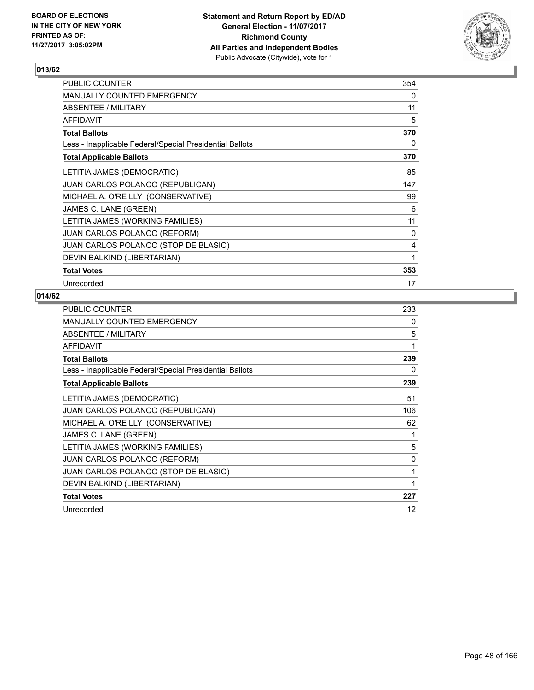

| PUBLIC COUNTER                                           | 354 |
|----------------------------------------------------------|-----|
| <b>MANUALLY COUNTED EMERGENCY</b>                        | 0   |
| ABSENTEE / MILITARY                                      | 11  |
| <b>AFFIDAVIT</b>                                         | 5   |
| <b>Total Ballots</b>                                     | 370 |
| Less - Inapplicable Federal/Special Presidential Ballots | 0   |
| <b>Total Applicable Ballots</b>                          | 370 |
| LETITIA JAMES (DEMOCRATIC)                               | 85  |
| <b>JUAN CARLOS POLANCO (REPUBLICAN)</b>                  | 147 |
| MICHAEL A. O'REILLY (CONSERVATIVE)                       | 99  |
| JAMES C. LANE (GREEN)                                    | 6   |
| LETITIA JAMES (WORKING FAMILIES)                         | 11  |
| <b>JUAN CARLOS POLANCO (REFORM)</b>                      | 0   |
| JUAN CARLOS POLANCO (STOP DE BLASIO)                     | 4   |
| DEVIN BALKIND (LIBERTARIAN)                              | 1   |
| <b>Total Votes</b>                                       | 353 |
| Unrecorded                                               | 17  |

| PUBLIC COUNTER                                           | 233 |
|----------------------------------------------------------|-----|
| MANUALLY COUNTED EMERGENCY                               | 0   |
| ABSENTEE / MILITARY                                      | 5   |
| AFFIDAVIT                                                | 1   |
| <b>Total Ballots</b>                                     | 239 |
| Less - Inapplicable Federal/Special Presidential Ballots | 0   |
| <b>Total Applicable Ballots</b>                          | 239 |
| LETITIA JAMES (DEMOCRATIC)                               | 51  |
| JUAN CARLOS POLANCO (REPUBLICAN)                         | 106 |
| MICHAEL A. O'REILLY (CONSERVATIVE)                       | 62  |
| JAMES C. LANE (GREEN)                                    | 1   |
| LETITIA JAMES (WORKING FAMILIES)                         | 5   |
| <b>JUAN CARLOS POLANCO (REFORM)</b>                      | 0   |
| JUAN CARLOS POLANCO (STOP DE BLASIO)                     | 1   |
| DEVIN BALKIND (LIBERTARIAN)                              | 1   |
| <b>Total Votes</b>                                       | 227 |
| Unrecorded                                               | 12  |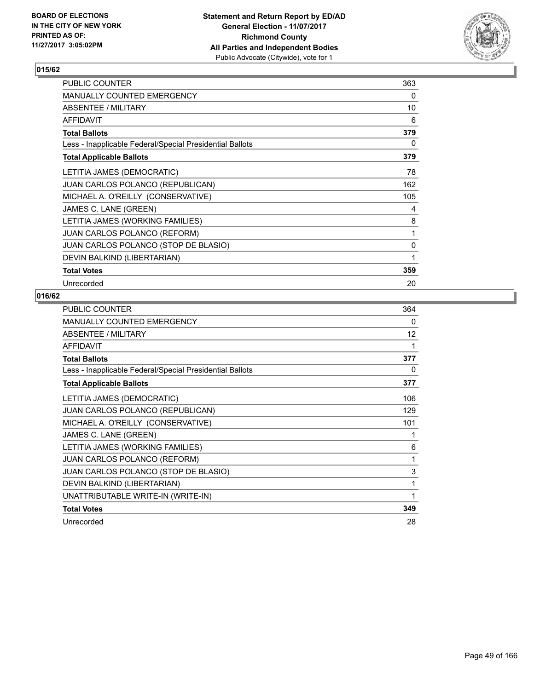

| <b>PUBLIC COUNTER</b>                                    | 363 |
|----------------------------------------------------------|-----|
| <b>MANUALLY COUNTED EMERGENCY</b>                        | 0   |
| ABSENTEE / MILITARY                                      | 10  |
| <b>AFFIDAVIT</b>                                         | 6   |
| <b>Total Ballots</b>                                     | 379 |
| Less - Inapplicable Federal/Special Presidential Ballots | 0   |
| <b>Total Applicable Ballots</b>                          | 379 |
| LETITIA JAMES (DEMOCRATIC)                               | 78  |
| JUAN CARLOS POLANCO (REPUBLICAN)                         | 162 |
| MICHAEL A. O'REILLY (CONSERVATIVE)                       | 105 |
| JAMES C. LANE (GREEN)                                    | 4   |
| LETITIA JAMES (WORKING FAMILIES)                         | 8   |
| JUAN CARLOS POLANCO (REFORM)                             | 1   |
| JUAN CARLOS POLANCO (STOP DE BLASIO)                     | 0   |
| DEVIN BALKIND (LIBERTARIAN)                              | 1   |
| <b>Total Votes</b>                                       | 359 |
| Unrecorded                                               | 20  |

| PUBLIC COUNTER                                           | 364 |
|----------------------------------------------------------|-----|
| <b>MANUALLY COUNTED EMERGENCY</b>                        | 0   |
| ABSENTEE / MILITARY                                      | 12  |
| <b>AFFIDAVIT</b>                                         | 1   |
| <b>Total Ballots</b>                                     | 377 |
| Less - Inapplicable Federal/Special Presidential Ballots | 0   |
| <b>Total Applicable Ballots</b>                          | 377 |
| LETITIA JAMES (DEMOCRATIC)                               | 106 |
| JUAN CARLOS POLANCO (REPUBLICAN)                         | 129 |
| MICHAEL A. O'REILLY (CONSERVATIVE)                       | 101 |
| JAMES C. LANE (GREEN)                                    | 1   |
| LETITIA JAMES (WORKING FAMILIES)                         | 6   |
| <b>JUAN CARLOS POLANCO (REFORM)</b>                      | 1   |
| JUAN CARLOS POLANCO (STOP DE BLASIO)                     | 3   |
| DEVIN BALKIND (LIBERTARIAN)                              | 1   |
| UNATTRIBUTABLE WRITE-IN (WRITE-IN)                       | 1   |
| <b>Total Votes</b>                                       | 349 |
| Unrecorded                                               | 28  |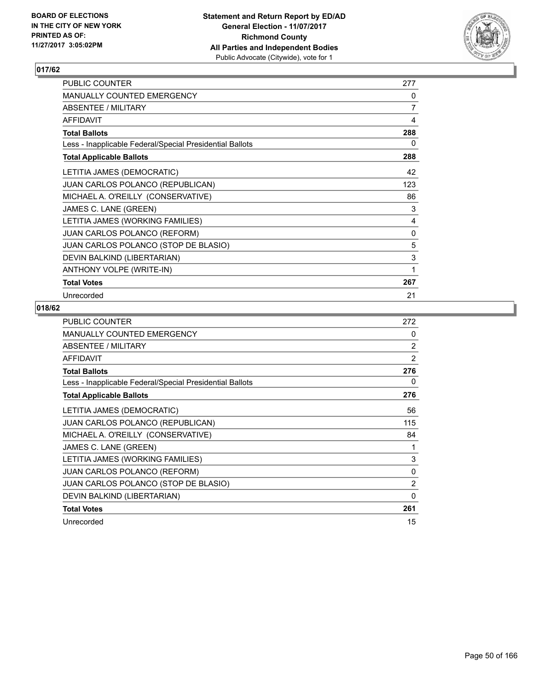

| PUBLIC COUNTER                                           | 277 |
|----------------------------------------------------------|-----|
| <b>MANUALLY COUNTED EMERGENCY</b>                        | 0   |
| ABSENTEE / MILITARY                                      | 7   |
| <b>AFFIDAVIT</b>                                         | 4   |
| <b>Total Ballots</b>                                     | 288 |
| Less - Inapplicable Federal/Special Presidential Ballots | 0   |
| <b>Total Applicable Ballots</b>                          | 288 |
| LETITIA JAMES (DEMOCRATIC)                               | 42  |
| <b>JUAN CARLOS POLANCO (REPUBLICAN)</b>                  | 123 |
| MICHAEL A. O'REILLY (CONSERVATIVE)                       | 86  |
| JAMES C. LANE (GREEN)                                    | 3   |
| LETITIA JAMES (WORKING FAMILIES)                         | 4   |
| <b>JUAN CARLOS POLANCO (REFORM)</b>                      | 0   |
| JUAN CARLOS POLANCO (STOP DE BLASIO)                     | 5   |
| DEVIN BALKIND (LIBERTARIAN)                              | 3   |
| ANTHONY VOLPE (WRITE-IN)                                 | 1   |
| <b>Total Votes</b>                                       | 267 |
| Unrecorded                                               | 21  |

| <b>PUBLIC COUNTER</b>                                    | 272            |
|----------------------------------------------------------|----------------|
| <b>MANUALLY COUNTED EMERGENCY</b>                        | 0              |
| ABSENTEE / MILITARY                                      | $\overline{2}$ |
| AFFIDAVIT                                                | $\overline{2}$ |
| <b>Total Ballots</b>                                     | 276            |
| Less - Inapplicable Federal/Special Presidential Ballots | 0              |
| <b>Total Applicable Ballots</b>                          | 276            |
| LETITIA JAMES (DEMOCRATIC)                               | 56             |
| <b>JUAN CARLOS POLANCO (REPUBLICAN)</b>                  | 115            |
| MICHAEL A. O'REILLY (CONSERVATIVE)                       | 84             |
| JAMES C. LANE (GREEN)                                    | 1              |
| LETITIA JAMES (WORKING FAMILIES)                         | 3              |
| <b>JUAN CARLOS POLANCO (REFORM)</b>                      | 0              |
| JUAN CARLOS POLANCO (STOP DE BLASIO)                     | $\overline{2}$ |
| DEVIN BALKIND (LIBERTARIAN)                              | 0              |
| <b>Total Votes</b>                                       | 261            |
| Unrecorded                                               | 15             |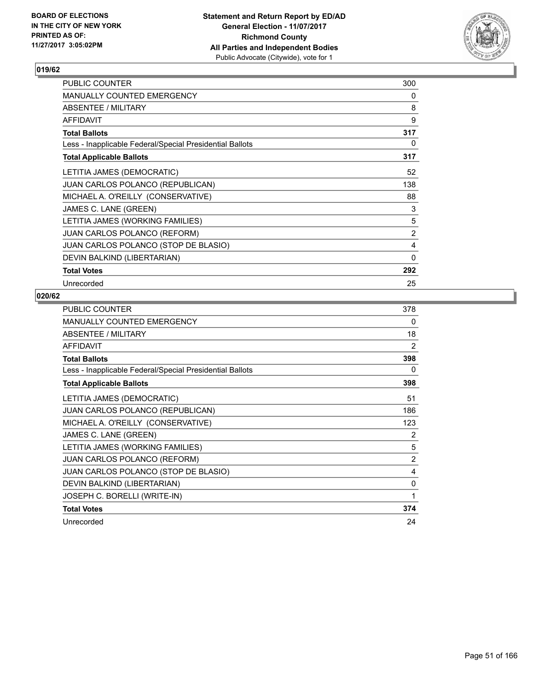

| <b>PUBLIC COUNTER</b>                                    | 300 |
|----------------------------------------------------------|-----|
| <b>MANUALLY COUNTED EMERGENCY</b>                        | 0   |
| ABSENTEE / MILITARY                                      | 8   |
| <b>AFFIDAVIT</b>                                         | 9   |
| <b>Total Ballots</b>                                     | 317 |
| Less - Inapplicable Federal/Special Presidential Ballots | 0   |
| <b>Total Applicable Ballots</b>                          | 317 |
| LETITIA JAMES (DEMOCRATIC)                               | 52  |
| JUAN CARLOS POLANCO (REPUBLICAN)                         | 138 |
| MICHAEL A. O'REILLY (CONSERVATIVE)                       | 88  |
| JAMES C. LANE (GREEN)                                    | 3   |
| LETITIA JAMES (WORKING FAMILIES)                         | 5   |
| JUAN CARLOS POLANCO (REFORM)                             | 2   |
| JUAN CARLOS POLANCO (STOP DE BLASIO)                     | 4   |
| DEVIN BALKIND (LIBERTARIAN)                              | 0   |
| <b>Total Votes</b>                                       | 292 |
| Unrecorded                                               | 25  |

| PUBLIC COUNTER                                           | 378 |
|----------------------------------------------------------|-----|
| <b>MANUALLY COUNTED EMERGENCY</b>                        | 0   |
| ABSENTEE / MILITARY                                      | 18  |
| <b>AFFIDAVIT</b>                                         | 2   |
| <b>Total Ballots</b>                                     | 398 |
| Less - Inapplicable Federal/Special Presidential Ballots | 0   |
| <b>Total Applicable Ballots</b>                          | 398 |
| LETITIA JAMES (DEMOCRATIC)                               | 51  |
| <b>JUAN CARLOS POLANCO (REPUBLICAN)</b>                  | 186 |
| MICHAEL A. O'REILLY (CONSERVATIVE)                       | 123 |
| JAMES C. LANE (GREEN)                                    | 2   |
| LETITIA JAMES (WORKING FAMILIES)                         | 5   |
| <b>JUAN CARLOS POLANCO (REFORM)</b>                      | 2   |
| JUAN CARLOS POLANCO (STOP DE BLASIO)                     | 4   |
| DEVIN BALKIND (LIBERTARIAN)                              | 0   |
| JOSEPH C. BORELLI (WRITE-IN)                             | 1   |
| <b>Total Votes</b>                                       | 374 |
| Unrecorded                                               | 24  |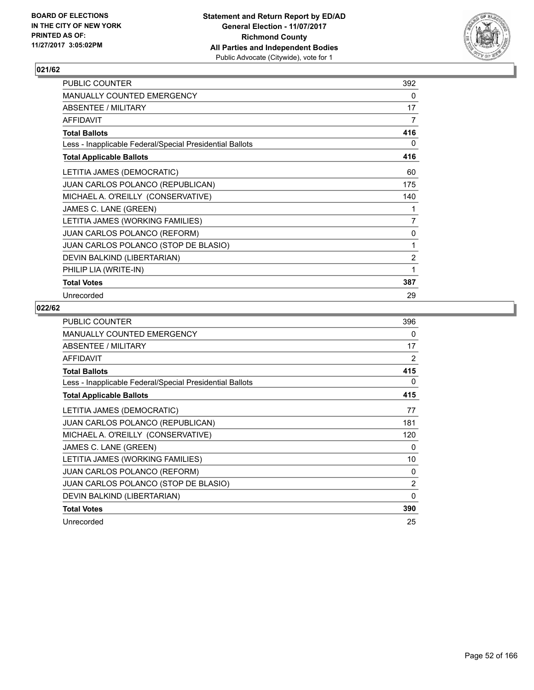

| PUBLIC COUNTER                                           | 392            |
|----------------------------------------------------------|----------------|
| <b>MANUALLY COUNTED EMERGENCY</b>                        | 0              |
| ABSENTEE / MILITARY                                      | 17             |
| <b>AFFIDAVIT</b>                                         | 7              |
| <b>Total Ballots</b>                                     | 416            |
| Less - Inapplicable Federal/Special Presidential Ballots | 0              |
| <b>Total Applicable Ballots</b>                          | 416            |
| LETITIA JAMES (DEMOCRATIC)                               | 60             |
| JUAN CARLOS POLANCO (REPUBLICAN)                         | 175            |
| MICHAEL A. O'REILLY (CONSERVATIVE)                       | 140            |
| JAMES C. LANE (GREEN)                                    | 1              |
| LETITIA JAMES (WORKING FAMILIES)                         | 7              |
| <b>JUAN CARLOS POLANCO (REFORM)</b>                      | 0              |
| JUAN CARLOS POLANCO (STOP DE BLASIO)                     | 1              |
| DEVIN BALKIND (LIBERTARIAN)                              | $\overline{2}$ |
| PHILIP LIA (WRITE-IN)                                    | 1              |
| <b>Total Votes</b>                                       | 387            |
| Unrecorded                                               | 29             |

| <b>PUBLIC COUNTER</b>                                    | 396      |
|----------------------------------------------------------|----------|
| <b>MANUALLY COUNTED EMERGENCY</b>                        | 0        |
| ABSENTEE / MILITARY                                      | 17       |
| <b>AFFIDAVIT</b>                                         | 2        |
| <b>Total Ballots</b>                                     | 415      |
| Less - Inapplicable Federal/Special Presidential Ballots | 0        |
| <b>Total Applicable Ballots</b>                          | 415      |
| LETITIA JAMES (DEMOCRATIC)                               | 77       |
| <b>JUAN CARLOS POLANCO (REPUBLICAN)</b>                  | 181      |
| MICHAEL A. O'REILLY (CONSERVATIVE)                       | 120      |
| JAMES C. LANE (GREEN)                                    | 0        |
| LETITIA JAMES (WORKING FAMILIES)                         | 10       |
| <b>JUAN CARLOS POLANCO (REFORM)</b>                      | 0        |
| JUAN CARLOS POLANCO (STOP DE BLASIO)                     | 2        |
| DEVIN BALKIND (LIBERTARIAN)                              | $\Omega$ |
| <b>Total Votes</b>                                       | 390      |
| Unrecorded                                               | 25       |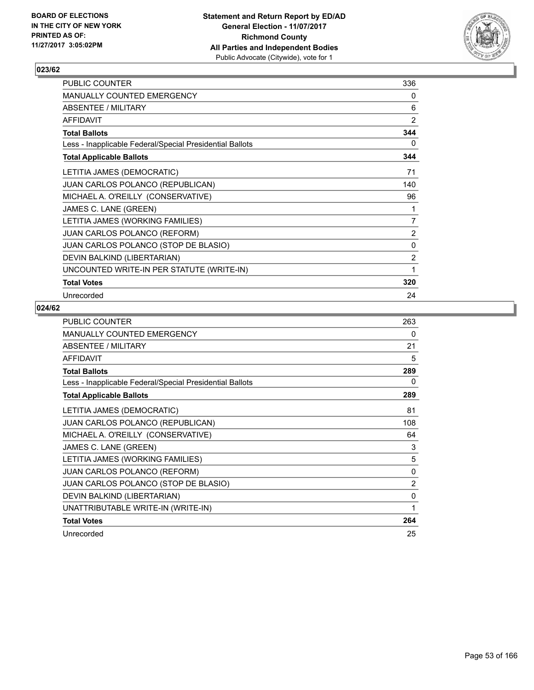

| PUBLIC COUNTER                                           | 336            |
|----------------------------------------------------------|----------------|
| <b>MANUALLY COUNTED EMERGENCY</b>                        | 0              |
| ABSENTEE / MILITARY                                      | 6              |
| <b>AFFIDAVIT</b>                                         | $\overline{2}$ |
| <b>Total Ballots</b>                                     | 344            |
| Less - Inapplicable Federal/Special Presidential Ballots | 0              |
| <b>Total Applicable Ballots</b>                          | 344            |
| LETITIA JAMES (DEMOCRATIC)                               | 71             |
| JUAN CARLOS POLANCO (REPUBLICAN)                         | 140            |
| MICHAEL A. O'REILLY (CONSERVATIVE)                       | 96             |
| JAMES C. LANE (GREEN)                                    | 1              |
| LETITIA JAMES (WORKING FAMILIES)                         | 7              |
| JUAN CARLOS POLANCO (REFORM)                             | $\overline{2}$ |
| JUAN CARLOS POLANCO (STOP DE BLASIO)                     | 0              |
| DEVIN BALKIND (LIBERTARIAN)                              | $\overline{2}$ |
| UNCOUNTED WRITE-IN PER STATUTE (WRITE-IN)                | 1              |
| <b>Total Votes</b>                                       | 320            |
| Unrecorded                                               | 24             |

| PUBLIC COUNTER                                           | 263 |
|----------------------------------------------------------|-----|
| <b>MANUALLY COUNTED EMERGENCY</b>                        | 0   |
| ABSENTEE / MILITARY                                      | 21  |
| <b>AFFIDAVIT</b>                                         | 5   |
| <b>Total Ballots</b>                                     | 289 |
| Less - Inapplicable Federal/Special Presidential Ballots | 0   |
| <b>Total Applicable Ballots</b>                          | 289 |
| LETITIA JAMES (DEMOCRATIC)                               | 81  |
| JUAN CARLOS POLANCO (REPUBLICAN)                         | 108 |
| MICHAEL A. O'REILLY (CONSERVATIVE)                       | 64  |
| JAMES C. LANE (GREEN)                                    | 3   |
| LETITIA JAMES (WORKING FAMILIES)                         | 5   |
| JUAN CARLOS POLANCO (REFORM)                             | 0   |
| JUAN CARLOS POLANCO (STOP DE BLASIO)                     | 2   |
| DEVIN BALKIND (LIBERTARIAN)                              | 0   |
| UNATTRIBUTABLE WRITE-IN (WRITE-IN)                       | 1   |
| <b>Total Votes</b>                                       | 264 |
| Unrecorded                                               | 25  |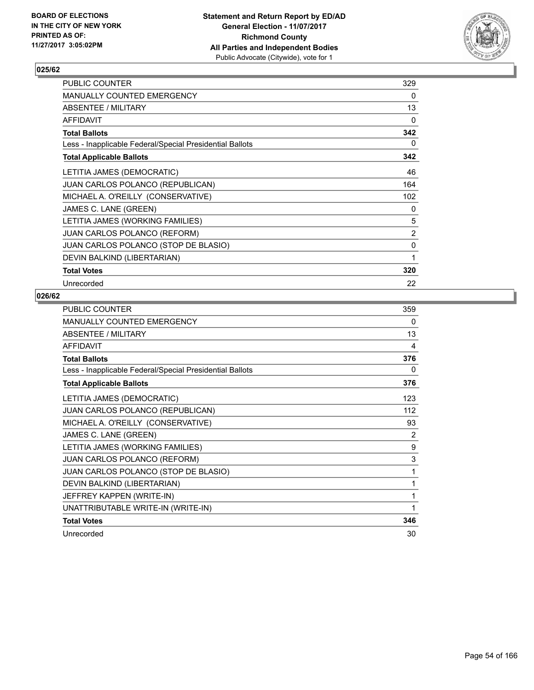

| PUBLIC COUNTER                                           | 329 |
|----------------------------------------------------------|-----|
| <b>MANUALLY COUNTED EMERGENCY</b>                        | 0   |
| <b>ABSENTEE / MILITARY</b>                               | 13  |
| <b>AFFIDAVIT</b>                                         | 0   |
| <b>Total Ballots</b>                                     | 342 |
| Less - Inapplicable Federal/Special Presidential Ballots | 0   |
| <b>Total Applicable Ballots</b>                          | 342 |
| LETITIA JAMES (DEMOCRATIC)                               | 46  |
| <b>JUAN CARLOS POLANCO (REPUBLICAN)</b>                  | 164 |
| MICHAEL A. O'REILLY (CONSERVATIVE)                       | 102 |
| JAMES C. LANE (GREEN)                                    | 0   |
| LETITIA JAMES (WORKING FAMILIES)                         | 5   |
| JUAN CARLOS POLANCO (REFORM)                             | 2   |
| JUAN CARLOS POLANCO (STOP DE BLASIO)                     | 0   |
| DEVIN BALKIND (LIBERTARIAN)                              | 1   |
| <b>Total Votes</b>                                       | 320 |
| Unrecorded                                               | 22  |

| <b>PUBLIC COUNTER</b>                                    | 359 |
|----------------------------------------------------------|-----|
| <b>MANUALLY COUNTED EMERGENCY</b>                        | 0   |
| ABSENTEE / MILITARY                                      | 13  |
| <b>AFFIDAVIT</b>                                         | 4   |
| <b>Total Ballots</b>                                     | 376 |
| Less - Inapplicable Federal/Special Presidential Ballots | 0   |
| <b>Total Applicable Ballots</b>                          | 376 |
| LETITIA JAMES (DEMOCRATIC)                               | 123 |
| JUAN CARLOS POLANCO (REPUBLICAN)                         | 112 |
| MICHAEL A. O'REILLY (CONSERVATIVE)                       | 93  |
| JAMES C. LANE (GREEN)                                    | 2   |
| LETITIA JAMES (WORKING FAMILIES)                         | 9   |
| JUAN CARLOS POLANCO (REFORM)                             | 3   |
| JUAN CARLOS POLANCO (STOP DE BLASIO)                     | 1   |
| DEVIN BALKIND (LIBERTARIAN)                              | 1   |
| JEFFREY KAPPEN (WRITE-IN)                                | 1   |
| UNATTRIBUTABLE WRITE-IN (WRITE-IN)                       | 1   |
| <b>Total Votes</b>                                       | 346 |
| Unrecorded                                               | 30  |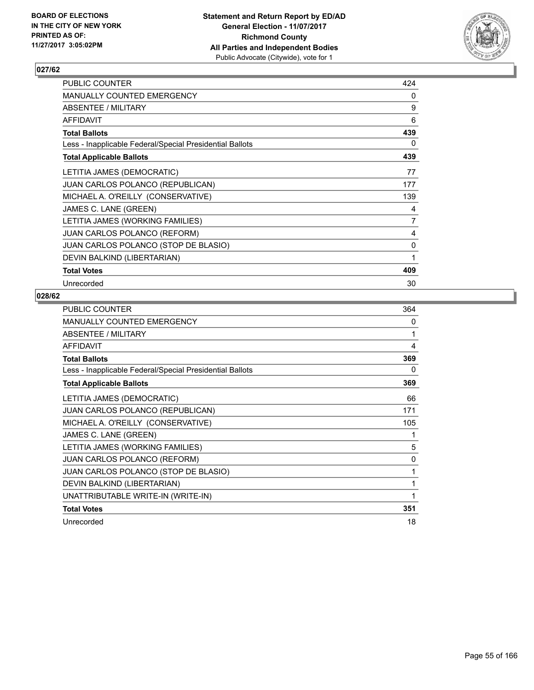

| PUBLIC COUNTER                                           | 424 |
|----------------------------------------------------------|-----|
| <b>MANUALLY COUNTED EMERGENCY</b>                        | 0   |
| <b>ABSENTEE / MILITARY</b>                               | 9   |
| <b>AFFIDAVIT</b>                                         | 6   |
| <b>Total Ballots</b>                                     | 439 |
| Less - Inapplicable Federal/Special Presidential Ballots | 0   |
| <b>Total Applicable Ballots</b>                          | 439 |
| LETITIA JAMES (DEMOCRATIC)                               | 77  |
| <b>JUAN CARLOS POLANCO (REPUBLICAN)</b>                  | 177 |
| MICHAEL A. O'REILLY (CONSERVATIVE)                       | 139 |
| JAMES C. LANE (GREEN)                                    | 4   |
| LETITIA JAMES (WORKING FAMILIES)                         | 7   |
| <b>JUAN CARLOS POLANCO (REFORM)</b>                      | 4   |
| JUAN CARLOS POLANCO (STOP DE BLASIO)                     | 0   |
| DEVIN BALKIND (LIBERTARIAN)                              | 1   |
| <b>Total Votes</b>                                       | 409 |
| Unrecorded                                               | 30  |

| PUBLIC COUNTER                                           | 364 |
|----------------------------------------------------------|-----|
| MANUALLY COUNTED EMERGENCY                               | 0   |
| ABSENTEE / MILITARY                                      | 1   |
| <b>AFFIDAVIT</b>                                         | 4   |
| <b>Total Ballots</b>                                     | 369 |
| Less - Inapplicable Federal/Special Presidential Ballots | 0   |
| <b>Total Applicable Ballots</b>                          | 369 |
| LETITIA JAMES (DEMOCRATIC)                               | 66  |
| JUAN CARLOS POLANCO (REPUBLICAN)                         | 171 |
| MICHAEL A. O'REILLY (CONSERVATIVE)                       | 105 |
| JAMES C. LANE (GREEN)                                    | 1   |
| LETITIA JAMES (WORKING FAMILIES)                         | 5   |
| <b>JUAN CARLOS POLANCO (REFORM)</b>                      | 0   |
| JUAN CARLOS POLANCO (STOP DE BLASIO)                     | 1   |
| DEVIN BALKIND (LIBERTARIAN)                              | 1   |
| UNATTRIBUTABLE WRITE-IN (WRITE-IN)                       | 1   |
| <b>Total Votes</b>                                       | 351 |
| Unrecorded                                               | 18  |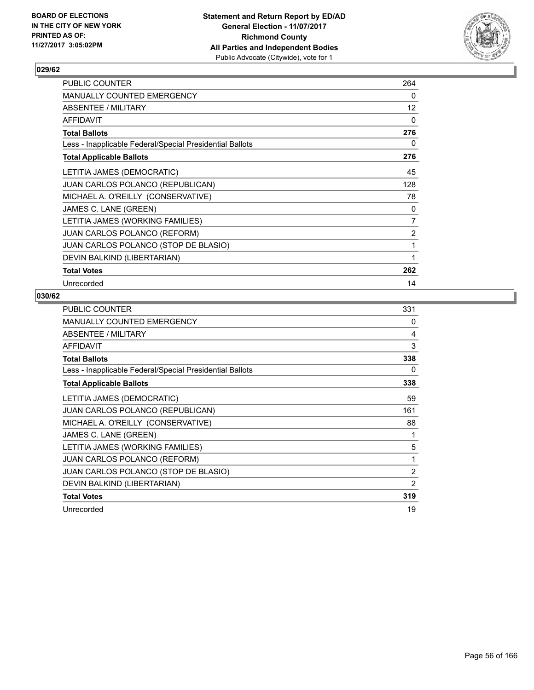

| PUBLIC COUNTER                                           | 264            |
|----------------------------------------------------------|----------------|
| <b>MANUALLY COUNTED EMERGENCY</b>                        | 0              |
| <b>ABSENTEE / MILITARY</b>                               | 12             |
| <b>AFFIDAVIT</b>                                         | 0              |
| <b>Total Ballots</b>                                     | 276            |
| Less - Inapplicable Federal/Special Presidential Ballots | 0              |
| <b>Total Applicable Ballots</b>                          | 276            |
| LETITIA JAMES (DEMOCRATIC)                               | 45             |
| <b>JUAN CARLOS POLANCO (REPUBLICAN)</b>                  | 128            |
| MICHAEL A. O'REILLY (CONSERVATIVE)                       | 78             |
| JAMES C. LANE (GREEN)                                    | 0              |
| LETITIA JAMES (WORKING FAMILIES)                         | $\overline{7}$ |
| <b>JUAN CARLOS POLANCO (REFORM)</b>                      | $\overline{2}$ |
| JUAN CARLOS POLANCO (STOP DE BLASIO)                     | 1              |
| DEVIN BALKIND (LIBERTARIAN)                              | 1              |
| <b>Total Votes</b>                                       | 262            |
| Unrecorded                                               | 14             |

| <b>PUBLIC COUNTER</b>                                    | 331            |
|----------------------------------------------------------|----------------|
| <b>MANUALLY COUNTED EMERGENCY</b>                        | 0              |
| ABSENTEE / MILITARY                                      | 4              |
| <b>AFFIDAVIT</b>                                         | 3              |
| <b>Total Ballots</b>                                     | 338            |
| Less - Inapplicable Federal/Special Presidential Ballots | 0              |
| <b>Total Applicable Ballots</b>                          | 338            |
| LETITIA JAMES (DEMOCRATIC)                               | 59             |
| <b>JUAN CARLOS POLANCO (REPUBLICAN)</b>                  | 161            |
| MICHAEL A. O'REILLY (CONSERVATIVE)                       | 88             |
| JAMES C. LANE (GREEN)                                    | 1              |
| LETITIA JAMES (WORKING FAMILIES)                         | 5              |
| <b>JUAN CARLOS POLANCO (REFORM)</b>                      | 1              |
| JUAN CARLOS POLANCO (STOP DE BLASIO)                     | $\overline{2}$ |
| DEVIN BALKIND (LIBERTARIAN)                              | 2              |
| <b>Total Votes</b>                                       | 319            |
| Unrecorded                                               | 19             |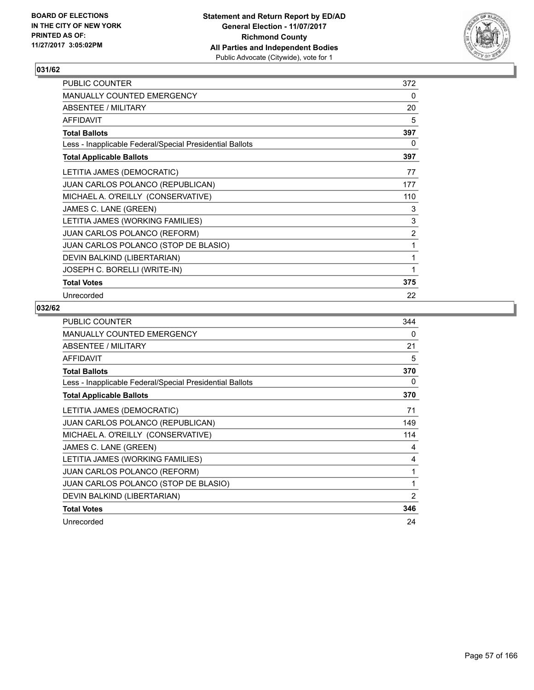

| PUBLIC COUNTER                                           | 372            |
|----------------------------------------------------------|----------------|
| <b>MANUALLY COUNTED EMERGENCY</b>                        | 0              |
| <b>ABSENTEE / MILITARY</b>                               | 20             |
| <b>AFFIDAVIT</b>                                         | 5              |
| <b>Total Ballots</b>                                     | 397            |
| Less - Inapplicable Federal/Special Presidential Ballots | 0              |
| <b>Total Applicable Ballots</b>                          | 397            |
| LETITIA JAMES (DEMOCRATIC)                               | 77             |
| <b>JUAN CARLOS POLANCO (REPUBLICAN)</b>                  | 177            |
| MICHAEL A. O'REILLY (CONSERVATIVE)                       | 110            |
| JAMES C. LANE (GREEN)                                    | 3              |
| LETITIA JAMES (WORKING FAMILIES)                         | 3              |
| <b>JUAN CARLOS POLANCO (REFORM)</b>                      | $\overline{2}$ |
| JUAN CARLOS POLANCO (STOP DE BLASIO)                     | 1              |
| DEVIN BALKIND (LIBERTARIAN)                              | 1              |
| JOSEPH C. BORELLI (WRITE-IN)                             | 1              |
| <b>Total Votes</b>                                       | 375            |
| Unrecorded                                               | 22             |

| <b>PUBLIC COUNTER</b>                                    | 344            |
|----------------------------------------------------------|----------------|
| <b>MANUALLY COUNTED EMERGENCY</b>                        | 0              |
| ABSENTEE / MILITARY                                      | 21             |
| <b>AFFIDAVIT</b>                                         | 5              |
| <b>Total Ballots</b>                                     | 370            |
| Less - Inapplicable Federal/Special Presidential Ballots | 0              |
| <b>Total Applicable Ballots</b>                          | 370            |
| LETITIA JAMES (DEMOCRATIC)                               | 71             |
| <b>JUAN CARLOS POLANCO (REPUBLICAN)</b>                  | 149            |
| MICHAEL A. O'REILLY (CONSERVATIVE)                       | 114            |
| JAMES C. LANE (GREEN)                                    | 4              |
| LETITIA JAMES (WORKING FAMILIES)                         | 4              |
| <b>JUAN CARLOS POLANCO (REFORM)</b>                      | 1              |
| JUAN CARLOS POLANCO (STOP DE BLASIO)                     | 1              |
| DEVIN BALKIND (LIBERTARIAN)                              | $\overline{2}$ |
| <b>Total Votes</b>                                       | 346            |
| Unrecorded                                               | 24             |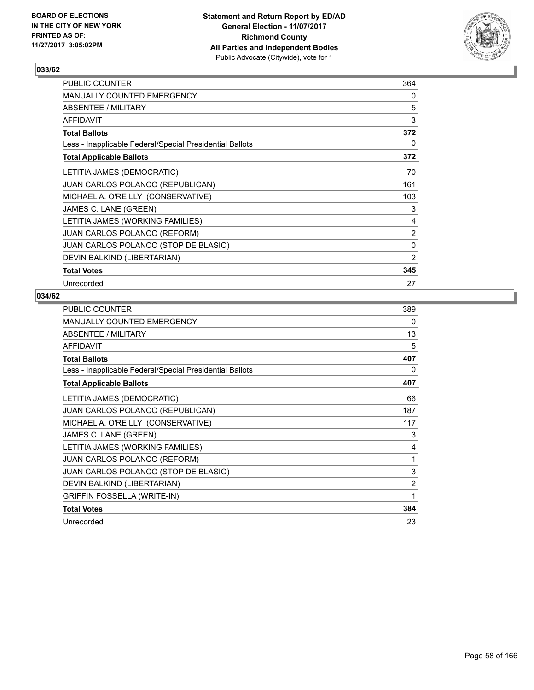

| <b>PUBLIC COUNTER</b>                                    | 364          |
|----------------------------------------------------------|--------------|
| <b>MANUALLY COUNTED EMERGENCY</b>                        | 0            |
| ABSENTEE / MILITARY                                      | 5            |
| <b>AFFIDAVIT</b>                                         | 3            |
| <b>Total Ballots</b>                                     | 372          |
| Less - Inapplicable Federal/Special Presidential Ballots | 0            |
| <b>Total Applicable Ballots</b>                          | 372          |
| LETITIA JAMES (DEMOCRATIC)                               | 70           |
| <b>JUAN CARLOS POLANCO (REPUBLICAN)</b>                  | 161          |
| MICHAEL A. O'REILLY (CONSERVATIVE)                       | 103          |
| JAMES C. LANE (GREEN)                                    | 3            |
| LETITIA JAMES (WORKING FAMILIES)                         | 4            |
| <b>JUAN CARLOS POLANCO (REFORM)</b>                      | 2            |
| JUAN CARLOS POLANCO (STOP DE BLASIO)                     | $\mathbf{0}$ |
| DEVIN BALKIND (LIBERTARIAN)                              | 2            |
| <b>Total Votes</b>                                       | 345          |
| Unrecorded                                               | 27           |

| PUBLIC COUNTER                                           | 389 |
|----------------------------------------------------------|-----|
| MANUALLY COUNTED EMERGENCY                               | 0   |
| ABSENTEE / MILITARY                                      | 13  |
| <b>AFFIDAVIT</b>                                         | 5   |
| <b>Total Ballots</b>                                     | 407 |
| Less - Inapplicable Federal/Special Presidential Ballots | 0   |
| <b>Total Applicable Ballots</b>                          | 407 |
| LETITIA JAMES (DEMOCRATIC)                               | 66  |
| <b>JUAN CARLOS POLANCO (REPUBLICAN)</b>                  | 187 |
| MICHAEL A. O'REILLY (CONSERVATIVE)                       | 117 |
| JAMES C. LANE (GREEN)                                    | 3   |
| LETITIA JAMES (WORKING FAMILIES)                         | 4   |
| JUAN CARLOS POLANCO (REFORM)                             | 1   |
| JUAN CARLOS POLANCO (STOP DE BLASIO)                     | 3   |
| DEVIN BALKIND (LIBERTARIAN)                              | 2   |
| GRIFFIN FOSSELLA (WRITE-IN)                              | 1   |
| <b>Total Votes</b>                                       | 384 |
| Unrecorded                                               | 23  |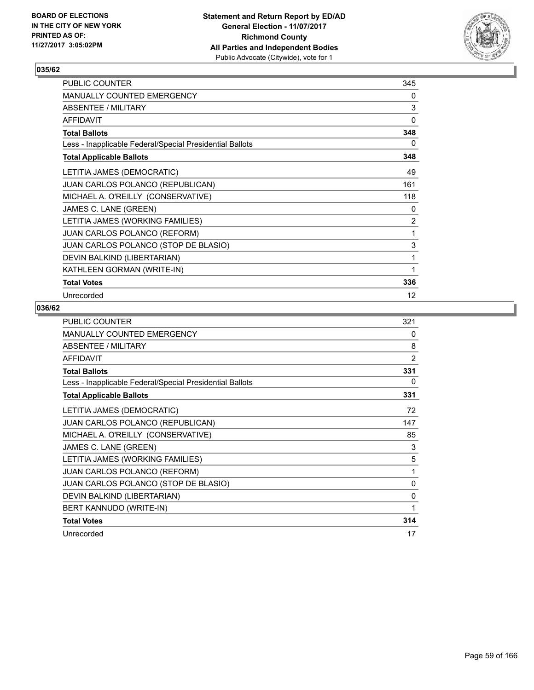

| <b>PUBLIC COUNTER</b>                                    | 345            |
|----------------------------------------------------------|----------------|
| <b>MANUALLY COUNTED EMERGENCY</b>                        | 0              |
| ABSENTEE / MILITARY                                      | 3              |
| <b>AFFIDAVIT</b>                                         | 0              |
| <b>Total Ballots</b>                                     | 348            |
| Less - Inapplicable Federal/Special Presidential Ballots | 0              |
| <b>Total Applicable Ballots</b>                          | 348            |
| LETITIA JAMES (DEMOCRATIC)                               | 49             |
| JUAN CARLOS POLANCO (REPUBLICAN)                         | 161            |
| MICHAEL A. O'REILLY (CONSERVATIVE)                       | 118            |
| JAMES C. LANE (GREEN)                                    | 0              |
| LETITIA JAMES (WORKING FAMILIES)                         | $\overline{2}$ |
| <b>JUAN CARLOS POLANCO (REFORM)</b>                      | 1              |
| JUAN CARLOS POLANCO (STOP DE BLASIO)                     | 3              |
| DEVIN BALKIND (LIBERTARIAN)                              | 1              |
| KATHLEEN GORMAN (WRITE-IN)                               | 1              |
| <b>Total Votes</b>                                       | 336            |
| Unrecorded                                               | 12             |

| PUBLIC COUNTER                                           | 321            |
|----------------------------------------------------------|----------------|
| MANUALLY COUNTED EMERGENCY                               | $\Omega$       |
| ABSENTEE / MILITARY                                      | 8              |
| <b>AFFIDAVIT</b>                                         | $\overline{2}$ |
| <b>Total Ballots</b>                                     | 331            |
| Less - Inapplicable Federal/Special Presidential Ballots | 0              |
| <b>Total Applicable Ballots</b>                          | 331            |
| LETITIA JAMES (DEMOCRATIC)                               | 72             |
| JUAN CARLOS POLANCO (REPUBLICAN)                         | 147            |
| MICHAEL A. O'REILLY (CONSERVATIVE)                       | 85             |
| JAMES C. LANE (GREEN)                                    | 3              |
| LETITIA JAMES (WORKING FAMILIES)                         | 5              |
| JUAN CARLOS POLANCO (REFORM)                             | 1              |
| JUAN CARLOS POLANCO (STOP DE BLASIO)                     | 0              |
| DEVIN BALKIND (LIBERTARIAN)                              | 0              |
| BERT KANNUDO (WRITE-IN)                                  | 1              |
| <b>Total Votes</b>                                       | 314            |
| Unrecorded                                               | 17             |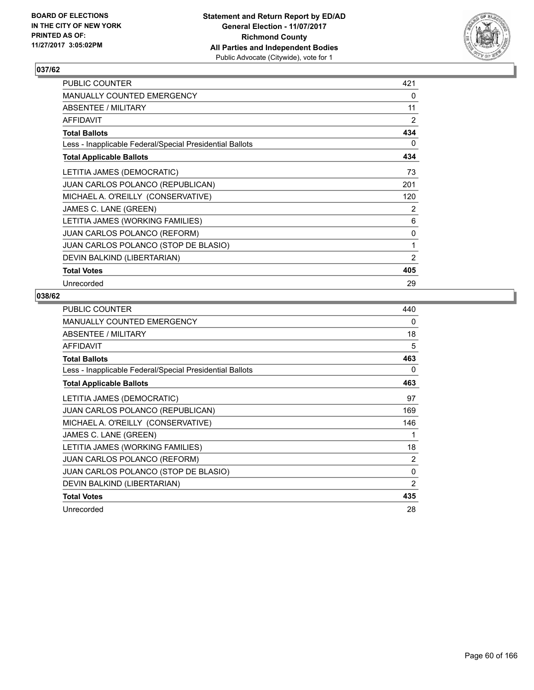

| PUBLIC COUNTER                                           | 421            |
|----------------------------------------------------------|----------------|
| <b>MANUALLY COUNTED EMERGENCY</b>                        | 0              |
| ABSENTEE / MILITARY                                      | 11             |
| <b>AFFIDAVIT</b>                                         | 2              |
| <b>Total Ballots</b>                                     | 434            |
| Less - Inapplicable Federal/Special Presidential Ballots | 0              |
| <b>Total Applicable Ballots</b>                          | 434            |
| LETITIA JAMES (DEMOCRATIC)                               | 73             |
| JUAN CARLOS POLANCO (REPUBLICAN)                         | 201            |
| MICHAEL A. O'REILLY (CONSERVATIVE)                       | 120            |
| JAMES C. LANE (GREEN)                                    | 2              |
| LETITIA JAMES (WORKING FAMILIES)                         | 6              |
| <b>JUAN CARLOS POLANCO (REFORM)</b>                      | 0              |
| JUAN CARLOS POLANCO (STOP DE BLASIO)                     | 1              |
| DEVIN BALKIND (LIBERTARIAN)                              | $\overline{2}$ |
| <b>Total Votes</b>                                       | 405            |
| Unrecorded                                               | 29             |

| PUBLIC COUNTER                                           | 440 |
|----------------------------------------------------------|-----|
| MANUALLY COUNTED EMERGENCY                               | 0   |
| ABSENTEE / MILITARY                                      | 18  |
| AFFIDAVIT                                                | 5   |
| <b>Total Ballots</b>                                     | 463 |
| Less - Inapplicable Federal/Special Presidential Ballots | 0   |
| <b>Total Applicable Ballots</b>                          | 463 |
| LETITIA JAMES (DEMOCRATIC)                               | 97  |
| JUAN CARLOS POLANCO (REPUBLICAN)                         | 169 |
| MICHAEL A. O'REILLY (CONSERVATIVE)                       | 146 |
| JAMES C. LANE (GREEN)                                    | 1   |
| LETITIA JAMES (WORKING FAMILIES)                         | 18  |
| <b>JUAN CARLOS POLANCO (REFORM)</b>                      | 2   |
| JUAN CARLOS POLANCO (STOP DE BLASIO)                     | 0   |
| DEVIN BALKIND (LIBERTARIAN)                              | 2   |
| <b>Total Votes</b>                                       | 435 |
| Unrecorded                                               | 28  |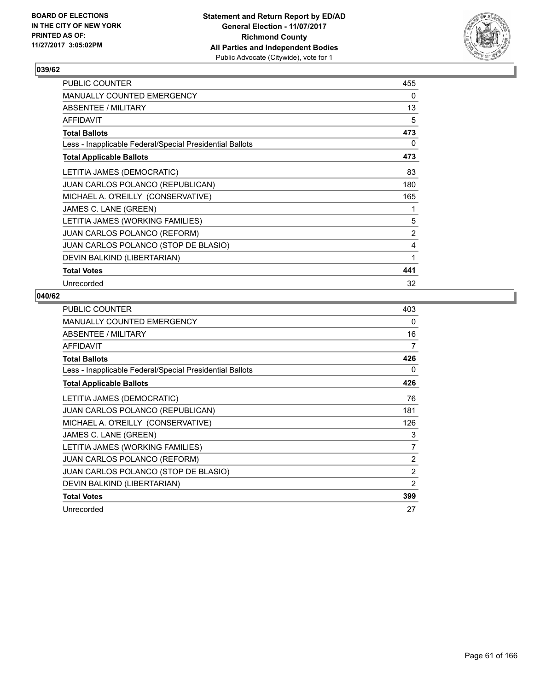

| <b>PUBLIC COUNTER</b>                                    | 455 |
|----------------------------------------------------------|-----|
| <b>MANUALLY COUNTED EMERGENCY</b>                        | 0   |
| ABSENTEE / MILITARY                                      | 13  |
| <b>AFFIDAVIT</b>                                         | 5   |
| <b>Total Ballots</b>                                     | 473 |
| Less - Inapplicable Federal/Special Presidential Ballots | 0   |
| <b>Total Applicable Ballots</b>                          | 473 |
| LETITIA JAMES (DEMOCRATIC)                               | 83  |
| <b>JUAN CARLOS POLANCO (REPUBLICAN)</b>                  | 180 |
| MICHAEL A. O'REILLY (CONSERVATIVE)                       | 165 |
| JAMES C. LANE (GREEN)                                    | 1   |
| LETITIA JAMES (WORKING FAMILIES)                         | 5   |
| <b>JUAN CARLOS POLANCO (REFORM)</b>                      | 2   |
| JUAN CARLOS POLANCO (STOP DE BLASIO)                     | 4   |
| DEVIN BALKIND (LIBERTARIAN)                              | 1   |
| <b>Total Votes</b>                                       | 441 |
| Unrecorded                                               | 32  |

| <b>PUBLIC COUNTER</b>                                    | 403 |
|----------------------------------------------------------|-----|
| <b>MANUALLY COUNTED EMERGENCY</b>                        | 0   |
| ABSENTEE / MILITARY                                      | 16  |
| <b>AFFIDAVIT</b>                                         | 7   |
| <b>Total Ballots</b>                                     | 426 |
| Less - Inapplicable Federal/Special Presidential Ballots | 0   |
| <b>Total Applicable Ballots</b>                          | 426 |
| LETITIA JAMES (DEMOCRATIC)                               | 76  |
| <b>JUAN CARLOS POLANCO (REPUBLICAN)</b>                  | 181 |
| MICHAEL A. O'REILLY (CONSERVATIVE)                       | 126 |
| JAMES C. LANE (GREEN)                                    | 3   |
| LETITIA JAMES (WORKING FAMILIES)                         | 7   |
| <b>JUAN CARLOS POLANCO (REFORM)</b>                      | 2   |
| JUAN CARLOS POLANCO (STOP DE BLASIO)                     | 2   |
| DEVIN BALKIND (LIBERTARIAN)                              | 2   |
| <b>Total Votes</b>                                       | 399 |
| Unrecorded                                               | 27  |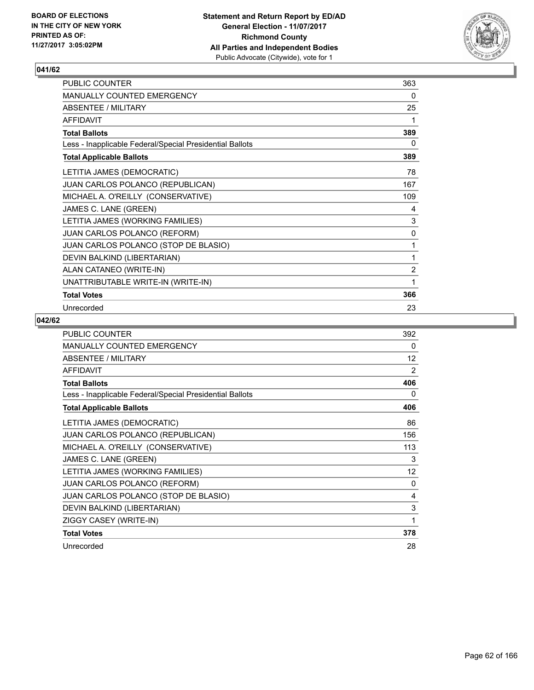

| PUBLIC COUNTER                                           | 363            |
|----------------------------------------------------------|----------------|
| MANUALLY COUNTED EMERGENCY                               | 0              |
| <b>ABSENTEE / MILITARY</b>                               | 25             |
| <b>AFFIDAVIT</b>                                         | 1              |
| <b>Total Ballots</b>                                     | 389            |
| Less - Inapplicable Federal/Special Presidential Ballots | 0              |
| <b>Total Applicable Ballots</b>                          | 389            |
| LETITIA JAMES (DEMOCRATIC)                               | 78             |
| JUAN CARLOS POLANCO (REPUBLICAN)                         | 167            |
| MICHAEL A. O'REILLY (CONSERVATIVE)                       | 109            |
| JAMES C. LANE (GREEN)                                    | 4              |
| LETITIA JAMES (WORKING FAMILIES)                         | 3              |
| JUAN CARLOS POLANCO (REFORM)                             | 0              |
| JUAN CARLOS POLANCO (STOP DE BLASIO)                     | 1              |
| DEVIN BALKIND (LIBERTARIAN)                              | 1              |
| ALAN CATANEO (WRITE-IN)                                  | $\overline{2}$ |
| UNATTRIBUTABLE WRITE-IN (WRITE-IN)                       | 1              |
| <b>Total Votes</b>                                       | 366            |
| Unrecorded                                               | 23             |

| <b>PUBLIC COUNTER</b>                                    | 392 |
|----------------------------------------------------------|-----|
| <b>MANUALLY COUNTED EMERGENCY</b>                        | 0   |
| ABSENTEE / MILITARY                                      | 12  |
| <b>AFFIDAVIT</b>                                         | 2   |
| <b>Total Ballots</b>                                     | 406 |
| Less - Inapplicable Federal/Special Presidential Ballots | 0   |
| <b>Total Applicable Ballots</b>                          | 406 |
| LETITIA JAMES (DEMOCRATIC)                               | 86  |
| JUAN CARLOS POLANCO (REPUBLICAN)                         | 156 |
| MICHAEL A. O'REILLY (CONSERVATIVE)                       | 113 |
| JAMES C. LANE (GREEN)                                    | 3   |
| LETITIA JAMES (WORKING FAMILIES)                         | 12  |
| <b>JUAN CARLOS POLANCO (REFORM)</b>                      | 0   |
| JUAN CARLOS POLANCO (STOP DE BLASIO)                     | 4   |
| DEVIN BALKIND (LIBERTARIAN)                              | 3   |
| ZIGGY CASEY (WRITE-IN)                                   | 1   |
| <b>Total Votes</b>                                       | 378 |
| Unrecorded                                               | 28  |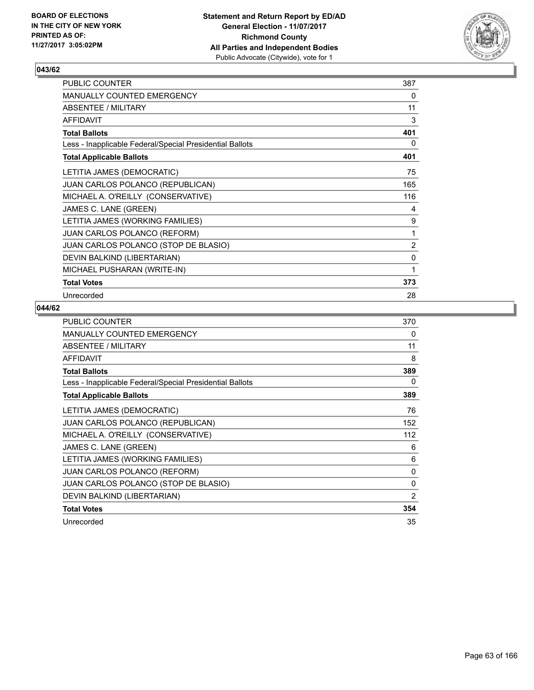

| PUBLIC COUNTER                                           | 387            |
|----------------------------------------------------------|----------------|
| MANUALLY COUNTED EMERGENCY                               | 0              |
| ABSENTEE / MILITARY                                      | 11             |
| <b>AFFIDAVIT</b>                                         | 3              |
| <b>Total Ballots</b>                                     | 401            |
| Less - Inapplicable Federal/Special Presidential Ballots | 0              |
| <b>Total Applicable Ballots</b>                          | 401            |
| LETITIA JAMES (DEMOCRATIC)                               | 75             |
| JUAN CARLOS POLANCO (REPUBLICAN)                         | 165            |
| MICHAEL A. O'REILLY (CONSERVATIVE)                       | 116            |
| JAMES C. LANE (GREEN)                                    | 4              |
| LETITIA JAMES (WORKING FAMILIES)                         | 9              |
| JUAN CARLOS POLANCO (REFORM)                             | 1              |
| JUAN CARLOS POLANCO (STOP DE BLASIO)                     | $\overline{2}$ |
| DEVIN BALKIND (LIBERTARIAN)                              | 0              |
| MICHAEL PUSHARAN (WRITE-IN)                              | 1              |
| <b>Total Votes</b>                                       | 373            |
| Unrecorded                                               | 28             |

| <b>PUBLIC COUNTER</b>                                    | 370            |
|----------------------------------------------------------|----------------|
| <b>MANUALLY COUNTED EMERGENCY</b>                        | 0              |
| ABSENTEE / MILITARY                                      | 11             |
| AFFIDAVIT                                                | 8              |
| <b>Total Ballots</b>                                     | 389            |
| Less - Inapplicable Federal/Special Presidential Ballots | 0              |
| <b>Total Applicable Ballots</b>                          | 389            |
| LETITIA JAMES (DEMOCRATIC)                               | 76             |
| JUAN CARLOS POLANCO (REPUBLICAN)                         | 152            |
| MICHAEL A. O'REILLY (CONSERVATIVE)                       | 112            |
| JAMES C. LANE (GREEN)                                    | 6              |
| LETITIA JAMES (WORKING FAMILIES)                         | 6              |
| <b>JUAN CARLOS POLANCO (REFORM)</b>                      | 0              |
| JUAN CARLOS POLANCO (STOP DE BLASIO)                     | 0              |
| DEVIN BALKIND (LIBERTARIAN)                              | $\overline{2}$ |
| <b>Total Votes</b>                                       | 354            |
| Unrecorded                                               | 35             |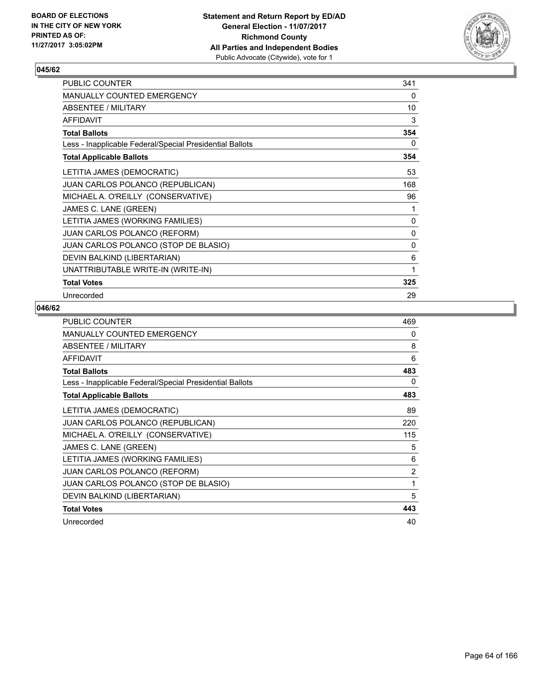

| PUBLIC COUNTER                                           | 341 |
|----------------------------------------------------------|-----|
| MANUALLY COUNTED EMERGENCY                               | 0   |
| ABSENTEE / MILITARY                                      | 10  |
| <b>AFFIDAVIT</b>                                         | 3   |
| <b>Total Ballots</b>                                     | 354 |
| Less - Inapplicable Federal/Special Presidential Ballots | 0   |
| <b>Total Applicable Ballots</b>                          | 354 |
| LETITIA JAMES (DEMOCRATIC)                               | 53  |
| JUAN CARLOS POLANCO (REPUBLICAN)                         | 168 |
| MICHAEL A. O'REILLY (CONSERVATIVE)                       | 96  |
| JAMES C. LANE (GREEN)                                    | 1   |
| LETITIA JAMES (WORKING FAMILIES)                         | 0   |
| JUAN CARLOS POLANCO (REFORM)                             | 0   |
| JUAN CARLOS POLANCO (STOP DE BLASIO)                     | 0   |
| DEVIN BALKIND (LIBERTARIAN)                              | 6   |
| UNATTRIBUTABLE WRITE-IN (WRITE-IN)                       | 1   |
| <b>Total Votes</b>                                       | 325 |
| Unrecorded                                               | 29  |

| <b>PUBLIC COUNTER</b>                                    | 469            |
|----------------------------------------------------------|----------------|
| <b>MANUALLY COUNTED EMERGENCY</b>                        | 0              |
| ABSENTEE / MILITARY                                      | 8              |
| <b>AFFIDAVIT</b>                                         | 6              |
| <b>Total Ballots</b>                                     | 483            |
| Less - Inapplicable Federal/Special Presidential Ballots | 0              |
| <b>Total Applicable Ballots</b>                          | 483            |
| LETITIA JAMES (DEMOCRATIC)                               | 89             |
| <b>JUAN CARLOS POLANCO (REPUBLICAN)</b>                  | 220            |
| MICHAEL A. O'REILLY (CONSERVATIVE)                       | 115            |
| JAMES C. LANE (GREEN)                                    | 5              |
| LETITIA JAMES (WORKING FAMILIES)                         | 6              |
| <b>JUAN CARLOS POLANCO (REFORM)</b>                      | $\overline{2}$ |
| JUAN CARLOS POLANCO (STOP DE BLASIO)                     | 1              |
| DEVIN BALKIND (LIBERTARIAN)                              | 5              |
| <b>Total Votes</b>                                       | 443            |
| Unrecorded                                               | 40             |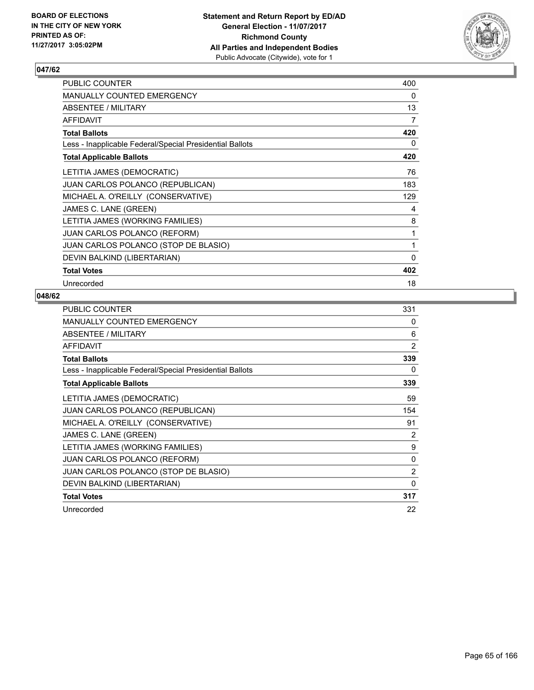

| PUBLIC COUNTER                                           | 400          |
|----------------------------------------------------------|--------------|
| <b>MANUALLY COUNTED EMERGENCY</b>                        | 0            |
| <b>ABSENTEE / MILITARY</b>                               | 13           |
| <b>AFFIDAVIT</b>                                         | 7            |
| <b>Total Ballots</b>                                     | 420          |
| Less - Inapplicable Federal/Special Presidential Ballots | 0            |
| <b>Total Applicable Ballots</b>                          | 420          |
| LETITIA JAMES (DEMOCRATIC)                               | 76           |
| <b>JUAN CARLOS POLANCO (REPUBLICAN)</b>                  | 183          |
| MICHAEL A. O'REILLY (CONSERVATIVE)                       | 129          |
| JAMES C. LANE (GREEN)                                    | 4            |
| LETITIA JAMES (WORKING FAMILIES)                         | 8            |
| <b>JUAN CARLOS POLANCO (REFORM)</b>                      | 1            |
| JUAN CARLOS POLANCO (STOP DE BLASIO)                     | 1            |
| DEVIN BALKIND (LIBERTARIAN)                              | $\mathbf{0}$ |
| <b>Total Votes</b>                                       | 402          |
| Unrecorded                                               | 18           |

| <b>PUBLIC COUNTER</b>                                    | 331            |
|----------------------------------------------------------|----------------|
| <b>MANUALLY COUNTED EMERGENCY</b>                        | 0              |
| ABSENTEE / MILITARY                                      | 6              |
| <b>AFFIDAVIT</b>                                         | 2              |
| <b>Total Ballots</b>                                     | 339            |
| Less - Inapplicable Federal/Special Presidential Ballots | 0              |
| <b>Total Applicable Ballots</b>                          | 339            |
| LETITIA JAMES (DEMOCRATIC)                               | 59             |
| JUAN CARLOS POLANCO (REPUBLICAN)                         | 154            |
| MICHAEL A. O'REILLY (CONSERVATIVE)                       | 91             |
| JAMES C. LANE (GREEN)                                    | 2              |
| LETITIA JAMES (WORKING FAMILIES)                         | 9              |
| <b>JUAN CARLOS POLANCO (REFORM)</b>                      | 0              |
| JUAN CARLOS POLANCO (STOP DE BLASIO)                     | $\overline{2}$ |
| DEVIN BALKIND (LIBERTARIAN)                              | 0              |
| <b>Total Votes</b>                                       | 317            |
| Unrecorded                                               | 22             |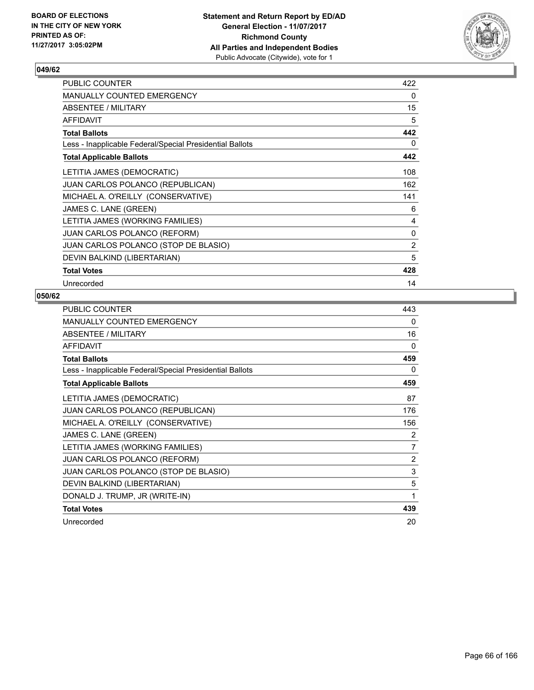

| <b>PUBLIC COUNTER</b>                                    | 422 |
|----------------------------------------------------------|-----|
| <b>MANUALLY COUNTED EMERGENCY</b>                        | 0   |
| ABSENTEE / MILITARY                                      | 15  |
| <b>AFFIDAVIT</b>                                         | 5   |
| <b>Total Ballots</b>                                     | 442 |
| Less - Inapplicable Federal/Special Presidential Ballots | 0   |
| <b>Total Applicable Ballots</b>                          | 442 |
| LETITIA JAMES (DEMOCRATIC)                               | 108 |
| <b>JUAN CARLOS POLANCO (REPUBLICAN)</b>                  | 162 |
| MICHAEL A. O'REILLY (CONSERVATIVE)                       | 141 |
| JAMES C. LANE (GREEN)                                    | 6   |
| LETITIA JAMES (WORKING FAMILIES)                         | 4   |
| <b>JUAN CARLOS POLANCO (REFORM)</b>                      | 0   |
| JUAN CARLOS POLANCO (STOP DE BLASIO)                     | 2   |
| DEVIN BALKIND (LIBERTARIAN)                              | 5   |
| <b>Total Votes</b>                                       | 428 |
| Unrecorded                                               | 14  |

| PUBLIC COUNTER                                           | 443            |
|----------------------------------------------------------|----------------|
| MANUALLY COUNTED EMERGENCY                               | 0              |
| ABSENTEE / MILITARY                                      | 16             |
| <b>AFFIDAVIT</b>                                         | $\Omega$       |
| <b>Total Ballots</b>                                     | 459            |
| Less - Inapplicable Federal/Special Presidential Ballots | 0              |
| <b>Total Applicable Ballots</b>                          | 459            |
| LETITIA JAMES (DEMOCRATIC)                               | 87             |
| <b>JUAN CARLOS POLANCO (REPUBLICAN)</b>                  | 176            |
| MICHAEL A. O'REILLY (CONSERVATIVE)                       | 156            |
| JAMES C. LANE (GREEN)                                    | 2              |
| LETITIA JAMES (WORKING FAMILIES)                         | 7              |
| JUAN CARLOS POLANCO (REFORM)                             | $\overline{2}$ |
| JUAN CARLOS POLANCO (STOP DE BLASIO)                     | 3              |
| DEVIN BALKIND (LIBERTARIAN)                              | 5              |
| DONALD J. TRUMP, JR (WRITE-IN)                           | 1              |
| <b>Total Votes</b>                                       | 439            |
| Unrecorded                                               | 20             |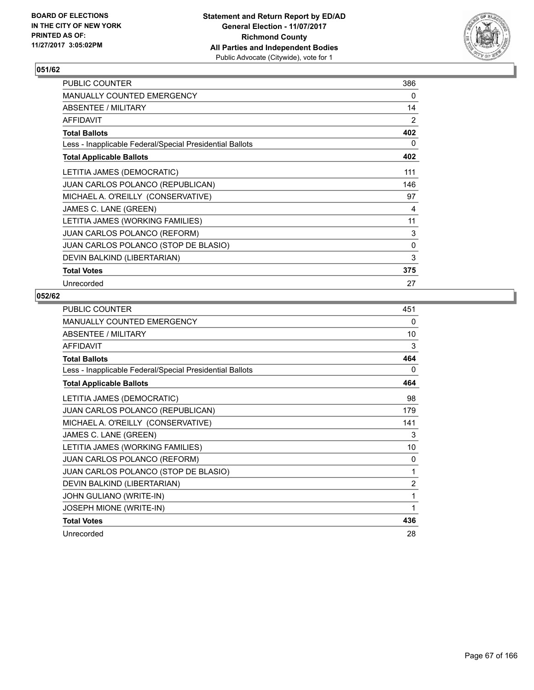

| PUBLIC COUNTER                                           | 386      |
|----------------------------------------------------------|----------|
| <b>MANUALLY COUNTED EMERGENCY</b>                        | 0        |
| ABSENTEE / MILITARY                                      | 14       |
| <b>AFFIDAVIT</b>                                         | 2        |
| <b>Total Ballots</b>                                     | 402      |
| Less - Inapplicable Federal/Special Presidential Ballots | 0        |
| <b>Total Applicable Ballots</b>                          | 402      |
| LETITIA JAMES (DEMOCRATIC)                               | 111      |
| <b>JUAN CARLOS POLANCO (REPUBLICAN)</b>                  | 146      |
| MICHAEL A. O'REILLY (CONSERVATIVE)                       | 97       |
| JAMES C. LANE (GREEN)                                    | 4        |
| LETITIA JAMES (WORKING FAMILIES)                         | 11       |
| <b>JUAN CARLOS POLANCO (REFORM)</b>                      | 3        |
| JUAN CARLOS POLANCO (STOP DE BLASIO)                     | $\Omega$ |
| DEVIN BALKIND (LIBERTARIAN)                              | 3        |
| <b>Total Votes</b>                                       | 375      |
| Unrecorded                                               | 27       |

| PUBLIC COUNTER                                           | 451            |
|----------------------------------------------------------|----------------|
| MANUALLY COUNTED EMERGENCY                               | 0              |
| ABSENTEE / MILITARY                                      | 10             |
| <b>AFFIDAVIT</b>                                         | 3              |
| <b>Total Ballots</b>                                     | 464            |
| Less - Inapplicable Federal/Special Presidential Ballots | 0              |
| <b>Total Applicable Ballots</b>                          | 464            |
| LETITIA JAMES (DEMOCRATIC)                               | 98             |
| JUAN CARLOS POLANCO (REPUBLICAN)                         | 179            |
| MICHAEL A. O'REILLY (CONSERVATIVE)                       | 141            |
| JAMES C. LANE (GREEN)                                    | 3              |
| LETITIA JAMES (WORKING FAMILIES)                         | 10             |
| JUAN CARLOS POLANCO (REFORM)                             | $\Omega$       |
| JUAN CARLOS POLANCO (STOP DE BLASIO)                     | 1              |
| DEVIN BALKIND (LIBERTARIAN)                              | $\overline{2}$ |
| JOHN GULIANO (WRITE-IN)                                  | 1              |
| JOSEPH MIONE (WRITE-IN)                                  | 1              |
| <b>Total Votes</b>                                       | 436            |
| Unrecorded                                               | 28             |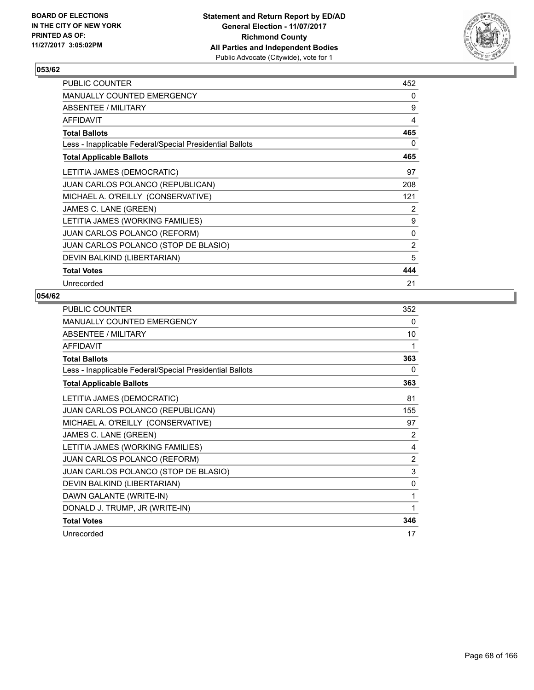

| <b>PUBLIC COUNTER</b>                                    | 452 |
|----------------------------------------------------------|-----|
| <b>MANUALLY COUNTED EMERGENCY</b>                        | 0   |
| <b>ABSENTEE / MILITARY</b>                               | 9   |
| <b>AFFIDAVIT</b>                                         | 4   |
| <b>Total Ballots</b>                                     | 465 |
| Less - Inapplicable Federal/Special Presidential Ballots | 0   |
| <b>Total Applicable Ballots</b>                          | 465 |
| LETITIA JAMES (DEMOCRATIC)                               | 97  |
| <b>JUAN CARLOS POLANCO (REPUBLICAN)</b>                  | 208 |
| MICHAEL A. O'REILLY (CONSERVATIVE)                       | 121 |
| JAMES C. LANE (GREEN)                                    | 2   |
| LETITIA JAMES (WORKING FAMILIES)                         | 9   |
| <b>JUAN CARLOS POLANCO (REFORM)</b>                      | 0   |
| JUAN CARLOS POLANCO (STOP DE BLASIO)                     | 2   |
| DEVIN BALKIND (LIBERTARIAN)                              | 5   |
| <b>Total Votes</b>                                       | 444 |
| Unrecorded                                               | 21  |

| PUBLIC COUNTER                                           | 352 |
|----------------------------------------------------------|-----|
| <b>MANUALLY COUNTED EMERGENCY</b>                        | 0   |
| <b>ABSENTEE / MILITARY</b>                               | 10  |
| <b>AFFIDAVIT</b>                                         | 1   |
| <b>Total Ballots</b>                                     | 363 |
| Less - Inapplicable Federal/Special Presidential Ballots | 0   |
| <b>Total Applicable Ballots</b>                          | 363 |
| LETITIA JAMES (DEMOCRATIC)                               | 81  |
| JUAN CARLOS POLANCO (REPUBLICAN)                         | 155 |
| MICHAEL A. O'REILLY (CONSERVATIVE)                       | 97  |
| JAMES C. LANE (GREEN)                                    | 2   |
| LETITIA JAMES (WORKING FAMILIES)                         | 4   |
| JUAN CARLOS POLANCO (REFORM)                             | 2   |
| JUAN CARLOS POLANCO (STOP DE BLASIO)                     | 3   |
| DEVIN BALKIND (LIBERTARIAN)                              | 0   |
| DAWN GALANTE (WRITE-IN)                                  | 1   |
| DONALD J. TRUMP, JR (WRITE-IN)                           | 1   |
| <b>Total Votes</b>                                       | 346 |
| Unrecorded                                               | 17  |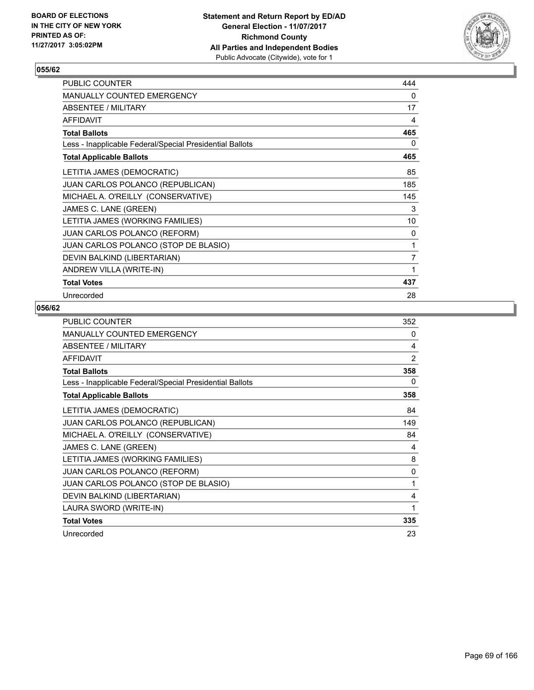

| <b>PUBLIC COUNTER</b>                                    | 444 |
|----------------------------------------------------------|-----|
| <b>MANUALLY COUNTED EMERGENCY</b>                        | 0   |
| ABSENTEE / MILITARY                                      | 17  |
| <b>AFFIDAVIT</b>                                         | 4   |
| <b>Total Ballots</b>                                     | 465 |
| Less - Inapplicable Federal/Special Presidential Ballots | 0   |
| <b>Total Applicable Ballots</b>                          | 465 |
| LETITIA JAMES (DEMOCRATIC)                               | 85  |
| JUAN CARLOS POLANCO (REPUBLICAN)                         | 185 |
| MICHAEL A. O'REILLY (CONSERVATIVE)                       | 145 |
| JAMES C. LANE (GREEN)                                    | 3   |
| LETITIA JAMES (WORKING FAMILIES)                         | 10  |
| <b>JUAN CARLOS POLANCO (REFORM)</b>                      | 0   |
| JUAN CARLOS POLANCO (STOP DE BLASIO)                     | 1   |
| DEVIN BALKIND (LIBERTARIAN)                              | 7   |
| ANDREW VILLA (WRITE-IN)                                  | 1   |
| <b>Total Votes</b>                                       | 437 |
| Unrecorded                                               | 28  |

| PUBLIC COUNTER                                           | 352            |
|----------------------------------------------------------|----------------|
| MANUALLY COUNTED EMERGENCY                               | 0              |
| ABSENTEE / MILITARY                                      | 4              |
| <b>AFFIDAVIT</b>                                         | $\overline{2}$ |
| <b>Total Ballots</b>                                     | 358            |
| Less - Inapplicable Federal/Special Presidential Ballots | 0              |
| <b>Total Applicable Ballots</b>                          | 358            |
| LETITIA JAMES (DEMOCRATIC)                               | 84             |
| JUAN CARLOS POLANCO (REPUBLICAN)                         | 149            |
| MICHAEL A. O'REILLY (CONSERVATIVE)                       | 84             |
| JAMES C. LANE (GREEN)                                    | 4              |
| LETITIA JAMES (WORKING FAMILIES)                         | 8              |
| JUAN CARLOS POLANCO (REFORM)                             | 0              |
| JUAN CARLOS POLANCO (STOP DE BLASIO)                     | 1              |
| DEVIN BALKIND (LIBERTARIAN)                              | 4              |
| LAURA SWORD (WRITE-IN)                                   | 1              |
| <b>Total Votes</b>                                       | 335            |
| Unrecorded                                               | 23             |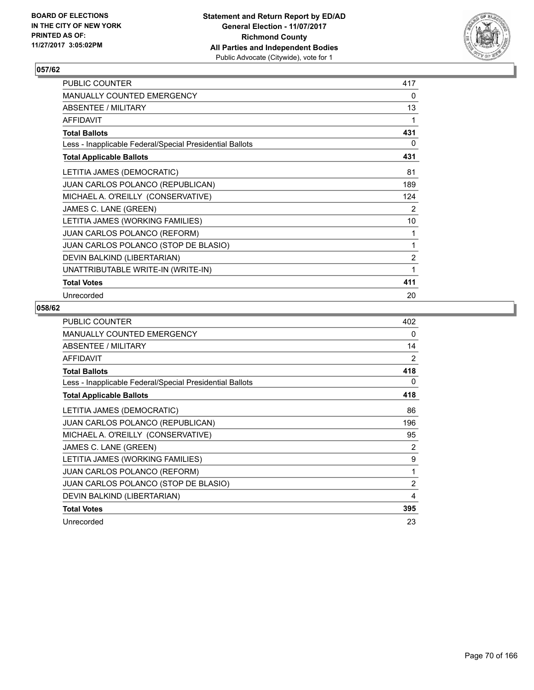

| PUBLIC COUNTER                                           | 417            |
|----------------------------------------------------------|----------------|
| MANUALLY COUNTED EMERGENCY                               | 0              |
| ABSENTEE / MILITARY                                      | 13             |
| <b>AFFIDAVIT</b>                                         | 1              |
| <b>Total Ballots</b>                                     | 431            |
| Less - Inapplicable Federal/Special Presidential Ballots | 0              |
| <b>Total Applicable Ballots</b>                          | 431            |
| LETITIA JAMES (DEMOCRATIC)                               | 81             |
| JUAN CARLOS POLANCO (REPUBLICAN)                         | 189            |
| MICHAEL A. O'REILLY (CONSERVATIVE)                       | 124            |
| JAMES C. LANE (GREEN)                                    | 2              |
| LETITIA JAMES (WORKING FAMILIES)                         | 10             |
| <b>JUAN CARLOS POLANCO (REFORM)</b>                      | 1              |
| JUAN CARLOS POLANCO (STOP DE BLASIO)                     | 1              |
| DEVIN BALKIND (LIBERTARIAN)                              | $\overline{2}$ |
| UNATTRIBUTABLE WRITE-IN (WRITE-IN)                       | 1              |
| <b>Total Votes</b>                                       | 411            |
| Unrecorded                                               | 20             |

| <b>PUBLIC COUNTER</b>                                    | 402            |
|----------------------------------------------------------|----------------|
| <b>MANUALLY COUNTED EMERGENCY</b>                        | 0              |
| ABSENTEE / MILITARY                                      | 14             |
| <b>AFFIDAVIT</b>                                         | 2              |
| <b>Total Ballots</b>                                     | 418            |
| Less - Inapplicable Federal/Special Presidential Ballots | 0              |
| <b>Total Applicable Ballots</b>                          | 418            |
| LETITIA JAMES (DEMOCRATIC)                               | 86             |
| <b>JUAN CARLOS POLANCO (REPUBLICAN)</b>                  | 196            |
| MICHAEL A. O'REILLY (CONSERVATIVE)                       | 95             |
| JAMES C. LANE (GREEN)                                    | 2              |
| LETITIA JAMES (WORKING FAMILIES)                         | 9              |
| <b>JUAN CARLOS POLANCO (REFORM)</b>                      | 1              |
| JUAN CARLOS POLANCO (STOP DE BLASIO)                     | $\overline{2}$ |
| DEVIN BALKIND (LIBERTARIAN)                              | 4              |
| <b>Total Votes</b>                                       | 395            |
| Unrecorded                                               | 23             |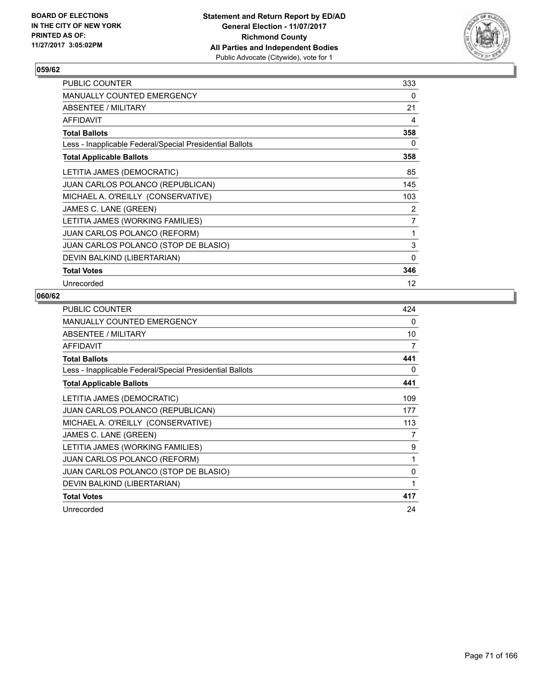

| <b>PUBLIC COUNTER</b>                                    | 333               |
|----------------------------------------------------------|-------------------|
| <b>MANUALLY COUNTED EMERGENCY</b>                        | 0                 |
| ABSENTEE / MILITARY                                      | 21                |
| <b>AFFIDAVIT</b>                                         | 4                 |
| <b>Total Ballots</b>                                     | 358               |
| Less - Inapplicable Federal/Special Presidential Ballots | 0                 |
| <b>Total Applicable Ballots</b>                          | 358               |
| LETITIA JAMES (DEMOCRATIC)                               | 85                |
| <b>JUAN CARLOS POLANCO (REPUBLICAN)</b>                  | 145               |
| MICHAEL A. O'REILLY (CONSERVATIVE)                       | 103               |
| JAMES C. LANE (GREEN)                                    | 2                 |
| LETITIA JAMES (WORKING FAMILIES)                         | $\overline{7}$    |
| <b>JUAN CARLOS POLANCO (REFORM)</b>                      | 1                 |
| JUAN CARLOS POLANCO (STOP DE BLASIO)                     | 3                 |
| DEVIN BALKIND (LIBERTARIAN)                              | 0                 |
| <b>Total Votes</b>                                       | 346               |
| Unrecorded                                               | $12 \overline{ }$ |

| <b>PUBLIC COUNTER</b>                                    | 424 |
|----------------------------------------------------------|-----|
| MANUALLY COUNTED EMERGENCY                               | 0   |
| ABSENTEE / MILITARY                                      | 10  |
| AFFIDAVIT                                                | 7   |
| <b>Total Ballots</b>                                     | 441 |
| Less - Inapplicable Federal/Special Presidential Ballots | 0   |
| <b>Total Applicable Ballots</b>                          | 441 |
| LETITIA JAMES (DEMOCRATIC)                               | 109 |
| JUAN CARLOS POLANCO (REPUBLICAN)                         | 177 |
| MICHAEL A. O'REILLY (CONSERVATIVE)                       | 113 |
| JAMES C. LANE (GREEN)                                    | 7   |
| LETITIA JAMES (WORKING FAMILIES)                         | 9   |
| <b>JUAN CARLOS POLANCO (REFORM)</b>                      | 1   |
| JUAN CARLOS POLANCO (STOP DE BLASIO)                     | 0   |
| DEVIN BALKIND (LIBERTARIAN)                              | 1   |
| <b>Total Votes</b>                                       | 417 |
| Unrecorded                                               | 24  |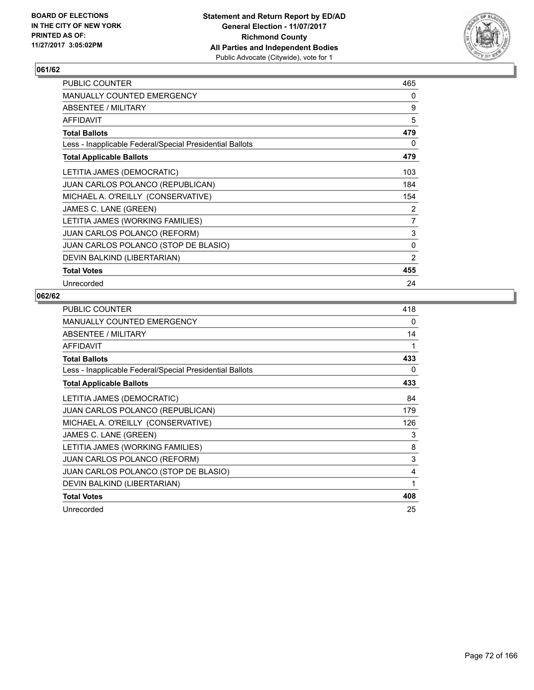

| <b>PUBLIC COUNTER</b>                                    | 465            |
|----------------------------------------------------------|----------------|
| <b>MANUALLY COUNTED EMERGENCY</b>                        | 0              |
| ABSENTEE / MILITARY                                      | 9              |
| <b>AFFIDAVIT</b>                                         | 5              |
| <b>Total Ballots</b>                                     | 479            |
| Less - Inapplicable Federal/Special Presidential Ballots | 0              |
| <b>Total Applicable Ballots</b>                          | 479            |
| LETITIA JAMES (DEMOCRATIC)                               | 103            |
| <b>JUAN CARLOS POLANCO (REPUBLICAN)</b>                  | 184            |
| MICHAEL A. O'REILLY (CONSERVATIVE)                       | 154            |
| JAMES C. LANE (GREEN)                                    | 2              |
| LETITIA JAMES (WORKING FAMILIES)                         | $\overline{7}$ |
| <b>JUAN CARLOS POLANCO (REFORM)</b>                      | 3              |
| JUAN CARLOS POLANCO (STOP DE BLASIO)                     | 0              |
| DEVIN BALKIND (LIBERTARIAN)                              | $\overline{2}$ |
| <b>Total Votes</b>                                       | 455            |
| Unrecorded                                               | 24             |

| PUBLIC COUNTER                                           | 418 |
|----------------------------------------------------------|-----|
| <b>MANUALLY COUNTED EMERGENCY</b>                        | 0   |
| ABSENTEE / MILITARY                                      | 14  |
| AFFIDAVIT                                                | 1   |
| <b>Total Ballots</b>                                     | 433 |
| Less - Inapplicable Federal/Special Presidential Ballots | 0   |
| <b>Total Applicable Ballots</b>                          | 433 |
| LETITIA JAMES (DEMOCRATIC)                               | 84  |
| <b>JUAN CARLOS POLANCO (REPUBLICAN)</b>                  | 179 |
| MICHAEL A. O'REILLY (CONSERVATIVE)                       | 126 |
| JAMES C. LANE (GREEN)                                    | 3   |
| LETITIA JAMES (WORKING FAMILIES)                         | 8   |
| <b>JUAN CARLOS POLANCO (REFORM)</b>                      | 3   |
| JUAN CARLOS POLANCO (STOP DE BLASIO)                     | 4   |
| DEVIN BALKIND (LIBERTARIAN)                              | 1   |
| <b>Total Votes</b>                                       | 408 |
| Unrecorded                                               | 25  |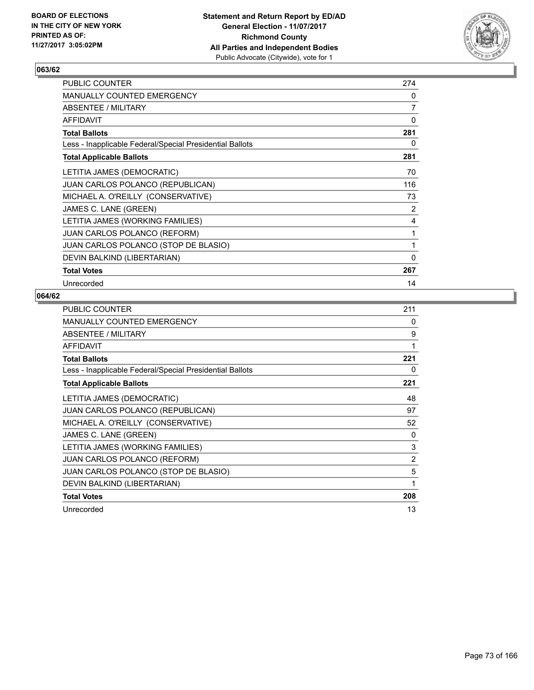

| <b>PUBLIC COUNTER</b>                                    | 274            |
|----------------------------------------------------------|----------------|
| <b>MANUALLY COUNTED EMERGENCY</b>                        | 0              |
| ABSENTEE / MILITARY                                      | $\overline{7}$ |
| <b>AFFIDAVIT</b>                                         | 0              |
| <b>Total Ballots</b>                                     | 281            |
| Less - Inapplicable Federal/Special Presidential Ballots | 0              |
| <b>Total Applicable Ballots</b>                          | 281            |
| LETITIA JAMES (DEMOCRATIC)                               | 70             |
| <b>JUAN CARLOS POLANCO (REPUBLICAN)</b>                  | 116            |
| MICHAEL A. O'REILLY (CONSERVATIVE)                       | 73             |
| JAMES C. LANE (GREEN)                                    | 2              |
| LETITIA JAMES (WORKING FAMILIES)                         | 4              |
| <b>JUAN CARLOS POLANCO (REFORM)</b>                      | 1              |
| JUAN CARLOS POLANCO (STOP DE BLASIO)                     | 1              |
| DEVIN BALKIND (LIBERTARIAN)                              | 0              |
| <b>Total Votes</b>                                       | 267            |
| Unrecorded                                               | 14             |

| <b>PUBLIC COUNTER</b>                                    | 211            |
|----------------------------------------------------------|----------------|
| MANUALLY COUNTED EMERGENCY                               | 0              |
| ABSENTEE / MILITARY                                      | 9              |
| <b>AFFIDAVIT</b>                                         | 1              |
| <b>Total Ballots</b>                                     | 221            |
| Less - Inapplicable Federal/Special Presidential Ballots | 0              |
| <b>Total Applicable Ballots</b>                          | 221            |
| LETITIA JAMES (DEMOCRATIC)                               | 48             |
| JUAN CARLOS POLANCO (REPUBLICAN)                         | 97             |
| MICHAEL A. O'REILLY (CONSERVATIVE)                       | 52             |
| JAMES C. LANE (GREEN)                                    | 0              |
| LETITIA JAMES (WORKING FAMILIES)                         | 3              |
| <b>JUAN CARLOS POLANCO (REFORM)</b>                      | $\overline{2}$ |
| JUAN CARLOS POLANCO (STOP DE BLASIO)                     | 5              |
| DEVIN BALKIND (LIBERTARIAN)                              | 1              |
| <b>Total Votes</b>                                       | 208            |
| Unrecorded                                               | 13             |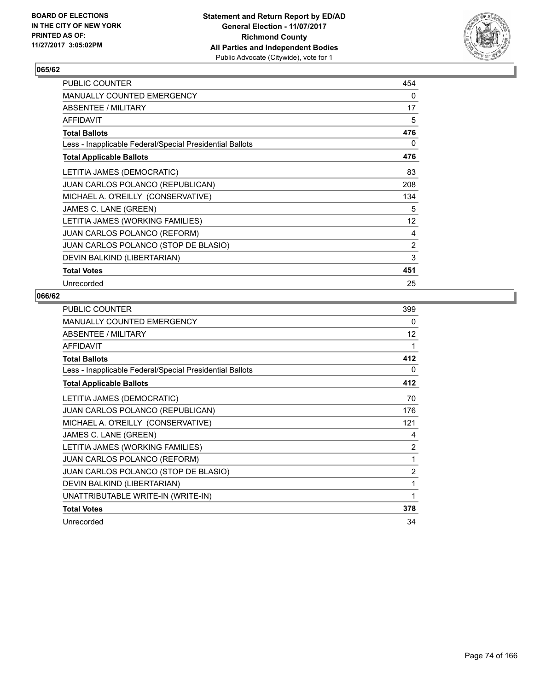

| <b>PUBLIC COUNTER</b>                                    | 454 |
|----------------------------------------------------------|-----|
| <b>MANUALLY COUNTED EMERGENCY</b>                        | 0   |
| ABSENTEE / MILITARY                                      | 17  |
| <b>AFFIDAVIT</b>                                         | 5   |
| <b>Total Ballots</b>                                     | 476 |
| Less - Inapplicable Federal/Special Presidential Ballots | 0   |
| <b>Total Applicable Ballots</b>                          | 476 |
| LETITIA JAMES (DEMOCRATIC)                               | 83  |
| JUAN CARLOS POLANCO (REPUBLICAN)                         | 208 |
| MICHAEL A. O'REILLY (CONSERVATIVE)                       | 134 |
| JAMES C. LANE (GREEN)                                    | 5   |
| LETITIA JAMES (WORKING FAMILIES)                         | 12  |
| <b>JUAN CARLOS POLANCO (REFORM)</b>                      | 4   |
| JUAN CARLOS POLANCO (STOP DE BLASIO)                     | 2   |
| DEVIN BALKIND (LIBERTARIAN)                              | 3   |
| <b>Total Votes</b>                                       | 451 |
| Unrecorded                                               | 25  |

| PUBLIC COUNTER                                           | 399            |
|----------------------------------------------------------|----------------|
| MANUALLY COUNTED EMERGENCY                               | 0              |
| ABSENTEE / MILITARY                                      | 12             |
| <b>AFFIDAVIT</b>                                         | 1              |
| <b>Total Ballots</b>                                     | 412            |
| Less - Inapplicable Federal/Special Presidential Ballots | 0              |
| <b>Total Applicable Ballots</b>                          | 412            |
| LETITIA JAMES (DEMOCRATIC)                               | 70             |
| <b>JUAN CARLOS POLANCO (REPUBLICAN)</b>                  | 176            |
| MICHAEL A. O'REILLY (CONSERVATIVE)                       | 121            |
| JAMES C. LANE (GREEN)                                    | 4              |
| LETITIA JAMES (WORKING FAMILIES)                         | 2              |
| JUAN CARLOS POLANCO (REFORM)                             | 1              |
| JUAN CARLOS POLANCO (STOP DE BLASIO)                     | $\overline{2}$ |
| DEVIN BALKIND (LIBERTARIAN)                              | 1              |
| UNATTRIBUTABLE WRITE-IN (WRITE-IN)                       | 1              |
| <b>Total Votes</b>                                       | 378            |
| Unrecorded                                               | 34             |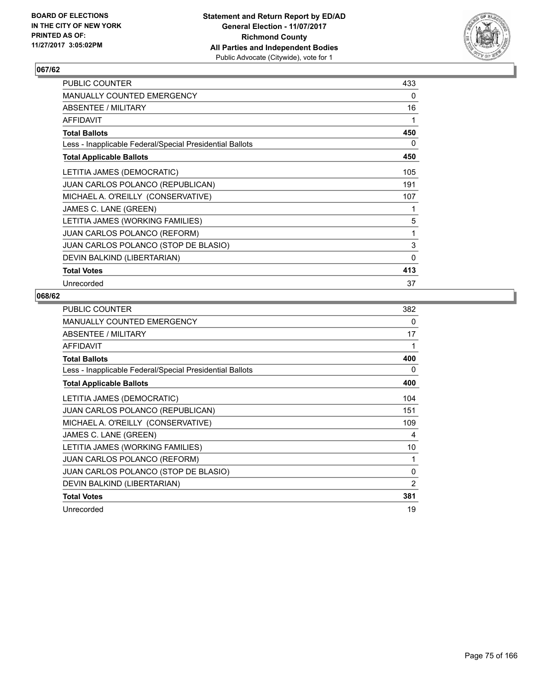

| <b>PUBLIC COUNTER</b>                                    | 433          |
|----------------------------------------------------------|--------------|
| <b>MANUALLY COUNTED EMERGENCY</b>                        | 0            |
| ABSENTEE / MILITARY                                      | 16           |
| <b>AFFIDAVIT</b>                                         | 1            |
| <b>Total Ballots</b>                                     | 450          |
| Less - Inapplicable Federal/Special Presidential Ballots | 0            |
| <b>Total Applicable Ballots</b>                          | 450          |
| LETITIA JAMES (DEMOCRATIC)                               | 105          |
| <b>JUAN CARLOS POLANCO (REPUBLICAN)</b>                  | 191          |
| MICHAEL A. O'REILLY (CONSERVATIVE)                       | 107          |
| JAMES C. LANE (GREEN)                                    | 1            |
| LETITIA JAMES (WORKING FAMILIES)                         | 5            |
| <b>JUAN CARLOS POLANCO (REFORM)</b>                      | 1            |
| JUAN CARLOS POLANCO (STOP DE BLASIO)                     | 3            |
| DEVIN BALKIND (LIBERTARIAN)                              | $\mathbf{0}$ |
| <b>Total Votes</b>                                       | 413          |
| Unrecorded                                               | 37           |

| PUBLIC COUNTER                                           | 382 |
|----------------------------------------------------------|-----|
| MANUALLY COUNTED EMERGENCY                               | 0   |
| ABSENTEE / MILITARY                                      | 17  |
| AFFIDAVIT                                                | 1   |
| <b>Total Ballots</b>                                     | 400 |
| Less - Inapplicable Federal/Special Presidential Ballots | 0   |
| <b>Total Applicable Ballots</b>                          | 400 |
| LETITIA JAMES (DEMOCRATIC)                               | 104 |
| JUAN CARLOS POLANCO (REPUBLICAN)                         | 151 |
| MICHAEL A. O'REILLY (CONSERVATIVE)                       | 109 |
| JAMES C. LANE (GREEN)                                    | 4   |
| LETITIA JAMES (WORKING FAMILIES)                         | 10  |
| <b>JUAN CARLOS POLANCO (REFORM)</b>                      | 1   |
| JUAN CARLOS POLANCO (STOP DE BLASIO)                     | 0   |
| DEVIN BALKIND (LIBERTARIAN)                              | 2   |
| <b>Total Votes</b>                                       | 381 |
| Unrecorded                                               | 19  |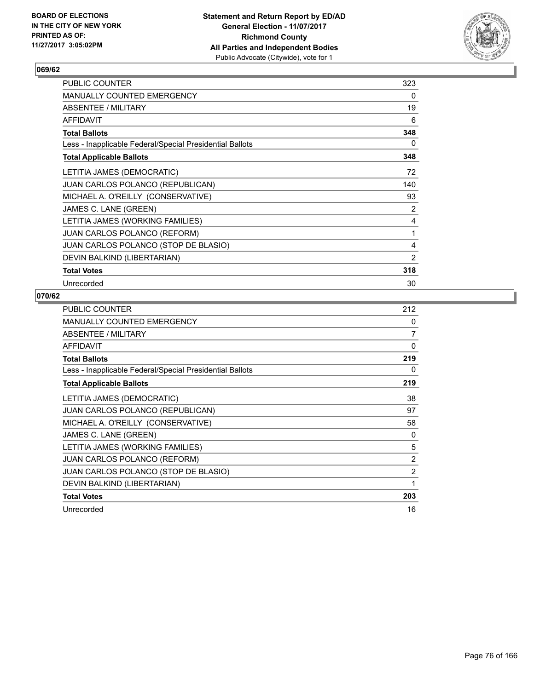

| 323 |
|-----|
| 0   |
| 19  |
| 6   |
| 348 |
| 0   |
| 348 |
| 72  |
| 140 |
| 93  |
| 2   |
| 4   |
| 1   |
| 4   |
| 2   |
| 318 |
| 30  |
|     |

| <b>PUBLIC COUNTER</b>                                    | 212            |
|----------------------------------------------------------|----------------|
| <b>MANUALLY COUNTED EMERGENCY</b>                        | 0              |
| ABSENTEE / MILITARY                                      | 7              |
| <b>AFFIDAVIT</b>                                         | $\Omega$       |
| <b>Total Ballots</b>                                     | 219            |
| Less - Inapplicable Federal/Special Presidential Ballots | 0              |
| <b>Total Applicable Ballots</b>                          | 219            |
| LETITIA JAMES (DEMOCRATIC)                               | 38             |
| JUAN CARLOS POLANCO (REPUBLICAN)                         | 97             |
| MICHAEL A. O'REILLY (CONSERVATIVE)                       | 58             |
| JAMES C. LANE (GREEN)                                    | 0              |
| LETITIA JAMES (WORKING FAMILIES)                         | 5              |
| JUAN CARLOS POLANCO (REFORM)                             | 2              |
| JUAN CARLOS POLANCO (STOP DE BLASIO)                     | $\overline{2}$ |
| DEVIN BALKIND (LIBERTARIAN)                              | 1              |
| <b>Total Votes</b>                                       | 203            |
| Unrecorded                                               | 16             |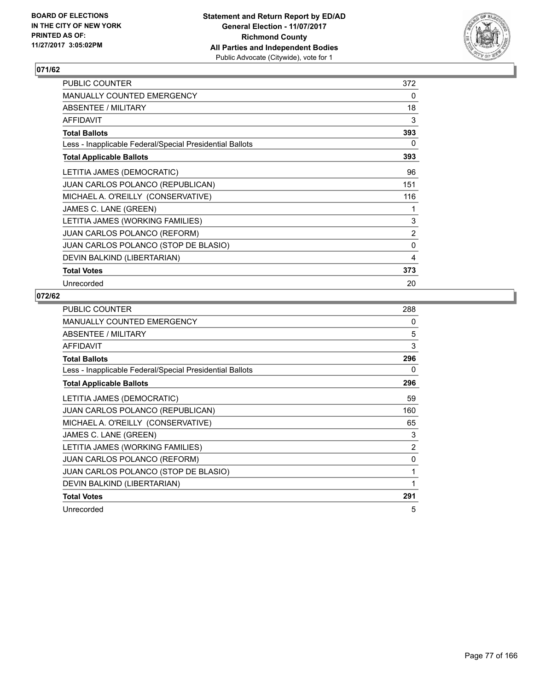

| <b>PUBLIC COUNTER</b>                                    | 372 |
|----------------------------------------------------------|-----|
| <b>MANUALLY COUNTED EMERGENCY</b>                        | 0   |
| ABSENTEE / MILITARY                                      | 18  |
| <b>AFFIDAVIT</b>                                         | 3   |
| <b>Total Ballots</b>                                     | 393 |
| Less - Inapplicable Federal/Special Presidential Ballots | 0   |
| <b>Total Applicable Ballots</b>                          | 393 |
| LETITIA JAMES (DEMOCRATIC)                               | 96  |
| JUAN CARLOS POLANCO (REPUBLICAN)                         | 151 |
| MICHAEL A. O'REILLY (CONSERVATIVE)                       | 116 |
| JAMES C. LANE (GREEN)                                    | 1   |
| LETITIA JAMES (WORKING FAMILIES)                         | 3   |
| <b>JUAN CARLOS POLANCO (REFORM)</b>                      | 2   |
| JUAN CARLOS POLANCO (STOP DE BLASIO)                     | 0   |
| DEVIN BALKIND (LIBERTARIAN)                              | 4   |
| <b>Total Votes</b>                                       | 373 |
| Unrecorded                                               | 20  |

| <b>PUBLIC COUNTER</b>                                    | 288 |
|----------------------------------------------------------|-----|
| MANUALLY COUNTED EMERGENCY                               | 0   |
| ABSENTEE / MILITARY                                      | 5   |
| AFFIDAVIT                                                | 3   |
| <b>Total Ballots</b>                                     | 296 |
| Less - Inapplicable Federal/Special Presidential Ballots | 0   |
| <b>Total Applicable Ballots</b>                          | 296 |
| LETITIA JAMES (DEMOCRATIC)                               | 59  |
| JUAN CARLOS POLANCO (REPUBLICAN)                         | 160 |
| MICHAEL A. O'REILLY (CONSERVATIVE)                       | 65  |
| JAMES C. LANE (GREEN)                                    | 3   |
| LETITIA JAMES (WORKING FAMILIES)                         | 2   |
| <b>JUAN CARLOS POLANCO (REFORM)</b>                      | 0   |
| JUAN CARLOS POLANCO (STOP DE BLASIO)                     | 1   |
| DEVIN BALKIND (LIBERTARIAN)                              | 1   |
| <b>Total Votes</b>                                       | 291 |
| Unrecorded                                               | 5   |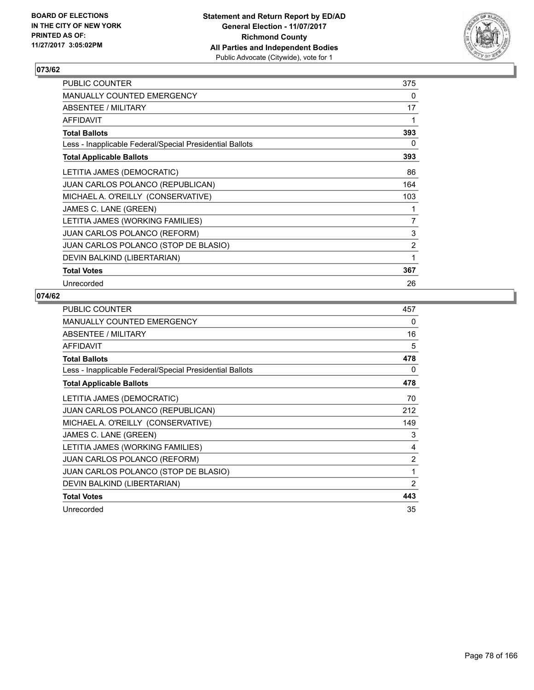

| <b>PUBLIC COUNTER</b>                                    | 375 |
|----------------------------------------------------------|-----|
| <b>MANUALLY COUNTED EMERGENCY</b>                        | 0   |
| ABSENTEE / MILITARY                                      | 17  |
| <b>AFFIDAVIT</b>                                         | 1   |
| <b>Total Ballots</b>                                     | 393 |
| Less - Inapplicable Federal/Special Presidential Ballots | 0   |
| <b>Total Applicable Ballots</b>                          | 393 |
| LETITIA JAMES (DEMOCRATIC)                               | 86  |
| <b>JUAN CARLOS POLANCO (REPUBLICAN)</b>                  | 164 |
| MICHAEL A. O'REILLY (CONSERVATIVE)                       | 103 |
| JAMES C. LANE (GREEN)                                    | 1   |
| LETITIA JAMES (WORKING FAMILIES)                         | 7   |
| <b>JUAN CARLOS POLANCO (REFORM)</b>                      | 3   |
| JUAN CARLOS POLANCO (STOP DE BLASIO)                     | 2   |
| DEVIN BALKIND (LIBERTARIAN)                              | 1   |
| <b>Total Votes</b>                                       | 367 |
| Unrecorded                                               | 26  |

| <b>PUBLIC COUNTER</b>                                    | 457            |
|----------------------------------------------------------|----------------|
| MANUALLY COUNTED EMERGENCY                               | 0              |
| ABSENTEE / MILITARY                                      | 16             |
| AFFIDAVIT                                                | 5              |
| <b>Total Ballots</b>                                     | 478            |
| Less - Inapplicable Federal/Special Presidential Ballots | 0              |
| <b>Total Applicable Ballots</b>                          | 478            |
| LETITIA JAMES (DEMOCRATIC)                               | 70             |
| JUAN CARLOS POLANCO (REPUBLICAN)                         | 212            |
| MICHAEL A. O'REILLY (CONSERVATIVE)                       | 149            |
| JAMES C. LANE (GREEN)                                    | 3              |
| LETITIA JAMES (WORKING FAMILIES)                         | 4              |
| <b>JUAN CARLOS POLANCO (REFORM)</b>                      | $\overline{2}$ |
| JUAN CARLOS POLANCO (STOP DE BLASIO)                     | 1              |
| DEVIN BALKIND (LIBERTARIAN)                              | 2              |
| <b>Total Votes</b>                                       | 443            |
| Unrecorded                                               | 35             |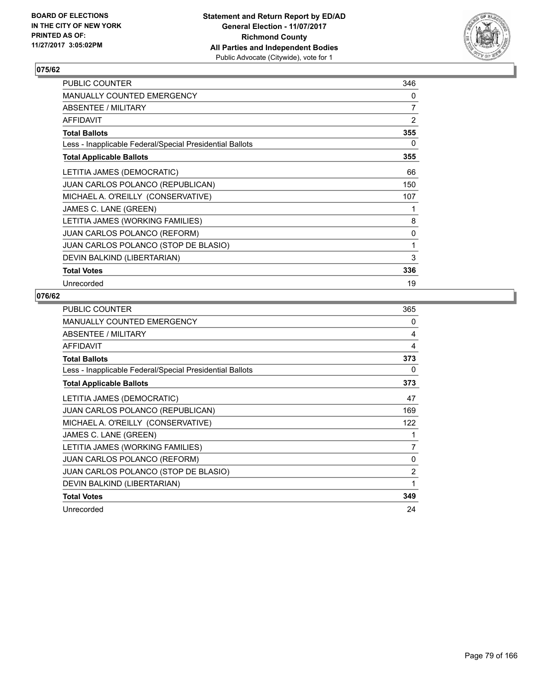

| PUBLIC COUNTER                                           | 346 |
|----------------------------------------------------------|-----|
| <b>MANUALLY COUNTED EMERGENCY</b>                        | 0   |
| <b>ABSENTEE / MILITARY</b>                               | 7   |
| <b>AFFIDAVIT</b>                                         | 2   |
| <b>Total Ballots</b>                                     | 355 |
| Less - Inapplicable Federal/Special Presidential Ballots | 0   |
| <b>Total Applicable Ballots</b>                          | 355 |
| LETITIA JAMES (DEMOCRATIC)                               | 66  |
| <b>JUAN CARLOS POLANCO (REPUBLICAN)</b>                  | 150 |
| MICHAEL A. O'REILLY (CONSERVATIVE)                       | 107 |
| JAMES C. LANE (GREEN)                                    | 1   |
| LETITIA JAMES (WORKING FAMILIES)                         | 8   |
| JUAN CARLOS POLANCO (REFORM)                             | 0   |
| JUAN CARLOS POLANCO (STOP DE BLASIO)                     | 1   |
| DEVIN BALKIND (LIBERTARIAN)                              | 3   |
| <b>Total Votes</b>                                       | 336 |
| Unrecorded                                               | 19  |

| <b>PUBLIC COUNTER</b>                                    | 365            |
|----------------------------------------------------------|----------------|
| <b>MANUALLY COUNTED EMERGENCY</b>                        | 0              |
| ABSENTEE / MILITARY                                      | 4              |
| <b>AFFIDAVIT</b>                                         | 4              |
| <b>Total Ballots</b>                                     | 373            |
| Less - Inapplicable Federal/Special Presidential Ballots | 0              |
| <b>Total Applicable Ballots</b>                          | 373            |
| LETITIA JAMES (DEMOCRATIC)                               | 47             |
| <b>JUAN CARLOS POLANCO (REPUBLICAN)</b>                  | 169            |
| MICHAEL A. O'REILLY (CONSERVATIVE)                       | 122            |
| JAMES C. LANE (GREEN)                                    | 1              |
| LETITIA JAMES (WORKING FAMILIES)                         | 7              |
| <b>JUAN CARLOS POLANCO (REFORM)</b>                      | 0              |
| JUAN CARLOS POLANCO (STOP DE BLASIO)                     | $\overline{2}$ |
| DEVIN BALKIND (LIBERTARIAN)                              | 1              |
| <b>Total Votes</b>                                       | 349            |
| Unrecorded                                               | 24             |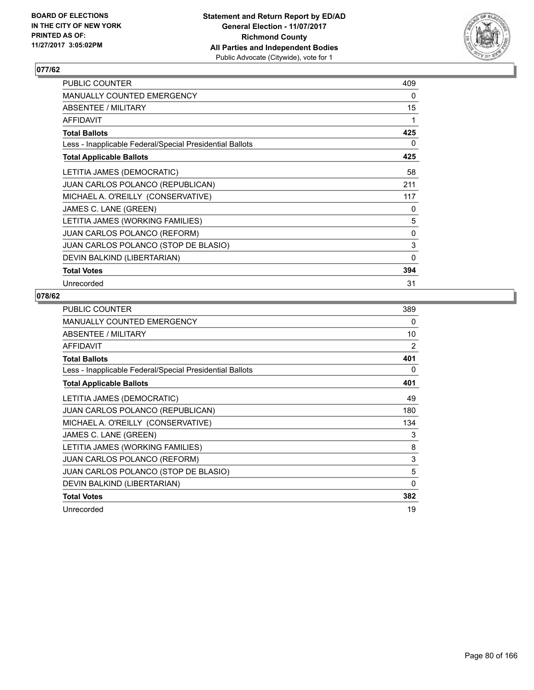

| <b>PUBLIC COUNTER</b>                                    | 409      |
|----------------------------------------------------------|----------|
| <b>MANUALLY COUNTED EMERGENCY</b>                        | 0        |
| ABSENTEE / MILITARY                                      | 15       |
| <b>AFFIDAVIT</b>                                         | 1        |
| <b>Total Ballots</b>                                     | 425      |
| Less - Inapplicable Federal/Special Presidential Ballots | 0        |
| <b>Total Applicable Ballots</b>                          | 425      |
| LETITIA JAMES (DEMOCRATIC)                               | 58       |
| <b>JUAN CARLOS POLANCO (REPUBLICAN)</b>                  | 211      |
| MICHAEL A. O'REILLY (CONSERVATIVE)                       | 117      |
| JAMES C. LANE (GREEN)                                    | 0        |
| LETITIA JAMES (WORKING FAMILIES)                         | 5        |
| <b>JUAN CARLOS POLANCO (REFORM)</b>                      | 0        |
| JUAN CARLOS POLANCO (STOP DE BLASIO)                     | 3        |
| DEVIN BALKIND (LIBERTARIAN)                              | $\Omega$ |
| <b>Total Votes</b>                                       | 394      |
| Unrecorded                                               | 31       |

| <b>PUBLIC COUNTER</b>                                    | 389      |
|----------------------------------------------------------|----------|
| MANUALLY COUNTED EMERGENCY                               | 0        |
| ABSENTEE / MILITARY                                      | 10       |
| AFFIDAVIT                                                | 2        |
| <b>Total Ballots</b>                                     | 401      |
| Less - Inapplicable Federal/Special Presidential Ballots | 0        |
| <b>Total Applicable Ballots</b>                          | 401      |
| LETITIA JAMES (DEMOCRATIC)                               | 49       |
| JUAN CARLOS POLANCO (REPUBLICAN)                         | 180      |
| MICHAEL A. O'REILLY (CONSERVATIVE)                       | 134      |
| JAMES C. LANE (GREEN)                                    | 3        |
| LETITIA JAMES (WORKING FAMILIES)                         | 8        |
| <b>JUAN CARLOS POLANCO (REFORM)</b>                      | 3        |
| JUAN CARLOS POLANCO (STOP DE BLASIO)                     | 5        |
| DEVIN BALKIND (LIBERTARIAN)                              | $\Omega$ |
| <b>Total Votes</b>                                       | 382      |
| Unrecorded                                               | 19       |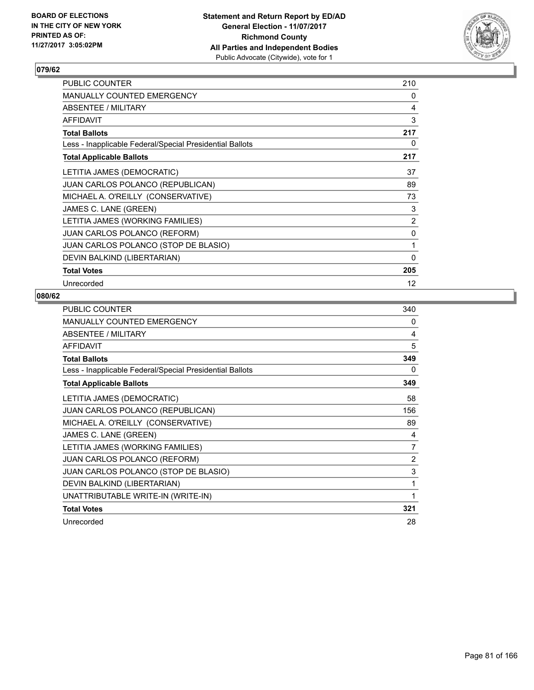

| <b>PUBLIC COUNTER</b>                                    | 210          |
|----------------------------------------------------------|--------------|
| <b>MANUALLY COUNTED EMERGENCY</b>                        | 0            |
| ABSENTEE / MILITARY                                      | 4            |
| <b>AFFIDAVIT</b>                                         | 3            |
| <b>Total Ballots</b>                                     | 217          |
| Less - Inapplicable Federal/Special Presidential Ballots | 0            |
| <b>Total Applicable Ballots</b>                          | 217          |
| LETITIA JAMES (DEMOCRATIC)                               | 37           |
| JUAN CARLOS POLANCO (REPUBLICAN)                         | 89           |
| MICHAEL A. O'REILLY (CONSERVATIVE)                       | 73           |
| JAMES C. LANE (GREEN)                                    | 3            |
| LETITIA JAMES (WORKING FAMILIES)                         | 2            |
| <b>JUAN CARLOS POLANCO (REFORM)</b>                      | 0            |
| JUAN CARLOS POLANCO (STOP DE BLASIO)                     | 1            |
| DEVIN BALKIND (LIBERTARIAN)                              | $\mathbf{0}$ |
| <b>Total Votes</b>                                       | 205          |
| Unrecorded                                               | 12           |

| <b>PUBLIC COUNTER</b>                                    | 340 |
|----------------------------------------------------------|-----|
| <b>MANUALLY COUNTED EMERGENCY</b>                        | 0   |
| ABSENTEE / MILITARY                                      | 4   |
| <b>AFFIDAVIT</b>                                         | 5   |
| <b>Total Ballots</b>                                     | 349 |
| Less - Inapplicable Federal/Special Presidential Ballots | 0   |
| <b>Total Applicable Ballots</b>                          | 349 |
| LETITIA JAMES (DEMOCRATIC)                               | 58  |
| JUAN CARLOS POLANCO (REPUBLICAN)                         | 156 |
| MICHAEL A. O'REILLY (CONSERVATIVE)                       | 89  |
| JAMES C. LANE (GREEN)                                    | 4   |
| LETITIA JAMES (WORKING FAMILIES)                         | 7   |
| JUAN CARLOS POLANCO (REFORM)                             | 2   |
| JUAN CARLOS POLANCO (STOP DE BLASIO)                     | 3   |
| DEVIN BALKIND (LIBERTARIAN)                              | 1   |
| UNATTRIBUTABLE WRITE-IN (WRITE-IN)                       | 1   |
| <b>Total Votes</b>                                       | 321 |
| Unrecorded                                               | 28  |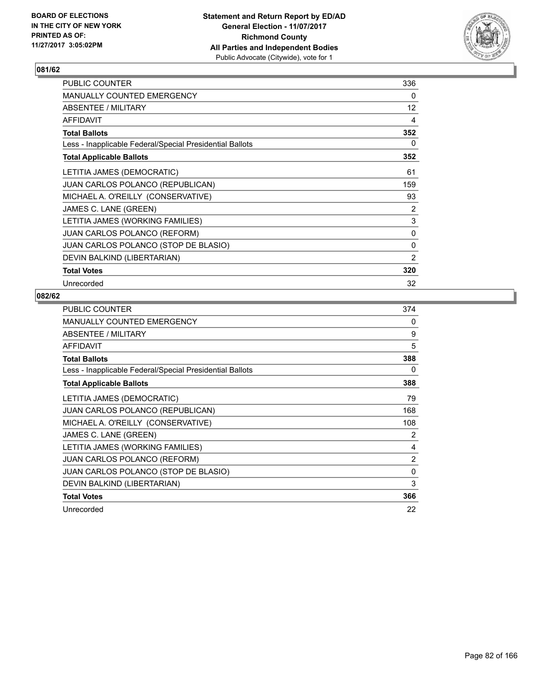

| PUBLIC COUNTER                                           | 336            |
|----------------------------------------------------------|----------------|
| <b>MANUALLY COUNTED EMERGENCY</b>                        | 0              |
| ABSENTEE / MILITARY                                      | 12             |
| <b>AFFIDAVIT</b>                                         | 4              |
| <b>Total Ballots</b>                                     | 352            |
| Less - Inapplicable Federal/Special Presidential Ballots | 0              |
| <b>Total Applicable Ballots</b>                          | 352            |
| LETITIA JAMES (DEMOCRATIC)                               | 61             |
| <b>JUAN CARLOS POLANCO (REPUBLICAN)</b>                  | 159            |
| MICHAEL A. O'REILLY (CONSERVATIVE)                       | 93             |
| JAMES C. LANE (GREEN)                                    | 2              |
| LETITIA JAMES (WORKING FAMILIES)                         | 3              |
| <b>JUAN CARLOS POLANCO (REFORM)</b>                      | 0              |
| JUAN CARLOS POLANCO (STOP DE BLASIO)                     | 0              |
| DEVIN BALKIND (LIBERTARIAN)                              | $\overline{2}$ |
| <b>Total Votes</b>                                       | 320            |
| Unrecorded                                               | 32             |

| <b>PUBLIC COUNTER</b>                                    | 374            |
|----------------------------------------------------------|----------------|
| MANUALLY COUNTED EMERGENCY                               | 0              |
| ABSENTEE / MILITARY                                      | 9              |
| AFFIDAVIT                                                | 5              |
| <b>Total Ballots</b>                                     | 388            |
| Less - Inapplicable Federal/Special Presidential Ballots | 0              |
| <b>Total Applicable Ballots</b>                          | 388            |
| LETITIA JAMES (DEMOCRATIC)                               | 79             |
| JUAN CARLOS POLANCO (REPUBLICAN)                         | 168            |
| MICHAEL A. O'REILLY (CONSERVATIVE)                       | 108            |
| JAMES C. LANE (GREEN)                                    | 2              |
| LETITIA JAMES (WORKING FAMILIES)                         | 4              |
| <b>JUAN CARLOS POLANCO (REFORM)</b>                      | $\overline{2}$ |
| JUAN CARLOS POLANCO (STOP DE BLASIO)                     | 0              |
| DEVIN BALKIND (LIBERTARIAN)                              | 3              |
| <b>Total Votes</b>                                       | 366            |
| Unrecorded                                               | 22             |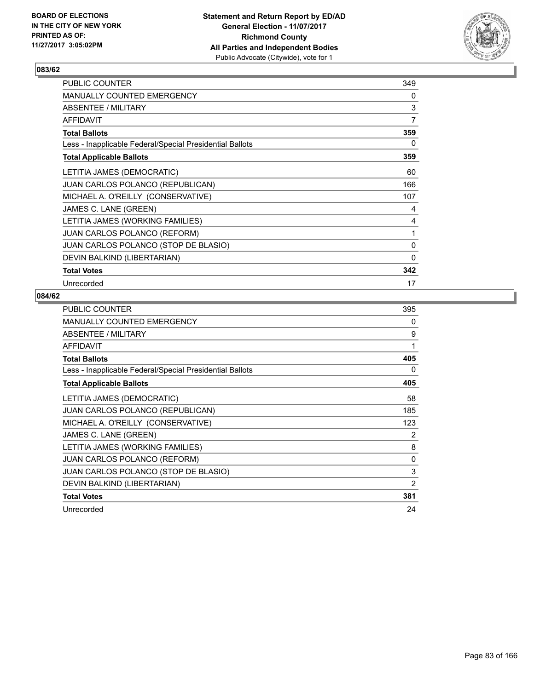

| <b>PUBLIC COUNTER</b>                                    | 349      |
|----------------------------------------------------------|----------|
| MANUALLY COUNTED EMERGENCY                               | 0        |
| ABSENTEE / MILITARY                                      | 3        |
| <b>AFFIDAVIT</b>                                         | 7        |
| <b>Total Ballots</b>                                     | 359      |
| Less - Inapplicable Federal/Special Presidential Ballots | 0        |
| <b>Total Applicable Ballots</b>                          | 359      |
| LETITIA JAMES (DEMOCRATIC)                               | 60       |
| <b>JUAN CARLOS POLANCO (REPUBLICAN)</b>                  | 166      |
| MICHAEL A. O'REILLY (CONSERVATIVE)                       | 107      |
| JAMES C. LANE (GREEN)                                    | 4        |
| LETITIA JAMES (WORKING FAMILIES)                         | 4        |
| <b>JUAN CARLOS POLANCO (REFORM)</b>                      | 1        |
| JUAN CARLOS POLANCO (STOP DE BLASIO)                     | $\Omega$ |
| DEVIN BALKIND (LIBERTARIAN)                              | 0        |
| <b>Total Votes</b>                                       | 342      |
| Unrecorded                                               | 17       |

| <b>PUBLIC COUNTER</b>                                    | 395 |
|----------------------------------------------------------|-----|
| <b>MANUALLY COUNTED EMERGENCY</b>                        | 0   |
| ABSENTEE / MILITARY                                      | 9   |
| AFFIDAVIT                                                | 1   |
| <b>Total Ballots</b>                                     | 405 |
| Less - Inapplicable Federal/Special Presidential Ballots | 0   |
| <b>Total Applicable Ballots</b>                          | 405 |
| LETITIA JAMES (DEMOCRATIC)                               | 58  |
| <b>JUAN CARLOS POLANCO (REPUBLICAN)</b>                  | 185 |
| MICHAEL A. O'REILLY (CONSERVATIVE)                       | 123 |
| JAMES C. LANE (GREEN)                                    | 2   |
| LETITIA JAMES (WORKING FAMILIES)                         | 8   |
| <b>JUAN CARLOS POLANCO (REFORM)</b>                      | 0   |
| JUAN CARLOS POLANCO (STOP DE BLASIO)                     | 3   |
| DEVIN BALKIND (LIBERTARIAN)                              | 2   |
| <b>Total Votes</b>                                       | 381 |
| Unrecorded                                               | 24  |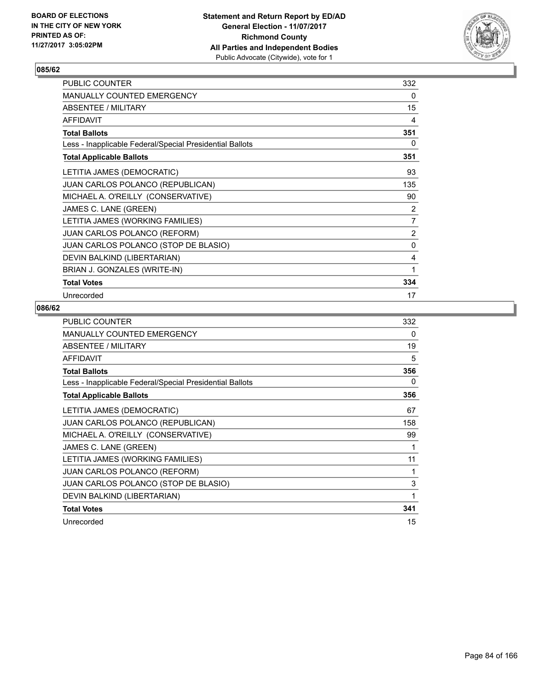

| <b>PUBLIC COUNTER</b>                                    | 332            |
|----------------------------------------------------------|----------------|
| <b>MANUALLY COUNTED EMERGENCY</b>                        | 0              |
| ABSENTEE / MILITARY                                      | 15             |
| <b>AFFIDAVIT</b>                                         | 4              |
| <b>Total Ballots</b>                                     | 351            |
| Less - Inapplicable Federal/Special Presidential Ballots | 0              |
| <b>Total Applicable Ballots</b>                          | 351            |
| LETITIA JAMES (DEMOCRATIC)                               | 93             |
| JUAN CARLOS POLANCO (REPUBLICAN)                         | 135            |
| MICHAEL A. O'REILLY (CONSERVATIVE)                       | 90             |
| JAMES C. LANE (GREEN)                                    | 2              |
| LETITIA JAMES (WORKING FAMILIES)                         | 7              |
| <b>JUAN CARLOS POLANCO (REFORM)</b>                      | $\overline{2}$ |
| JUAN CARLOS POLANCO (STOP DE BLASIO)                     | 0              |
| DEVIN BALKIND (LIBERTARIAN)                              | 4              |
| BRIAN J. GONZALES (WRITE-IN)                             | 1              |
| <b>Total Votes</b>                                       | 334            |
| Unrecorded                                               | 17             |

| <b>PUBLIC COUNTER</b>                                    | 332 |
|----------------------------------------------------------|-----|
| MANUALLY COUNTED EMERGENCY                               | 0   |
| ABSENTEE / MILITARY                                      | 19  |
| <b>AFFIDAVIT</b>                                         | 5   |
| <b>Total Ballots</b>                                     | 356 |
| Less - Inapplicable Federal/Special Presidential Ballots | 0   |
| <b>Total Applicable Ballots</b>                          | 356 |
| LETITIA JAMES (DEMOCRATIC)                               | 67  |
| <b>JUAN CARLOS POLANCO (REPUBLICAN)</b>                  | 158 |
| MICHAEL A. O'REILLY (CONSERVATIVE)                       | 99  |
| JAMES C. LANE (GREEN)                                    | 1   |
| LETITIA JAMES (WORKING FAMILIES)                         | 11  |
| <b>JUAN CARLOS POLANCO (REFORM)</b>                      | 1   |
| JUAN CARLOS POLANCO (STOP DE BLASIO)                     | 3   |
| DEVIN BALKIND (LIBERTARIAN)                              | 1   |
| <b>Total Votes</b>                                       | 341 |
| Unrecorded                                               | 15  |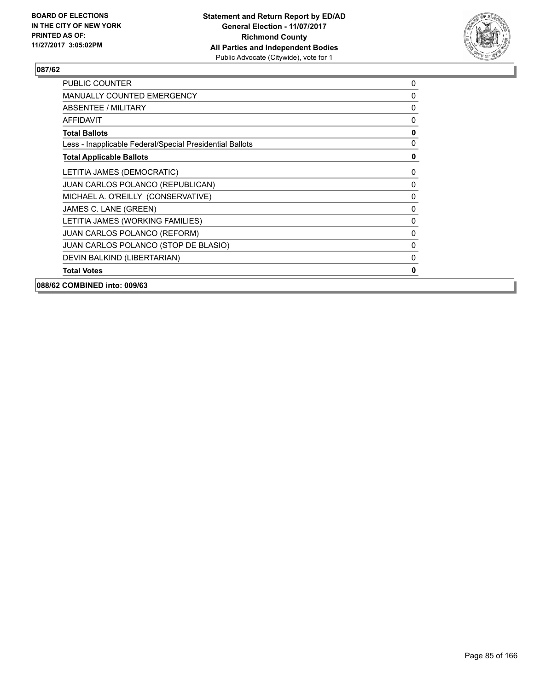

| PUBLIC COUNTER                                           | 0           |
|----------------------------------------------------------|-------------|
| <b>MANUALLY COUNTED EMERGENCY</b>                        | $\mathbf 0$ |
| ABSENTEE / MILITARY                                      | 0           |
| <b>AFFIDAVIT</b>                                         | 0           |
| <b>Total Ballots</b>                                     | 0           |
| Less - Inapplicable Federal/Special Presidential Ballots | 0           |
| <b>Total Applicable Ballots</b>                          | 0           |
| LETITIA JAMES (DEMOCRATIC)                               | 0           |
| JUAN CARLOS POLANCO (REPUBLICAN)                         | 0           |
| MICHAEL A. O'REILLY (CONSERVATIVE)                       | $\mathbf 0$ |
| JAMES C. LANE (GREEN)                                    | 0           |
| LETITIA JAMES (WORKING FAMILIES)                         | 0           |
| JUAN CARLOS POLANCO (REFORM)                             | 0           |
| JUAN CARLOS POLANCO (STOP DE BLASIO)                     | 0           |
| DEVIN BALKIND (LIBERTARIAN)                              | 0           |
| <b>Total Votes</b>                                       | $\mathbf 0$ |
| 088/62 COMBINED into: 009/63                             |             |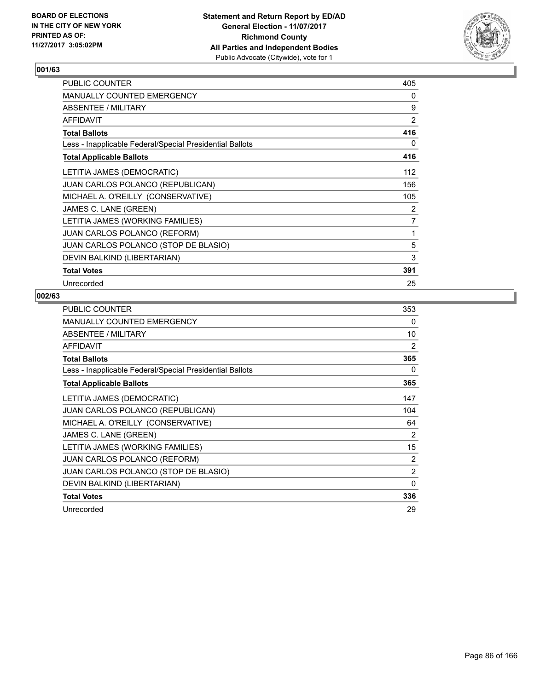

| PUBLIC COUNTER                                           | 405            |
|----------------------------------------------------------|----------------|
| <b>MANUALLY COUNTED EMERGENCY</b>                        | 0              |
| <b>ABSENTEE / MILITARY</b>                               | 9              |
| <b>AFFIDAVIT</b>                                         | 2              |
| <b>Total Ballots</b>                                     | 416            |
| Less - Inapplicable Federal/Special Presidential Ballots | 0              |
| <b>Total Applicable Ballots</b>                          | 416            |
| LETITIA JAMES (DEMOCRATIC)                               | 112            |
| JUAN CARLOS POLANCO (REPUBLICAN)                         | 156            |
| MICHAEL A. O'REILLY (CONSERVATIVE)                       | 105            |
| JAMES C. LANE (GREEN)                                    | 2              |
| LETITIA JAMES (WORKING FAMILIES)                         | $\overline{7}$ |
| <b>JUAN CARLOS POLANCO (REFORM)</b>                      | 1              |
| JUAN CARLOS POLANCO (STOP DE BLASIO)                     | 5              |
| DEVIN BALKIND (LIBERTARIAN)                              | 3              |
| <b>Total Votes</b>                                       | 391            |
| Unrecorded                                               | 25             |

| <b>PUBLIC COUNTER</b>                                    | 353 |
|----------------------------------------------------------|-----|
| <b>MANUALLY COUNTED EMERGENCY</b>                        | 0   |
| ABSENTEE / MILITARY                                      | 10  |
| AFFIDAVIT                                                | 2   |
| <b>Total Ballots</b>                                     | 365 |
| Less - Inapplicable Federal/Special Presidential Ballots | 0   |
| <b>Total Applicable Ballots</b>                          | 365 |
| LETITIA JAMES (DEMOCRATIC)                               | 147 |
| <b>JUAN CARLOS POLANCO (REPUBLICAN)</b>                  | 104 |
| MICHAEL A. O'REILLY (CONSERVATIVE)                       | 64  |
| JAMES C. LANE (GREEN)                                    | 2   |
| LETITIA JAMES (WORKING FAMILIES)                         | 15  |
| <b>JUAN CARLOS POLANCO (REFORM)</b>                      | 2   |
| JUAN CARLOS POLANCO (STOP DE BLASIO)                     | 2   |
| DEVIN BALKIND (LIBERTARIAN)                              | 0   |
| <b>Total Votes</b>                                       | 336 |
| Unrecorded                                               | 29  |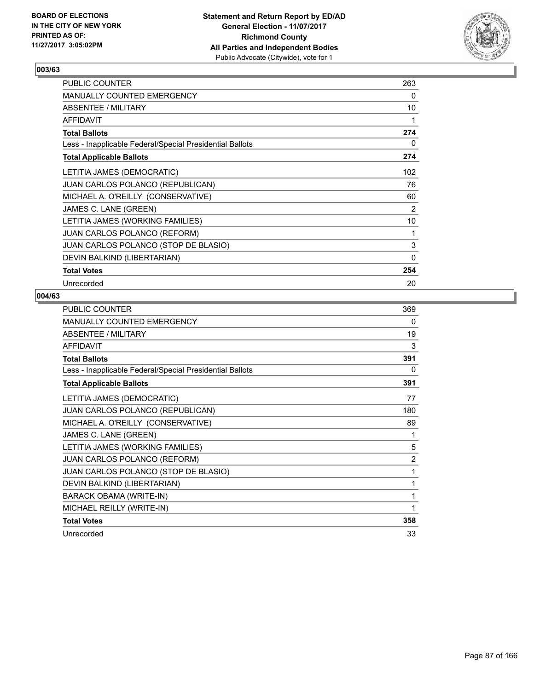

| PUBLIC COUNTER                                           | 263 |
|----------------------------------------------------------|-----|
| <b>MANUALLY COUNTED EMERGENCY</b>                        | 0   |
| <b>ABSENTEE / MILITARY</b>                               | 10  |
| <b>AFFIDAVIT</b>                                         | 1   |
| <b>Total Ballots</b>                                     | 274 |
| Less - Inapplicable Federal/Special Presidential Ballots | 0   |
| <b>Total Applicable Ballots</b>                          | 274 |
| LETITIA JAMES (DEMOCRATIC)                               | 102 |
| <b>JUAN CARLOS POLANCO (REPUBLICAN)</b>                  | 76  |
| MICHAEL A. O'REILLY (CONSERVATIVE)                       | 60  |
| JAMES C. LANE (GREEN)                                    | 2   |
| LETITIA JAMES (WORKING FAMILIES)                         | 10  |
| JUAN CARLOS POLANCO (REFORM)                             | 1   |
| JUAN CARLOS POLANCO (STOP DE BLASIO)                     | 3   |
| DEVIN BALKIND (LIBERTARIAN)                              | 0   |
| <b>Total Votes</b>                                       | 254 |
| Unrecorded                                               | 20  |

| <b>PUBLIC COUNTER</b>                                    | 369            |
|----------------------------------------------------------|----------------|
| <b>MANUALLY COUNTED EMERGENCY</b>                        | 0              |
| ABSENTEE / MILITARY                                      | 19             |
| <b>AFFIDAVIT</b>                                         | 3              |
| <b>Total Ballots</b>                                     | 391            |
| Less - Inapplicable Federal/Special Presidential Ballots | 0              |
| <b>Total Applicable Ballots</b>                          | 391            |
| LETITIA JAMES (DEMOCRATIC)                               | 77             |
| JUAN CARLOS POLANCO (REPUBLICAN)                         | 180            |
| MICHAEL A. O'REILLY (CONSERVATIVE)                       | 89             |
| JAMES C. LANE (GREEN)                                    | 1              |
| LETITIA JAMES (WORKING FAMILIES)                         | 5              |
| JUAN CARLOS POLANCO (REFORM)                             | $\overline{2}$ |
| JUAN CARLOS POLANCO (STOP DE BLASIO)                     | 1              |
| DEVIN BALKIND (LIBERTARIAN)                              | 1              |
| BARACK OBAMA (WRITE-IN)                                  | 1              |
| MICHAEL REILLY (WRITE-IN)                                | 1              |
| <b>Total Votes</b>                                       | 358            |
| Unrecorded                                               | 33             |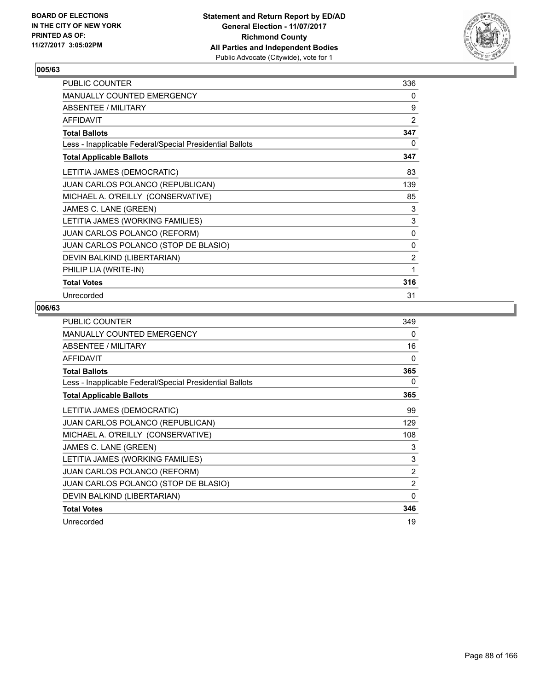

| PUBLIC COUNTER                                           | 336 |
|----------------------------------------------------------|-----|
| <b>MANUALLY COUNTED EMERGENCY</b>                        | 0   |
| ABSENTEE / MILITARY                                      | 9   |
| <b>AFFIDAVIT</b>                                         | 2   |
| <b>Total Ballots</b>                                     | 347 |
| Less - Inapplicable Federal/Special Presidential Ballots | 0   |
| <b>Total Applicable Ballots</b>                          | 347 |
| LETITIA JAMES (DEMOCRATIC)                               | 83  |
| <b>JUAN CARLOS POLANCO (REPUBLICAN)</b>                  | 139 |
| MICHAEL A. O'REILLY (CONSERVATIVE)                       | 85  |
| JAMES C. LANE (GREEN)                                    | 3   |
| LETITIA JAMES (WORKING FAMILIES)                         | 3   |
| <b>JUAN CARLOS POLANCO (REFORM)</b>                      | 0   |
| JUAN CARLOS POLANCO (STOP DE BLASIO)                     | 0   |
| DEVIN BALKIND (LIBERTARIAN)                              | 2   |
| PHILIP LIA (WRITE-IN)                                    | 1   |
| <b>Total Votes</b>                                       | 316 |
| Unrecorded                                               | 31  |

| <b>PUBLIC COUNTER</b>                                    | 349      |
|----------------------------------------------------------|----------|
| <b>MANUALLY COUNTED EMERGENCY</b>                        | 0        |
| ABSENTEE / MILITARY                                      | 16       |
| <b>AFFIDAVIT</b>                                         | 0        |
| <b>Total Ballots</b>                                     | 365      |
| Less - Inapplicable Federal/Special Presidential Ballots | 0        |
| <b>Total Applicable Ballots</b>                          | 365      |
| LETITIA JAMES (DEMOCRATIC)                               | 99       |
| <b>JUAN CARLOS POLANCO (REPUBLICAN)</b>                  | 129      |
| MICHAEL A. O'REILLY (CONSERVATIVE)                       | 108      |
| JAMES C. LANE (GREEN)                                    | 3        |
| LETITIA JAMES (WORKING FAMILIES)                         | 3        |
| <b>JUAN CARLOS POLANCO (REFORM)</b>                      | 2        |
| JUAN CARLOS POLANCO (STOP DE BLASIO)                     | 2        |
| DEVIN BALKIND (LIBERTARIAN)                              | $\Omega$ |
| <b>Total Votes</b>                                       | 346      |
| Unrecorded                                               | 19       |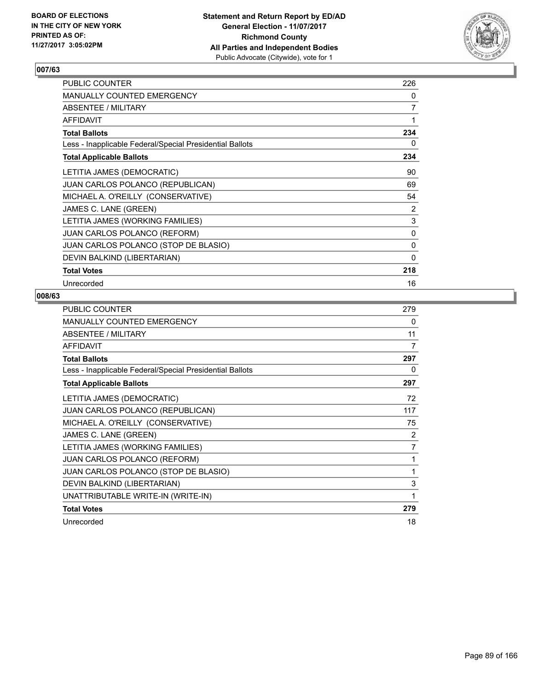

| PUBLIC COUNTER                                           | 226            |
|----------------------------------------------------------|----------------|
| <b>MANUALLY COUNTED EMERGENCY</b>                        | 0              |
| <b>ABSENTEE / MILITARY</b>                               | $\overline{7}$ |
| <b>AFFIDAVIT</b>                                         | 1              |
| <b>Total Ballots</b>                                     | 234            |
| Less - Inapplicable Federal/Special Presidential Ballots | 0              |
| <b>Total Applicable Ballots</b>                          | 234            |
| LETITIA JAMES (DEMOCRATIC)                               | 90             |
| <b>JUAN CARLOS POLANCO (REPUBLICAN)</b>                  | 69             |
| MICHAEL A. O'REILLY (CONSERVATIVE)                       | 54             |
| JAMES C. LANE (GREEN)                                    | 2              |
| LETITIA JAMES (WORKING FAMILIES)                         | 3              |
| <b>JUAN CARLOS POLANCO (REFORM)</b>                      | 0              |
| JUAN CARLOS POLANCO (STOP DE BLASIO)                     | 0              |
| DEVIN BALKIND (LIBERTARIAN)                              | 0              |
| <b>Total Votes</b>                                       | 218            |
| Unrecorded                                               | 16             |

| <b>PUBLIC COUNTER</b>                                    | 279 |
|----------------------------------------------------------|-----|
| <b>MANUALLY COUNTED EMERGENCY</b>                        | 0   |
| ABSENTEE / MILITARY                                      | 11  |
| <b>AFFIDAVIT</b>                                         | 7   |
| <b>Total Ballots</b>                                     | 297 |
| Less - Inapplicable Federal/Special Presidential Ballots | 0   |
| <b>Total Applicable Ballots</b>                          | 297 |
| LETITIA JAMES (DEMOCRATIC)                               | 72  |
| JUAN CARLOS POLANCO (REPUBLICAN)                         | 117 |
| MICHAEL A. O'REILLY (CONSERVATIVE)                       | 75  |
| JAMES C. LANE (GREEN)                                    | 2   |
| LETITIA JAMES (WORKING FAMILIES)                         | 7   |
| <b>JUAN CARLOS POLANCO (REFORM)</b>                      | 1   |
| JUAN CARLOS POLANCO (STOP DE BLASIO)                     | 1   |
| DEVIN BALKIND (LIBERTARIAN)                              | 3   |
| UNATTRIBUTABLE WRITE-IN (WRITE-IN)                       | 1   |
| <b>Total Votes</b>                                       | 279 |
| Unrecorded                                               | 18  |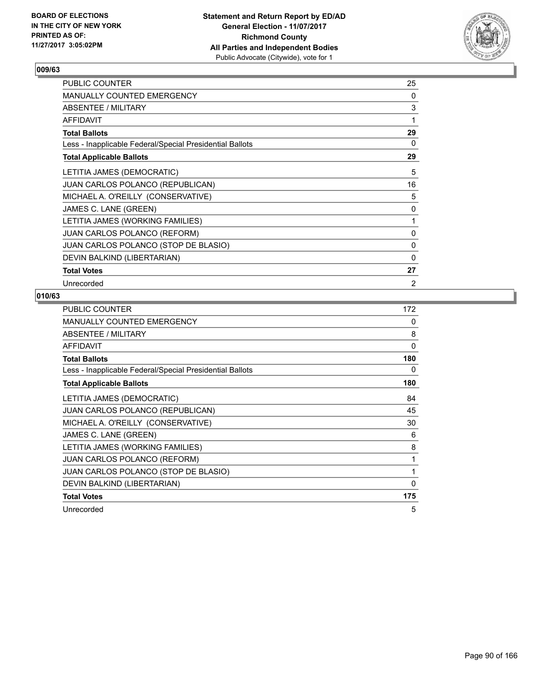

| PUBLIC COUNTER                                           | 25 |
|----------------------------------------------------------|----|
| <b>MANUALLY COUNTED EMERGENCY</b>                        | 0  |
| ABSENTEE / MILITARY                                      | 3  |
| <b>AFFIDAVIT</b>                                         | 1  |
| <b>Total Ballots</b>                                     | 29 |
| Less - Inapplicable Federal/Special Presidential Ballots | 0  |
| <b>Total Applicable Ballots</b>                          | 29 |
| LETITIA JAMES (DEMOCRATIC)                               | 5  |
| <b>JUAN CARLOS POLANCO (REPUBLICAN)</b>                  | 16 |
| MICHAEL A. O'REILLY (CONSERVATIVE)                       | 5  |
| JAMES C. LANE (GREEN)                                    | 0  |
| LETITIA JAMES (WORKING FAMILIES)                         | 1  |
| <b>JUAN CARLOS POLANCO (REFORM)</b>                      | 0  |
| JUAN CARLOS POLANCO (STOP DE BLASIO)                     | 0  |
| DEVIN BALKIND (LIBERTARIAN)                              | 0  |
| <b>Total Votes</b>                                       | 27 |
| Unrecorded                                               | 2  |

| <b>PUBLIC COUNTER</b>                                    | 172      |
|----------------------------------------------------------|----------|
| <b>MANUALLY COUNTED EMERGENCY</b>                        | 0        |
| ABSENTEE / MILITARY                                      | 8        |
| AFFIDAVIT                                                | 0        |
| <b>Total Ballots</b>                                     | 180      |
| Less - Inapplicable Federal/Special Presidential Ballots | 0        |
| <b>Total Applicable Ballots</b>                          | 180      |
| LETITIA JAMES (DEMOCRATIC)                               | 84       |
| <b>JUAN CARLOS POLANCO (REPUBLICAN)</b>                  | 45       |
| MICHAEL A. O'REILLY (CONSERVATIVE)                       | 30       |
| JAMES C. LANE (GREEN)                                    | 6        |
| LETITIA JAMES (WORKING FAMILIES)                         | 8        |
| <b>JUAN CARLOS POLANCO (REFORM)</b>                      | 1        |
| JUAN CARLOS POLANCO (STOP DE BLASIO)                     | 1        |
| DEVIN BALKIND (LIBERTARIAN)                              | $\Omega$ |
| <b>Total Votes</b>                                       | 175      |
| Unrecorded                                               | 5        |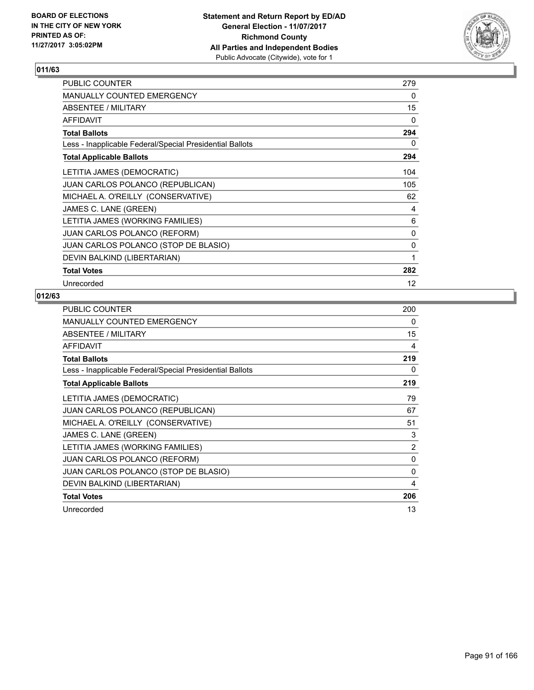

| PUBLIC COUNTER                                           | 279 |
|----------------------------------------------------------|-----|
| <b>MANUALLY COUNTED EMERGENCY</b>                        | 0   |
| ABSENTEE / MILITARY                                      | 15  |
| <b>AFFIDAVIT</b>                                         | 0   |
| <b>Total Ballots</b>                                     | 294 |
| Less - Inapplicable Federal/Special Presidential Ballots | 0   |
| <b>Total Applicable Ballots</b>                          | 294 |
| LETITIA JAMES (DEMOCRATIC)                               | 104 |
| <b>JUAN CARLOS POLANCO (REPUBLICAN)</b>                  | 105 |
| MICHAEL A. O'REILLY (CONSERVATIVE)                       | 62  |
| JAMES C. LANE (GREEN)                                    | 4   |
| LETITIA JAMES (WORKING FAMILIES)                         | 6   |
| <b>JUAN CARLOS POLANCO (REFORM)</b>                      | 0   |
| JUAN CARLOS POLANCO (STOP DE BLASIO)                     | 0   |
| DEVIN BALKIND (LIBERTARIAN)                              | 1   |
| <b>Total Votes</b>                                       | 282 |
| Unrecorded                                               | 12  |

| <b>PUBLIC COUNTER</b>                                    | 200 |
|----------------------------------------------------------|-----|
| <b>MANUALLY COUNTED EMERGENCY</b>                        | 0   |
| ABSENTEE / MILITARY                                      | 15  |
| AFFIDAVIT                                                | 4   |
| <b>Total Ballots</b>                                     | 219 |
| Less - Inapplicable Federal/Special Presidential Ballots | 0   |
| <b>Total Applicable Ballots</b>                          | 219 |
| LETITIA JAMES (DEMOCRATIC)                               | 79  |
| <b>JUAN CARLOS POLANCO (REPUBLICAN)</b>                  | 67  |
| MICHAEL A. O'REILLY (CONSERVATIVE)                       | 51  |
| JAMES C. LANE (GREEN)                                    | 3   |
| LETITIA JAMES (WORKING FAMILIES)                         | 2   |
| JUAN CARLOS POLANCO (REFORM)                             | 0   |
| JUAN CARLOS POLANCO (STOP DE BLASIO)                     | 0   |
| DEVIN BALKIND (LIBERTARIAN)                              | 4   |
| <b>Total Votes</b>                                       | 206 |
| Unrecorded                                               | 13  |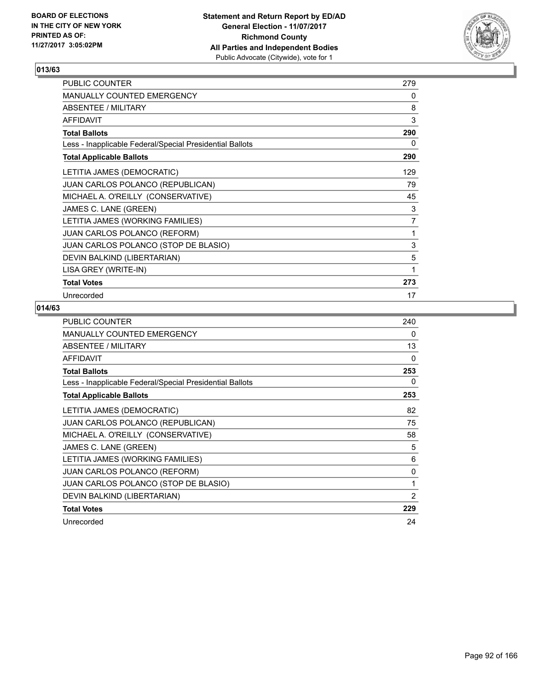

| PUBLIC COUNTER                                           | 279 |
|----------------------------------------------------------|-----|
| MANUALLY COUNTED EMERGENCY                               | 0   |
| ABSENTEE / MILITARY                                      | 8   |
| <b>AFFIDAVIT</b>                                         | 3   |
| <b>Total Ballots</b>                                     | 290 |
| Less - Inapplicable Federal/Special Presidential Ballots | 0   |
| <b>Total Applicable Ballots</b>                          | 290 |
| LETITIA JAMES (DEMOCRATIC)                               | 129 |
| <b>JUAN CARLOS POLANCO (REPUBLICAN)</b>                  | 79  |
| MICHAEL A. O'REILLY (CONSERVATIVE)                       | 45  |
| JAMES C. LANE (GREEN)                                    | 3   |
| LETITIA JAMES (WORKING FAMILIES)                         | 7   |
| <b>JUAN CARLOS POLANCO (REFORM)</b>                      | 1   |
| JUAN CARLOS POLANCO (STOP DE BLASIO)                     | 3   |
| DEVIN BALKIND (LIBERTARIAN)                              | 5   |
| LISA GREY (WRITE-IN)                                     | 1   |
| <b>Total Votes</b>                                       | 273 |
| Unrecorded                                               | 17  |

| PUBLIC COUNTER                                           | 240 |
|----------------------------------------------------------|-----|
| <b>MANUALLY COUNTED EMERGENCY</b>                        | 0   |
| ABSENTEE / MILITARY                                      | 13  |
| <b>AFFIDAVIT</b>                                         | 0   |
| <b>Total Ballots</b>                                     | 253 |
| Less - Inapplicable Federal/Special Presidential Ballots | 0   |
| <b>Total Applicable Ballots</b>                          | 253 |
| LETITIA JAMES (DEMOCRATIC)                               | 82  |
| <b>JUAN CARLOS POLANCO (REPUBLICAN)</b>                  | 75  |
| MICHAEL A. O'REILLY (CONSERVATIVE)                       | 58  |
| JAMES C. LANE (GREEN)                                    | 5   |
| LETITIA JAMES (WORKING FAMILIES)                         | 6   |
| <b>JUAN CARLOS POLANCO (REFORM)</b>                      | 0   |
| JUAN CARLOS POLANCO (STOP DE BLASIO)                     | 1   |
| DEVIN BALKIND (LIBERTARIAN)                              | 2   |
| <b>Total Votes</b>                                       | 229 |
| Unrecorded                                               | 24  |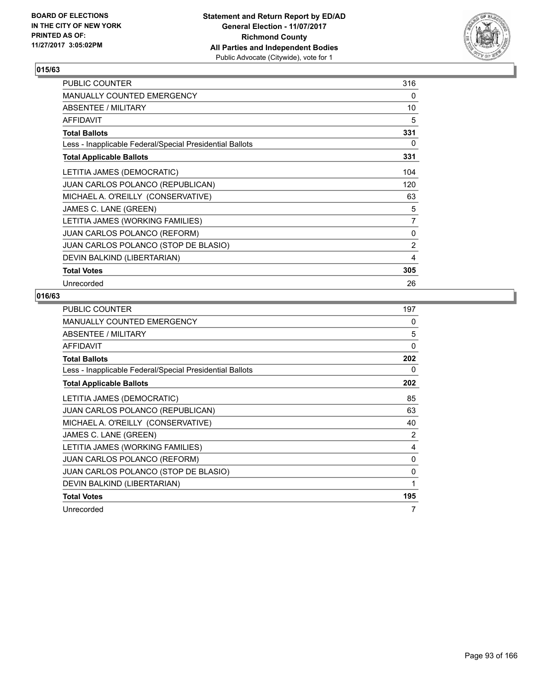

| PUBLIC COUNTER                                           | 316            |
|----------------------------------------------------------|----------------|
| <b>MANUALLY COUNTED EMERGENCY</b>                        | 0              |
| ABSENTEE / MILITARY                                      | 10             |
| <b>AFFIDAVIT</b>                                         | 5              |
| <b>Total Ballots</b>                                     | 331            |
| Less - Inapplicable Federal/Special Presidential Ballots | 0              |
| <b>Total Applicable Ballots</b>                          | 331            |
| LETITIA JAMES (DEMOCRATIC)                               | 104            |
| JUAN CARLOS POLANCO (REPUBLICAN)                         | 120            |
| MICHAEL A. O'REILLY (CONSERVATIVE)                       | 63             |
| JAMES C. LANE (GREEN)                                    | 5              |
| LETITIA JAMES (WORKING FAMILIES)                         | $\overline{7}$ |
| <b>JUAN CARLOS POLANCO (REFORM)</b>                      | 0              |
| JUAN CARLOS POLANCO (STOP DE BLASIO)                     | 2              |
| DEVIN BALKIND (LIBERTARIAN)                              | 4              |
| <b>Total Votes</b>                                       | 305            |
| Unrecorded                                               | 26             |

| <b>PUBLIC COUNTER</b>                                    | 197 |
|----------------------------------------------------------|-----|
| <b>MANUALLY COUNTED EMERGENCY</b>                        | 0   |
| ABSENTEE / MILITARY                                      | 5   |
| <b>AFFIDAVIT</b>                                         | 0   |
| <b>Total Ballots</b>                                     | 202 |
| Less - Inapplicable Federal/Special Presidential Ballots | 0   |
| <b>Total Applicable Ballots</b>                          | 202 |
| LETITIA JAMES (DEMOCRATIC)                               | 85  |
| <b>JUAN CARLOS POLANCO (REPUBLICAN)</b>                  | 63  |
| MICHAEL A. O'REILLY (CONSERVATIVE)                       | 40  |
| JAMES C. LANE (GREEN)                                    | 2   |
| LETITIA JAMES (WORKING FAMILIES)                         | 4   |
| <b>JUAN CARLOS POLANCO (REFORM)</b>                      | 0   |
| JUAN CARLOS POLANCO (STOP DE BLASIO)                     | 0   |
| DEVIN BALKIND (LIBERTARIAN)                              | 1   |
| <b>Total Votes</b>                                       | 195 |
| Unrecorded                                               | 7   |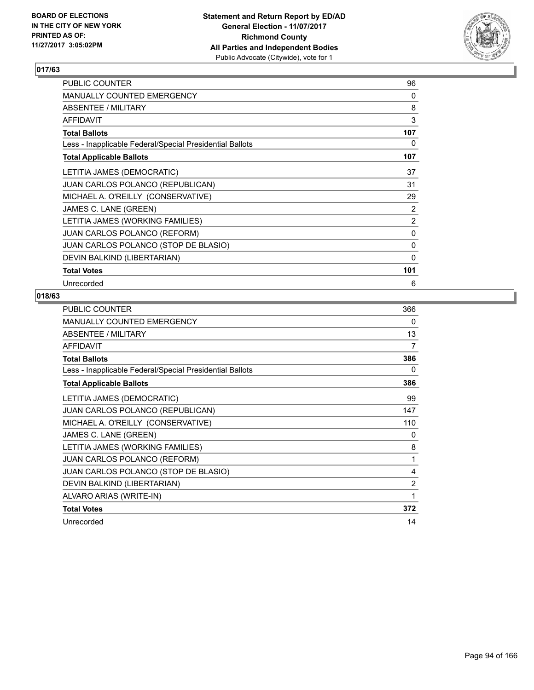

| <b>PUBLIC COUNTER</b>                                    | 96  |
|----------------------------------------------------------|-----|
| <b>MANUALLY COUNTED EMERGENCY</b>                        | 0   |
| ABSENTEE / MILITARY                                      | 8   |
| <b>AFFIDAVIT</b>                                         | 3   |
| <b>Total Ballots</b>                                     | 107 |
| Less - Inapplicable Federal/Special Presidential Ballots | 0   |
| <b>Total Applicable Ballots</b>                          | 107 |
| LETITIA JAMES (DEMOCRATIC)                               | 37  |
| <b>JUAN CARLOS POLANCO (REPUBLICAN)</b>                  | 31  |
| MICHAEL A. O'REILLY (CONSERVATIVE)                       | 29  |
| JAMES C. LANE (GREEN)                                    | 2   |
| LETITIA JAMES (WORKING FAMILIES)                         | 2   |
| <b>JUAN CARLOS POLANCO (REFORM)</b>                      | 0   |
| JUAN CARLOS POLANCO (STOP DE BLASIO)                     | 0   |
| DEVIN BALKIND (LIBERTARIAN)                              | 0   |
| <b>Total Votes</b>                                       | 101 |
| Unrecorded                                               | 6   |

| <b>PUBLIC COUNTER</b>                                    | 366 |
|----------------------------------------------------------|-----|
| MANUALLY COUNTED EMERGENCY                               | 0   |
| ABSENTEE / MILITARY                                      | 13  |
| <b>AFFIDAVIT</b>                                         | 7   |
| <b>Total Ballots</b>                                     | 386 |
| Less - Inapplicable Federal/Special Presidential Ballots | 0   |
| <b>Total Applicable Ballots</b>                          | 386 |
| LETITIA JAMES (DEMOCRATIC)                               | 99  |
| <b>JUAN CARLOS POLANCO (REPUBLICAN)</b>                  | 147 |
| MICHAEL A. O'REILLY (CONSERVATIVE)                       | 110 |
| JAMES C. LANE (GREEN)                                    | 0   |
| LETITIA JAMES (WORKING FAMILIES)                         | 8   |
| <b>JUAN CARLOS POLANCO (REFORM)</b>                      | 1   |
| JUAN CARLOS POLANCO (STOP DE BLASIO)                     | 4   |
| DEVIN BALKIND (LIBERTARIAN)                              | 2   |
| ALVARO ARIAS (WRITE-IN)                                  | 1   |
| <b>Total Votes</b>                                       | 372 |
| Unrecorded                                               | 14  |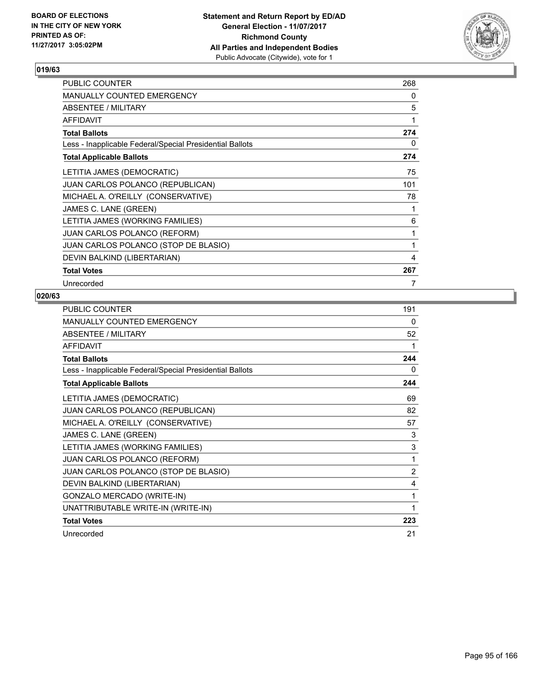

| <b>PUBLIC COUNTER</b>                                    | 268 |
|----------------------------------------------------------|-----|
| <b>MANUALLY COUNTED EMERGENCY</b>                        | 0   |
| ABSENTEE / MILITARY                                      | 5   |
| <b>AFFIDAVIT</b>                                         | 1   |
| <b>Total Ballots</b>                                     | 274 |
| Less - Inapplicable Federal/Special Presidential Ballots | 0   |
| <b>Total Applicable Ballots</b>                          | 274 |
| LETITIA JAMES (DEMOCRATIC)                               | 75  |
| <b>JUAN CARLOS POLANCO (REPUBLICAN)</b>                  | 101 |
| MICHAEL A. O'REILLY (CONSERVATIVE)                       | 78  |
| JAMES C. LANE (GREEN)                                    | 1   |
| LETITIA JAMES (WORKING FAMILIES)                         | 6   |
| <b>JUAN CARLOS POLANCO (REFORM)</b>                      | 1   |
| JUAN CARLOS POLANCO (STOP DE BLASIO)                     | 1   |
| DEVIN BALKIND (LIBERTARIAN)                              | 4   |
| <b>Total Votes</b>                                       | 267 |
| Unrecorded                                               | 7   |

| PUBLIC COUNTER                                           | 191 |
|----------------------------------------------------------|-----|
| <b>MANUALLY COUNTED EMERGENCY</b>                        | 0   |
| <b>ABSENTEE / MILITARY</b>                               | 52  |
| <b>AFFIDAVIT</b>                                         | 1   |
| <b>Total Ballots</b>                                     | 244 |
| Less - Inapplicable Federal/Special Presidential Ballots | 0   |
| <b>Total Applicable Ballots</b>                          | 244 |
| LETITIA JAMES (DEMOCRATIC)                               | 69  |
| JUAN CARLOS POLANCO (REPUBLICAN)                         | 82  |
| MICHAEL A. O'REILLY (CONSERVATIVE)                       | 57  |
| JAMES C. LANE (GREEN)                                    | 3   |
| LETITIA JAMES (WORKING FAMILIES)                         | 3   |
| JUAN CARLOS POLANCO (REFORM)                             | 1   |
| JUAN CARLOS POLANCO (STOP DE BLASIO)                     | 2   |
| DEVIN BALKIND (LIBERTARIAN)                              | 4   |
| GONZALO MERCADO (WRITE-IN)                               | 1   |
| UNATTRIBUTABLE WRITE-IN (WRITE-IN)                       | 1   |
| <b>Total Votes</b>                                       | 223 |
| Unrecorded                                               | 21  |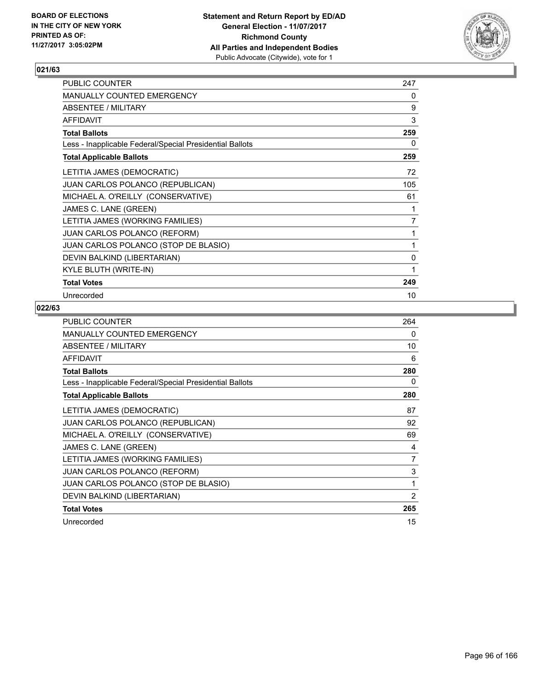

| PUBLIC COUNTER                                           | 247 |
|----------------------------------------------------------|-----|
| <b>MANUALLY COUNTED EMERGENCY</b>                        | 0   |
| ABSENTEE / MILITARY                                      | 9   |
| <b>AFFIDAVIT</b>                                         | 3   |
| <b>Total Ballots</b>                                     | 259 |
| Less - Inapplicable Federal/Special Presidential Ballots | 0   |
| <b>Total Applicable Ballots</b>                          | 259 |
| LETITIA JAMES (DEMOCRATIC)                               | 72  |
| JUAN CARLOS POLANCO (REPUBLICAN)                         | 105 |
| MICHAEL A. O'REILLY (CONSERVATIVE)                       | 61  |
| JAMES C. LANE (GREEN)                                    | 1   |
| LETITIA JAMES (WORKING FAMILIES)                         | 7   |
| <b>JUAN CARLOS POLANCO (REFORM)</b>                      |     |
| JUAN CARLOS POLANCO (STOP DE BLASIO)                     | 1   |
| DEVIN BALKIND (LIBERTARIAN)                              | 0   |
| KYLE BLUTH (WRITE-IN)                                    | 1   |
| <b>Total Votes</b>                                       | 249 |
| Unrecorded                                               | 10  |

| <b>PUBLIC COUNTER</b>                                    | 264 |
|----------------------------------------------------------|-----|
| <b>MANUALLY COUNTED EMERGENCY</b>                        | 0   |
| ABSENTEE / MILITARY                                      | 10  |
| <b>AFFIDAVIT</b>                                         | 6   |
| <b>Total Ballots</b>                                     | 280 |
| Less - Inapplicable Federal/Special Presidential Ballots | 0   |
| <b>Total Applicable Ballots</b>                          | 280 |
| LETITIA JAMES (DEMOCRATIC)                               | 87  |
| <b>JUAN CARLOS POLANCO (REPUBLICAN)</b>                  | 92  |
| MICHAEL A. O'REILLY (CONSERVATIVE)                       | 69  |
| JAMES C. LANE (GREEN)                                    | 4   |
| LETITIA JAMES (WORKING FAMILIES)                         | 7   |
| <b>JUAN CARLOS POLANCO (REFORM)</b>                      | 3   |
| JUAN CARLOS POLANCO (STOP DE BLASIO)                     | 1   |
| DEVIN BALKIND (LIBERTARIAN)                              | 2   |
| <b>Total Votes</b>                                       | 265 |
| Unrecorded                                               | 15  |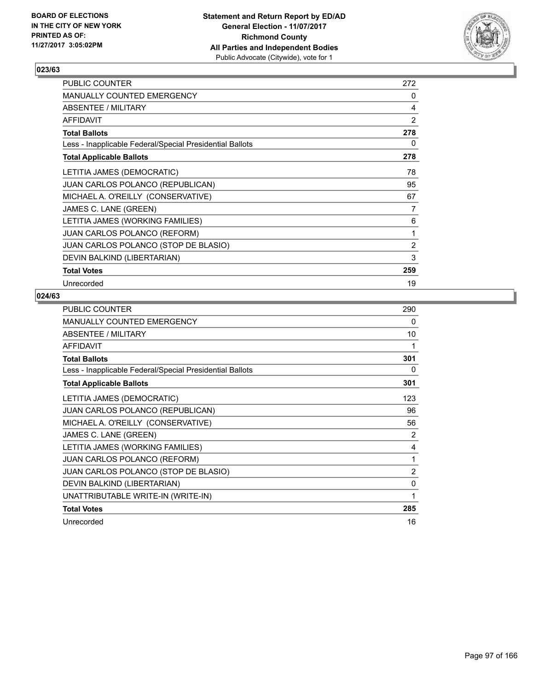

| <b>PUBLIC COUNTER</b>                                    | 272 |
|----------------------------------------------------------|-----|
| <b>MANUALLY COUNTED EMERGENCY</b>                        | 0   |
| ABSENTEE / MILITARY                                      | 4   |
| <b>AFFIDAVIT</b>                                         | 2   |
| <b>Total Ballots</b>                                     | 278 |
| Less - Inapplicable Federal/Special Presidential Ballots | 0   |
| <b>Total Applicable Ballots</b>                          | 278 |
| LETITIA JAMES (DEMOCRATIC)                               | 78  |
| <b>JUAN CARLOS POLANCO (REPUBLICAN)</b>                  | 95  |
| MICHAEL A. O'REILLY (CONSERVATIVE)                       | 67  |
| JAMES C. LANE (GREEN)                                    | 7   |
| LETITIA JAMES (WORKING FAMILIES)                         | 6   |
| JUAN CARLOS POLANCO (REFORM)                             | 1   |
| JUAN CARLOS POLANCO (STOP DE BLASIO)                     | 2   |
| DEVIN BALKIND (LIBERTARIAN)                              | 3   |
| <b>Total Votes</b>                                       | 259 |
| Unrecorded                                               | 19  |

| <b>PUBLIC COUNTER</b>                                    | 290 |
|----------------------------------------------------------|-----|
| <b>MANUALLY COUNTED EMERGENCY</b>                        | 0   |
| ABSENTEE / MILITARY                                      | 10  |
| <b>AFFIDAVIT</b>                                         | 1   |
| <b>Total Ballots</b>                                     | 301 |
| Less - Inapplicable Federal/Special Presidential Ballots | 0   |
| <b>Total Applicable Ballots</b>                          | 301 |
| LETITIA JAMES (DEMOCRATIC)                               | 123 |
| JUAN CARLOS POLANCO (REPUBLICAN)                         | 96  |
| MICHAEL A. O'REILLY (CONSERVATIVE)                       | 56  |
| JAMES C. LANE (GREEN)                                    | 2   |
| LETITIA JAMES (WORKING FAMILIES)                         | 4   |
| <b>JUAN CARLOS POLANCO (REFORM)</b>                      | 1   |
| JUAN CARLOS POLANCO (STOP DE BLASIO)                     | 2   |
| DEVIN BALKIND (LIBERTARIAN)                              | 0   |
| UNATTRIBUTABLE WRITE-IN (WRITE-IN)                       | 1   |
| <b>Total Votes</b>                                       | 285 |
| Unrecorded                                               | 16  |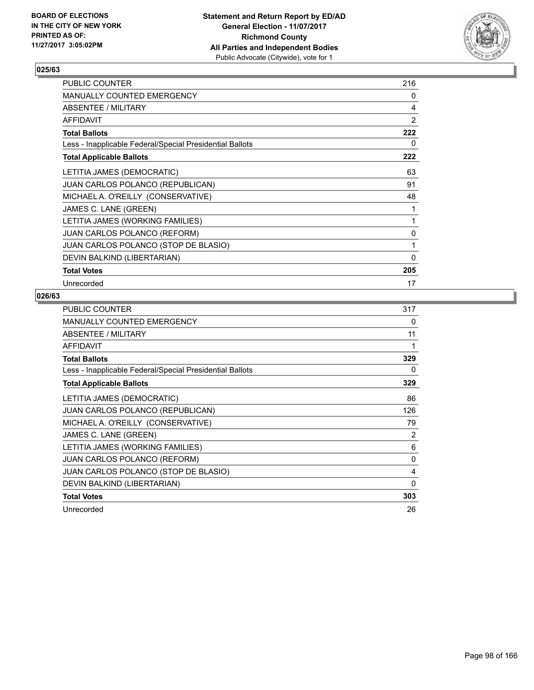

| <b>PUBLIC COUNTER</b>                                    | 216 |
|----------------------------------------------------------|-----|
| MANUALLY COUNTED EMERGENCY                               | 0   |
| ABSENTEE / MILITARY                                      | 4   |
| <b>AFFIDAVIT</b>                                         | 2   |
| <b>Total Ballots</b>                                     | 222 |
| Less - Inapplicable Federal/Special Presidential Ballots | 0   |
| <b>Total Applicable Ballots</b>                          | 222 |
| LETITIA JAMES (DEMOCRATIC)                               | 63  |
| <b>JUAN CARLOS POLANCO (REPUBLICAN)</b>                  | 91  |
| MICHAEL A. O'REILLY (CONSERVATIVE)                       | 48  |
| JAMES C. LANE (GREEN)                                    | 1   |
| LETITIA JAMES (WORKING FAMILIES)                         | 1   |
| JUAN CARLOS POLANCO (REFORM)                             | 0   |
| JUAN CARLOS POLANCO (STOP DE BLASIO)                     | 1   |
| DEVIN BALKIND (LIBERTARIAN)                              | 0   |
| <b>Total Votes</b>                                       | 205 |
| Unrecorded                                               | 17  |

| <b>PUBLIC COUNTER</b>                                    | 317 |
|----------------------------------------------------------|-----|
| MANUALLY COUNTED EMERGENCY                               | 0   |
| ABSENTEE / MILITARY                                      | 11  |
| AFFIDAVIT                                                | 1   |
| <b>Total Ballots</b>                                     | 329 |
| Less - Inapplicable Federal/Special Presidential Ballots | 0   |
| <b>Total Applicable Ballots</b>                          | 329 |
| LETITIA JAMES (DEMOCRATIC)                               | 86  |
| JUAN CARLOS POLANCO (REPUBLICAN)                         | 126 |
| MICHAEL A. O'REILLY (CONSERVATIVE)                       | 79  |
| JAMES C. LANE (GREEN)                                    | 2   |
| LETITIA JAMES (WORKING FAMILIES)                         | 6   |
| <b>JUAN CARLOS POLANCO (REFORM)</b>                      | 0   |
| JUAN CARLOS POLANCO (STOP DE BLASIO)                     | 4   |
| DEVIN BALKIND (LIBERTARIAN)                              | 0   |
| <b>Total Votes</b>                                       | 303 |
| Unrecorded                                               | 26  |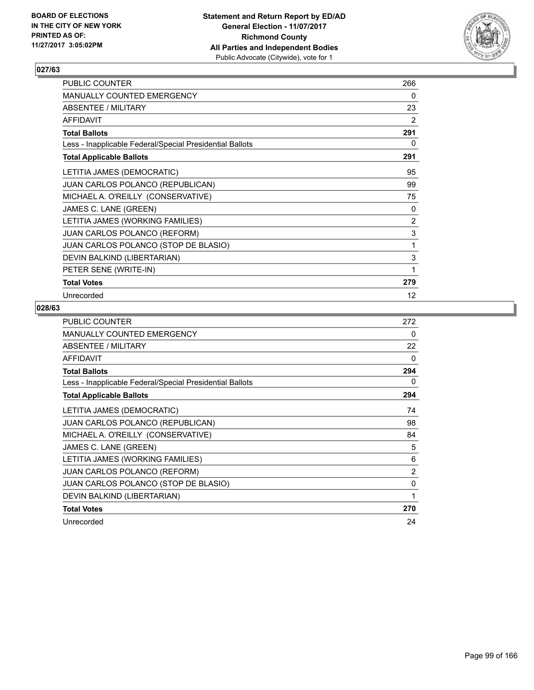

| PUBLIC COUNTER                                           | 266            |
|----------------------------------------------------------|----------------|
| <b>MANUALLY COUNTED EMERGENCY</b>                        | 0              |
| ABSENTEE / MILITARY                                      | 23             |
| <b>AFFIDAVIT</b>                                         | 2              |
| <b>Total Ballots</b>                                     | 291            |
| Less - Inapplicable Federal/Special Presidential Ballots | 0              |
| <b>Total Applicable Ballots</b>                          | 291            |
| LETITIA JAMES (DEMOCRATIC)                               | 95             |
| <b>JUAN CARLOS POLANCO (REPUBLICAN)</b>                  | 99             |
| MICHAEL A. O'REILLY (CONSERVATIVE)                       | 75             |
| JAMES C. LANE (GREEN)                                    | 0              |
| LETITIA JAMES (WORKING FAMILIES)                         | $\overline{2}$ |
| <b>JUAN CARLOS POLANCO (REFORM)</b>                      | 3              |
| JUAN CARLOS POLANCO (STOP DE BLASIO)                     | 1              |
| DEVIN BALKIND (LIBERTARIAN)                              | 3              |
| PETER SENE (WRITE-IN)                                    | 1              |
| <b>Total Votes</b>                                       | 279            |
| Unrecorded                                               | 12             |

| <b>PUBLIC COUNTER</b>                                    | 272 |
|----------------------------------------------------------|-----|
| <b>MANUALLY COUNTED EMERGENCY</b>                        | 0   |
| ABSENTEE / MILITARY                                      | 22  |
| <b>AFFIDAVIT</b>                                         | 0   |
| <b>Total Ballots</b>                                     | 294 |
| Less - Inapplicable Federal/Special Presidential Ballots | 0   |
| <b>Total Applicable Ballots</b>                          | 294 |
| LETITIA JAMES (DEMOCRATIC)                               | 74  |
| <b>JUAN CARLOS POLANCO (REPUBLICAN)</b>                  | 98  |
| MICHAEL A. O'REILLY (CONSERVATIVE)                       | 84  |
| JAMES C. LANE (GREEN)                                    | 5   |
| LETITIA JAMES (WORKING FAMILIES)                         | 6   |
| <b>JUAN CARLOS POLANCO (REFORM)</b>                      | 2   |
| JUAN CARLOS POLANCO (STOP DE BLASIO)                     | 0   |
| DEVIN BALKIND (LIBERTARIAN)                              | 1   |
| <b>Total Votes</b>                                       | 270 |
| Unrecorded                                               | 24  |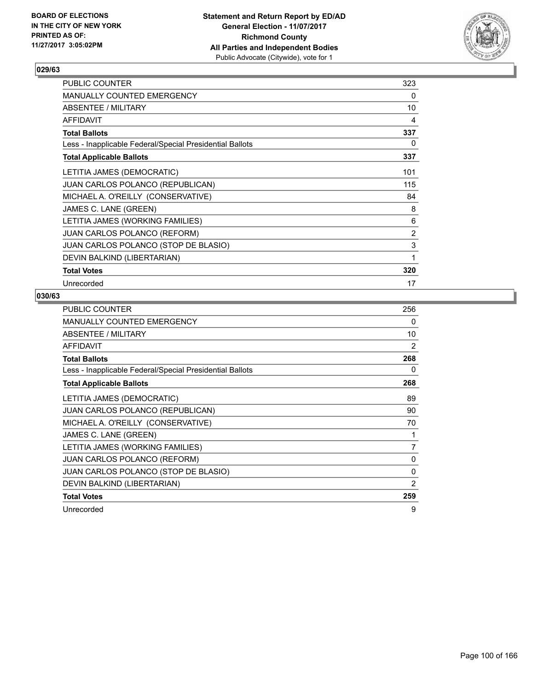

| <b>PUBLIC COUNTER</b>                                    | 323 |
|----------------------------------------------------------|-----|
| <b>MANUALLY COUNTED EMERGENCY</b>                        | 0   |
| ABSENTEE / MILITARY                                      | 10  |
| <b>AFFIDAVIT</b>                                         | 4   |
| <b>Total Ballots</b>                                     | 337 |
| Less - Inapplicable Federal/Special Presidential Ballots | 0   |
| <b>Total Applicable Ballots</b>                          | 337 |
| LETITIA JAMES (DEMOCRATIC)                               | 101 |
| <b>JUAN CARLOS POLANCO (REPUBLICAN)</b>                  | 115 |
| MICHAEL A. O'REILLY (CONSERVATIVE)                       | 84  |
| JAMES C. LANE (GREEN)                                    | 8   |
| LETITIA JAMES (WORKING FAMILIES)                         | 6   |
| <b>JUAN CARLOS POLANCO (REFORM)</b>                      | 2   |
| JUAN CARLOS POLANCO (STOP DE BLASIO)                     | 3   |
| DEVIN BALKIND (LIBERTARIAN)                              | 1   |
| <b>Total Votes</b>                                       | 320 |
| Unrecorded                                               | 17  |

| <b>PUBLIC COUNTER</b>                                    | 256 |
|----------------------------------------------------------|-----|
| MANUALLY COUNTED EMERGENCY                               | 0   |
| ABSENTEE / MILITARY                                      | 10  |
| AFFIDAVIT                                                | 2   |
| <b>Total Ballots</b>                                     | 268 |
| Less - Inapplicable Federal/Special Presidential Ballots | 0   |
| <b>Total Applicable Ballots</b>                          | 268 |
| LETITIA JAMES (DEMOCRATIC)                               | 89  |
| JUAN CARLOS POLANCO (REPUBLICAN)                         | 90  |
| MICHAEL A. O'REILLY (CONSERVATIVE)                       | 70  |
| JAMES C. LANE (GREEN)                                    | 1   |
| LETITIA JAMES (WORKING FAMILIES)                         | 7   |
| <b>JUAN CARLOS POLANCO (REFORM)</b>                      | 0   |
| JUAN CARLOS POLANCO (STOP DE BLASIO)                     | 0   |
| DEVIN BALKIND (LIBERTARIAN)                              | 2   |
| <b>Total Votes</b>                                       | 259 |
| Unrecorded                                               | 9   |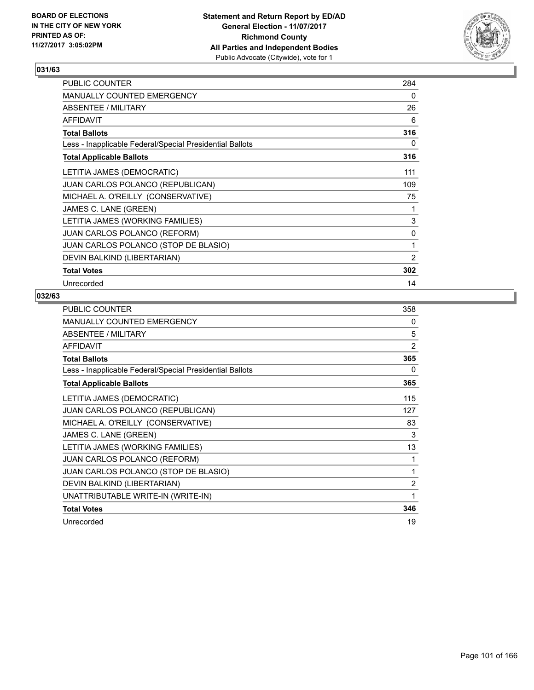

| PUBLIC COUNTER                                           | 284            |
|----------------------------------------------------------|----------------|
| <b>MANUALLY COUNTED EMERGENCY</b>                        | 0              |
| ABSENTEE / MILITARY                                      | 26             |
| <b>AFFIDAVIT</b>                                         | 6              |
| <b>Total Ballots</b>                                     | 316            |
| Less - Inapplicable Federal/Special Presidential Ballots | 0              |
| <b>Total Applicable Ballots</b>                          | 316            |
| LETITIA JAMES (DEMOCRATIC)                               | 111            |
| <b>JUAN CARLOS POLANCO (REPUBLICAN)</b>                  | 109            |
| MICHAEL A. O'REILLY (CONSERVATIVE)                       | 75             |
| JAMES C. LANE (GREEN)                                    | 1              |
| LETITIA JAMES (WORKING FAMILIES)                         | 3              |
| <b>JUAN CARLOS POLANCO (REFORM)</b>                      | 0              |
| JUAN CARLOS POLANCO (STOP DE BLASIO)                     | 1              |
| DEVIN BALKIND (LIBERTARIAN)                              | $\overline{2}$ |
| <b>Total Votes</b>                                       | 302            |
| Unrecorded                                               | 14             |

| <b>PUBLIC COUNTER</b>                                    | 358 |
|----------------------------------------------------------|-----|
| <b>MANUALLY COUNTED EMERGENCY</b>                        | 0   |
| ABSENTEE / MILITARY                                      | 5   |
| <b>AFFIDAVIT</b>                                         | 2   |
| <b>Total Ballots</b>                                     | 365 |
| Less - Inapplicable Federal/Special Presidential Ballots | 0   |
| <b>Total Applicable Ballots</b>                          | 365 |
| LETITIA JAMES (DEMOCRATIC)                               | 115 |
| JUAN CARLOS POLANCO (REPUBLICAN)                         | 127 |
| MICHAEL A. O'REILLY (CONSERVATIVE)                       | 83  |
| JAMES C. LANE (GREEN)                                    | 3   |
| LETITIA JAMES (WORKING FAMILIES)                         | 13  |
| <b>JUAN CARLOS POLANCO (REFORM)</b>                      | 1   |
| JUAN CARLOS POLANCO (STOP DE BLASIO)                     | 1   |
| DEVIN BALKIND (LIBERTARIAN)                              | 2   |
| UNATTRIBUTABLE WRITE-IN (WRITE-IN)                       | 1   |
| <b>Total Votes</b>                                       | 346 |
| Unrecorded                                               | 19  |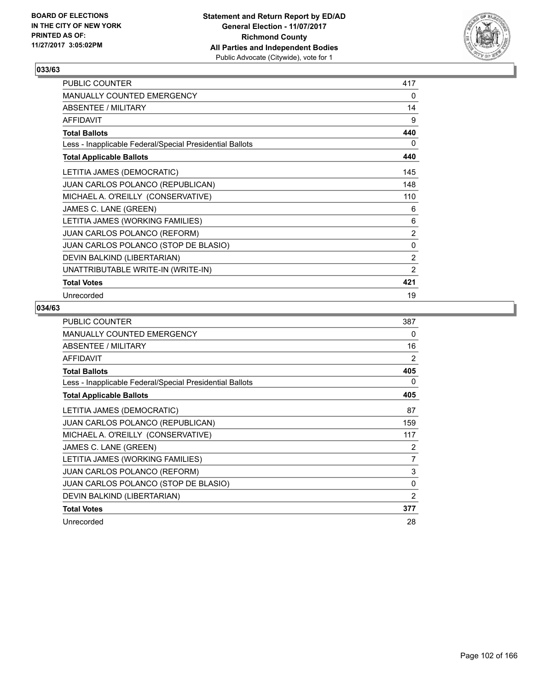

| PUBLIC COUNTER                                           | 417            |
|----------------------------------------------------------|----------------|
| <b>MANUALLY COUNTED EMERGENCY</b>                        | 0              |
| ABSENTEE / MILITARY                                      | 14             |
| <b>AFFIDAVIT</b>                                         | 9              |
| <b>Total Ballots</b>                                     | 440            |
| Less - Inapplicable Federal/Special Presidential Ballots | 0              |
| <b>Total Applicable Ballots</b>                          | 440            |
| LETITIA JAMES (DEMOCRATIC)                               | 145            |
| JUAN CARLOS POLANCO (REPUBLICAN)                         | 148            |
| MICHAEL A. O'REILLY (CONSERVATIVE)                       | 110            |
| JAMES C. LANE (GREEN)                                    | 6              |
| LETITIA JAMES (WORKING FAMILIES)                         | 6              |
| JUAN CARLOS POLANCO (REFORM)                             | $\overline{2}$ |
| JUAN CARLOS POLANCO (STOP DE BLASIO)                     | 0              |
| DEVIN BALKIND (LIBERTARIAN)                              | 2              |
| UNATTRIBUTABLE WRITE-IN (WRITE-IN)                       | 2              |
| <b>Total Votes</b>                                       | 421            |
| Unrecorded                                               | 19             |

| <b>PUBLIC COUNTER</b>                                    | 387 |
|----------------------------------------------------------|-----|
| <b>MANUALLY COUNTED EMERGENCY</b>                        | 0   |
| ABSENTEE / MILITARY                                      | 16  |
| <b>AFFIDAVIT</b>                                         | 2   |
| <b>Total Ballots</b>                                     | 405 |
| Less - Inapplicable Federal/Special Presidential Ballots | 0   |
| <b>Total Applicable Ballots</b>                          | 405 |
| LETITIA JAMES (DEMOCRATIC)                               | 87  |
| <b>JUAN CARLOS POLANCO (REPUBLICAN)</b>                  | 159 |
| MICHAEL A. O'REILLY (CONSERVATIVE)                       | 117 |
| JAMES C. LANE (GREEN)                                    | 2   |
| LETITIA JAMES (WORKING FAMILIES)                         | 7   |
| <b>JUAN CARLOS POLANCO (REFORM)</b>                      | 3   |
| JUAN CARLOS POLANCO (STOP DE BLASIO)                     | 0   |
| DEVIN BALKIND (LIBERTARIAN)                              | 2   |
| <b>Total Votes</b>                                       | 377 |
| Unrecorded                                               | 28  |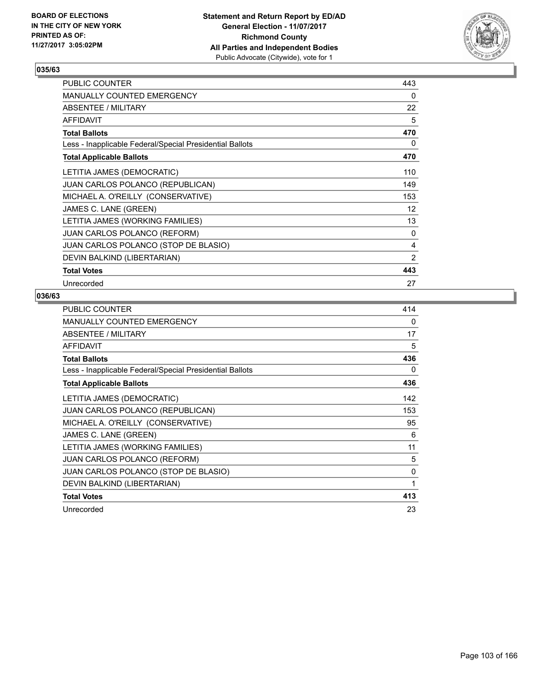

| <b>PUBLIC COUNTER</b>                                    | 443            |
|----------------------------------------------------------|----------------|
| <b>MANUALLY COUNTED EMERGENCY</b>                        | 0              |
| ABSENTEE / MILITARY                                      | 22             |
| <b>AFFIDAVIT</b>                                         | 5              |
| <b>Total Ballots</b>                                     | 470            |
| Less - Inapplicable Federal/Special Presidential Ballots | 0              |
| <b>Total Applicable Ballots</b>                          | 470            |
| LETITIA JAMES (DEMOCRATIC)                               | 110            |
| <b>JUAN CARLOS POLANCO (REPUBLICAN)</b>                  | 149            |
| MICHAEL A. O'REILLY (CONSERVATIVE)                       | 153            |
| JAMES C. LANE (GREEN)                                    | 12             |
| LETITIA JAMES (WORKING FAMILIES)                         | 13             |
| <b>JUAN CARLOS POLANCO (REFORM)</b>                      | 0              |
| JUAN CARLOS POLANCO (STOP DE BLASIO)                     | 4              |
| DEVIN BALKIND (LIBERTARIAN)                              | $\overline{2}$ |
| <b>Total Votes</b>                                       | 443            |
| Unrecorded                                               | 27             |

| <b>PUBLIC COUNTER</b>                                    | 414 |
|----------------------------------------------------------|-----|
| MANUALLY COUNTED EMERGENCY                               | 0   |
| ABSENTEE / MILITARY                                      | 17  |
| AFFIDAVIT                                                | 5   |
| <b>Total Ballots</b>                                     | 436 |
| Less - Inapplicable Federal/Special Presidential Ballots | 0   |
| <b>Total Applicable Ballots</b>                          | 436 |
| LETITIA JAMES (DEMOCRATIC)                               | 142 |
| JUAN CARLOS POLANCO (REPUBLICAN)                         | 153 |
| MICHAEL A. O'REILLY (CONSERVATIVE)                       | 95  |
| JAMES C. LANE (GREEN)                                    | 6   |
| LETITIA JAMES (WORKING FAMILIES)                         | 11  |
| <b>JUAN CARLOS POLANCO (REFORM)</b>                      | 5   |
| JUAN CARLOS POLANCO (STOP DE BLASIO)                     | 0   |
| DEVIN BALKIND (LIBERTARIAN)                              | 1   |
| <b>Total Votes</b>                                       | 413 |
| Unrecorded                                               | 23  |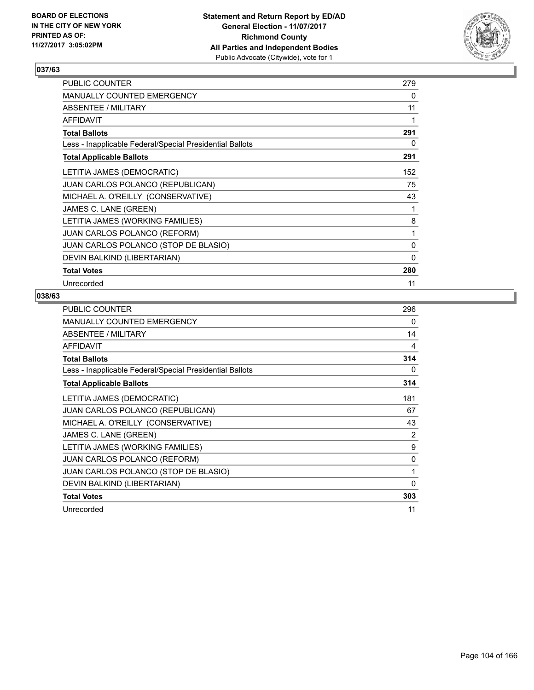

| <b>PUBLIC COUNTER</b>                                    | 279 |
|----------------------------------------------------------|-----|
| <b>MANUALLY COUNTED EMERGENCY</b>                        | 0   |
| ABSENTEE / MILITARY                                      | 11  |
| <b>AFFIDAVIT</b>                                         | 1   |
| <b>Total Ballots</b>                                     | 291 |
| Less - Inapplicable Federal/Special Presidential Ballots | 0   |
| <b>Total Applicable Ballots</b>                          | 291 |
| LETITIA JAMES (DEMOCRATIC)                               | 152 |
| <b>JUAN CARLOS POLANCO (REPUBLICAN)</b>                  | 75  |
| MICHAEL A. O'REILLY (CONSERVATIVE)                       | 43  |
| JAMES C. LANE (GREEN)                                    | 1   |
| LETITIA JAMES (WORKING FAMILIES)                         | 8   |
| <b>JUAN CARLOS POLANCO (REFORM)</b>                      | 1   |
| JUAN CARLOS POLANCO (STOP DE BLASIO)                     | 0   |
| DEVIN BALKIND (LIBERTARIAN)                              | 0   |
| <b>Total Votes</b>                                       | 280 |
| Unrecorded                                               | 11  |

| <b>PUBLIC COUNTER</b>                                    | 296 |
|----------------------------------------------------------|-----|
| MANUALLY COUNTED EMERGENCY                               | 0   |
| ABSENTEE / MILITARY                                      | 14  |
| <b>AFFIDAVIT</b>                                         | 4   |
| <b>Total Ballots</b>                                     | 314 |
| Less - Inapplicable Federal/Special Presidential Ballots | 0   |
| <b>Total Applicable Ballots</b>                          | 314 |
| LETITIA JAMES (DEMOCRATIC)                               | 181 |
| JUAN CARLOS POLANCO (REPUBLICAN)                         | 67  |
| MICHAEL A. O'REILLY (CONSERVATIVE)                       | 43  |
| JAMES C. LANE (GREEN)                                    | 2   |
| LETITIA JAMES (WORKING FAMILIES)                         | 9   |
| <b>JUAN CARLOS POLANCO (REFORM)</b>                      | 0   |
| JUAN CARLOS POLANCO (STOP DE BLASIO)                     | 1   |
| DEVIN BALKIND (LIBERTARIAN)                              | 0   |
| <b>Total Votes</b>                                       | 303 |
| Unrecorded                                               | 11  |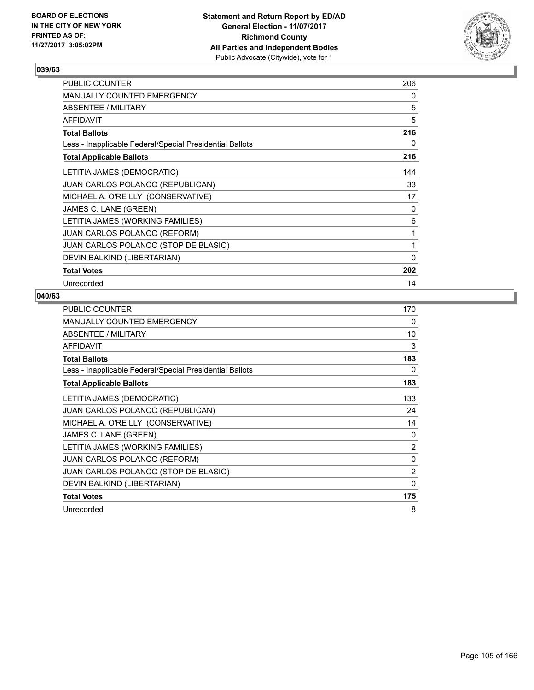

| <b>PUBLIC COUNTER</b>                                    | 206 |
|----------------------------------------------------------|-----|
| <b>MANUALLY COUNTED EMERGENCY</b>                        | 0   |
| ABSENTEE / MILITARY                                      | 5   |
| <b>AFFIDAVIT</b>                                         | 5   |
| <b>Total Ballots</b>                                     | 216 |
| Less - Inapplicable Federal/Special Presidential Ballots | 0   |
| <b>Total Applicable Ballots</b>                          | 216 |
| LETITIA JAMES (DEMOCRATIC)                               | 144 |
| <b>JUAN CARLOS POLANCO (REPUBLICAN)</b>                  | 33  |
| MICHAEL A. O'REILLY (CONSERVATIVE)                       | 17  |
| JAMES C. LANE (GREEN)                                    | 0   |
| LETITIA JAMES (WORKING FAMILIES)                         | 6   |
| <b>JUAN CARLOS POLANCO (REFORM)</b>                      | 1   |
| JUAN CARLOS POLANCO (STOP DE BLASIO)                     | 1   |
| DEVIN BALKIND (LIBERTARIAN)                              | 0   |
| <b>Total Votes</b>                                       | 202 |
| Unrecorded                                               | 14  |

| <b>PUBLIC COUNTER</b>                                    | 170            |
|----------------------------------------------------------|----------------|
| <b>MANUALLY COUNTED EMERGENCY</b>                        | 0              |
| ABSENTEE / MILITARY                                      | 10             |
| <b>AFFIDAVIT</b>                                         | 3              |
| <b>Total Ballots</b>                                     | 183            |
| Less - Inapplicable Federal/Special Presidential Ballots | 0              |
| <b>Total Applicable Ballots</b>                          | 183            |
| LETITIA JAMES (DEMOCRATIC)                               | 133            |
| JUAN CARLOS POLANCO (REPUBLICAN)                         | 24             |
| MICHAEL A. O'REILLY (CONSERVATIVE)                       | 14             |
| JAMES C. LANE (GREEN)                                    | 0              |
| LETITIA JAMES (WORKING FAMILIES)                         | 2              |
| <b>JUAN CARLOS POLANCO (REFORM)</b>                      | 0              |
| JUAN CARLOS POLANCO (STOP DE BLASIO)                     | $\overline{2}$ |
| DEVIN BALKIND (LIBERTARIAN)                              | 0              |
| <b>Total Votes</b>                                       | 175            |
| Unrecorded                                               | 8              |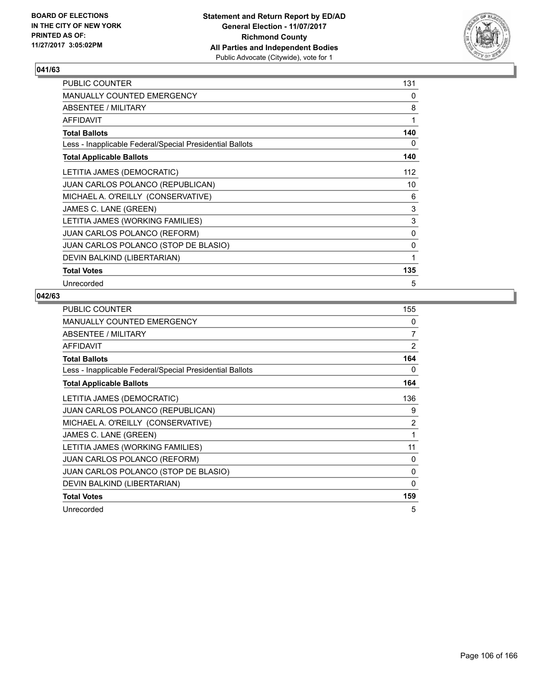

| <b>PUBLIC COUNTER</b>                                    | 131 |
|----------------------------------------------------------|-----|
| <b>MANUALLY COUNTED EMERGENCY</b>                        | 0   |
| ABSENTEE / MILITARY                                      | 8   |
| <b>AFFIDAVIT</b>                                         | 1   |
| <b>Total Ballots</b>                                     | 140 |
| Less - Inapplicable Federal/Special Presidential Ballots | 0   |
| <b>Total Applicable Ballots</b>                          | 140 |
| LETITIA JAMES (DEMOCRATIC)                               | 112 |
| <b>JUAN CARLOS POLANCO (REPUBLICAN)</b>                  | 10  |
| MICHAEL A. O'REILLY (CONSERVATIVE)                       | 6   |
| JAMES C. LANE (GREEN)                                    | 3   |
| LETITIA JAMES (WORKING FAMILIES)                         | 3   |
| <b>JUAN CARLOS POLANCO (REFORM)</b>                      | 0   |
| JUAN CARLOS POLANCO (STOP DE BLASIO)                     | 0   |
| DEVIN BALKIND (LIBERTARIAN)                              | 1   |
| <b>Total Votes</b>                                       | 135 |
| Unrecorded                                               | 5   |

| <b>PUBLIC COUNTER</b>                                    | 155 |
|----------------------------------------------------------|-----|
| <b>MANUALLY COUNTED EMERGENCY</b>                        | 0   |
| ABSENTEE / MILITARY                                      | 7   |
| AFFIDAVIT                                                | 2   |
| <b>Total Ballots</b>                                     | 164 |
| Less - Inapplicable Federal/Special Presidential Ballots | 0   |
| <b>Total Applicable Ballots</b>                          | 164 |
| LETITIA JAMES (DEMOCRATIC)                               | 136 |
| <b>JUAN CARLOS POLANCO (REPUBLICAN)</b>                  | 9   |
| MICHAEL A. O'REILLY (CONSERVATIVE)                       | 2   |
| JAMES C. LANE (GREEN)                                    | 1   |
| LETITIA JAMES (WORKING FAMILIES)                         | 11  |
| JUAN CARLOS POLANCO (REFORM)                             | 0   |
| JUAN CARLOS POLANCO (STOP DE BLASIO)                     | 0   |
| DEVIN BALKIND (LIBERTARIAN)                              | 0   |
| <b>Total Votes</b>                                       | 159 |
| Unrecorded                                               | 5   |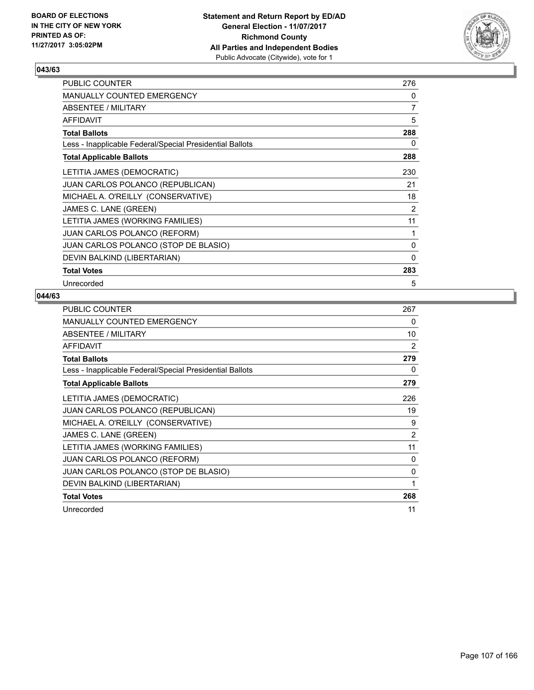

| <b>PUBLIC COUNTER</b>                                    | 276 |
|----------------------------------------------------------|-----|
| <b>MANUALLY COUNTED EMERGENCY</b>                        | 0   |
| ABSENTEE / MILITARY                                      | 7   |
| <b>AFFIDAVIT</b>                                         | 5   |
| <b>Total Ballots</b>                                     | 288 |
| Less - Inapplicable Federal/Special Presidential Ballots | 0   |
| <b>Total Applicable Ballots</b>                          | 288 |
| LETITIA JAMES (DEMOCRATIC)                               | 230 |
| <b>JUAN CARLOS POLANCO (REPUBLICAN)</b>                  | 21  |
| MICHAEL A. O'REILLY (CONSERVATIVE)                       | 18  |
| JAMES C. LANE (GREEN)                                    | 2   |
| LETITIA JAMES (WORKING FAMILIES)                         | 11  |
| <b>JUAN CARLOS POLANCO (REFORM)</b>                      | 1   |
| JUAN CARLOS POLANCO (STOP DE BLASIO)                     | 0   |
| DEVIN BALKIND (LIBERTARIAN)                              | 0   |
| <b>Total Votes</b>                                       | 283 |
| Unrecorded                                               | 5   |

| <b>PUBLIC COUNTER</b>                                    | 267 |
|----------------------------------------------------------|-----|
| MANUALLY COUNTED EMERGENCY                               | 0   |
| ABSENTEE / MILITARY                                      | 10  |
| AFFIDAVIT                                                | 2   |
| <b>Total Ballots</b>                                     | 279 |
| Less - Inapplicable Federal/Special Presidential Ballots | 0   |
| <b>Total Applicable Ballots</b>                          | 279 |
| LETITIA JAMES (DEMOCRATIC)                               | 226 |
| JUAN CARLOS POLANCO (REPUBLICAN)                         | 19  |
| MICHAEL A. O'REILLY (CONSERVATIVE)                       | 9   |
| JAMES C. LANE (GREEN)                                    | 2   |
| LETITIA JAMES (WORKING FAMILIES)                         | 11  |
| <b>JUAN CARLOS POLANCO (REFORM)</b>                      | 0   |
| JUAN CARLOS POLANCO (STOP DE BLASIO)                     | 0   |
| DEVIN BALKIND (LIBERTARIAN)                              | 1   |
| <b>Total Votes</b>                                       | 268 |
| Unrecorded                                               | 11  |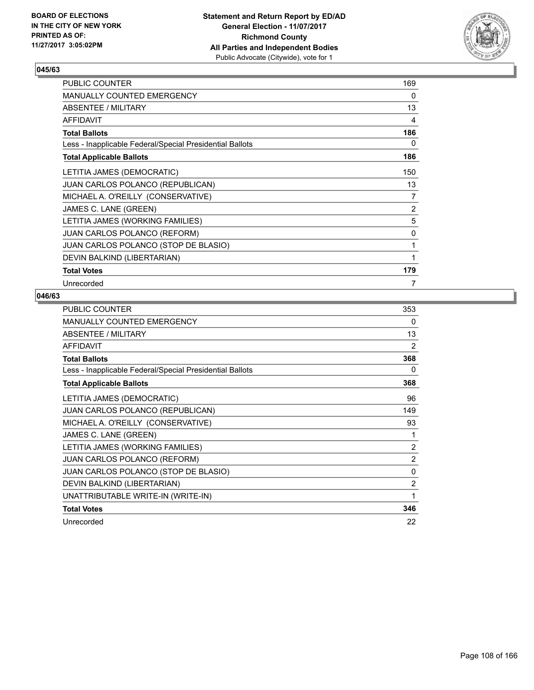

| <b>PUBLIC COUNTER</b>                                    | 169 |
|----------------------------------------------------------|-----|
| <b>MANUALLY COUNTED EMERGENCY</b>                        | 0   |
| ABSENTEE / MILITARY                                      | 13  |
| <b>AFFIDAVIT</b>                                         | 4   |
| <b>Total Ballots</b>                                     | 186 |
| Less - Inapplicable Federal/Special Presidential Ballots | 0   |
| <b>Total Applicable Ballots</b>                          | 186 |
| LETITIA JAMES (DEMOCRATIC)                               | 150 |
| <b>JUAN CARLOS POLANCO (REPUBLICAN)</b>                  | 13  |
| MICHAEL A. O'REILLY (CONSERVATIVE)                       | 7   |
| JAMES C. LANE (GREEN)                                    | 2   |
| LETITIA JAMES (WORKING FAMILIES)                         | 5   |
| <b>JUAN CARLOS POLANCO (REFORM)</b>                      | 0   |
| JUAN CARLOS POLANCO (STOP DE BLASIO)                     | 1   |
| DEVIN BALKIND (LIBERTARIAN)                              | 1   |
| <b>Total Votes</b>                                       | 179 |
| Unrecorded                                               | 7   |

| PUBLIC COUNTER                                           | 353            |
|----------------------------------------------------------|----------------|
| MANUALLY COUNTED EMERGENCY                               | 0              |
| ABSENTEE / MILITARY                                      | 13             |
| <b>AFFIDAVIT</b>                                         | 2              |
| <b>Total Ballots</b>                                     | 368            |
| Less - Inapplicable Federal/Special Presidential Ballots | 0              |
| <b>Total Applicable Ballots</b>                          | 368            |
| LETITIA JAMES (DEMOCRATIC)                               | 96             |
| JUAN CARLOS POLANCO (REPUBLICAN)                         | 149            |
| MICHAEL A. O'REILLY (CONSERVATIVE)                       | 93             |
| JAMES C. LANE (GREEN)                                    | 1              |
| LETITIA JAMES (WORKING FAMILIES)                         | 2              |
| JUAN CARLOS POLANCO (REFORM)                             | $\overline{2}$ |
| JUAN CARLOS POLANCO (STOP DE BLASIO)                     | 0              |
| DEVIN BALKIND (LIBERTARIAN)                              | $\overline{2}$ |
| UNATTRIBUTABLE WRITE-IN (WRITE-IN)                       | 1              |
| <b>Total Votes</b>                                       | 346            |
| Unrecorded                                               | 22             |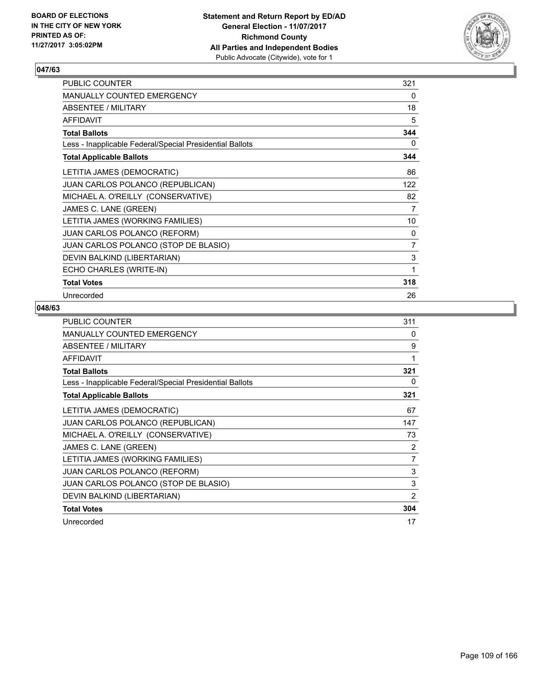

| PUBLIC COUNTER                                           | 321            |
|----------------------------------------------------------|----------------|
| <b>MANUALLY COUNTED EMERGENCY</b>                        | 0              |
| ABSENTEE / MILITARY                                      | 18             |
| <b>AFFIDAVIT</b>                                         | 5              |
| <b>Total Ballots</b>                                     | 344            |
| Less - Inapplicable Federal/Special Presidential Ballots | 0              |
| <b>Total Applicable Ballots</b>                          | 344            |
| LETITIA JAMES (DEMOCRATIC)                               | 86             |
| JUAN CARLOS POLANCO (REPUBLICAN)                         | 122            |
| MICHAEL A. O'REILLY (CONSERVATIVE)                       | 82             |
| JAMES C. LANE (GREEN)                                    | 7              |
| LETITIA JAMES (WORKING FAMILIES)                         | 10             |
| <b>JUAN CARLOS POLANCO (REFORM)</b>                      | 0              |
| JUAN CARLOS POLANCO (STOP DE BLASIO)                     | $\overline{7}$ |
| DEVIN BALKIND (LIBERTARIAN)                              | 3              |
| ECHO CHARLES (WRITE-IN)                                  | 1              |
| <b>Total Votes</b>                                       | 318            |
| Unrecorded                                               | 26             |

| PUBLIC COUNTER                                           | 311            |
|----------------------------------------------------------|----------------|
| <b>MANUALLY COUNTED EMERGENCY</b>                        | 0              |
| ABSENTEE / MILITARY                                      | 9              |
| <b>AFFIDAVIT</b>                                         | 1              |
| <b>Total Ballots</b>                                     | 321            |
| Less - Inapplicable Federal/Special Presidential Ballots | 0              |
| <b>Total Applicable Ballots</b>                          | 321            |
| LETITIA JAMES (DEMOCRATIC)                               | 67             |
| <b>JUAN CARLOS POLANCO (REPUBLICAN)</b>                  | 147            |
| MICHAEL A. O'REILLY (CONSERVATIVE)                       | 73             |
| JAMES C. LANE (GREEN)                                    | 2              |
| LETITIA JAMES (WORKING FAMILIES)                         | 7              |
| <b>JUAN CARLOS POLANCO (REFORM)</b>                      | 3              |
| JUAN CARLOS POLANCO (STOP DE BLASIO)                     | 3              |
| DEVIN BALKIND (LIBERTARIAN)                              | $\overline{2}$ |
| <b>Total Votes</b>                                       | 304            |
| Unrecorded                                               | 17             |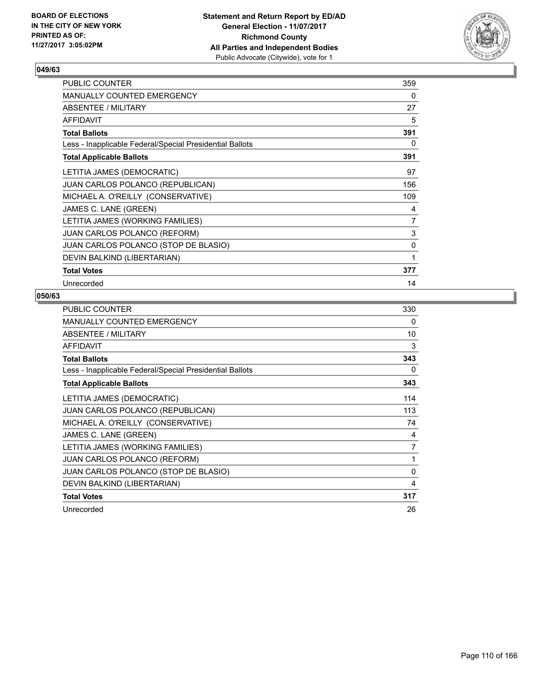

| <b>PUBLIC COUNTER</b>                                    | 359            |
|----------------------------------------------------------|----------------|
| <b>MANUALLY COUNTED EMERGENCY</b>                        | 0              |
| ABSENTEE / MILITARY                                      | 27             |
| <b>AFFIDAVIT</b>                                         | 5              |
| <b>Total Ballots</b>                                     | 391            |
| Less - Inapplicable Federal/Special Presidential Ballots | 0              |
| <b>Total Applicable Ballots</b>                          | 391            |
| LETITIA JAMES (DEMOCRATIC)                               | 97             |
| <b>JUAN CARLOS POLANCO (REPUBLICAN)</b>                  | 156            |
| MICHAEL A. O'REILLY (CONSERVATIVE)                       | 109            |
| JAMES C. LANE (GREEN)                                    | 4              |
| LETITIA JAMES (WORKING FAMILIES)                         | $\overline{7}$ |
| <b>JUAN CARLOS POLANCO (REFORM)</b>                      | 3              |
| JUAN CARLOS POLANCO (STOP DE BLASIO)                     | 0              |
| DEVIN BALKIND (LIBERTARIAN)                              | 1              |
| <b>Total Votes</b>                                       | 377            |
| Unrecorded                                               | 14             |

| <b>PUBLIC COUNTER</b>                                    | 330 |
|----------------------------------------------------------|-----|
| MANUALLY COUNTED EMERGENCY                               | 0   |
| ABSENTEE / MILITARY                                      | 10  |
| <b>AFFIDAVIT</b>                                         | 3   |
| <b>Total Ballots</b>                                     | 343 |
| Less - Inapplicable Federal/Special Presidential Ballots | 0   |
| <b>Total Applicable Ballots</b>                          | 343 |
| LETITIA JAMES (DEMOCRATIC)                               | 114 |
| JUAN CARLOS POLANCO (REPUBLICAN)                         | 113 |
| MICHAEL A. O'REILLY (CONSERVATIVE)                       | 74  |
| JAMES C. LANE (GREEN)                                    | 4   |
| LETITIA JAMES (WORKING FAMILIES)                         | 7   |
| <b>JUAN CARLOS POLANCO (REFORM)</b>                      | 1   |
| JUAN CARLOS POLANCO (STOP DE BLASIO)                     | 0   |
| DEVIN BALKIND (LIBERTARIAN)                              | 4   |
| <b>Total Votes</b>                                       | 317 |
| Unrecorded                                               | 26  |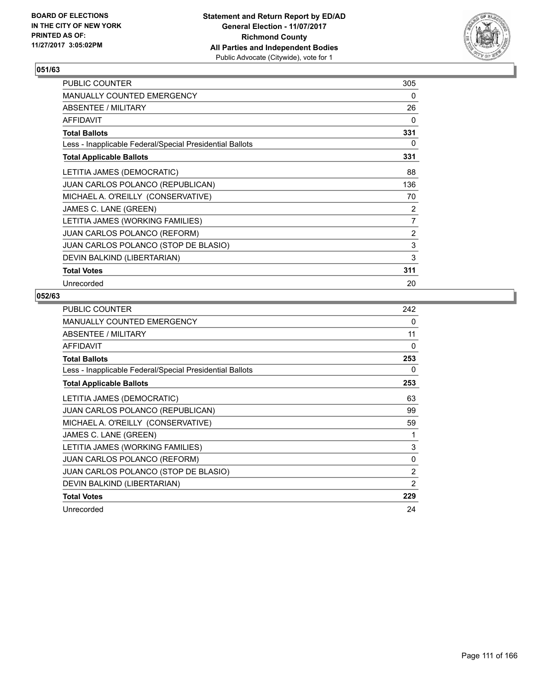

| PUBLIC COUNTER                                           | 305            |
|----------------------------------------------------------|----------------|
| <b>MANUALLY COUNTED EMERGENCY</b>                        | 0              |
| ABSENTEE / MILITARY                                      | 26             |
| <b>AFFIDAVIT</b>                                         | 0              |
| <b>Total Ballots</b>                                     | 331            |
| Less - Inapplicable Federal/Special Presidential Ballots | 0              |
| <b>Total Applicable Ballots</b>                          | 331            |
| LETITIA JAMES (DEMOCRATIC)                               | 88             |
| JUAN CARLOS POLANCO (REPUBLICAN)                         | 136            |
| MICHAEL A. O'REILLY (CONSERVATIVE)                       | 70             |
| JAMES C. LANE (GREEN)                                    | 2              |
| LETITIA JAMES (WORKING FAMILIES)                         | $\overline{7}$ |
| JUAN CARLOS POLANCO (REFORM)                             | 2              |
| JUAN CARLOS POLANCO (STOP DE BLASIO)                     | 3              |
| DEVIN BALKIND (LIBERTARIAN)                              | 3              |
| <b>Total Votes</b>                                       | 311            |
| Unrecorded                                               | 20             |

| <b>PUBLIC COUNTER</b>                                    | 242 |
|----------------------------------------------------------|-----|
| <b>MANUALLY COUNTED EMERGENCY</b>                        | 0   |
| ABSENTEE / MILITARY                                      | 11  |
| AFFIDAVIT                                                | 0   |
| <b>Total Ballots</b>                                     | 253 |
| Less - Inapplicable Federal/Special Presidential Ballots | 0   |
| <b>Total Applicable Ballots</b>                          | 253 |
| LETITIA JAMES (DEMOCRATIC)                               | 63  |
| <b>JUAN CARLOS POLANCO (REPUBLICAN)</b>                  | 99  |
| MICHAEL A. O'REILLY (CONSERVATIVE)                       | 59  |
| JAMES C. LANE (GREEN)                                    | 1   |
| LETITIA JAMES (WORKING FAMILIES)                         | 3   |
| <b>JUAN CARLOS POLANCO (REFORM)</b>                      | 0   |
| JUAN CARLOS POLANCO (STOP DE BLASIO)                     | 2   |
| DEVIN BALKIND (LIBERTARIAN)                              | 2   |
| <b>Total Votes</b>                                       | 229 |
| Unrecorded                                               | 24  |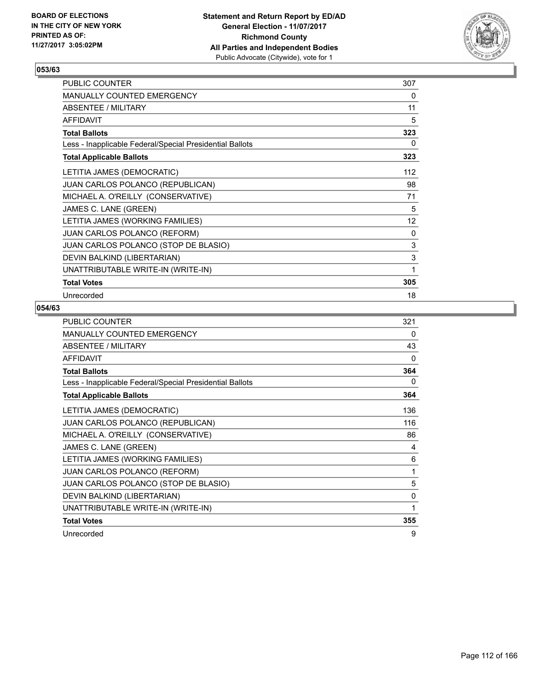

| PUBLIC COUNTER                                           | 307 |
|----------------------------------------------------------|-----|
| MANUALLY COUNTED EMERGENCY                               | 0   |
| ABSENTEE / MILITARY                                      | 11  |
| <b>AFFIDAVIT</b>                                         | 5   |
| <b>Total Ballots</b>                                     | 323 |
| Less - Inapplicable Federal/Special Presidential Ballots | 0   |
| <b>Total Applicable Ballots</b>                          | 323 |
| LETITIA JAMES (DEMOCRATIC)                               | 112 |
| JUAN CARLOS POLANCO (REPUBLICAN)                         | 98  |
| MICHAEL A. O'REILLY (CONSERVATIVE)                       | 71  |
| JAMES C. LANE (GREEN)                                    | 5   |
| LETITIA JAMES (WORKING FAMILIES)                         | 12  |
| JUAN CARLOS POLANCO (REFORM)                             | 0   |
| JUAN CARLOS POLANCO (STOP DE BLASIO)                     | 3   |
| DEVIN BALKIND (LIBERTARIAN)                              | 3   |
| UNATTRIBUTABLE WRITE-IN (WRITE-IN)                       | 1   |
| <b>Total Votes</b>                                       | 305 |
| Unrecorded                                               | 18  |

| PUBLIC COUNTER                                           | 321          |
|----------------------------------------------------------|--------------|
| MANUALLY COUNTED EMERGENCY                               | 0            |
| ABSENTEE / MILITARY                                      | 43           |
| <b>AFFIDAVIT</b>                                         | $\Omega$     |
| <b>Total Ballots</b>                                     | 364          |
| Less - Inapplicable Federal/Special Presidential Ballots | 0            |
| <b>Total Applicable Ballots</b>                          | 364          |
| LETITIA JAMES (DEMOCRATIC)                               | 136          |
| JUAN CARLOS POLANCO (REPUBLICAN)                         | 116          |
| MICHAEL A. O'REILLY (CONSERVATIVE)                       | 86           |
| JAMES C. LANE (GREEN)                                    | 4            |
| LETITIA JAMES (WORKING FAMILIES)                         | 6            |
| <b>JUAN CARLOS POLANCO (REFORM)</b>                      | 1            |
| JUAN CARLOS POLANCO (STOP DE BLASIO)                     | 5            |
| DEVIN BALKIND (LIBERTARIAN)                              | 0            |
| UNATTRIBUTABLE WRITE-IN (WRITE-IN)                       | $\mathbf{1}$ |
| <b>Total Votes</b>                                       | 355          |
| Unrecorded                                               | 9            |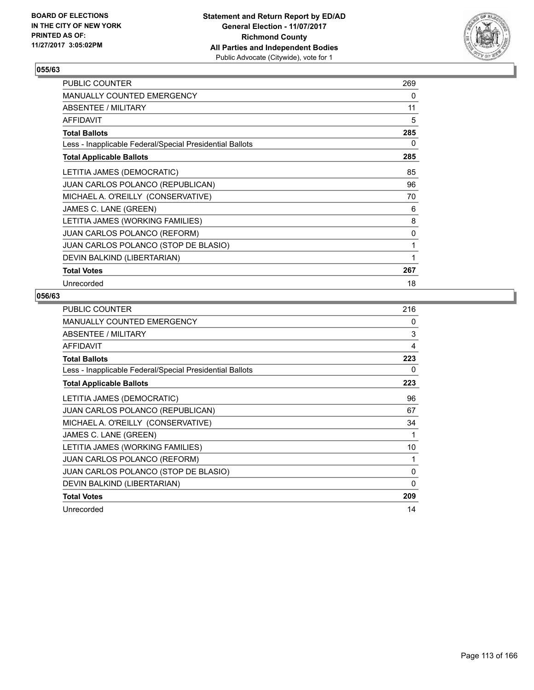

| <b>PUBLIC COUNTER</b>                                    | 269 |
|----------------------------------------------------------|-----|
| <b>MANUALLY COUNTED EMERGENCY</b>                        | 0   |
| <b>ABSENTEE / MILITARY</b>                               | 11  |
| <b>AFFIDAVIT</b>                                         | 5   |
| <b>Total Ballots</b>                                     | 285 |
| Less - Inapplicable Federal/Special Presidential Ballots | 0   |
| <b>Total Applicable Ballots</b>                          | 285 |
| LETITIA JAMES (DEMOCRATIC)                               | 85  |
| JUAN CARLOS POLANCO (REPUBLICAN)                         | 96  |
| MICHAEL A. O'REILLY (CONSERVATIVE)                       | 70  |
| JAMES C. LANE (GREEN)                                    | 6   |
| LETITIA JAMES (WORKING FAMILIES)                         | 8   |
| JUAN CARLOS POLANCO (REFORM)                             | 0   |
| JUAN CARLOS POLANCO (STOP DE BLASIO)                     | 1   |
| DEVIN BALKIND (LIBERTARIAN)                              | 1   |
| <b>Total Votes</b>                                       | 267 |
| Unrecorded                                               | 18  |

| <b>PUBLIC COUNTER</b>                                    | 216      |
|----------------------------------------------------------|----------|
| MANUALLY COUNTED EMERGENCY                               | 0        |
| ABSENTEE / MILITARY                                      | 3        |
| AFFIDAVIT                                                | 4        |
| <b>Total Ballots</b>                                     | 223      |
| Less - Inapplicable Federal/Special Presidential Ballots | 0        |
| <b>Total Applicable Ballots</b>                          | 223      |
| LETITIA JAMES (DEMOCRATIC)                               | 96       |
| <b>JUAN CARLOS POLANCO (REPUBLICAN)</b>                  | 67       |
| MICHAEL A. O'REILLY (CONSERVATIVE)                       | 34       |
| JAMES C. LANE (GREEN)                                    | 1        |
| LETITIA JAMES (WORKING FAMILIES)                         | 10       |
| JUAN CARLOS POLANCO (REFORM)                             | 1        |
| JUAN CARLOS POLANCO (STOP DE BLASIO)                     | 0        |
| DEVIN BALKIND (LIBERTARIAN)                              | $\Omega$ |
| <b>Total Votes</b>                                       | 209      |
| Unrecorded                                               | 14       |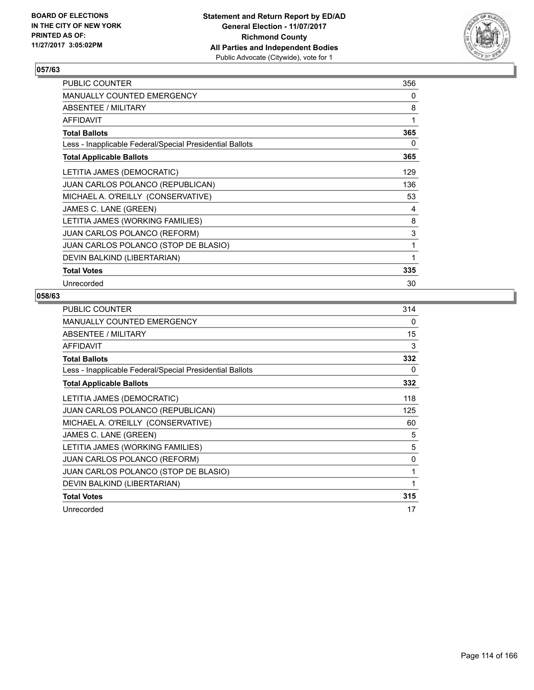

| PUBLIC COUNTER                                           | 356 |
|----------------------------------------------------------|-----|
| <b>MANUALLY COUNTED EMERGENCY</b>                        | 0   |
| ABSENTEE / MILITARY                                      | 8   |
| <b>AFFIDAVIT</b>                                         | 1   |
| <b>Total Ballots</b>                                     | 365 |
| Less - Inapplicable Federal/Special Presidential Ballots | 0   |
| <b>Total Applicable Ballots</b>                          | 365 |
| LETITIA JAMES (DEMOCRATIC)                               | 129 |
| JUAN CARLOS POLANCO (REPUBLICAN)                         | 136 |
| MICHAEL A. O'REILLY (CONSERVATIVE)                       | 53  |
| JAMES C. LANE (GREEN)                                    | 4   |
| LETITIA JAMES (WORKING FAMILIES)                         | 8   |
| JUAN CARLOS POLANCO (REFORM)                             | 3   |
| JUAN CARLOS POLANCO (STOP DE BLASIO)                     | 1   |
| DEVIN BALKIND (LIBERTARIAN)                              | 1   |
| <b>Total Votes</b>                                       | 335 |
| Unrecorded                                               | 30  |

| <b>PUBLIC COUNTER</b>                                    | 314 |
|----------------------------------------------------------|-----|
| <b>MANUALLY COUNTED EMERGENCY</b>                        | 0   |
| ABSENTEE / MILITARY                                      | 15  |
| AFFIDAVIT                                                | 3   |
| <b>Total Ballots</b>                                     | 332 |
| Less - Inapplicable Federal/Special Presidential Ballots | 0   |
| <b>Total Applicable Ballots</b>                          | 332 |
| LETITIA JAMES (DEMOCRATIC)                               | 118 |
| <b>JUAN CARLOS POLANCO (REPUBLICAN)</b>                  | 125 |
| MICHAEL A. O'REILLY (CONSERVATIVE)                       | 60  |
| JAMES C. LANE (GREEN)                                    | 5   |
| LETITIA JAMES (WORKING FAMILIES)                         | 5   |
| JUAN CARLOS POLANCO (REFORM)                             | 0   |
| JUAN CARLOS POLANCO (STOP DE BLASIO)                     | 1   |
| DEVIN BALKIND (LIBERTARIAN)                              | 1   |
| <b>Total Votes</b>                                       | 315 |
| Unrecorded                                               | 17  |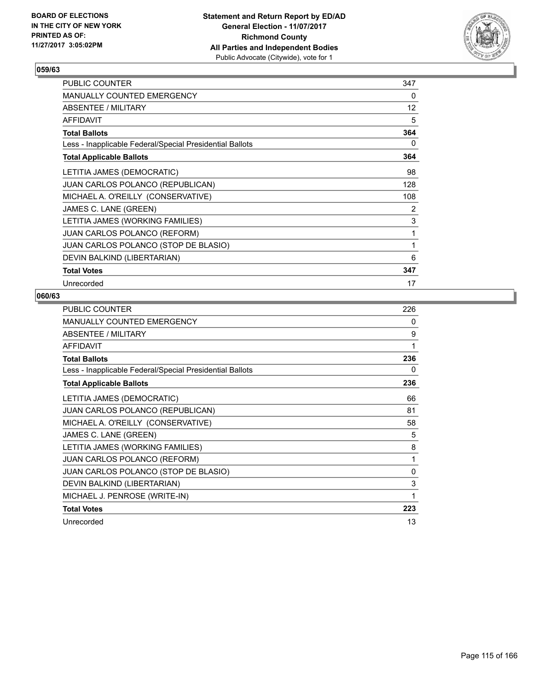

| <b>PUBLIC COUNTER</b>                                    | 347 |
|----------------------------------------------------------|-----|
| <b>MANUALLY COUNTED EMERGENCY</b>                        | 0   |
| ABSENTEE / MILITARY                                      | 12  |
| <b>AFFIDAVIT</b>                                         | 5   |
| <b>Total Ballots</b>                                     | 364 |
| Less - Inapplicable Federal/Special Presidential Ballots | 0   |
| <b>Total Applicable Ballots</b>                          | 364 |
| LETITIA JAMES (DEMOCRATIC)                               | 98  |
| <b>JUAN CARLOS POLANCO (REPUBLICAN)</b>                  | 128 |
| MICHAEL A. O'REILLY (CONSERVATIVE)                       | 108 |
| JAMES C. LANE (GREEN)                                    | 2   |
| LETITIA JAMES (WORKING FAMILIES)                         | 3   |
| <b>JUAN CARLOS POLANCO (REFORM)</b>                      | 1   |
| JUAN CARLOS POLANCO (STOP DE BLASIO)                     | 1   |
| DEVIN BALKIND (LIBERTARIAN)                              | 6   |
| <b>Total Votes</b>                                       | 347 |
| Unrecorded                                               | 17  |

| PUBLIC COUNTER                                           | 226 |
|----------------------------------------------------------|-----|
| MANUALLY COUNTED EMERGENCY                               | 0   |
| ABSENTEE / MILITARY                                      | 9   |
| <b>AFFIDAVIT</b>                                         | 1   |
| <b>Total Ballots</b>                                     | 236 |
| Less - Inapplicable Federal/Special Presidential Ballots | 0   |
| <b>Total Applicable Ballots</b>                          | 236 |
| LETITIA JAMES (DEMOCRATIC)                               | 66  |
| JUAN CARLOS POLANCO (REPUBLICAN)                         | 81  |
| MICHAEL A. O'REILLY (CONSERVATIVE)                       | 58  |
| JAMES C. LANE (GREEN)                                    | 5   |
| LETITIA JAMES (WORKING FAMILIES)                         | 8   |
| JUAN CARLOS POLANCO (REFORM)                             | 1   |
| JUAN CARLOS POLANCO (STOP DE BLASIO)                     | 0   |
| DEVIN BALKIND (LIBERTARIAN)                              | 3   |
| MICHAEL J. PENROSE (WRITE-IN)                            | 1   |
| <b>Total Votes</b>                                       | 223 |
| Unrecorded                                               | 13  |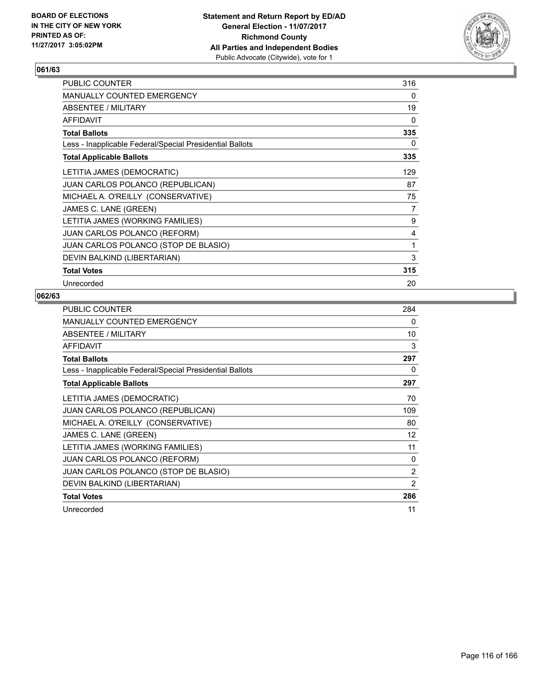

| <b>PUBLIC COUNTER</b>                                    | 316 |
|----------------------------------------------------------|-----|
| <b>MANUALLY COUNTED EMERGENCY</b>                        | 0   |
| ABSENTEE / MILITARY                                      | 19  |
| <b>AFFIDAVIT</b>                                         | 0   |
| <b>Total Ballots</b>                                     | 335 |
| Less - Inapplicable Federal/Special Presidential Ballots | 0   |
| <b>Total Applicable Ballots</b>                          | 335 |
| LETITIA JAMES (DEMOCRATIC)                               | 129 |
| JUAN CARLOS POLANCO (REPUBLICAN)                         | 87  |
| MICHAEL A. O'REILLY (CONSERVATIVE)                       | 75  |
| JAMES C. LANE (GREEN)                                    | 7   |
| LETITIA JAMES (WORKING FAMILIES)                         | 9   |
| JUAN CARLOS POLANCO (REFORM)                             | 4   |
| JUAN CARLOS POLANCO (STOP DE BLASIO)                     | 1   |
| DEVIN BALKIND (LIBERTARIAN)                              | 3   |
| <b>Total Votes</b>                                       | 315 |
| Unrecorded                                               | 20  |

| <b>PUBLIC COUNTER</b>                                    | 284 |
|----------------------------------------------------------|-----|
| <b>MANUALLY COUNTED EMERGENCY</b>                        | 0   |
| <b>ABSENTEE / MILITARY</b>                               | 10  |
| <b>AFFIDAVIT</b>                                         | 3   |
| <b>Total Ballots</b>                                     | 297 |
| Less - Inapplicable Federal/Special Presidential Ballots | 0   |
| <b>Total Applicable Ballots</b>                          | 297 |
| LETITIA JAMES (DEMOCRATIC)                               | 70  |
| JUAN CARLOS POLANCO (REPUBLICAN)                         | 109 |
| MICHAEL A. O'REILLY (CONSERVATIVE)                       | 80  |
| JAMES C. LANE (GREEN)                                    | 12  |
| LETITIA JAMES (WORKING FAMILIES)                         | 11  |
| <b>JUAN CARLOS POLANCO (REFORM)</b>                      | 0   |
| JUAN CARLOS POLANCO (STOP DE BLASIO)                     | 2   |
| DEVIN BALKIND (LIBERTARIAN)                              | 2   |
| <b>Total Votes</b>                                       | 286 |
| Unrecorded                                               | 11  |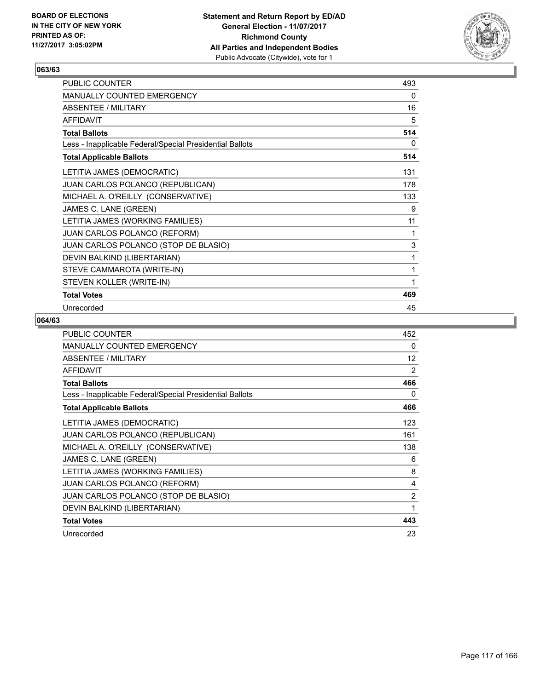

| PUBLIC COUNTER                                           | 493         |
|----------------------------------------------------------|-------------|
| MANUALLY COUNTED EMERGENCY                               | 0           |
| <b>ABSENTEE / MILITARY</b>                               | 16          |
| <b>AFFIDAVIT</b>                                         | 5           |
| <b>Total Ballots</b>                                     | 514         |
| Less - Inapplicable Federal/Special Presidential Ballots | 0           |
| <b>Total Applicable Ballots</b>                          | 514         |
| LETITIA JAMES (DEMOCRATIC)                               | 131         |
| JUAN CARLOS POLANCO (REPUBLICAN)                         | 178         |
| MICHAEL A. O'REILLY (CONSERVATIVE)                       | 133         |
| JAMES C. LANE (GREEN)                                    | 9           |
| LETITIA JAMES (WORKING FAMILIES)                         | 11          |
| JUAN CARLOS POLANCO (REFORM)                             | 1           |
| JUAN CARLOS POLANCO (STOP DE BLASIO)                     | $\mathsf 3$ |
| DEVIN BALKIND (LIBERTARIAN)                              | 1           |
| STEVE CAMMAROTA (WRITE-IN)                               | 1           |
| STEVEN KOLLER (WRITE-IN)                                 | 1           |
| <b>Total Votes</b>                                       | 469         |
| Unrecorded                                               | 45          |

| <b>PUBLIC COUNTER</b>                                    | 452            |
|----------------------------------------------------------|----------------|
| <b>MANUALLY COUNTED EMERGENCY</b>                        | 0              |
| ABSENTEE / MILITARY                                      | 12             |
| AFFIDAVIT                                                | 2              |
| <b>Total Ballots</b>                                     | 466            |
| Less - Inapplicable Federal/Special Presidential Ballots | 0              |
| <b>Total Applicable Ballots</b>                          | 466            |
| LETITIA JAMES (DEMOCRATIC)                               | 123            |
| JUAN CARLOS POLANCO (REPUBLICAN)                         | 161            |
| MICHAEL A. O'REILLY (CONSERVATIVE)                       | 138            |
| JAMES C. LANE (GREEN)                                    | 6              |
| LETITIA JAMES (WORKING FAMILIES)                         | 8              |
| <b>JUAN CARLOS POLANCO (REFORM)</b>                      | 4              |
| JUAN CARLOS POLANCO (STOP DE BLASIO)                     | $\overline{2}$ |
| DEVIN BALKIND (LIBERTARIAN)                              | 1              |
| <b>Total Votes</b>                                       | 443            |
| Unrecorded                                               | 23             |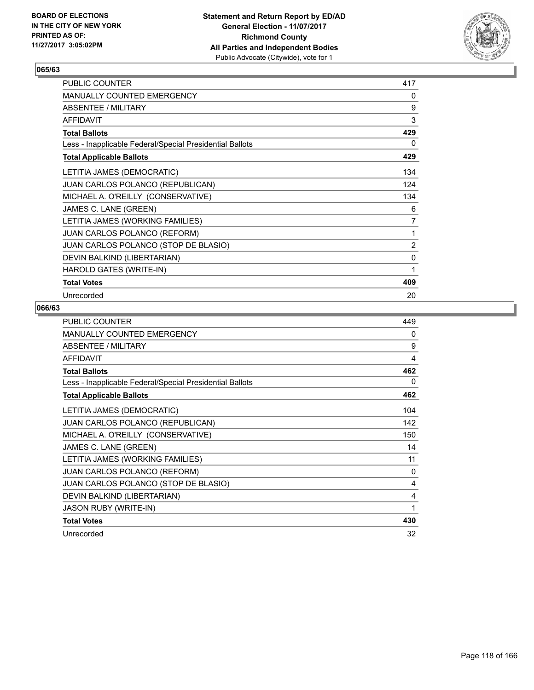

| <b>PUBLIC COUNTER</b>                                    | 417            |
|----------------------------------------------------------|----------------|
| <b>MANUALLY COUNTED EMERGENCY</b>                        | 0              |
| ABSENTEE / MILITARY                                      | 9              |
| <b>AFFIDAVIT</b>                                         | 3              |
| <b>Total Ballots</b>                                     | 429            |
| Less - Inapplicable Federal/Special Presidential Ballots | 0              |
| <b>Total Applicable Ballots</b>                          | 429            |
| LETITIA JAMES (DEMOCRATIC)                               | 134            |
| JUAN CARLOS POLANCO (REPUBLICAN)                         | 124            |
| MICHAEL A. O'REILLY (CONSERVATIVE)                       | 134            |
| JAMES C. LANE (GREEN)                                    | 6              |
| LETITIA JAMES (WORKING FAMILIES)                         | 7              |
| <b>JUAN CARLOS POLANCO (REFORM)</b>                      | 1              |
| JUAN CARLOS POLANCO (STOP DE BLASIO)                     | $\overline{2}$ |
| DEVIN BALKIND (LIBERTARIAN)                              | 0              |
| HAROLD GATES (WRITE-IN)                                  | 1              |
| <b>Total Votes</b>                                       | 409            |
| Unrecorded                                               | 20             |

| PUBLIC COUNTER                                           | 449 |
|----------------------------------------------------------|-----|
| <b>MANUALLY COUNTED EMERGENCY</b>                        | 0   |
| ABSENTEE / MILITARY                                      | 9   |
| <b>AFFIDAVIT</b>                                         | 4   |
| <b>Total Ballots</b>                                     | 462 |
| Less - Inapplicable Federal/Special Presidential Ballots | 0   |
| <b>Total Applicable Ballots</b>                          | 462 |
| LETITIA JAMES (DEMOCRATIC)                               | 104 |
| JUAN CARLOS POLANCO (REPUBLICAN)                         | 142 |
| MICHAEL A. O'REILLY (CONSERVATIVE)                       | 150 |
| JAMES C. LANE (GREEN)                                    | 14  |
| LETITIA JAMES (WORKING FAMILIES)                         | 11  |
| JUAN CARLOS POLANCO (REFORM)                             | 0   |
| JUAN CARLOS POLANCO (STOP DE BLASIO)                     | 4   |
| DEVIN BALKIND (LIBERTARIAN)                              | 4   |
| <b>JASON RUBY (WRITE-IN)</b>                             | 1   |
| <b>Total Votes</b>                                       | 430 |
| Unrecorded                                               | 32  |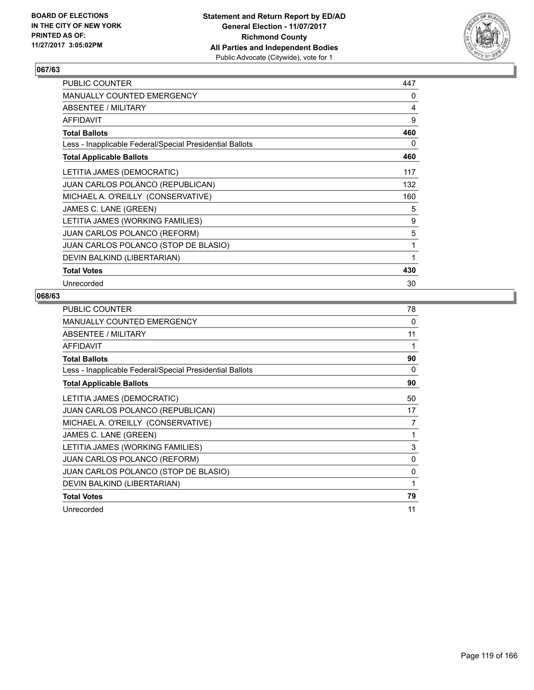

| PUBLIC COUNTER                                           | 447 |
|----------------------------------------------------------|-----|
| <b>MANUALLY COUNTED EMERGENCY</b>                        | 0   |
| ABSENTEE / MILITARY                                      | 4   |
| <b>AFFIDAVIT</b>                                         | 9   |
| <b>Total Ballots</b>                                     | 460 |
| Less - Inapplicable Federal/Special Presidential Ballots | 0   |
| <b>Total Applicable Ballots</b>                          | 460 |
| LETITIA JAMES (DEMOCRATIC)                               | 117 |
| JUAN CARLOS POLANCO (REPUBLICAN)                         | 132 |
| MICHAEL A. O'REILLY (CONSERVATIVE)                       | 160 |
| JAMES C. LANE (GREEN)                                    | 5   |
| LETITIA JAMES (WORKING FAMILIES)                         | 9   |
| JUAN CARLOS POLANCO (REFORM)                             | 5   |
| JUAN CARLOS POLANCO (STOP DE BLASIO)                     | 1   |
| DEVIN BALKIND (LIBERTARIAN)                              | 1   |
| <b>Total Votes</b>                                       | 430 |
| Unrecorded                                               | 30  |

| <b>PUBLIC COUNTER</b>                                    | 78           |
|----------------------------------------------------------|--------------|
| <b>MANUALLY COUNTED EMERGENCY</b>                        | 0            |
| ABSENTEE / MILITARY                                      | 11           |
| <b>AFFIDAVIT</b>                                         | 1            |
| <b>Total Ballots</b>                                     | 90           |
| Less - Inapplicable Federal/Special Presidential Ballots | 0            |
| <b>Total Applicable Ballots</b>                          | 90           |
| LETITIA JAMES (DEMOCRATIC)                               | 50           |
| <b>JUAN CARLOS POLANCO (REPUBLICAN)</b>                  | 17           |
| MICHAEL A. O'REILLY (CONSERVATIVE)                       | 7            |
| JAMES C. LANE (GREEN)                                    | 1            |
| LETITIA JAMES (WORKING FAMILIES)                         | 3            |
| <b>JUAN CARLOS POLANCO (REFORM)</b>                      | $\mathbf{0}$ |
| JUAN CARLOS POLANCO (STOP DE BLASIO)                     | 0            |
| DEVIN BALKIND (LIBERTARIAN)                              | 1            |
| <b>Total Votes</b>                                       | 79           |
| Unrecorded                                               | 11           |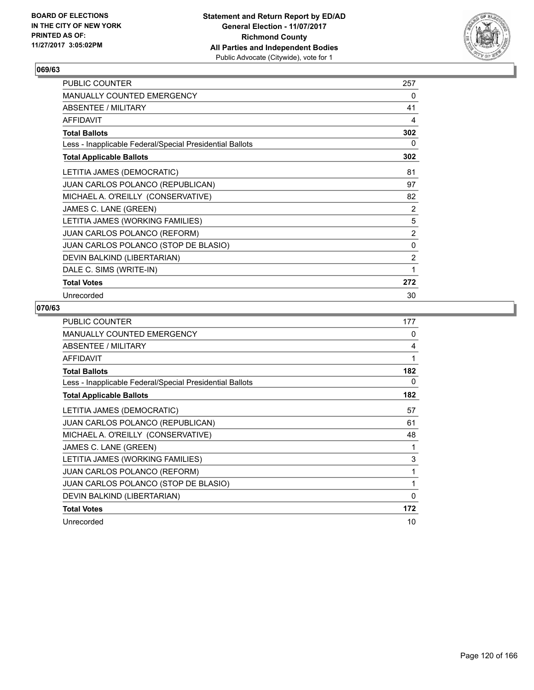

| PUBLIC COUNTER                                           | 257            |
|----------------------------------------------------------|----------------|
| <b>MANUALLY COUNTED EMERGENCY</b>                        | 0              |
| <b>ABSENTEE / MILITARY</b>                               | 41             |
| <b>AFFIDAVIT</b>                                         | 4              |
| <b>Total Ballots</b>                                     | 302            |
| Less - Inapplicable Federal/Special Presidential Ballots | 0              |
| <b>Total Applicable Ballots</b>                          | 302            |
| LETITIA JAMES (DEMOCRATIC)                               | 81             |
| JUAN CARLOS POLANCO (REPUBLICAN)                         | 97             |
| MICHAEL A. O'REILLY (CONSERVATIVE)                       | 82             |
| JAMES C. LANE (GREEN)                                    | 2              |
| LETITIA JAMES (WORKING FAMILIES)                         | 5              |
| <b>JUAN CARLOS POLANCO (REFORM)</b>                      | $\overline{2}$ |
| JUAN CARLOS POLANCO (STOP DE BLASIO)                     | $\mathbf{0}$   |
| DEVIN BALKIND (LIBERTARIAN)                              | $\overline{2}$ |
| DALE C. SIMS (WRITE-IN)                                  | 1              |
| <b>Total Votes</b>                                       | 272            |
| Unrecorded                                               | 30             |

| PUBLIC COUNTER                                           | 177      |
|----------------------------------------------------------|----------|
| MANUALLY COUNTED EMERGENCY                               | 0        |
| ABSENTEE / MILITARY                                      | 4        |
| <b>AFFIDAVIT</b>                                         | 1        |
| <b>Total Ballots</b>                                     | 182      |
| Less - Inapplicable Federal/Special Presidential Ballots | 0        |
| <b>Total Applicable Ballots</b>                          | 182      |
| LETITIA JAMES (DEMOCRATIC)                               | 57       |
| <b>JUAN CARLOS POLANCO (REPUBLICAN)</b>                  | 61       |
| MICHAEL A. O'REILLY (CONSERVATIVE)                       | 48       |
| JAMES C. LANE (GREEN)                                    | 1        |
| LETITIA JAMES (WORKING FAMILIES)                         | 3        |
| <b>JUAN CARLOS POLANCO (REFORM)</b>                      | 1        |
| JUAN CARLOS POLANCO (STOP DE BLASIO)                     | 1        |
| DEVIN BALKIND (LIBERTARIAN)                              | $\Omega$ |
| <b>Total Votes</b>                                       | 172      |
| Unrecorded                                               | 10       |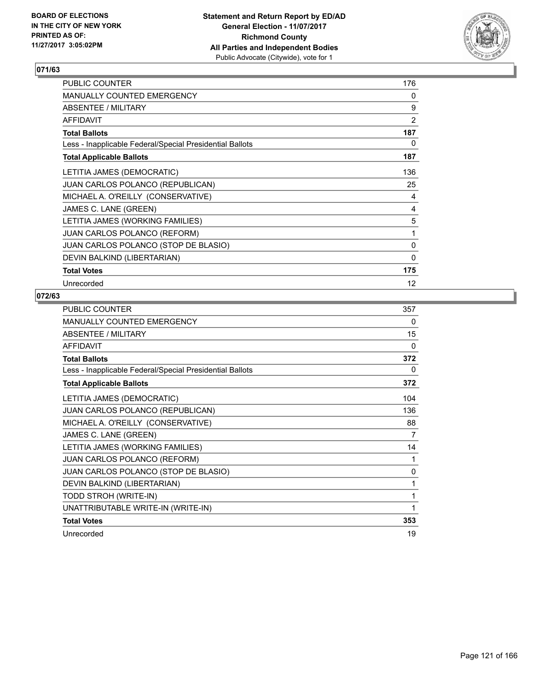

| PUBLIC COUNTER                                           | 176               |
|----------------------------------------------------------|-------------------|
| <b>MANUALLY COUNTED EMERGENCY</b>                        | 0                 |
| ABSENTEE / MILITARY                                      | 9                 |
| <b>AFFIDAVIT</b>                                         | 2                 |
| <b>Total Ballots</b>                                     | 187               |
| Less - Inapplicable Federal/Special Presidential Ballots | 0                 |
| <b>Total Applicable Ballots</b>                          | 187               |
| LETITIA JAMES (DEMOCRATIC)                               | 136               |
| <b>JUAN CARLOS POLANCO (REPUBLICAN)</b>                  | 25                |
| MICHAEL A. O'REILLY (CONSERVATIVE)                       | 4                 |
| JAMES C. LANE (GREEN)                                    | 4                 |
| LETITIA JAMES (WORKING FAMILIES)                         | 5                 |
| <b>JUAN CARLOS POLANCO (REFORM)</b>                      | 1                 |
| JUAN CARLOS POLANCO (STOP DE BLASIO)                     | 0                 |
| DEVIN BALKIND (LIBERTARIAN)                              | 0                 |
| <b>Total Votes</b>                                       | 175               |
| Unrecorded                                               | $12 \overline{ }$ |

| <b>PUBLIC COUNTER</b>                                    | 357          |
|----------------------------------------------------------|--------------|
| <b>MANUALLY COUNTED EMERGENCY</b>                        | 0            |
| ABSENTEE / MILITARY                                      | 15           |
| <b>AFFIDAVIT</b>                                         | 0            |
| <b>Total Ballots</b>                                     | 372          |
| Less - Inapplicable Federal/Special Presidential Ballots | 0            |
| <b>Total Applicable Ballots</b>                          | 372          |
| LETITIA JAMES (DEMOCRATIC)                               | 104          |
| JUAN CARLOS POLANCO (REPUBLICAN)                         | 136          |
| MICHAEL A. O'REILLY (CONSERVATIVE)                       | 88           |
| JAMES C. LANE (GREEN)                                    | 7            |
| LETITIA JAMES (WORKING FAMILIES)                         | 14           |
| JUAN CARLOS POLANCO (REFORM)                             | 1            |
| JUAN CARLOS POLANCO (STOP DE BLASIO)                     | $\mathbf{0}$ |
| DEVIN BALKIND (LIBERTARIAN)                              | 1            |
| TODD STROH (WRITE-IN)                                    | 1            |
| UNATTRIBUTABLE WRITE-IN (WRITE-IN)                       | 1            |
| <b>Total Votes</b>                                       | 353          |
| Unrecorded                                               | 19           |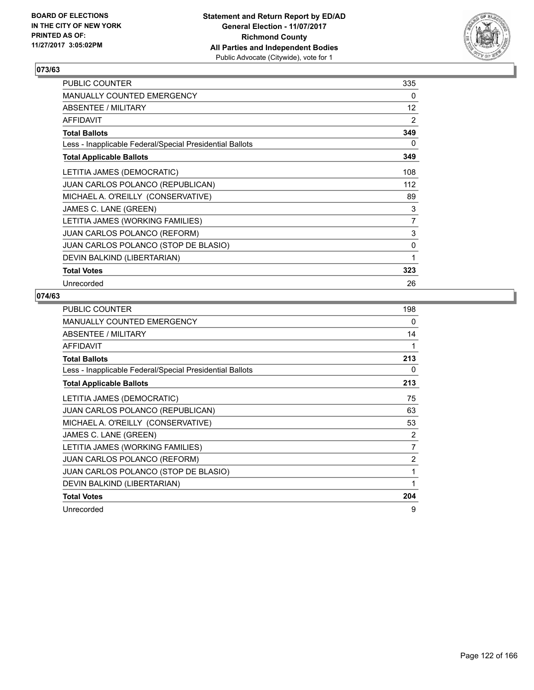

| <b>PUBLIC COUNTER</b>                                    | 335 |
|----------------------------------------------------------|-----|
| <b>MANUALLY COUNTED EMERGENCY</b>                        | 0   |
| <b>ABSENTEE / MILITARY</b>                               | 12  |
| <b>AFFIDAVIT</b>                                         | 2   |
| <b>Total Ballots</b>                                     | 349 |
| Less - Inapplicable Federal/Special Presidential Ballots | 0   |
| <b>Total Applicable Ballots</b>                          | 349 |
| LETITIA JAMES (DEMOCRATIC)                               | 108 |
| <b>JUAN CARLOS POLANCO (REPUBLICAN)</b>                  | 112 |
| MICHAEL A. O'REILLY (CONSERVATIVE)                       | 89  |
| JAMES C. LANE (GREEN)                                    | 3   |
| LETITIA JAMES (WORKING FAMILIES)                         | 7   |
| <b>JUAN CARLOS POLANCO (REFORM)</b>                      | 3   |
| JUAN CARLOS POLANCO (STOP DE BLASIO)                     | 0   |
| DEVIN BALKIND (LIBERTARIAN)                              | 1   |
| <b>Total Votes</b>                                       | 323 |
| Unrecorded                                               | 26  |

| <b>PUBLIC COUNTER</b>                                    | 198 |
|----------------------------------------------------------|-----|
| MANUALLY COUNTED EMERGENCY                               | 0   |
| ABSENTEE / MILITARY                                      | 14  |
| <b>AFFIDAVIT</b>                                         | 1   |
| <b>Total Ballots</b>                                     | 213 |
| Less - Inapplicable Federal/Special Presidential Ballots | 0   |
| <b>Total Applicable Ballots</b>                          | 213 |
| LETITIA JAMES (DEMOCRATIC)                               | 75  |
| JUAN CARLOS POLANCO (REPUBLICAN)                         | 63  |
| MICHAEL A. O'REILLY (CONSERVATIVE)                       | 53  |
| JAMES C. LANE (GREEN)                                    | 2   |
| LETITIA JAMES (WORKING FAMILIES)                         | 7   |
| <b>JUAN CARLOS POLANCO (REFORM)</b>                      | 2   |
| JUAN CARLOS POLANCO (STOP DE BLASIO)                     | 1   |
| DEVIN BALKIND (LIBERTARIAN)                              | 1   |
| <b>Total Votes</b>                                       | 204 |
| Unrecorded                                               | 9   |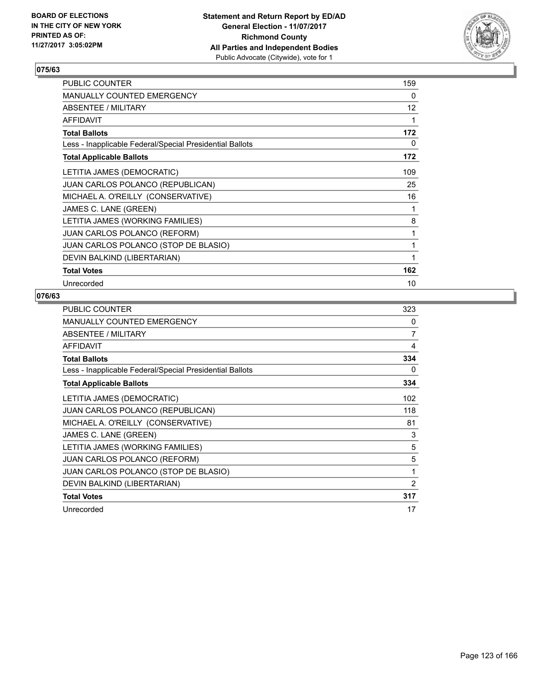

| <b>PUBLIC COUNTER</b>                                    | 159 |
|----------------------------------------------------------|-----|
| <b>MANUALLY COUNTED EMERGENCY</b>                        | 0   |
| ABSENTEE / MILITARY                                      | 12  |
| <b>AFFIDAVIT</b>                                         | 1   |
| <b>Total Ballots</b>                                     | 172 |
| Less - Inapplicable Federal/Special Presidential Ballots | 0   |
| <b>Total Applicable Ballots</b>                          | 172 |
| LETITIA JAMES (DEMOCRATIC)                               | 109 |
| JUAN CARLOS POLANCO (REPUBLICAN)                         | 25  |
| MICHAEL A. O'REILLY (CONSERVATIVE)                       | 16  |
| JAMES C. LANE (GREEN)                                    | 1   |
| LETITIA JAMES (WORKING FAMILIES)                         | 8   |
| JUAN CARLOS POLANCO (REFORM)                             | 1   |
| JUAN CARLOS POLANCO (STOP DE BLASIO)                     | 1   |
| DEVIN BALKIND (LIBERTARIAN)                              | 1   |
| <b>Total Votes</b>                                       | 162 |
| Unrecorded                                               | 10  |

| <b>PUBLIC COUNTER</b>                                    | 323 |
|----------------------------------------------------------|-----|
| <b>MANUALLY COUNTED EMERGENCY</b>                        | 0   |
| ABSENTEE / MILITARY                                      | 7   |
| <b>AFFIDAVIT</b>                                         | 4   |
| <b>Total Ballots</b>                                     | 334 |
| Less - Inapplicable Federal/Special Presidential Ballots | 0   |
| <b>Total Applicable Ballots</b>                          | 334 |
| LETITIA JAMES (DEMOCRATIC)                               | 102 |
| <b>JUAN CARLOS POLANCO (REPUBLICAN)</b>                  | 118 |
| MICHAEL A. O'REILLY (CONSERVATIVE)                       | 81  |
| JAMES C. LANE (GREEN)                                    | 3   |
| LETITIA JAMES (WORKING FAMILIES)                         | 5   |
| <b>JUAN CARLOS POLANCO (REFORM)</b>                      | 5   |
| JUAN CARLOS POLANCO (STOP DE BLASIO)                     | 1   |
| DEVIN BALKIND (LIBERTARIAN)                              | 2   |
| <b>Total Votes</b>                                       | 317 |
| Unrecorded                                               | 17  |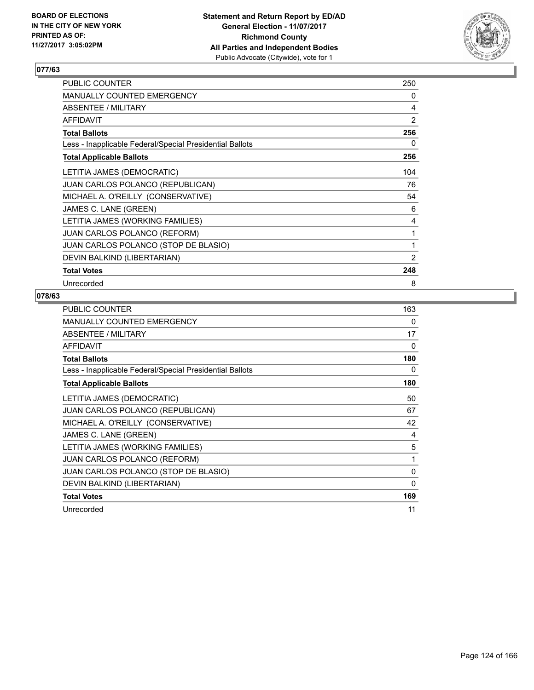

| <b>PUBLIC COUNTER</b>                                    | 250 |
|----------------------------------------------------------|-----|
| <b>MANUALLY COUNTED EMERGENCY</b>                        | 0   |
| ABSENTEE / MILITARY                                      | 4   |
| <b>AFFIDAVIT</b>                                         | 2   |
| <b>Total Ballots</b>                                     | 256 |
| Less - Inapplicable Federal/Special Presidential Ballots | 0   |
| <b>Total Applicable Ballots</b>                          | 256 |
| LETITIA JAMES (DEMOCRATIC)                               | 104 |
| <b>JUAN CARLOS POLANCO (REPUBLICAN)</b>                  | 76  |
| MICHAEL A. O'REILLY (CONSERVATIVE)                       | 54  |
| JAMES C. LANE (GREEN)                                    | 6   |
| LETITIA JAMES (WORKING FAMILIES)                         | 4   |
| <b>JUAN CARLOS POLANCO (REFORM)</b>                      | 1   |
| JUAN CARLOS POLANCO (STOP DE BLASIO)                     | 1   |
| DEVIN BALKIND (LIBERTARIAN)                              | 2   |
| <b>Total Votes</b>                                       | 248 |
| Unrecorded                                               | 8   |

| <b>PUBLIC COUNTER</b>                                    | 163 |
|----------------------------------------------------------|-----|
| MANUALLY COUNTED EMERGENCY                               | 0   |
| ABSENTEE / MILITARY                                      | 17  |
| <b>AFFIDAVIT</b>                                         | 0   |
| <b>Total Ballots</b>                                     | 180 |
| Less - Inapplicable Federal/Special Presidential Ballots | 0   |
| <b>Total Applicable Ballots</b>                          | 180 |
| LETITIA JAMES (DEMOCRATIC)                               | 50  |
| JUAN CARLOS POLANCO (REPUBLICAN)                         | 67  |
| MICHAEL A. O'REILLY (CONSERVATIVE)                       | 42  |
| JAMES C. LANE (GREEN)                                    | 4   |
| LETITIA JAMES (WORKING FAMILIES)                         | 5   |
| <b>JUAN CARLOS POLANCO (REFORM)</b>                      | 1   |
| JUAN CARLOS POLANCO (STOP DE BLASIO)                     | 0   |
| DEVIN BALKIND (LIBERTARIAN)                              | 0   |
| <b>Total Votes</b>                                       | 169 |
| Unrecorded                                               | 11  |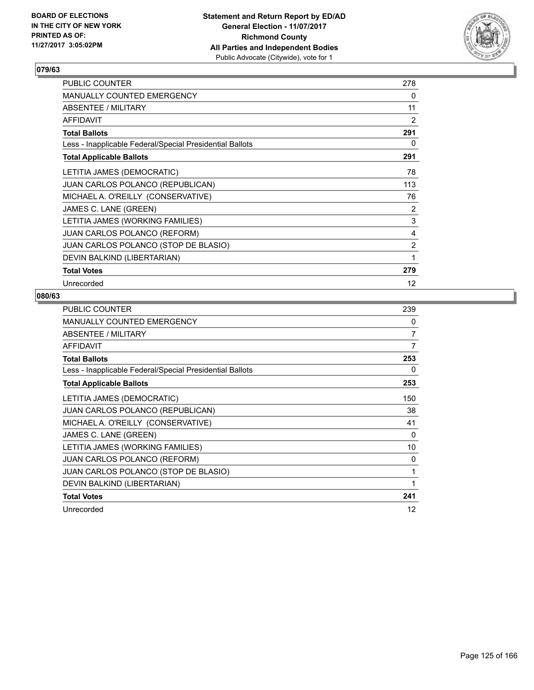

| <b>PUBLIC COUNTER</b>                                    | 278               |
|----------------------------------------------------------|-------------------|
| <b>MANUALLY COUNTED EMERGENCY</b>                        | 0                 |
| ABSENTEE / MILITARY                                      | 11                |
| <b>AFFIDAVIT</b>                                         | $\overline{2}$    |
| <b>Total Ballots</b>                                     | 291               |
| Less - Inapplicable Federal/Special Presidential Ballots | 0                 |
| <b>Total Applicable Ballots</b>                          | 291               |
| LETITIA JAMES (DEMOCRATIC)                               | 78                |
| <b>JUAN CARLOS POLANCO (REPUBLICAN)</b>                  | 113               |
| MICHAEL A. O'REILLY (CONSERVATIVE)                       | 76                |
| JAMES C. LANE (GREEN)                                    | 2                 |
| LETITIA JAMES (WORKING FAMILIES)                         | 3                 |
| <b>JUAN CARLOS POLANCO (REFORM)</b>                      | 4                 |
| JUAN CARLOS POLANCO (STOP DE BLASIO)                     | 2                 |
| DEVIN BALKIND (LIBERTARIAN)                              | 1                 |
| <b>Total Votes</b>                                       | 279               |
| Unrecorded                                               | $12 \overline{ }$ |

| <b>PUBLIC COUNTER</b>                                    | 239 |
|----------------------------------------------------------|-----|
| MANUALLY COUNTED EMERGENCY                               | 0   |
| ABSENTEE / MILITARY                                      | 7   |
| AFFIDAVIT                                                | 7   |
| <b>Total Ballots</b>                                     | 253 |
| Less - Inapplicable Federal/Special Presidential Ballots | 0   |
| <b>Total Applicable Ballots</b>                          | 253 |
| LETITIA JAMES (DEMOCRATIC)                               | 150 |
| JUAN CARLOS POLANCO (REPUBLICAN)                         | 38  |
| MICHAEL A. O'REILLY (CONSERVATIVE)                       | 41  |
| JAMES C. LANE (GREEN)                                    | 0   |
| LETITIA JAMES (WORKING FAMILIES)                         | 10  |
| <b>JUAN CARLOS POLANCO (REFORM)</b>                      | 0   |
| JUAN CARLOS POLANCO (STOP DE BLASIO)                     | 1   |
| DEVIN BALKIND (LIBERTARIAN)                              | 1   |
| <b>Total Votes</b>                                       | 241 |
| Unrecorded                                               | 12  |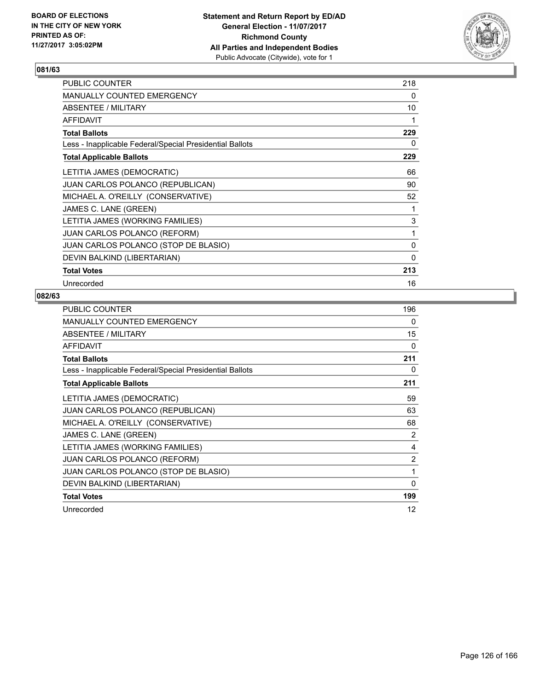

| <b>PUBLIC COUNTER</b>                                    | 218 |
|----------------------------------------------------------|-----|
| <b>MANUALLY COUNTED EMERGENCY</b>                        | 0   |
| <b>ABSENTEE / MILITARY</b>                               | 10  |
| <b>AFFIDAVIT</b>                                         | 1   |
| <b>Total Ballots</b>                                     | 229 |
| Less - Inapplicable Federal/Special Presidential Ballots | 0   |
| <b>Total Applicable Ballots</b>                          | 229 |
| LETITIA JAMES (DEMOCRATIC)                               | 66  |
| JUAN CARLOS POLANCO (REPUBLICAN)                         | 90  |
| MICHAEL A. O'REILLY (CONSERVATIVE)                       | 52  |
| JAMES C. LANE (GREEN)                                    | 1   |
| LETITIA JAMES (WORKING FAMILIES)                         | 3   |
| JUAN CARLOS POLANCO (REFORM)                             | 1   |
| JUAN CARLOS POLANCO (STOP DE BLASIO)                     | 0   |
| DEVIN BALKIND (LIBERTARIAN)                              | 0   |
| <b>Total Votes</b>                                       | 213 |
| Unrecorded                                               | 16  |

| PUBLIC COUNTER                                           | 196            |
|----------------------------------------------------------|----------------|
| <b>MANUALLY COUNTED EMERGENCY</b>                        | 0              |
| ABSENTEE / MILITARY                                      | 15             |
| <b>AFFIDAVIT</b>                                         | 0              |
| <b>Total Ballots</b>                                     | 211            |
| Less - Inapplicable Federal/Special Presidential Ballots | 0              |
| <b>Total Applicable Ballots</b>                          | 211            |
| LETITIA JAMES (DEMOCRATIC)                               | 59             |
| JUAN CARLOS POLANCO (REPUBLICAN)                         | 63             |
| MICHAEL A. O'REILLY (CONSERVATIVE)                       | 68             |
| JAMES C. LANE (GREEN)                                    | 2              |
| LETITIA JAMES (WORKING FAMILIES)                         | 4              |
| <b>JUAN CARLOS POLANCO (REFORM)</b>                      | $\overline{2}$ |
| JUAN CARLOS POLANCO (STOP DE BLASIO)                     | 1              |
| DEVIN BALKIND (LIBERTARIAN)                              | 0              |
| <b>Total Votes</b>                                       | 199            |
| Unrecorded                                               | 12             |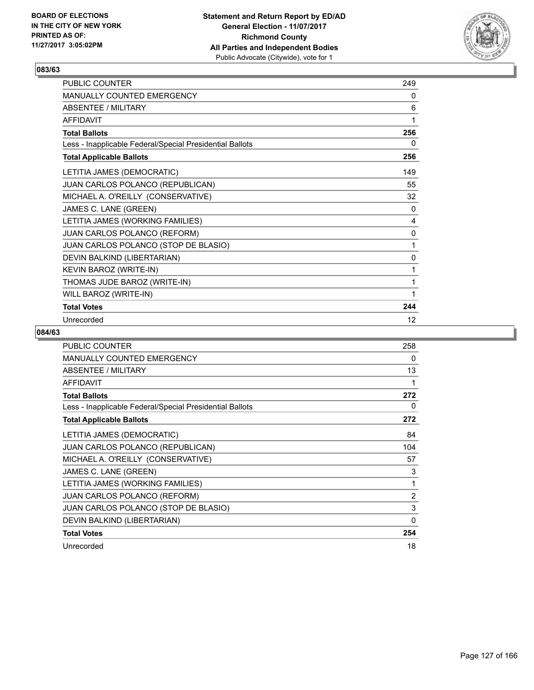

| PUBLIC COUNTER                                           | 249 |
|----------------------------------------------------------|-----|
| <b>MANUALLY COUNTED EMERGENCY</b>                        | 0   |
| <b>ABSENTEE / MILITARY</b>                               | 6   |
| <b>AFFIDAVIT</b>                                         | 1   |
| <b>Total Ballots</b>                                     | 256 |
| Less - Inapplicable Federal/Special Presidential Ballots | 0   |
| <b>Total Applicable Ballots</b>                          | 256 |
| LETITIA JAMES (DEMOCRATIC)                               | 149 |
| JUAN CARLOS POLANCO (REPUBLICAN)                         | 55  |
| MICHAEL A. O'REILLY (CONSERVATIVE)                       | 32  |
| JAMES C. LANE (GREEN)                                    | 0   |
| LETITIA JAMES (WORKING FAMILIES)                         | 4   |
| JUAN CARLOS POLANCO (REFORM)                             | 0   |
| JUAN CARLOS POLANCO (STOP DE BLASIO)                     | 1   |
| DEVIN BALKIND (LIBERTARIAN)                              | 0   |
| KEVIN BAROZ (WRITE-IN)                                   | 1   |
| THOMAS JUDE BAROZ (WRITE-IN)                             | 1   |
| WILL BAROZ (WRITE-IN)                                    | 1   |
| <b>Total Votes</b>                                       | 244 |
| Unrecorded                                               | 12  |

| <b>PUBLIC COUNTER</b>                                    | 258 |
|----------------------------------------------------------|-----|
| <b>MANUALLY COUNTED EMERGENCY</b>                        | 0   |
| <b>ABSENTEE / MILITARY</b>                               | 13  |
| <b>AFFIDAVIT</b>                                         |     |
| <b>Total Ballots</b>                                     | 272 |
| Less - Inapplicable Federal/Special Presidential Ballots | 0   |
| <b>Total Applicable Ballots</b>                          | 272 |
| LETITIA JAMES (DEMOCRATIC)                               | 84  |
| JUAN CARLOS POLANCO (REPUBLICAN)                         | 104 |
| MICHAEL A. O'REILLY (CONSERVATIVE)                       | 57  |
| JAMES C. LANE (GREEN)                                    | 3   |
| LETITIA JAMES (WORKING FAMILIES)                         | 1   |
| <b>JUAN CARLOS POLANCO (REFORM)</b>                      | 2   |
| JUAN CARLOS POLANCO (STOP DE BLASIO)                     | 3   |
| DEVIN BALKIND (LIBERTARIAN)                              | 0   |
| <b>Total Votes</b>                                       | 254 |
| Unrecorded                                               | 18  |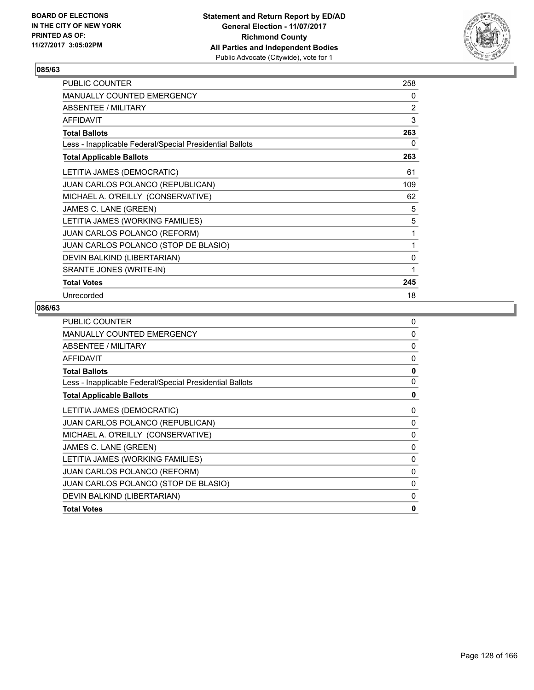

| <b>PUBLIC COUNTER</b>                                    | 258 |
|----------------------------------------------------------|-----|
| <b>MANUALLY COUNTED EMERGENCY</b>                        | 0   |
| ABSENTEE / MILITARY                                      | 2   |
| <b>AFFIDAVIT</b>                                         | 3   |
| <b>Total Ballots</b>                                     | 263 |
| Less - Inapplicable Federal/Special Presidential Ballots | 0   |
| <b>Total Applicable Ballots</b>                          | 263 |
| LETITIA JAMES (DEMOCRATIC)                               | 61  |
| <b>JUAN CARLOS POLANCO (REPUBLICAN)</b>                  | 109 |
| MICHAEL A. O'REILLY (CONSERVATIVE)                       | 62  |
| JAMES C. LANE (GREEN)                                    | 5   |
| LETITIA JAMES (WORKING FAMILIES)                         | 5   |
| JUAN CARLOS POLANCO (REFORM)                             | 1   |
| JUAN CARLOS POLANCO (STOP DE BLASIO)                     | 1   |
| DEVIN BALKIND (LIBERTARIAN)                              | 0   |
| SRANTE JONES (WRITE-IN)                                  | 1   |
| <b>Total Votes</b>                                       | 245 |
| Unrecorded                                               | 18  |

| <b>PUBLIC COUNTER</b>                                    | 0            |
|----------------------------------------------------------|--------------|
| <b>MANUALLY COUNTED EMERGENCY</b>                        | 0            |
| ABSENTEE / MILITARY                                      | 0            |
| AFFIDAVIT                                                | $\Omega$     |
| <b>Total Ballots</b>                                     | $\mathbf{0}$ |
| Less - Inapplicable Federal/Special Presidential Ballots | 0            |
| <b>Total Applicable Ballots</b>                          | 0            |
| LETITIA JAMES (DEMOCRATIC)                               | 0            |
| JUAN CARLOS POLANCO (REPUBLICAN)                         | 0            |
| MICHAEL A. O'REILLY (CONSERVATIVE)                       | $\Omega$     |
| JAMES C. LANE (GREEN)                                    | 0            |
| LETITIA JAMES (WORKING FAMILIES)                         | 0            |
| <b>JUAN CARLOS POLANCO (REFORM)</b>                      | 0            |
| JUAN CARLOS POLANCO (STOP DE BLASIO)                     | $\Omega$     |
| DEVIN BALKIND (LIBERTARIAN)                              | 0            |
| <b>Total Votes</b>                                       | 0            |
|                                                          |              |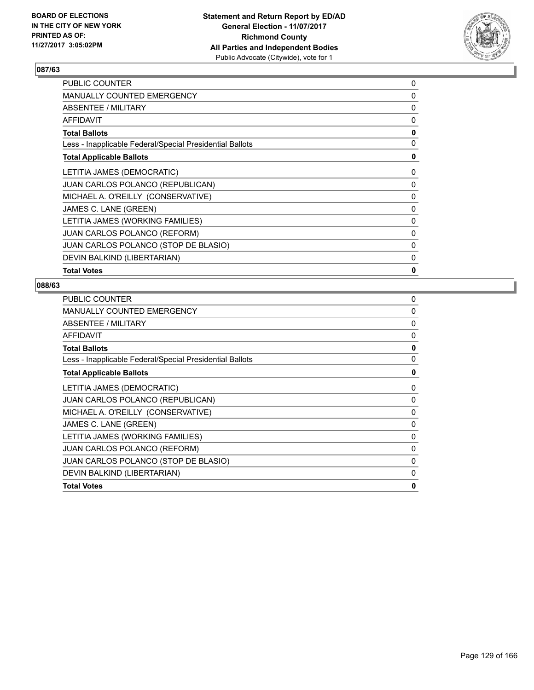

| <b>MANUALLY COUNTED EMERGENCY</b><br>0<br>ABSENTEE / MILITARY<br><b>AFFIDAVIT</b><br>0<br>0<br><b>Total Ballots</b><br>Less - Inapplicable Federal/Special Presidential Ballots<br><b>Total Applicable Ballots</b><br>LETITIA JAMES (DEMOCRATIC)<br>0<br><b>JUAN CARLOS POLANCO (REPUBLICAN)</b><br>0<br>MICHAEL A. O'REILLY (CONSERVATIVE)<br>0<br>JAMES C. LANE (GREEN)<br>0<br>LETITIA JAMES (WORKING FAMILIES)<br>0<br><b>JUAN CARLOS POLANCO (REFORM)</b><br>0<br>JUAN CARLOS POLANCO (STOP DE BLASIO)<br>0<br>DEVIN BALKIND (LIBERTARIAN)<br>$\Omega$<br>0<br><b>Total Votes</b> | <b>PUBLIC COUNTER</b> | 0 |
|----------------------------------------------------------------------------------------------------------------------------------------------------------------------------------------------------------------------------------------------------------------------------------------------------------------------------------------------------------------------------------------------------------------------------------------------------------------------------------------------------------------------------------------------------------------------------------------|-----------------------|---|
|                                                                                                                                                                                                                                                                                                                                                                                                                                                                                                                                                                                        |                       |   |
|                                                                                                                                                                                                                                                                                                                                                                                                                                                                                                                                                                                        |                       | 0 |
|                                                                                                                                                                                                                                                                                                                                                                                                                                                                                                                                                                                        |                       |   |
|                                                                                                                                                                                                                                                                                                                                                                                                                                                                                                                                                                                        |                       |   |
|                                                                                                                                                                                                                                                                                                                                                                                                                                                                                                                                                                                        |                       | 0 |
|                                                                                                                                                                                                                                                                                                                                                                                                                                                                                                                                                                                        |                       | 0 |
|                                                                                                                                                                                                                                                                                                                                                                                                                                                                                                                                                                                        |                       |   |
|                                                                                                                                                                                                                                                                                                                                                                                                                                                                                                                                                                                        |                       |   |
|                                                                                                                                                                                                                                                                                                                                                                                                                                                                                                                                                                                        |                       |   |
|                                                                                                                                                                                                                                                                                                                                                                                                                                                                                                                                                                                        |                       |   |
|                                                                                                                                                                                                                                                                                                                                                                                                                                                                                                                                                                                        |                       |   |
|                                                                                                                                                                                                                                                                                                                                                                                                                                                                                                                                                                                        |                       |   |
|                                                                                                                                                                                                                                                                                                                                                                                                                                                                                                                                                                                        |                       |   |
|                                                                                                                                                                                                                                                                                                                                                                                                                                                                                                                                                                                        |                       |   |
|                                                                                                                                                                                                                                                                                                                                                                                                                                                                                                                                                                                        |                       |   |

| <b>PUBLIC COUNTER</b>                                    | 0            |
|----------------------------------------------------------|--------------|
| <b>MANUALLY COUNTED EMERGENCY</b>                        | $\Omega$     |
| ABSENTEE / MILITARY                                      | 0            |
| <b>AFFIDAVIT</b>                                         | 0            |
| <b>Total Ballots</b>                                     | $\mathbf{0}$ |
| Less - Inapplicable Federal/Special Presidential Ballots | $\mathbf{0}$ |
| <b>Total Applicable Ballots</b>                          | 0            |
| LETITIA JAMES (DEMOCRATIC)                               | 0            |
| <b>JUAN CARLOS POLANCO (REPUBLICAN)</b>                  | 0            |
| MICHAEL A. O'REILLY (CONSERVATIVE)                       | 0            |
| JAMES C. LANE (GREEN)                                    | 0            |
| LETITIA JAMES (WORKING FAMILIES)                         | $\Omega$     |
| <b>JUAN CARLOS POLANCO (REFORM)</b>                      | 0            |
| JUAN CARLOS POLANCO (STOP DE BLASIO)                     | 0            |
| DEVIN BALKIND (LIBERTARIAN)                              | 0            |
| <b>Total Votes</b>                                       | 0            |
|                                                          |              |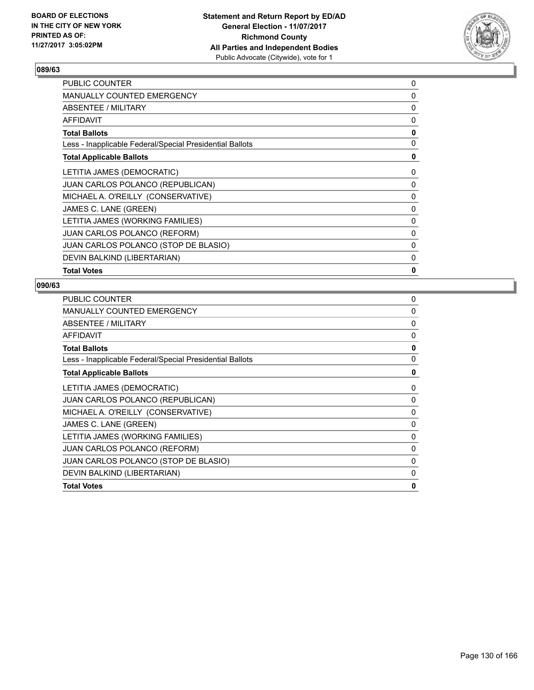

| <b>PUBLIC COUNTER</b>                                    | 0            |
|----------------------------------------------------------|--------------|
| <b>MANUALLY COUNTED EMERGENCY</b>                        | $\Omega$     |
| <b>ABSENTEE / MILITARY</b>                               | 0            |
| <b>AFFIDAVIT</b>                                         | 0            |
| <b>Total Ballots</b>                                     | $\mathbf{0}$ |
| Less - Inapplicable Federal/Special Presidential Ballots | 0            |
| <b>Total Applicable Ballots</b>                          | 0            |
| LETITIA JAMES (DEMOCRATIC)                               | 0            |
| <b>JUAN CARLOS POLANCO (REPUBLICAN)</b>                  | 0            |
| MICHAEL A. O'REILLY (CONSERVATIVE)                       | 0            |
| JAMES C. LANE (GREEN)                                    | 0            |
| LETITIA JAMES (WORKING FAMILIES)                         | 0            |
| <b>JUAN CARLOS POLANCO (REFORM)</b>                      | $\Omega$     |
| JUAN CARLOS POLANCO (STOP DE BLASIO)                     | 0            |
| DEVIN BALKIND (LIBERTARIAN)                              | 0            |
| <b>Total Votes</b>                                       | 0            |
|                                                          |              |

| <b>PUBLIC COUNTER</b>                                    | 0            |
|----------------------------------------------------------|--------------|
| <b>MANUALLY COUNTED EMERGENCY</b>                        | $\Omega$     |
| ABSENTEE / MILITARY                                      | 0            |
| <b>AFFIDAVIT</b>                                         | 0            |
| <b>Total Ballots</b>                                     | $\mathbf{0}$ |
| Less - Inapplicable Federal/Special Presidential Ballots | $\mathbf{0}$ |
| <b>Total Applicable Ballots</b>                          | 0            |
| LETITIA JAMES (DEMOCRATIC)                               | 0            |
| <b>JUAN CARLOS POLANCO (REPUBLICAN)</b>                  | 0            |
| MICHAEL A. O'REILLY (CONSERVATIVE)                       | 0            |
| JAMES C. LANE (GREEN)                                    | 0            |
| LETITIA JAMES (WORKING FAMILIES)                         | $\Omega$     |
| <b>JUAN CARLOS POLANCO (REFORM)</b>                      | 0            |
| JUAN CARLOS POLANCO (STOP DE BLASIO)                     | 0            |
| DEVIN BALKIND (LIBERTARIAN)                              | 0            |
| <b>Total Votes</b>                                       | 0            |
|                                                          |              |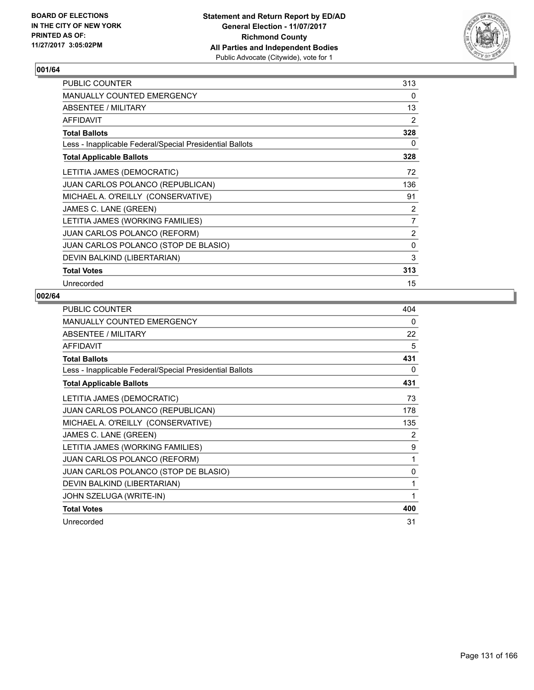

| <b>PUBLIC COUNTER</b>                                    | 313            |
|----------------------------------------------------------|----------------|
| <b>MANUALLY COUNTED EMERGENCY</b>                        | 0              |
| ABSENTEE / MILITARY                                      | 13             |
| <b>AFFIDAVIT</b>                                         | 2              |
| <b>Total Ballots</b>                                     | 328            |
| Less - Inapplicable Federal/Special Presidential Ballots | 0              |
| <b>Total Applicable Ballots</b>                          | 328            |
| LETITIA JAMES (DEMOCRATIC)                               | 72             |
| JUAN CARLOS POLANCO (REPUBLICAN)                         | 136            |
| MICHAEL A. O'REILLY (CONSERVATIVE)                       | 91             |
| JAMES C. LANE (GREEN)                                    | 2              |
| LETITIA JAMES (WORKING FAMILIES)                         | $\overline{7}$ |
| JUAN CARLOS POLANCO (REFORM)                             | 2              |
| JUAN CARLOS POLANCO (STOP DE BLASIO)                     | 0              |
| DEVIN BALKIND (LIBERTARIAN)                              | 3              |
| <b>Total Votes</b>                                       | 313            |
| Unrecorded                                               | 15             |

| <b>PUBLIC COUNTER</b>                                    | 404 |
|----------------------------------------------------------|-----|
| MANUALLY COUNTED EMERGENCY                               | 0   |
| ABSENTEE / MILITARY                                      | 22  |
| <b>AFFIDAVIT</b>                                         | 5   |
| <b>Total Ballots</b>                                     | 431 |
| Less - Inapplicable Federal/Special Presidential Ballots | 0   |
| <b>Total Applicable Ballots</b>                          | 431 |
| LETITIA JAMES (DEMOCRATIC)                               | 73  |
| <b>JUAN CARLOS POLANCO (REPUBLICAN)</b>                  | 178 |
| MICHAEL A. O'REILLY (CONSERVATIVE)                       | 135 |
| JAMES C. LANE (GREEN)                                    | 2   |
| LETITIA JAMES (WORKING FAMILIES)                         | 9   |
| JUAN CARLOS POLANCO (REFORM)                             | 1   |
| JUAN CARLOS POLANCO (STOP DE BLASIO)                     | 0   |
| DEVIN BALKIND (LIBERTARIAN)                              | 1   |
| JOHN SZELUGA (WRITE-IN)                                  | 1   |
| <b>Total Votes</b>                                       | 400 |
| Unrecorded                                               | 31  |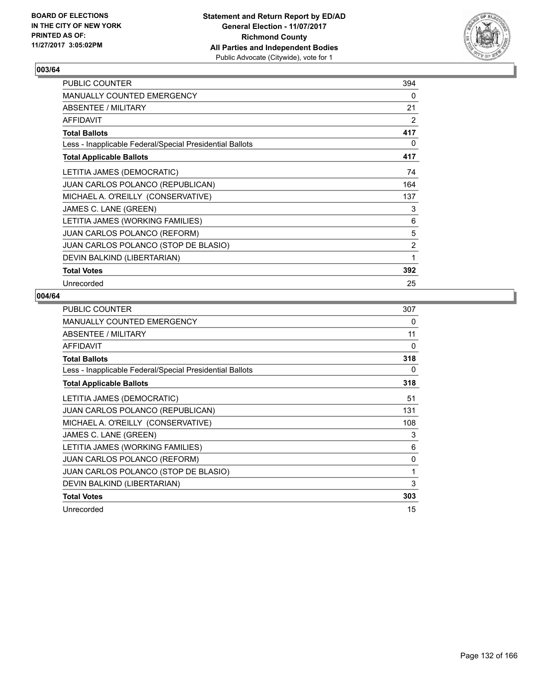

| <b>PUBLIC COUNTER</b>                                    | 394 |
|----------------------------------------------------------|-----|
| <b>MANUALLY COUNTED EMERGENCY</b>                        | 0   |
| ABSENTEE / MILITARY                                      | 21  |
| <b>AFFIDAVIT</b>                                         | 2   |
| <b>Total Ballots</b>                                     | 417 |
| Less - Inapplicable Federal/Special Presidential Ballots | 0   |
| <b>Total Applicable Ballots</b>                          | 417 |
| LETITIA JAMES (DEMOCRATIC)                               | 74  |
| JUAN CARLOS POLANCO (REPUBLICAN)                         | 164 |
| MICHAEL A. O'REILLY (CONSERVATIVE)                       | 137 |
| JAMES C. LANE (GREEN)                                    | 3   |
| LETITIA JAMES (WORKING FAMILIES)                         | 6   |
| JUAN CARLOS POLANCO (REFORM)                             | 5   |
| JUAN CARLOS POLANCO (STOP DE BLASIO)                     | 2   |
| DEVIN BALKIND (LIBERTARIAN)                              | 1   |
| <b>Total Votes</b>                                       | 392 |
| Unrecorded                                               | 25  |

| <b>PUBLIC COUNTER</b>                                    | 307 |
|----------------------------------------------------------|-----|
| MANUALLY COUNTED EMERGENCY                               | 0   |
| ABSENTEE / MILITARY                                      | 11  |
| AFFIDAVIT                                                | 0   |
| <b>Total Ballots</b>                                     | 318 |
| Less - Inapplicable Federal/Special Presidential Ballots | 0   |
| <b>Total Applicable Ballots</b>                          | 318 |
| LETITIA JAMES (DEMOCRATIC)                               | 51  |
| JUAN CARLOS POLANCO (REPUBLICAN)                         | 131 |
| MICHAEL A. O'REILLY (CONSERVATIVE)                       | 108 |
| JAMES C. LANE (GREEN)                                    | 3   |
| LETITIA JAMES (WORKING FAMILIES)                         | 6   |
| <b>JUAN CARLOS POLANCO (REFORM)</b>                      | 0   |
| JUAN CARLOS POLANCO (STOP DE BLASIO)                     | 1   |
| DEVIN BALKIND (LIBERTARIAN)                              | 3   |
| <b>Total Votes</b>                                       | 303 |
| Unrecorded                                               | 15  |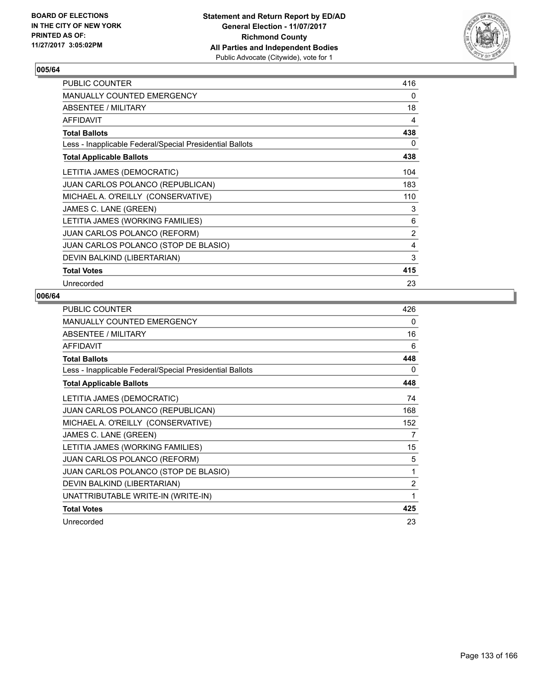

| PUBLIC COUNTER                                           | 416 |
|----------------------------------------------------------|-----|
| <b>MANUALLY COUNTED EMERGENCY</b>                        | 0   |
| <b>ABSENTEE / MILITARY</b>                               | 18  |
| <b>AFFIDAVIT</b>                                         | 4   |
| <b>Total Ballots</b>                                     | 438 |
| Less - Inapplicable Federal/Special Presidential Ballots | 0   |
| <b>Total Applicable Ballots</b>                          | 438 |
| LETITIA JAMES (DEMOCRATIC)                               | 104 |
| <b>JUAN CARLOS POLANCO (REPUBLICAN)</b>                  | 183 |
| MICHAEL A. O'REILLY (CONSERVATIVE)                       | 110 |
| JAMES C. LANE (GREEN)                                    | 3   |
| LETITIA JAMES (WORKING FAMILIES)                         | 6   |
| JUAN CARLOS POLANCO (REFORM)                             | 2   |
| JUAN CARLOS POLANCO (STOP DE BLASIO)                     | 4   |
| DEVIN BALKIND (LIBERTARIAN)                              | 3   |
| <b>Total Votes</b>                                       | 415 |
| Unrecorded                                               | 23  |

| <b>PUBLIC COUNTER</b>                                    | 426            |
|----------------------------------------------------------|----------------|
| <b>MANUALLY COUNTED EMERGENCY</b>                        | 0              |
| ABSENTEE / MILITARY                                      | 16             |
| <b>AFFIDAVIT</b>                                         | 6              |
| <b>Total Ballots</b>                                     | 448            |
| Less - Inapplicable Federal/Special Presidential Ballots | 0              |
| <b>Total Applicable Ballots</b>                          | 448            |
| LETITIA JAMES (DEMOCRATIC)                               | 74             |
| JUAN CARLOS POLANCO (REPUBLICAN)                         | 168            |
| MICHAEL A. O'REILLY (CONSERVATIVE)                       | 152            |
| JAMES C. LANE (GREEN)                                    | 7              |
| LETITIA JAMES (WORKING FAMILIES)                         | 15             |
| <b>JUAN CARLOS POLANCO (REFORM)</b>                      | 5              |
| JUAN CARLOS POLANCO (STOP DE BLASIO)                     | 1              |
| DEVIN BALKIND (LIBERTARIAN)                              | $\overline{2}$ |
| UNATTRIBUTABLE WRITE-IN (WRITE-IN)                       | 1              |
| <b>Total Votes</b>                                       | 425            |
| Unrecorded                                               | 23             |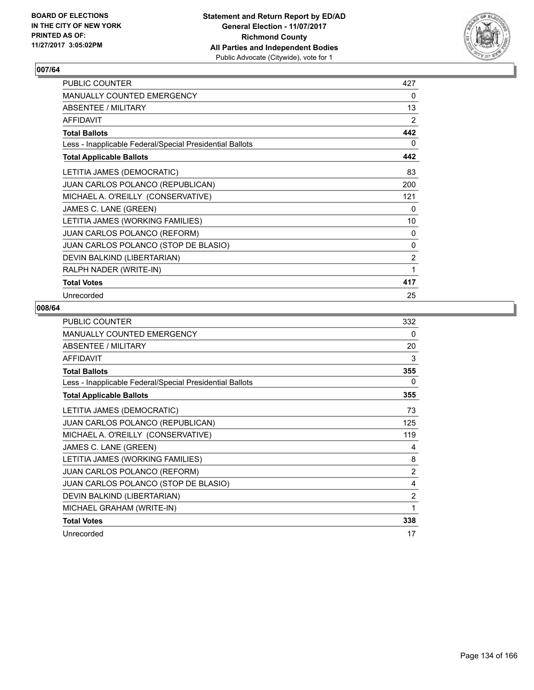

| <b>PUBLIC COUNTER</b>                                    | 427 |
|----------------------------------------------------------|-----|
| <b>MANUALLY COUNTED EMERGENCY</b>                        | 0   |
| ABSENTEE / MILITARY                                      | 13  |
| <b>AFFIDAVIT</b>                                         | 2   |
| <b>Total Ballots</b>                                     | 442 |
| Less - Inapplicable Federal/Special Presidential Ballots | 0   |
| <b>Total Applicable Ballots</b>                          | 442 |
| LETITIA JAMES (DEMOCRATIC)                               | 83  |
| <b>JUAN CARLOS POLANCO (REPUBLICAN)</b>                  | 200 |
| MICHAEL A. O'REILLY (CONSERVATIVE)                       | 121 |
| JAMES C. LANE (GREEN)                                    | 0   |
| LETITIA JAMES (WORKING FAMILIES)                         | 10  |
| JUAN CARLOS POLANCO (REFORM)                             | 0   |
| JUAN CARLOS POLANCO (STOP DE BLASIO)                     | 0   |
| DEVIN BALKIND (LIBERTARIAN)                              | 2   |
| RALPH NADER (WRITE-IN)                                   | 1   |
| <b>Total Votes</b>                                       | 417 |
| Unrecorded                                               | 25  |

| <b>PUBLIC COUNTER</b>                                    | 332 |
|----------------------------------------------------------|-----|
| <b>MANUALLY COUNTED EMERGENCY</b>                        | 0   |
| ABSENTEE / MILITARY                                      | 20  |
| <b>AFFIDAVIT</b>                                         | 3   |
| <b>Total Ballots</b>                                     | 355 |
| Less - Inapplicable Federal/Special Presidential Ballots | 0   |
| <b>Total Applicable Ballots</b>                          | 355 |
| LETITIA JAMES (DEMOCRATIC)                               | 73  |
| JUAN CARLOS POLANCO (REPUBLICAN)                         | 125 |
| MICHAEL A. O'REILLY (CONSERVATIVE)                       | 119 |
| JAMES C. LANE (GREEN)                                    | 4   |
| LETITIA JAMES (WORKING FAMILIES)                         | 8   |
| <b>JUAN CARLOS POLANCO (REFORM)</b>                      | 2   |
| JUAN CARLOS POLANCO (STOP DE BLASIO)                     | 4   |
| DEVIN BALKIND (LIBERTARIAN)                              | 2   |
| MICHAEL GRAHAM (WRITE-IN)                                | 1   |
| <b>Total Votes</b>                                       | 338 |
| Unrecorded                                               | 17  |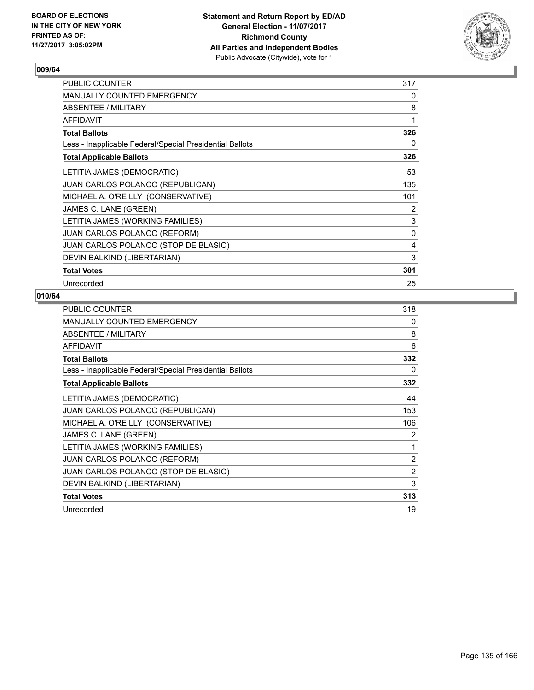

| <b>PUBLIC COUNTER</b>                                    | 317 |
|----------------------------------------------------------|-----|
| <b>MANUALLY COUNTED EMERGENCY</b>                        | 0   |
| ABSENTEE / MILITARY                                      | 8   |
| <b>AFFIDAVIT</b>                                         | 1   |
| <b>Total Ballots</b>                                     | 326 |
| Less - Inapplicable Federal/Special Presidential Ballots | 0   |
| <b>Total Applicable Ballots</b>                          | 326 |
| LETITIA JAMES (DEMOCRATIC)                               | 53  |
| <b>JUAN CARLOS POLANCO (REPUBLICAN)</b>                  | 135 |
| MICHAEL A. O'REILLY (CONSERVATIVE)                       | 101 |
| JAMES C. LANE (GREEN)                                    | 2   |
| LETITIA JAMES (WORKING FAMILIES)                         | 3   |
| <b>JUAN CARLOS POLANCO (REFORM)</b>                      | 0   |
| JUAN CARLOS POLANCO (STOP DE BLASIO)                     | 4   |
| DEVIN BALKIND (LIBERTARIAN)                              | 3   |
| <b>Total Votes</b>                                       | 301 |
| Unrecorded                                               | 25  |

| <b>PUBLIC COUNTER</b>                                    | 318 |
|----------------------------------------------------------|-----|
| MANUALLY COUNTED EMERGENCY                               | 0   |
| ABSENTEE / MILITARY                                      | 8   |
| AFFIDAVIT                                                | 6   |
| <b>Total Ballots</b>                                     | 332 |
| Less - Inapplicable Federal/Special Presidential Ballots | 0   |
| <b>Total Applicable Ballots</b>                          | 332 |
| LETITIA JAMES (DEMOCRATIC)                               | 44  |
| JUAN CARLOS POLANCO (REPUBLICAN)                         | 153 |
| MICHAEL A. O'REILLY (CONSERVATIVE)                       | 106 |
| JAMES C. LANE (GREEN)                                    | 2   |
| LETITIA JAMES (WORKING FAMILIES)                         | 1   |
| <b>JUAN CARLOS POLANCO (REFORM)</b>                      | 2   |
| JUAN CARLOS POLANCO (STOP DE BLASIO)                     | 2   |
| DEVIN BALKIND (LIBERTARIAN)                              | 3   |
| <b>Total Votes</b>                                       | 313 |
| Unrecorded                                               | 19  |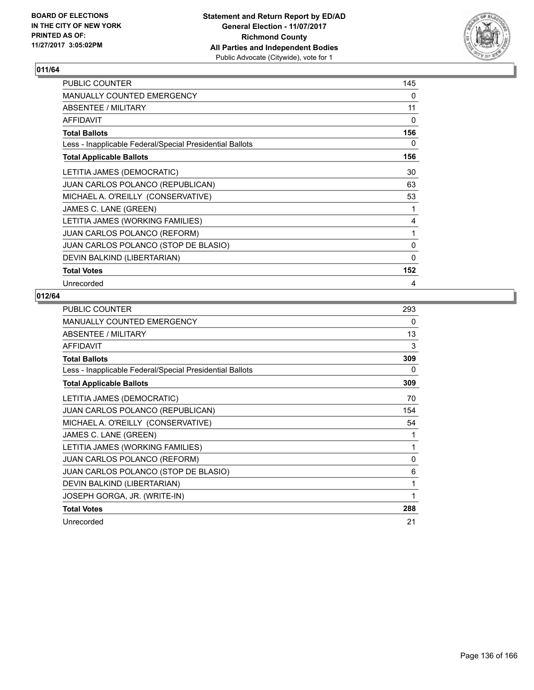

| PUBLIC COUNTER                                           | 145 |
|----------------------------------------------------------|-----|
| <b>MANUALLY COUNTED EMERGENCY</b>                        | 0   |
| ABSENTEE / MILITARY                                      | 11  |
| <b>AFFIDAVIT</b>                                         | 0   |
| <b>Total Ballots</b>                                     | 156 |
| Less - Inapplicable Federal/Special Presidential Ballots | 0   |
| <b>Total Applicable Ballots</b>                          | 156 |
| LETITIA JAMES (DEMOCRATIC)                               | 30  |
| JUAN CARLOS POLANCO (REPUBLICAN)                         | 63  |
| MICHAEL A. O'REILLY (CONSERVATIVE)                       | 53  |
| JAMES C. LANE (GREEN)                                    | 1   |
| LETITIA JAMES (WORKING FAMILIES)                         | 4   |
| JUAN CARLOS POLANCO (REFORM)                             | 1   |
| JUAN CARLOS POLANCO (STOP DE BLASIO)                     | 0   |
| DEVIN BALKIND (LIBERTARIAN)                              | 0   |
| <b>Total Votes</b>                                       | 152 |
| Unrecorded                                               | 4   |

| <b>PUBLIC COUNTER</b>                                    | 293 |
|----------------------------------------------------------|-----|
| <b>MANUALLY COUNTED EMERGENCY</b>                        | 0   |
| ABSENTEE / MILITARY                                      | 13  |
| <b>AFFIDAVIT</b>                                         | 3   |
| <b>Total Ballots</b>                                     | 309 |
| Less - Inapplicable Federal/Special Presidential Ballots | 0   |
| <b>Total Applicable Ballots</b>                          | 309 |
| LETITIA JAMES (DEMOCRATIC)                               | 70  |
| JUAN CARLOS POLANCO (REPUBLICAN)                         | 154 |
| MICHAEL A. O'REILLY (CONSERVATIVE)                       | 54  |
| JAMES C. LANE (GREEN)                                    | 1   |
| LETITIA JAMES (WORKING FAMILIES)                         | 1   |
| JUAN CARLOS POLANCO (REFORM)                             | 0   |
| JUAN CARLOS POLANCO (STOP DE BLASIO)                     | 6   |
| DEVIN BALKIND (LIBERTARIAN)                              | 1   |
| JOSEPH GORGA, JR. (WRITE-IN)                             | 1   |
| <b>Total Votes</b>                                       | 288 |
| Unrecorded                                               | 21  |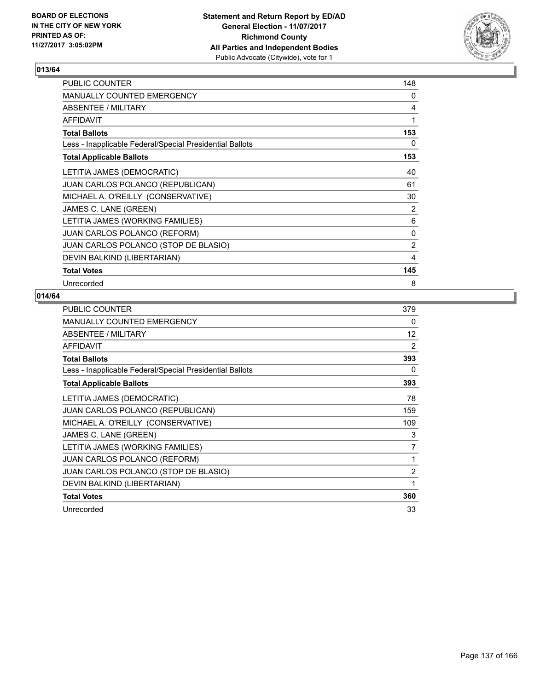

| <b>PUBLIC COUNTER</b>                                    | 148 |
|----------------------------------------------------------|-----|
| <b>MANUALLY COUNTED EMERGENCY</b>                        | 0   |
| ABSENTEE / MILITARY                                      | 4   |
| <b>AFFIDAVIT</b>                                         | 1   |
| <b>Total Ballots</b>                                     | 153 |
| Less - Inapplicable Federal/Special Presidential Ballots | 0   |
| <b>Total Applicable Ballots</b>                          | 153 |
| LETITIA JAMES (DEMOCRATIC)                               | 40  |
| <b>JUAN CARLOS POLANCO (REPUBLICAN)</b>                  | 61  |
| MICHAEL A. O'REILLY (CONSERVATIVE)                       | 30  |
| JAMES C. LANE (GREEN)                                    | 2   |
| LETITIA JAMES (WORKING FAMILIES)                         | 6   |
| <b>JUAN CARLOS POLANCO (REFORM)</b>                      | 0   |
| JUAN CARLOS POLANCO (STOP DE BLASIO)                     | 2   |
| DEVIN BALKIND (LIBERTARIAN)                              | 4   |
| <b>Total Votes</b>                                       | 145 |
| Unrecorded                                               | 8   |

| <b>PUBLIC COUNTER</b>                                    | 379            |
|----------------------------------------------------------|----------------|
| MANUALLY COUNTED EMERGENCY                               | 0              |
| ABSENTEE / MILITARY                                      | 12             |
| AFFIDAVIT                                                | 2              |
| <b>Total Ballots</b>                                     | 393            |
| Less - Inapplicable Federal/Special Presidential Ballots | 0              |
| <b>Total Applicable Ballots</b>                          | 393            |
| LETITIA JAMES (DEMOCRATIC)                               | 78             |
| JUAN CARLOS POLANCO (REPUBLICAN)                         | 159            |
| MICHAEL A. O'REILLY (CONSERVATIVE)                       | 109            |
| JAMES C. LANE (GREEN)                                    | 3              |
| LETITIA JAMES (WORKING FAMILIES)                         | 7              |
| <b>JUAN CARLOS POLANCO (REFORM)</b>                      | 1              |
| JUAN CARLOS POLANCO (STOP DE BLASIO)                     | $\overline{2}$ |
| DEVIN BALKIND (LIBERTARIAN)                              | 1              |
| <b>Total Votes</b>                                       | 360            |
| Unrecorded                                               | 33             |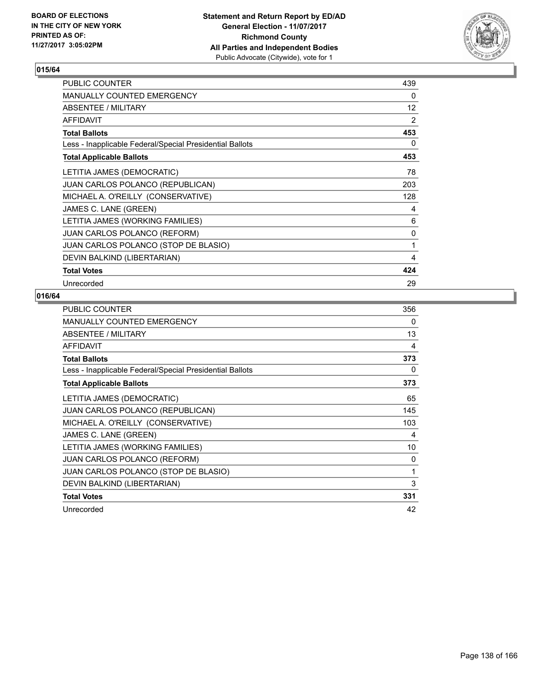

| <b>PUBLIC COUNTER</b>                                    | 439 |
|----------------------------------------------------------|-----|
| <b>MANUALLY COUNTED EMERGENCY</b>                        | 0   |
| <b>ABSENTEE / MILITARY</b>                               | 12  |
| <b>AFFIDAVIT</b>                                         | 2   |
| <b>Total Ballots</b>                                     | 453 |
| Less - Inapplicable Federal/Special Presidential Ballots | 0   |
| <b>Total Applicable Ballots</b>                          | 453 |
| LETITIA JAMES (DEMOCRATIC)                               | 78  |
| JUAN CARLOS POLANCO (REPUBLICAN)                         | 203 |
| MICHAEL A. O'REILLY (CONSERVATIVE)                       | 128 |
| JAMES C. LANE (GREEN)                                    | 4   |
| LETITIA JAMES (WORKING FAMILIES)                         | 6   |
| JUAN CARLOS POLANCO (REFORM)                             | 0   |
| JUAN CARLOS POLANCO (STOP DE BLASIO)                     | 1   |
| DEVIN BALKIND (LIBERTARIAN)                              | 4   |
| <b>Total Votes</b>                                       | 424 |
| Unrecorded                                               | 29  |

| <b>PUBLIC COUNTER</b>                                    | 356 |
|----------------------------------------------------------|-----|
| MANUALLY COUNTED EMERGENCY                               | 0   |
| ABSENTEE / MILITARY                                      | 13  |
| AFFIDAVIT                                                | 4   |
| <b>Total Ballots</b>                                     | 373 |
| Less - Inapplicable Federal/Special Presidential Ballots | 0   |
| <b>Total Applicable Ballots</b>                          | 373 |
| LETITIA JAMES (DEMOCRATIC)                               | 65  |
| JUAN CARLOS POLANCO (REPUBLICAN)                         | 145 |
| MICHAEL A. O'REILLY (CONSERVATIVE)                       | 103 |
| JAMES C. LANE (GREEN)                                    | 4   |
| LETITIA JAMES (WORKING FAMILIES)                         | 10  |
| <b>JUAN CARLOS POLANCO (REFORM)</b>                      | 0   |
| JUAN CARLOS POLANCO (STOP DE BLASIO)                     | 1   |
| DEVIN BALKIND (LIBERTARIAN)                              | 3   |
| <b>Total Votes</b>                                       | 331 |
| Unrecorded                                               | 42  |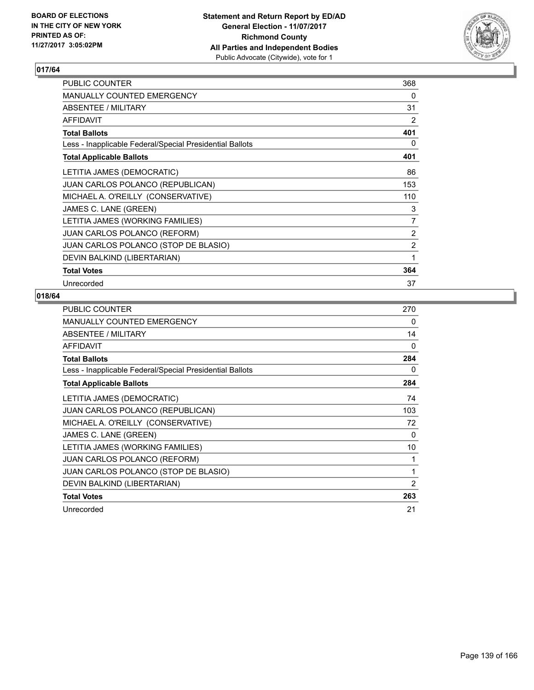

| PUBLIC COUNTER                                           | 368 |
|----------------------------------------------------------|-----|
| <b>MANUALLY COUNTED EMERGENCY</b>                        | 0   |
| ABSENTEE / MILITARY                                      | 31  |
| <b>AFFIDAVIT</b>                                         | 2   |
| <b>Total Ballots</b>                                     | 401 |
| Less - Inapplicable Federal/Special Presidential Ballots | 0   |
| <b>Total Applicable Ballots</b>                          | 401 |
| LETITIA JAMES (DEMOCRATIC)                               | 86  |
| <b>JUAN CARLOS POLANCO (REPUBLICAN)</b>                  | 153 |
| MICHAEL A. O'REILLY (CONSERVATIVE)                       | 110 |
| JAMES C. LANE (GREEN)                                    | 3   |
| LETITIA JAMES (WORKING FAMILIES)                         | 7   |
| <b>JUAN CARLOS POLANCO (REFORM)</b>                      | 2   |
| JUAN CARLOS POLANCO (STOP DE BLASIO)                     | 2   |
| DEVIN BALKIND (LIBERTARIAN)                              | 1   |
| <b>Total Votes</b>                                       | 364 |
| Unrecorded                                               | 37  |

| <b>PUBLIC COUNTER</b>                                    | 270            |
|----------------------------------------------------------|----------------|
| <b>MANUALLY COUNTED EMERGENCY</b>                        | 0              |
| ABSENTEE / MILITARY                                      | 14             |
| <b>AFFIDAVIT</b>                                         | 0              |
| <b>Total Ballots</b>                                     | 284            |
| Less - Inapplicable Federal/Special Presidential Ballots | 0              |
| <b>Total Applicable Ballots</b>                          | 284            |
| LETITIA JAMES (DEMOCRATIC)                               | 74             |
| JUAN CARLOS POLANCO (REPUBLICAN)                         | 103            |
| MICHAEL A. O'REILLY (CONSERVATIVE)                       | 72             |
| JAMES C. LANE (GREEN)                                    | 0              |
| LETITIA JAMES (WORKING FAMILIES)                         | 10             |
| <b>JUAN CARLOS POLANCO (REFORM)</b>                      | 1              |
| JUAN CARLOS POLANCO (STOP DE BLASIO)                     | 1              |
| DEVIN BALKIND (LIBERTARIAN)                              | $\overline{2}$ |
| <b>Total Votes</b>                                       | 263            |
| Unrecorded                                               | 21             |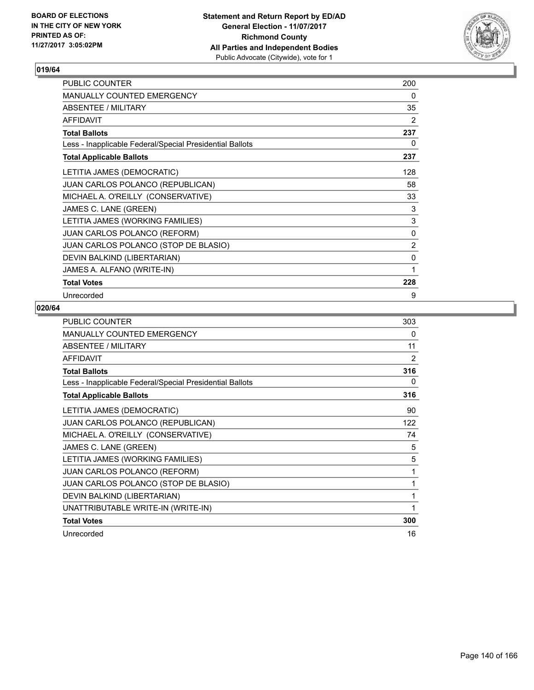

| PUBLIC COUNTER                                           | 200            |
|----------------------------------------------------------|----------------|
| MANUALLY COUNTED EMERGENCY                               | 0              |
| ABSENTEE / MILITARY                                      | 35             |
| <b>AFFIDAVIT</b>                                         | $\overline{2}$ |
| <b>Total Ballots</b>                                     | 237            |
| Less - Inapplicable Federal/Special Presidential Ballots | 0              |
| <b>Total Applicable Ballots</b>                          | 237            |
| LETITIA JAMES (DEMOCRATIC)                               | 128            |
| JUAN CARLOS POLANCO (REPUBLICAN)                         | 58             |
| MICHAEL A. O'REILLY (CONSERVATIVE)                       | 33             |
| JAMES C. LANE (GREEN)                                    | 3              |
| LETITIA JAMES (WORKING FAMILIES)                         | 3              |
| <b>JUAN CARLOS POLANCO (REFORM)</b>                      | 0              |
| JUAN CARLOS POLANCO (STOP DE BLASIO)                     | 2              |
| DEVIN BALKIND (LIBERTARIAN)                              | 0              |
| JAMES A. ALFANO (WRITE-IN)                               | 1              |
| <b>Total Votes</b>                                       | 228            |
| Unrecorded                                               | 9              |

| <b>PUBLIC COUNTER</b>                                    | 303            |
|----------------------------------------------------------|----------------|
| MANUALLY COUNTED EMERGENCY                               | $\Omega$       |
| ABSENTEE / MILITARY                                      | 11             |
| <b>AFFIDAVIT</b>                                         | $\overline{2}$ |
| <b>Total Ballots</b>                                     | 316            |
| Less - Inapplicable Federal/Special Presidential Ballots | 0              |
| <b>Total Applicable Ballots</b>                          | 316            |
| LETITIA JAMES (DEMOCRATIC)                               | 90             |
| JUAN CARLOS POLANCO (REPUBLICAN)                         | 122            |
| MICHAEL A. O'REILLY (CONSERVATIVE)                       | 74             |
| JAMES C. LANE (GREEN)                                    | 5              |
| LETITIA JAMES (WORKING FAMILIES)                         | 5              |
| JUAN CARLOS POLANCO (REFORM)                             | 1              |
| JUAN CARLOS POLANCO (STOP DE BLASIO)                     | 1              |
| DEVIN BALKIND (LIBERTARIAN)                              | 1              |
| UNATTRIBUTABLE WRITE-IN (WRITE-IN)                       | 1              |
| <b>Total Votes</b>                                       | 300            |
| Unrecorded                                               | 16             |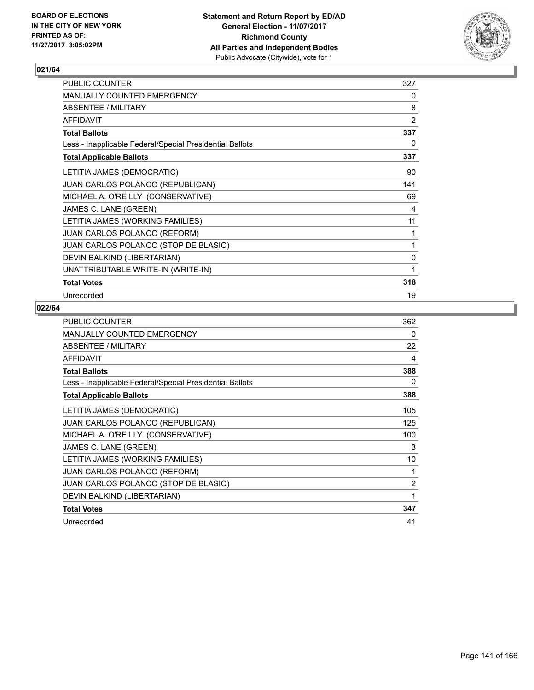

| PUBLIC COUNTER                                           | 327 |
|----------------------------------------------------------|-----|
| <b>MANUALLY COUNTED EMERGENCY</b>                        | 0   |
| ABSENTEE / MILITARY                                      | 8   |
| <b>AFFIDAVIT</b>                                         | 2   |
| <b>Total Ballots</b>                                     | 337 |
| Less - Inapplicable Federal/Special Presidential Ballots | 0   |
| <b>Total Applicable Ballots</b>                          | 337 |
| LETITIA JAMES (DEMOCRATIC)                               | 90  |
| JUAN CARLOS POLANCO (REPUBLICAN)                         | 141 |
| MICHAEL A. O'REILLY (CONSERVATIVE)                       | 69  |
| JAMES C. LANE (GREEN)                                    | 4   |
| LETITIA JAMES (WORKING FAMILIES)                         | 11  |
| JUAN CARLOS POLANCO (REFORM)                             | 1   |
| JUAN CARLOS POLANCO (STOP DE BLASIO)                     | 1   |
| DEVIN BALKIND (LIBERTARIAN)                              | 0   |
| UNATTRIBUTABLE WRITE-IN (WRITE-IN)                       | 1   |
| <b>Total Votes</b>                                       | 318 |
| Unrecorded                                               | 19  |

| <b>PUBLIC COUNTER</b>                                    | 362 |
|----------------------------------------------------------|-----|
| <b>MANUALLY COUNTED EMERGENCY</b>                        | 0   |
| ABSENTEE / MILITARY                                      | 22  |
| <b>AFFIDAVIT</b>                                         | 4   |
| <b>Total Ballots</b>                                     | 388 |
| Less - Inapplicable Federal/Special Presidential Ballots | 0   |
| <b>Total Applicable Ballots</b>                          | 388 |
| LETITIA JAMES (DEMOCRATIC)                               | 105 |
| <b>JUAN CARLOS POLANCO (REPUBLICAN)</b>                  | 125 |
| MICHAEL A. O'REILLY (CONSERVATIVE)                       | 100 |
| JAMES C. LANE (GREEN)                                    | 3   |
| LETITIA JAMES (WORKING FAMILIES)                         | 10  |
| <b>JUAN CARLOS POLANCO (REFORM)</b>                      | 1   |
| JUAN CARLOS POLANCO (STOP DE BLASIO)                     | 2   |
| DEVIN BALKIND (LIBERTARIAN)                              | 1   |
| <b>Total Votes</b>                                       | 347 |
| Unrecorded                                               | 41  |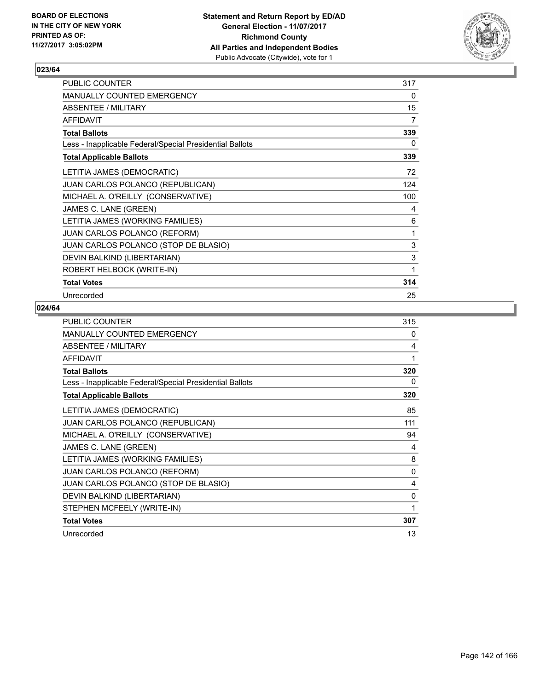

| <b>PUBLIC COUNTER</b>                                    | 317 |
|----------------------------------------------------------|-----|
| <b>MANUALLY COUNTED EMERGENCY</b>                        | 0   |
| ABSENTEE / MILITARY                                      | 15  |
| <b>AFFIDAVIT</b>                                         | 7   |
| <b>Total Ballots</b>                                     | 339 |
| Less - Inapplicable Federal/Special Presidential Ballots | 0   |
| <b>Total Applicable Ballots</b>                          | 339 |
| LETITIA JAMES (DEMOCRATIC)                               | 72  |
| JUAN CARLOS POLANCO (REPUBLICAN)                         | 124 |
| MICHAEL A. O'REILLY (CONSERVATIVE)                       | 100 |
| JAMES C. LANE (GREEN)                                    | 4   |
| LETITIA JAMES (WORKING FAMILIES)                         | 6   |
| <b>JUAN CARLOS POLANCO (REFORM)</b>                      | 1   |
| JUAN CARLOS POLANCO (STOP DE BLASIO)                     | 3   |
| DEVIN BALKIND (LIBERTARIAN)                              | 3   |
| ROBERT HELBOCK (WRITE-IN)                                | 1   |
| <b>Total Votes</b>                                       | 314 |
| Unrecorded                                               | 25  |

| PUBLIC COUNTER                                           | 315          |
|----------------------------------------------------------|--------------|
| MANUALLY COUNTED EMERGENCY                               | 0            |
| ABSENTEE / MILITARY                                      | 4            |
| <b>AFFIDAVIT</b>                                         | 1            |
| <b>Total Ballots</b>                                     | 320          |
| Less - Inapplicable Federal/Special Presidential Ballots | 0            |
| <b>Total Applicable Ballots</b>                          | 320          |
| LETITIA JAMES (DEMOCRATIC)                               | 85           |
| JUAN CARLOS POLANCO (REPUBLICAN)                         | 111          |
| MICHAEL A. O'REILLY (CONSERVATIVE)                       | 94           |
| JAMES C. LANE (GREEN)                                    | 4            |
| LETITIA JAMES (WORKING FAMILIES)                         | 8            |
| <b>JUAN CARLOS POLANCO (REFORM)</b>                      | 0            |
| JUAN CARLOS POLANCO (STOP DE BLASIO)                     | 4            |
| DEVIN BALKIND (LIBERTARIAN)                              | 0            |
| STEPHEN MCFEELY (WRITE-IN)                               | $\mathbf{1}$ |
| <b>Total Votes</b>                                       | 307          |
| Unrecorded                                               | 13           |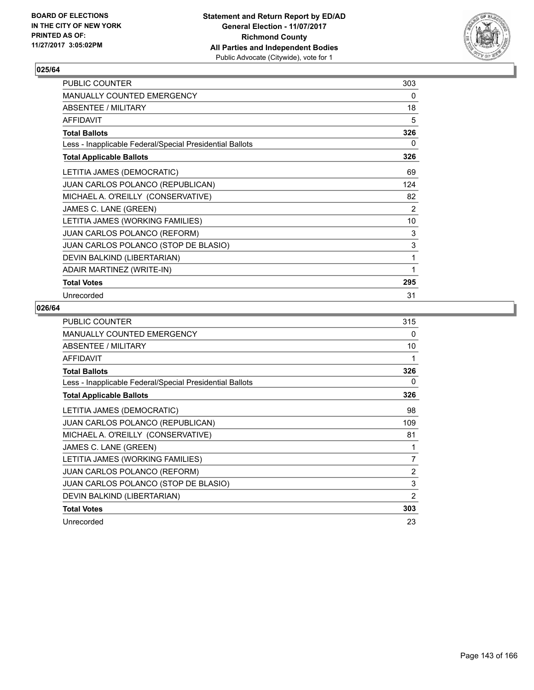

| PUBLIC COUNTER                                           | 303 |
|----------------------------------------------------------|-----|
| <b>MANUALLY COUNTED EMERGENCY</b>                        | 0   |
| ABSENTEE / MILITARY                                      | 18  |
| <b>AFFIDAVIT</b>                                         | 5   |
| <b>Total Ballots</b>                                     | 326 |
| Less - Inapplicable Federal/Special Presidential Ballots | 0   |
| <b>Total Applicable Ballots</b>                          | 326 |
| LETITIA JAMES (DEMOCRATIC)                               | 69  |
| JUAN CARLOS POLANCO (REPUBLICAN)                         | 124 |
| MICHAEL A. O'REILLY (CONSERVATIVE)                       | 82  |
| JAMES C. LANE (GREEN)                                    | 2   |
| LETITIA JAMES (WORKING FAMILIES)                         | 10  |
| JUAN CARLOS POLANCO (REFORM)                             | 3   |
| JUAN CARLOS POLANCO (STOP DE BLASIO)                     | 3   |
| DEVIN BALKIND (LIBERTARIAN)                              | 1   |
| ADAIR MARTINEZ (WRITE-IN)                                | 1   |
| <b>Total Votes</b>                                       | 295 |
| Unrecorded                                               | 31  |

| <b>PUBLIC COUNTER</b>                                    | 315            |
|----------------------------------------------------------|----------------|
| <b>MANUALLY COUNTED EMERGENCY</b>                        | 0              |
| ABSENTEE / MILITARY                                      | 10             |
| AFFIDAVIT                                                | 1              |
| <b>Total Ballots</b>                                     | 326            |
| Less - Inapplicable Federal/Special Presidential Ballots | 0              |
| <b>Total Applicable Ballots</b>                          | 326            |
| LETITIA JAMES (DEMOCRATIC)                               | 98             |
| <b>JUAN CARLOS POLANCO (REPUBLICAN)</b>                  | 109            |
| MICHAEL A. O'REILLY (CONSERVATIVE)                       | 81             |
| JAMES C. LANE (GREEN)                                    | 1              |
| LETITIA JAMES (WORKING FAMILIES)                         | 7              |
| <b>JUAN CARLOS POLANCO (REFORM)</b>                      | $\overline{2}$ |
| JUAN CARLOS POLANCO (STOP DE BLASIO)                     | 3              |
| DEVIN BALKIND (LIBERTARIAN)                              | $\overline{2}$ |
| <b>Total Votes</b>                                       | 303            |
| Unrecorded                                               | 23             |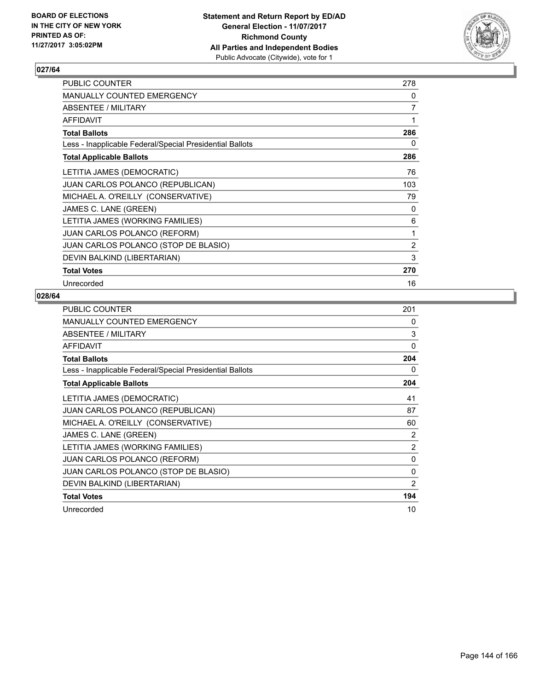

| <b>PUBLIC COUNTER</b>                                    | 278 |
|----------------------------------------------------------|-----|
| <b>MANUALLY COUNTED EMERGENCY</b>                        | 0   |
| ABSENTEE / MILITARY                                      | 7   |
| <b>AFFIDAVIT</b>                                         | 1   |
| <b>Total Ballots</b>                                     | 286 |
| Less - Inapplicable Federal/Special Presidential Ballots | 0   |
| <b>Total Applicable Ballots</b>                          | 286 |
| LETITIA JAMES (DEMOCRATIC)                               | 76  |
| <b>JUAN CARLOS POLANCO (REPUBLICAN)</b>                  | 103 |
| MICHAEL A. O'REILLY (CONSERVATIVE)                       | 79  |
| JAMES C. LANE (GREEN)                                    | 0   |
| LETITIA JAMES (WORKING FAMILIES)                         | 6   |
| <b>JUAN CARLOS POLANCO (REFORM)</b>                      | 1   |
| JUAN CARLOS POLANCO (STOP DE BLASIO)                     | 2   |
| DEVIN BALKIND (LIBERTARIAN)                              | 3   |
| <b>Total Votes</b>                                       | 270 |
| Unrecorded                                               | 16  |

| PUBLIC COUNTER                                           | 201 |
|----------------------------------------------------------|-----|
| MANUALLY COUNTED EMERGENCY                               | 0   |
| ABSENTEE / MILITARY                                      | 3   |
| AFFIDAVIT                                                | 0   |
| <b>Total Ballots</b>                                     | 204 |
| Less - Inapplicable Federal/Special Presidential Ballots | 0   |
| <b>Total Applicable Ballots</b>                          | 204 |
| LETITIA JAMES (DEMOCRATIC)                               | 41  |
| JUAN CARLOS POLANCO (REPUBLICAN)                         | 87  |
| MICHAEL A. O'REILLY (CONSERVATIVE)                       | 60  |
| JAMES C. LANE (GREEN)                                    | 2   |
| LETITIA JAMES (WORKING FAMILIES)                         | 2   |
| <b>JUAN CARLOS POLANCO (REFORM)</b>                      | 0   |
| JUAN CARLOS POLANCO (STOP DE BLASIO)                     | 0   |
| DEVIN BALKIND (LIBERTARIAN)                              | 2   |
| <b>Total Votes</b>                                       | 194 |
| Unrecorded                                               | 10  |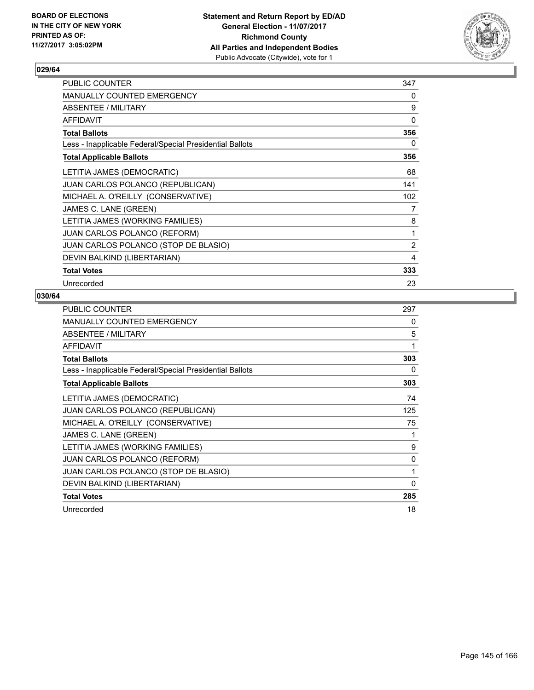

| <b>PUBLIC COUNTER</b>                                    | 347 |
|----------------------------------------------------------|-----|
| <b>MANUALLY COUNTED EMERGENCY</b>                        | 0   |
| ABSENTEE / MILITARY                                      | 9   |
| <b>AFFIDAVIT</b>                                         | 0   |
| <b>Total Ballots</b>                                     | 356 |
| Less - Inapplicable Federal/Special Presidential Ballots | 0   |
| <b>Total Applicable Ballots</b>                          | 356 |
| LETITIA JAMES (DEMOCRATIC)                               | 68  |
| JUAN CARLOS POLANCO (REPUBLICAN)                         | 141 |
| MICHAEL A. O'REILLY (CONSERVATIVE)                       | 102 |
| JAMES C. LANE (GREEN)                                    | 7   |
| LETITIA JAMES (WORKING FAMILIES)                         | 8   |
| <b>JUAN CARLOS POLANCO (REFORM)</b>                      | 1   |
| JUAN CARLOS POLANCO (STOP DE BLASIO)                     | 2   |
| DEVIN BALKIND (LIBERTARIAN)                              | 4   |
| <b>Total Votes</b>                                       | 333 |
| Unrecorded                                               | 23  |

| <b>PUBLIC COUNTER</b>                                    | 297 |
|----------------------------------------------------------|-----|
| <b>MANUALLY COUNTED EMERGENCY</b>                        | 0   |
| ABSENTEE / MILITARY                                      | 5   |
| AFFIDAVIT                                                | 1   |
| <b>Total Ballots</b>                                     | 303 |
| Less - Inapplicable Federal/Special Presidential Ballots | 0   |
| <b>Total Applicable Ballots</b>                          | 303 |
| LETITIA JAMES (DEMOCRATIC)                               | 74  |
| <b>JUAN CARLOS POLANCO (REPUBLICAN)</b>                  | 125 |
| MICHAEL A. O'REILLY (CONSERVATIVE)                       | 75  |
| JAMES C. LANE (GREEN)                                    | 1   |
| LETITIA JAMES (WORKING FAMILIES)                         | 9   |
| JUAN CARLOS POLANCO (REFORM)                             | 0   |
| JUAN CARLOS POLANCO (STOP DE BLASIO)                     | 1   |
| DEVIN BALKIND (LIBERTARIAN)                              | 0   |
| <b>Total Votes</b>                                       | 285 |
| Unrecorded                                               | 18  |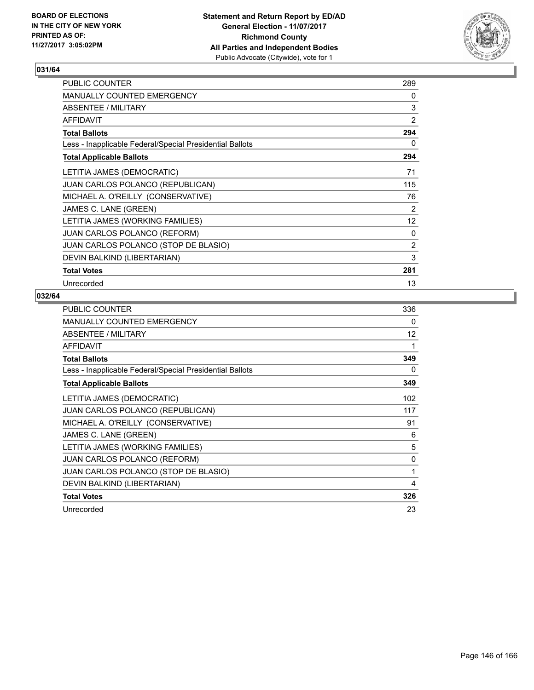

| <b>PUBLIC COUNTER</b>                                    | 289               |
|----------------------------------------------------------|-------------------|
| <b>MANUALLY COUNTED EMERGENCY</b>                        | 0                 |
| ABSENTEE / MILITARY                                      | 3                 |
| <b>AFFIDAVIT</b>                                         | $\overline{2}$    |
| <b>Total Ballots</b>                                     | 294               |
| Less - Inapplicable Federal/Special Presidential Ballots | 0                 |
| <b>Total Applicable Ballots</b>                          | 294               |
| LETITIA JAMES (DEMOCRATIC)                               | 71                |
| <b>JUAN CARLOS POLANCO (REPUBLICAN)</b>                  | 115               |
| MICHAEL A. O'REILLY (CONSERVATIVE)                       | 76                |
| JAMES C. LANE (GREEN)                                    | 2                 |
| LETITIA JAMES (WORKING FAMILIES)                         | $12 \overline{ }$ |
| <b>JUAN CARLOS POLANCO (REFORM)</b>                      | 0                 |
| JUAN CARLOS POLANCO (STOP DE BLASIO)                     | $\overline{2}$    |
| DEVIN BALKIND (LIBERTARIAN)                              | 3                 |
| <b>Total Votes</b>                                       | 281               |
| Unrecorded                                               | 13                |

| <b>PUBLIC COUNTER</b>                                    | 336 |
|----------------------------------------------------------|-----|
| MANUALLY COUNTED EMERGENCY                               | 0   |
| ABSENTEE / MILITARY                                      | 12  |
| AFFIDAVIT                                                | 1   |
| <b>Total Ballots</b>                                     | 349 |
| Less - Inapplicable Federal/Special Presidential Ballots | 0   |
| <b>Total Applicable Ballots</b>                          | 349 |
| LETITIA JAMES (DEMOCRATIC)                               | 102 |
| JUAN CARLOS POLANCO (REPUBLICAN)                         | 117 |
| MICHAEL A. O'REILLY (CONSERVATIVE)                       | 91  |
| JAMES C. LANE (GREEN)                                    | 6   |
| LETITIA JAMES (WORKING FAMILIES)                         | 5   |
| <b>JUAN CARLOS POLANCO (REFORM)</b>                      | 0   |
| JUAN CARLOS POLANCO (STOP DE BLASIO)                     | 1   |
| DEVIN BALKIND (LIBERTARIAN)                              | 4   |
| <b>Total Votes</b>                                       | 326 |
| Unrecorded                                               | 23  |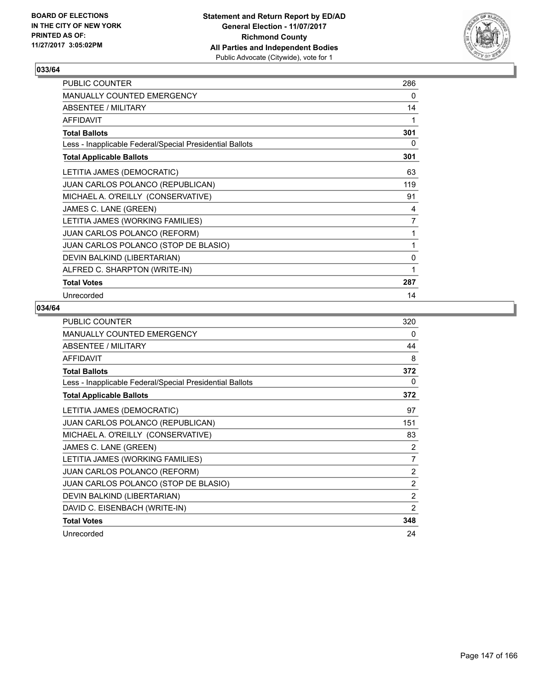

| PUBLIC COUNTER                                           | 286 |
|----------------------------------------------------------|-----|
| <b>MANUALLY COUNTED EMERGENCY</b>                        | 0   |
| ABSENTEE / MILITARY                                      | 14  |
| <b>AFFIDAVIT</b>                                         | 1   |
| <b>Total Ballots</b>                                     | 301 |
| Less - Inapplicable Federal/Special Presidential Ballots | 0   |
| <b>Total Applicable Ballots</b>                          | 301 |
| LETITIA JAMES (DEMOCRATIC)                               | 63  |
| JUAN CARLOS POLANCO (REPUBLICAN)                         | 119 |
| MICHAEL A. O'REILLY (CONSERVATIVE)                       | 91  |
| JAMES C. LANE (GREEN)                                    | 4   |
| LETITIA JAMES (WORKING FAMILIES)                         | 7   |
| <b>JUAN CARLOS POLANCO (REFORM)</b>                      | 1   |
| JUAN CARLOS POLANCO (STOP DE BLASIO)                     | 1   |
| DEVIN BALKIND (LIBERTARIAN)                              | 0   |
| ALFRED C. SHARPTON (WRITE-IN)                            | 1   |
| <b>Total Votes</b>                                       | 287 |
| Unrecorded                                               | 14  |

| PUBLIC COUNTER                                           | 320            |
|----------------------------------------------------------|----------------|
| <b>MANUALLY COUNTED EMERGENCY</b>                        | 0              |
| ABSENTEE / MILITARY                                      | 44             |
| <b>AFFIDAVIT</b>                                         | 8              |
| <b>Total Ballots</b>                                     | 372            |
| Less - Inapplicable Federal/Special Presidential Ballots | 0              |
| <b>Total Applicable Ballots</b>                          | 372            |
| LETITIA JAMES (DEMOCRATIC)                               | 97             |
| JUAN CARLOS POLANCO (REPUBLICAN)                         | 151            |
| MICHAEL A. O'REILLY (CONSERVATIVE)                       | 83             |
| JAMES C. LANE (GREEN)                                    | 2              |
| LETITIA JAMES (WORKING FAMILIES)                         | $\overline{7}$ |
| JUAN CARLOS POLANCO (REFORM)                             | $\overline{2}$ |
| JUAN CARLOS POLANCO (STOP DE BLASIO)                     | $\overline{2}$ |
| DEVIN BALKIND (LIBERTARIAN)                              | 2              |
| DAVID C. EISENBACH (WRITE-IN)                            | $\overline{2}$ |
| <b>Total Votes</b>                                       | 348            |
| Unrecorded                                               | 24             |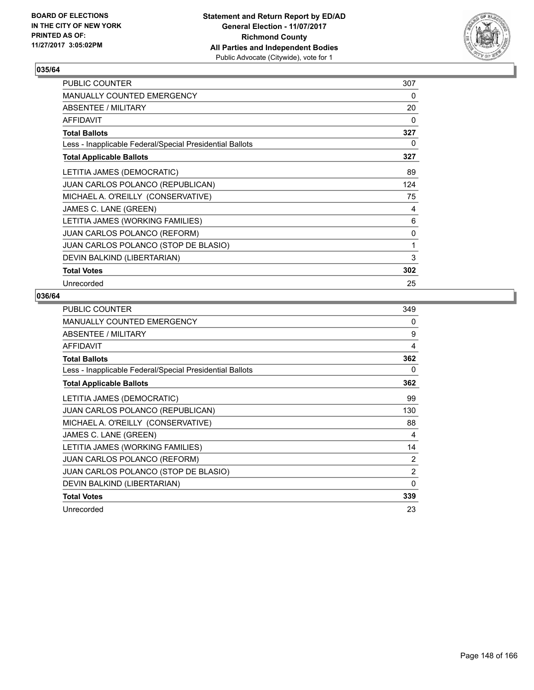

| PUBLIC COUNTER                                           | 307 |
|----------------------------------------------------------|-----|
| <b>MANUALLY COUNTED EMERGENCY</b>                        | 0   |
| ABSENTEE / MILITARY                                      | 20  |
| <b>AFFIDAVIT</b>                                         | 0   |
| <b>Total Ballots</b>                                     | 327 |
| Less - Inapplicable Federal/Special Presidential Ballots | 0   |
| <b>Total Applicable Ballots</b>                          | 327 |
| LETITIA JAMES (DEMOCRATIC)                               | 89  |
| JUAN CARLOS POLANCO (REPUBLICAN)                         | 124 |
| MICHAEL A. O'REILLY (CONSERVATIVE)                       | 75  |
| JAMES C. LANE (GREEN)                                    | 4   |
| LETITIA JAMES (WORKING FAMILIES)                         | 6   |
| <b>JUAN CARLOS POLANCO (REFORM)</b>                      | 0   |
| JUAN CARLOS POLANCO (STOP DE BLASIO)                     | 1   |
| DEVIN BALKIND (LIBERTARIAN)                              | 3   |
| <b>Total Votes</b>                                       | 302 |
| Unrecorded                                               | 25  |

| <b>PUBLIC COUNTER</b>                                    | 349 |
|----------------------------------------------------------|-----|
| <b>MANUALLY COUNTED EMERGENCY</b>                        | 0   |
| ABSENTEE / MILITARY                                      | 9   |
| <b>AFFIDAVIT</b>                                         | 4   |
| <b>Total Ballots</b>                                     | 362 |
| Less - Inapplicable Federal/Special Presidential Ballots | 0   |
| <b>Total Applicable Ballots</b>                          | 362 |
| LETITIA JAMES (DEMOCRATIC)                               | 99  |
| <b>JUAN CARLOS POLANCO (REPUBLICAN)</b>                  | 130 |
| MICHAEL A. O'REILLY (CONSERVATIVE)                       | 88  |
| JAMES C. LANE (GREEN)                                    | 4   |
| LETITIA JAMES (WORKING FAMILIES)                         | 14  |
| <b>JUAN CARLOS POLANCO (REFORM)</b>                      | 2   |
| <b>JUAN CARLOS POLANCO (STOP DE BLASIO)</b>              | 2   |
| DEVIN BALKIND (LIBERTARIAN)                              | 0   |
| <b>Total Votes</b>                                       | 339 |
| Unrecorded                                               | 23  |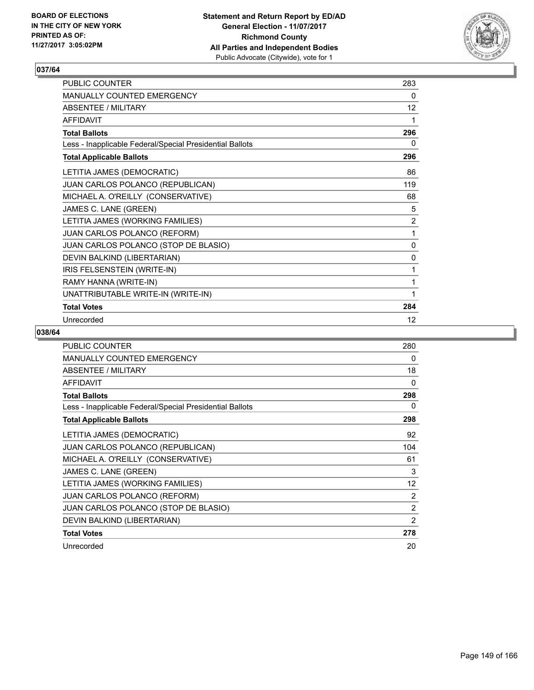

| PUBLIC COUNTER                                           | 283            |
|----------------------------------------------------------|----------------|
| <b>MANUALLY COUNTED EMERGENCY</b>                        | 0              |
| <b>ABSENTEE / MILITARY</b>                               | 12             |
| <b>AFFIDAVIT</b>                                         | 1              |
| <b>Total Ballots</b>                                     | 296            |
| Less - Inapplicable Federal/Special Presidential Ballots | 0              |
| <b>Total Applicable Ballots</b>                          | 296            |
| LETITIA JAMES (DEMOCRATIC)                               | 86             |
| JUAN CARLOS POLANCO (REPUBLICAN)                         | 119            |
| MICHAEL A. O'REILLY (CONSERVATIVE)                       | 68             |
| JAMES C. LANE (GREEN)                                    | 5              |
| LETITIA JAMES (WORKING FAMILIES)                         | $\overline{2}$ |
| JUAN CARLOS POLANCO (REFORM)                             | 1              |
| JUAN CARLOS POLANCO (STOP DE BLASIO)                     | $\mathbf{0}$   |
| DEVIN BALKIND (LIBERTARIAN)                              | 0              |
| IRIS FELSENSTEIN (WRITE-IN)                              | 1              |
| RAMY HANNA (WRITE-IN)                                    | 1              |
| UNATTRIBUTABLE WRITE-IN (WRITE-IN)                       | 1              |
| <b>Total Votes</b>                                       | 284            |
| Unrecorded                                               | 12             |

| <b>PUBLIC COUNTER</b>                                    | 280 |
|----------------------------------------------------------|-----|
| <b>MANUALLY COUNTED EMERGENCY</b>                        | 0   |
| <b>ABSENTEE / MILITARY</b>                               | 18  |
| AFFIDAVIT                                                | 0   |
| <b>Total Ballots</b>                                     | 298 |
| Less - Inapplicable Federal/Special Presidential Ballots | 0   |
| <b>Total Applicable Ballots</b>                          | 298 |
| LETITIA JAMES (DEMOCRATIC)                               | 92  |
| JUAN CARLOS POLANCO (REPUBLICAN)                         | 104 |
| MICHAEL A. O'REILLY (CONSERVATIVE)                       | 61  |
| JAMES C. LANE (GREEN)                                    | 3   |
| LETITIA JAMES (WORKING FAMILIES)                         | 12  |
| <b>JUAN CARLOS POLANCO (REFORM)</b>                      | 2   |
| JUAN CARLOS POLANCO (STOP DE BLASIO)                     | 2   |
| DEVIN BALKIND (LIBERTARIAN)                              | 2   |
| <b>Total Votes</b>                                       | 278 |
| Unrecorded                                               | 20  |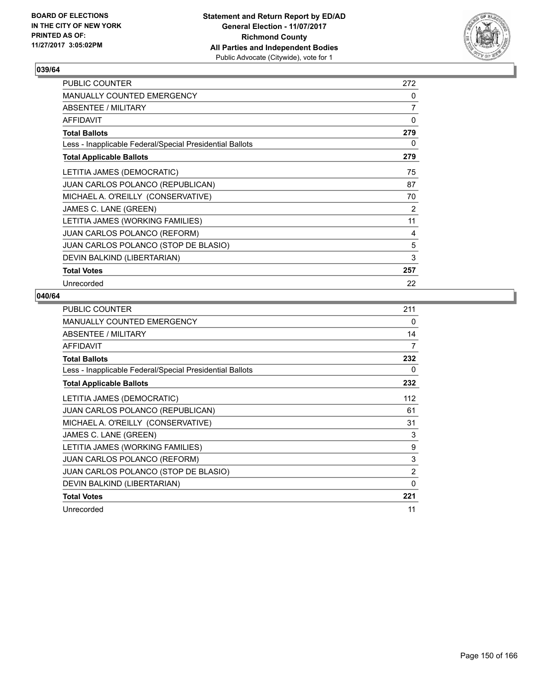

| <b>PUBLIC COUNTER</b>                                    | 272            |
|----------------------------------------------------------|----------------|
| <b>MANUALLY COUNTED EMERGENCY</b>                        | 0              |
| ABSENTEE / MILITARY                                      | $\overline{7}$ |
| <b>AFFIDAVIT</b>                                         | 0              |
| <b>Total Ballots</b>                                     | 279            |
| Less - Inapplicable Federal/Special Presidential Ballots | 0              |
| <b>Total Applicable Ballots</b>                          | 279            |
| LETITIA JAMES (DEMOCRATIC)                               | 75             |
| JUAN CARLOS POLANCO (REPUBLICAN)                         | 87             |
| MICHAEL A. O'REILLY (CONSERVATIVE)                       | 70             |
| JAMES C. LANE (GREEN)                                    | 2              |
| LETITIA JAMES (WORKING FAMILIES)                         | 11             |
| JUAN CARLOS POLANCO (REFORM)                             | 4              |
| JUAN CARLOS POLANCO (STOP DE BLASIO)                     | 5              |
| DEVIN BALKIND (LIBERTARIAN)                              | 3              |
| <b>Total Votes</b>                                       | 257            |
| Unrecorded                                               | 22             |

| <b>PUBLIC COUNTER</b>                                    | 211            |
|----------------------------------------------------------|----------------|
| MANUALLY COUNTED EMERGENCY                               | 0              |
| ABSENTEE / MILITARY                                      | 14             |
| AFFIDAVIT                                                | 7              |
| <b>Total Ballots</b>                                     | 232            |
| Less - Inapplicable Federal/Special Presidential Ballots | 0              |
| <b>Total Applicable Ballots</b>                          | 232            |
| LETITIA JAMES (DEMOCRATIC)                               | 112            |
| JUAN CARLOS POLANCO (REPUBLICAN)                         | 61             |
| MICHAEL A. O'REILLY (CONSERVATIVE)                       | 31             |
| JAMES C. LANE (GREEN)                                    | 3              |
| LETITIA JAMES (WORKING FAMILIES)                         | 9              |
| <b>JUAN CARLOS POLANCO (REFORM)</b>                      | 3              |
| JUAN CARLOS POLANCO (STOP DE BLASIO)                     | $\overline{2}$ |
| DEVIN BALKIND (LIBERTARIAN)                              | $\Omega$       |
| <b>Total Votes</b>                                       | 221            |
| Unrecorded                                               | 11             |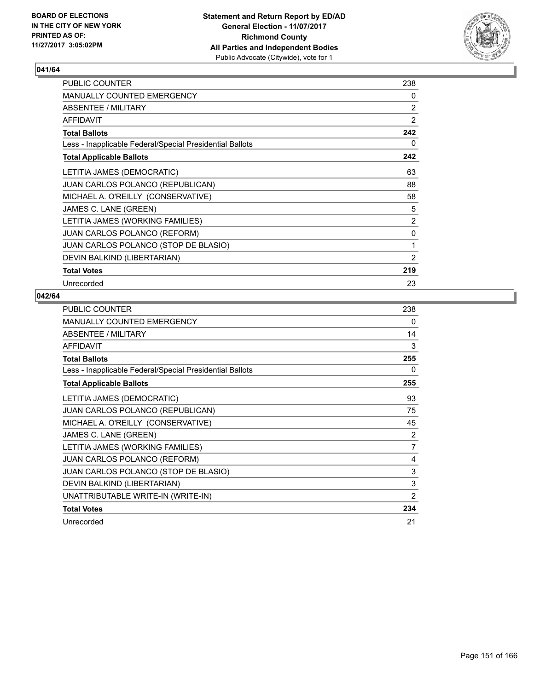

| <b>PUBLIC COUNTER</b>                                    | 238            |
|----------------------------------------------------------|----------------|
| <b>MANUALLY COUNTED EMERGENCY</b>                        | 0              |
| ABSENTEE / MILITARY                                      | 2              |
| <b>AFFIDAVIT</b>                                         | $\overline{2}$ |
| <b>Total Ballots</b>                                     | 242            |
| Less - Inapplicable Federal/Special Presidential Ballots | 0              |
| <b>Total Applicable Ballots</b>                          | 242            |
| LETITIA JAMES (DEMOCRATIC)                               | 63             |
| <b>JUAN CARLOS POLANCO (REPUBLICAN)</b>                  | 88             |
| MICHAEL A. O'REILLY (CONSERVATIVE)                       | 58             |
| JAMES C. LANE (GREEN)                                    | 5              |
| LETITIA JAMES (WORKING FAMILIES)                         | 2              |
| <b>JUAN CARLOS POLANCO (REFORM)</b>                      | 0              |
| JUAN CARLOS POLANCO (STOP DE BLASIO)                     | 1              |
| DEVIN BALKIND (LIBERTARIAN)                              | $\overline{2}$ |
| <b>Total Votes</b>                                       | 219            |
| Unrecorded                                               | 23             |

| PUBLIC COUNTER                                           | 238 |
|----------------------------------------------------------|-----|
| MANUALLY COUNTED EMERGENCY                               | 0   |
| ABSENTEE / MILITARY                                      | 14  |
| <b>AFFIDAVIT</b>                                         | 3   |
| <b>Total Ballots</b>                                     | 255 |
| Less - Inapplicable Federal/Special Presidential Ballots | 0   |
| <b>Total Applicable Ballots</b>                          | 255 |
| LETITIA JAMES (DEMOCRATIC)                               | 93  |
| JUAN CARLOS POLANCO (REPUBLICAN)                         | 75  |
| MICHAEL A. O'REILLY (CONSERVATIVE)                       | 45  |
| JAMES C. LANE (GREEN)                                    | 2   |
| LETITIA JAMES (WORKING FAMILIES)                         | 7   |
| <b>JUAN CARLOS POLANCO (REFORM)</b>                      | 4   |
| JUAN CARLOS POLANCO (STOP DE BLASIO)                     | 3   |
| DEVIN BALKIND (LIBERTARIAN)                              | 3   |
| UNATTRIBUTABLE WRITE-IN (WRITE-IN)                       | 2   |
| <b>Total Votes</b>                                       | 234 |
| Unrecorded                                               | 21  |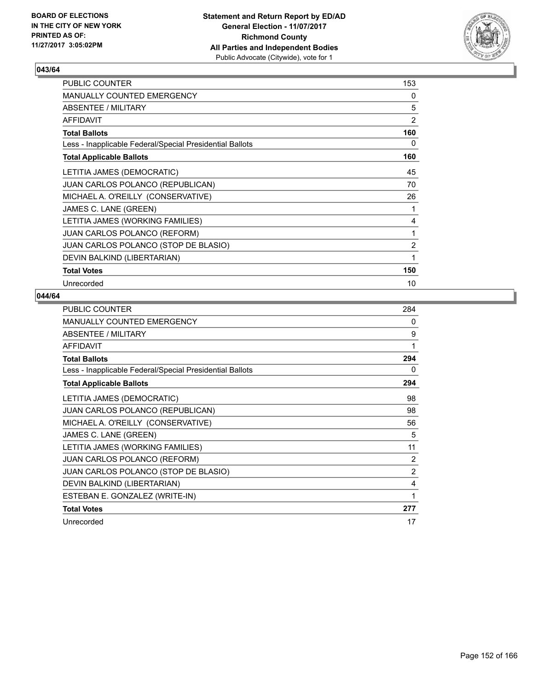

| PUBLIC COUNTER                                           | 153            |
|----------------------------------------------------------|----------------|
| <b>MANUALLY COUNTED EMERGENCY</b>                        | 0              |
| <b>ABSENTEE / MILITARY</b>                               | 5              |
| <b>AFFIDAVIT</b>                                         | $\overline{2}$ |
| <b>Total Ballots</b>                                     | 160            |
| Less - Inapplicable Federal/Special Presidential Ballots | 0              |
| <b>Total Applicable Ballots</b>                          | 160            |
| LETITIA JAMES (DEMOCRATIC)                               | 45             |
| <b>JUAN CARLOS POLANCO (REPUBLICAN)</b>                  | 70             |
| MICHAEL A. O'REILLY (CONSERVATIVE)                       | 26             |
| JAMES C. LANE (GREEN)                                    | 1              |
| LETITIA JAMES (WORKING FAMILIES)                         | 4              |
| <b>JUAN CARLOS POLANCO (REFORM)</b>                      | 1              |
| JUAN CARLOS POLANCO (STOP DE BLASIO)                     | $\overline{2}$ |
| DEVIN BALKIND (LIBERTARIAN)                              | 1              |
| <b>Total Votes</b>                                       | 150            |
| Unrecorded                                               | 10             |

| PUBLIC COUNTER                                           | 284            |
|----------------------------------------------------------|----------------|
| MANUALLY COUNTED EMERGENCY                               | 0              |
| ABSENTEE / MILITARY                                      | 9              |
| <b>AFFIDAVIT</b>                                         | 1              |
| <b>Total Ballots</b>                                     | 294            |
| Less - Inapplicable Federal/Special Presidential Ballots | 0              |
| <b>Total Applicable Ballots</b>                          | 294            |
| LETITIA JAMES (DEMOCRATIC)                               | 98             |
| <b>JUAN CARLOS POLANCO (REPUBLICAN)</b>                  | 98             |
| MICHAEL A. O'REILLY (CONSERVATIVE)                       | 56             |
| JAMES C. LANE (GREEN)                                    | 5              |
| LETITIA JAMES (WORKING FAMILIES)                         | 11             |
| JUAN CARLOS POLANCO (REFORM)                             | 2              |
| JUAN CARLOS POLANCO (STOP DE BLASIO)                     | $\overline{2}$ |
| DEVIN BALKIND (LIBERTARIAN)                              | 4              |
| ESTEBAN E. GONZALEZ (WRITE-IN)                           | 1              |
| <b>Total Votes</b>                                       | 277            |
| Unrecorded                                               | 17             |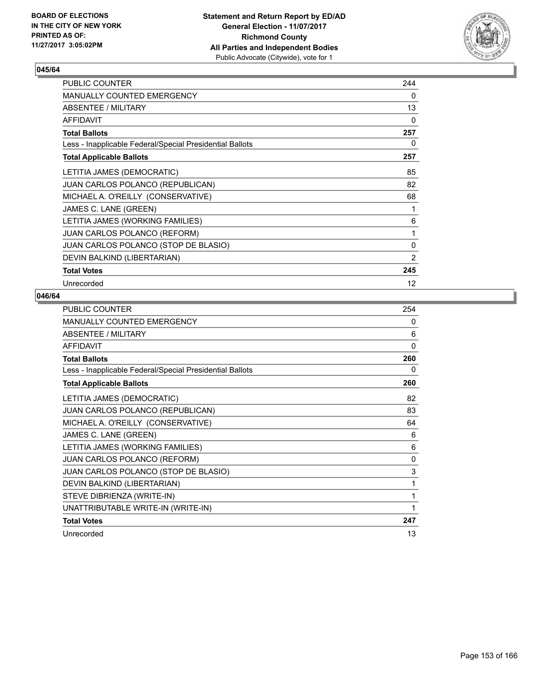

| <b>PUBLIC COUNTER</b>                                    | 244            |
|----------------------------------------------------------|----------------|
| <b>MANUALLY COUNTED EMERGENCY</b>                        | 0              |
| ABSENTEE / MILITARY                                      | 13             |
| <b>AFFIDAVIT</b>                                         | 0              |
| <b>Total Ballots</b>                                     | 257            |
| Less - Inapplicable Federal/Special Presidential Ballots | 0              |
| <b>Total Applicable Ballots</b>                          | 257            |
| LETITIA JAMES (DEMOCRATIC)                               | 85             |
| JUAN CARLOS POLANCO (REPUBLICAN)                         | 82             |
| MICHAEL A. O'REILLY (CONSERVATIVE)                       | 68             |
| JAMES C. LANE (GREEN)                                    | 1              |
| LETITIA JAMES (WORKING FAMILIES)                         | 6              |
| JUAN CARLOS POLANCO (REFORM)                             | 1              |
| JUAN CARLOS POLANCO (STOP DE BLASIO)                     | 0              |
| DEVIN BALKIND (LIBERTARIAN)                              | $\overline{2}$ |
| <b>Total Votes</b>                                       | 245            |
| Unrecorded                                               | 12             |

| <b>PUBLIC COUNTER</b>                                    | 254          |
|----------------------------------------------------------|--------------|
| <b>MANUALLY COUNTED EMERGENCY</b>                        | 0            |
| ABSENTEE / MILITARY                                      | 6            |
| <b>AFFIDAVIT</b>                                         | $\Omega$     |
| <b>Total Ballots</b>                                     | 260          |
| Less - Inapplicable Federal/Special Presidential Ballots | 0            |
| <b>Total Applicable Ballots</b>                          | 260          |
| LETITIA JAMES (DEMOCRATIC)                               | 82           |
| JUAN CARLOS POLANCO (REPUBLICAN)                         | 83           |
| MICHAEL A. O'REILLY (CONSERVATIVE)                       | 64           |
| JAMES C. LANE (GREEN)                                    | 6            |
| LETITIA JAMES (WORKING FAMILIES)                         | 6            |
| <b>JUAN CARLOS POLANCO (REFORM)</b>                      | $\mathbf{0}$ |
| JUAN CARLOS POLANCO (STOP DE BLASIO)                     | 3            |
| DEVIN BALKIND (LIBERTARIAN)                              | 1            |
| STEVE DIBRIENZA (WRITE-IN)                               | 1            |
| UNATTRIBUTABLE WRITE-IN (WRITE-IN)                       | 1            |
| <b>Total Votes</b>                                       | 247          |
| Unrecorded                                               | 13           |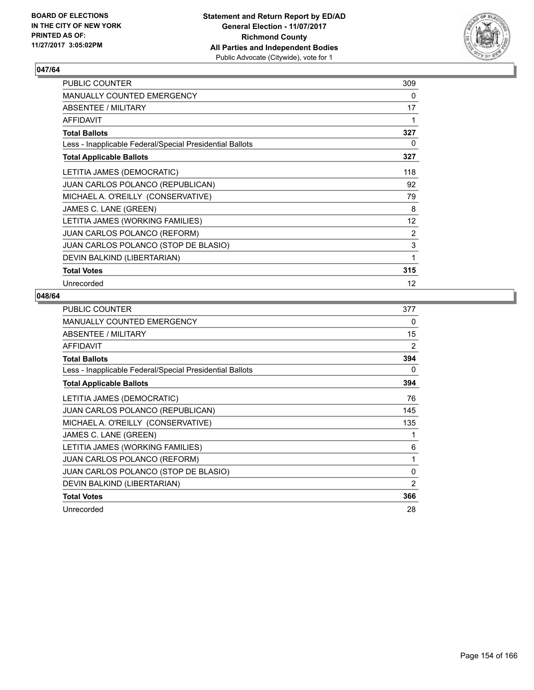

| <b>PUBLIC COUNTER</b>                                    | 309               |
|----------------------------------------------------------|-------------------|
| <b>MANUALLY COUNTED EMERGENCY</b>                        | 0                 |
| ABSENTEE / MILITARY                                      | 17                |
| <b>AFFIDAVIT</b>                                         | 1                 |
| <b>Total Ballots</b>                                     | 327               |
| Less - Inapplicable Federal/Special Presidential Ballots | 0                 |
| <b>Total Applicable Ballots</b>                          | 327               |
| LETITIA JAMES (DEMOCRATIC)                               | 118               |
| <b>JUAN CARLOS POLANCO (REPUBLICAN)</b>                  | 92                |
| MICHAEL A. O'REILLY (CONSERVATIVE)                       | 79                |
| JAMES C. LANE (GREEN)                                    | 8                 |
| LETITIA JAMES (WORKING FAMILIES)                         | $12 \overline{ }$ |
| <b>JUAN CARLOS POLANCO (REFORM)</b>                      | 2                 |
| JUAN CARLOS POLANCO (STOP DE BLASIO)                     | 3                 |
| DEVIN BALKIND (LIBERTARIAN)                              | 1                 |
| <b>Total Votes</b>                                       | 315               |
| Unrecorded                                               | $12 \overline{ }$ |

| <b>PUBLIC COUNTER</b>                                    | 377 |
|----------------------------------------------------------|-----|
| MANUALLY COUNTED EMERGENCY                               | 0   |
| ABSENTEE / MILITARY                                      | 15  |
| <b>AFFIDAVIT</b>                                         | 2   |
| <b>Total Ballots</b>                                     | 394 |
| Less - Inapplicable Federal/Special Presidential Ballots | 0   |
| <b>Total Applicable Ballots</b>                          | 394 |
| LETITIA JAMES (DEMOCRATIC)                               | 76  |
| JUAN CARLOS POLANCO (REPUBLICAN)                         | 145 |
| MICHAEL A. O'REILLY (CONSERVATIVE)                       | 135 |
| JAMES C. LANE (GREEN)                                    | 1   |
| LETITIA JAMES (WORKING FAMILIES)                         | 6   |
| <b>JUAN CARLOS POLANCO (REFORM)</b>                      | 1   |
| JUAN CARLOS POLANCO (STOP DE BLASIO)                     | 0   |
| DEVIN BALKIND (LIBERTARIAN)                              | 2   |
| <b>Total Votes</b>                                       | 366 |
| Unrecorded                                               | 28  |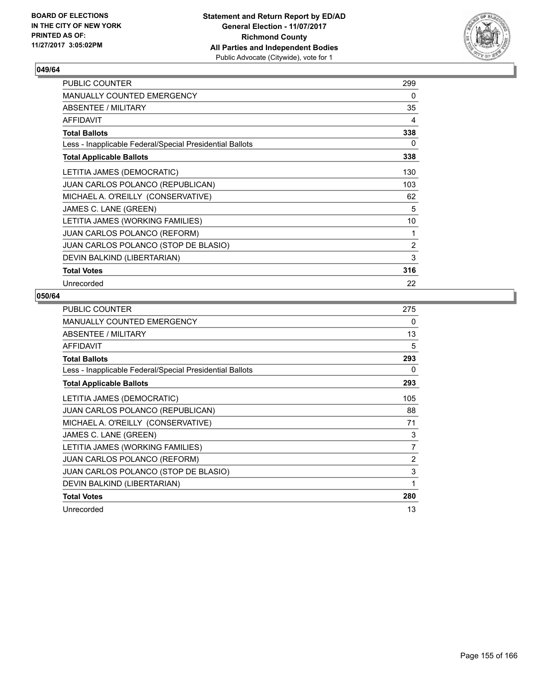

| PUBLIC COUNTER                                           | 299 |
|----------------------------------------------------------|-----|
| <b>MANUALLY COUNTED EMERGENCY</b>                        | 0   |
| ABSENTEE / MILITARY                                      | 35  |
| <b>AFFIDAVIT</b>                                         | 4   |
| <b>Total Ballots</b>                                     | 338 |
| Less - Inapplicable Federal/Special Presidential Ballots | 0   |
| <b>Total Applicable Ballots</b>                          | 338 |
| LETITIA JAMES (DEMOCRATIC)                               | 130 |
| JUAN CARLOS POLANCO (REPUBLICAN)                         | 103 |
| MICHAEL A. O'REILLY (CONSERVATIVE)                       | 62  |
| JAMES C. LANE (GREEN)                                    | 5   |
| LETITIA JAMES (WORKING FAMILIES)                         | 10  |
| <b>JUAN CARLOS POLANCO (REFORM)</b>                      | 1   |
| JUAN CARLOS POLANCO (STOP DE BLASIO)                     | 2   |
| DEVIN BALKIND (LIBERTARIAN)                              | 3   |
| <b>Total Votes</b>                                       | 316 |
| Unrecorded                                               | 22  |

| <b>PUBLIC COUNTER</b>                                    | 275 |
|----------------------------------------------------------|-----|
| MANUALLY COUNTED EMERGENCY                               | 0   |
| ABSENTEE / MILITARY                                      | 13  |
| AFFIDAVIT                                                | 5   |
| <b>Total Ballots</b>                                     | 293 |
| Less - Inapplicable Federal/Special Presidential Ballots | 0   |
| <b>Total Applicable Ballots</b>                          | 293 |
| LETITIA JAMES (DEMOCRATIC)                               | 105 |
| JUAN CARLOS POLANCO (REPUBLICAN)                         | 88  |
| MICHAEL A. O'REILLY (CONSERVATIVE)                       | 71  |
| JAMES C. LANE (GREEN)                                    | 3   |
| LETITIA JAMES (WORKING FAMILIES)                         | 7   |
| <b>JUAN CARLOS POLANCO (REFORM)</b>                      | 2   |
| JUAN CARLOS POLANCO (STOP DE BLASIO)                     | 3   |
| DEVIN BALKIND (LIBERTARIAN)                              | 1   |
| <b>Total Votes</b>                                       | 280 |
| Unrecorded                                               | 13  |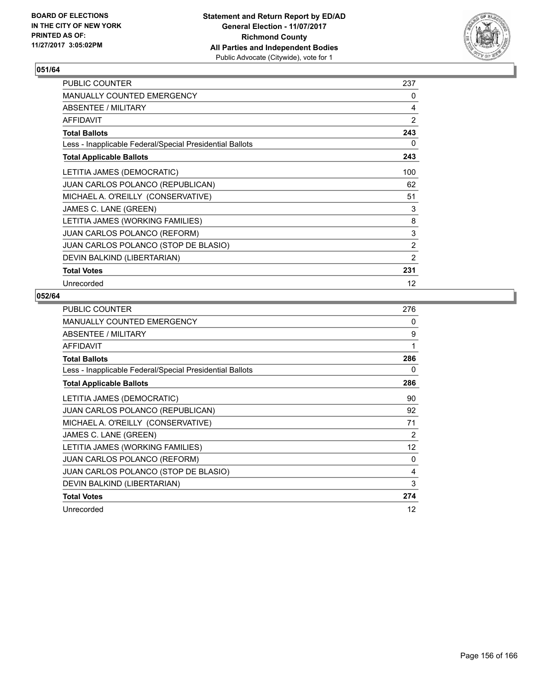

| <b>PUBLIC COUNTER</b>                                    | 237               |
|----------------------------------------------------------|-------------------|
| <b>MANUALLY COUNTED EMERGENCY</b>                        | 0                 |
| ABSENTEE / MILITARY                                      | 4                 |
| <b>AFFIDAVIT</b>                                         | $\overline{2}$    |
| <b>Total Ballots</b>                                     | 243               |
| Less - Inapplicable Federal/Special Presidential Ballots | 0                 |
| <b>Total Applicable Ballots</b>                          | 243               |
| LETITIA JAMES (DEMOCRATIC)                               | 100               |
| <b>JUAN CARLOS POLANCO (REPUBLICAN)</b>                  | 62                |
| MICHAEL A. O'REILLY (CONSERVATIVE)                       | 51                |
| JAMES C. LANE (GREEN)                                    | 3                 |
| LETITIA JAMES (WORKING FAMILIES)                         | 8                 |
| <b>JUAN CARLOS POLANCO (REFORM)</b>                      | 3                 |
| JUAN CARLOS POLANCO (STOP DE BLASIO)                     | $\overline{2}$    |
| DEVIN BALKIND (LIBERTARIAN)                              | $\overline{2}$    |
| <b>Total Votes</b>                                       | 231               |
| Unrecorded                                               | $12 \overline{ }$ |

| <b>PUBLIC COUNTER</b>                                    | 276 |
|----------------------------------------------------------|-----|
| <b>MANUALLY COUNTED EMERGENCY</b>                        | 0   |
| ABSENTEE / MILITARY                                      | 9   |
| AFFIDAVIT                                                | 1   |
| <b>Total Ballots</b>                                     | 286 |
| Less - Inapplicable Federal/Special Presidential Ballots | 0   |
| <b>Total Applicable Ballots</b>                          | 286 |
| LETITIA JAMES (DEMOCRATIC)                               | 90  |
| <b>JUAN CARLOS POLANCO (REPUBLICAN)</b>                  | 92  |
| MICHAEL A. O'REILLY (CONSERVATIVE)                       | 71  |
| JAMES C. LANE (GREEN)                                    | 2   |
| LETITIA JAMES (WORKING FAMILIES)                         | 12  |
| <b>JUAN CARLOS POLANCO (REFORM)</b>                      | 0   |
| JUAN CARLOS POLANCO (STOP DE BLASIO)                     | 4   |
| DEVIN BALKIND (LIBERTARIAN)                              | 3   |
| <b>Total Votes</b>                                       | 274 |
| Unrecorded                                               | 12  |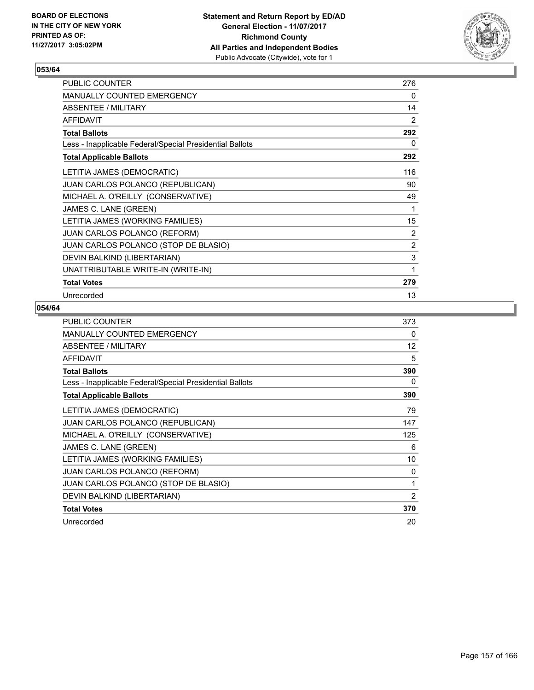

| PUBLIC COUNTER                                           | 276            |
|----------------------------------------------------------|----------------|
| <b>MANUALLY COUNTED EMERGENCY</b>                        | 0              |
| ABSENTEE / MILITARY                                      | 14             |
| <b>AFFIDAVIT</b>                                         | $\overline{2}$ |
| <b>Total Ballots</b>                                     | 292            |
| Less - Inapplicable Federal/Special Presidential Ballots | 0              |
| <b>Total Applicable Ballots</b>                          | 292            |
| LETITIA JAMES (DEMOCRATIC)                               | 116            |
| JUAN CARLOS POLANCO (REPUBLICAN)                         | 90             |
| MICHAEL A. O'REILLY (CONSERVATIVE)                       | 49             |
| JAMES C. LANE (GREEN)                                    | 1              |
| LETITIA JAMES (WORKING FAMILIES)                         | 15             |
| JUAN CARLOS POLANCO (REFORM)                             | $\overline{2}$ |
| JUAN CARLOS POLANCO (STOP DE BLASIO)                     | $\overline{2}$ |
| DEVIN BALKIND (LIBERTARIAN)                              | 3              |
| UNATTRIBUTABLE WRITE-IN (WRITE-IN)                       | 1              |
| <b>Total Votes</b>                                       | 279            |
| Unrecorded                                               | 13             |

| PUBLIC COUNTER                                           | 373            |
|----------------------------------------------------------|----------------|
| <b>MANUALLY COUNTED EMERGENCY</b>                        | 0              |
| ABSENTEE / MILITARY                                      | 12             |
| <b>AFFIDAVIT</b>                                         | 5              |
| <b>Total Ballots</b>                                     | 390            |
| Less - Inapplicable Federal/Special Presidential Ballots | 0              |
| <b>Total Applicable Ballots</b>                          | 390            |
| LETITIA JAMES (DEMOCRATIC)                               | 79             |
| <b>JUAN CARLOS POLANCO (REPUBLICAN)</b>                  | 147            |
| MICHAEL A. O'REILLY (CONSERVATIVE)                       | 125            |
| JAMES C. LANE (GREEN)                                    | 6              |
| LETITIA JAMES (WORKING FAMILIES)                         | 10             |
| <b>JUAN CARLOS POLANCO (REFORM)</b>                      | 0              |
| <b>JUAN CARLOS POLANCO (STOP DE BLASIO)</b>              | 1              |
| DEVIN BALKIND (LIBERTARIAN)                              | $\overline{2}$ |
| <b>Total Votes</b>                                       | 370            |
| Unrecorded                                               | 20             |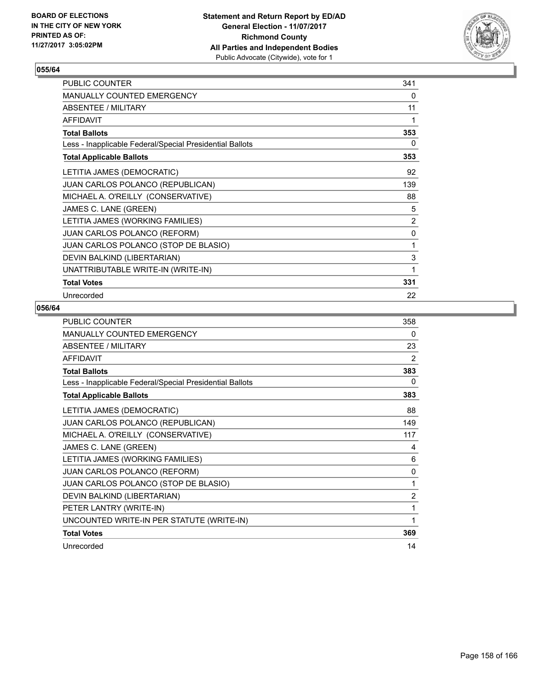

| PUBLIC COUNTER                                           | 341 |
|----------------------------------------------------------|-----|
| MANUALLY COUNTED EMERGENCY                               | 0   |
| ABSENTEE / MILITARY                                      | 11  |
| <b>AFFIDAVIT</b>                                         | 1   |
| <b>Total Ballots</b>                                     | 353 |
| Less - Inapplicable Federal/Special Presidential Ballots | 0   |
| <b>Total Applicable Ballots</b>                          | 353 |
| LETITIA JAMES (DEMOCRATIC)                               | 92  |
| JUAN CARLOS POLANCO (REPUBLICAN)                         | 139 |
| MICHAEL A. O'REILLY (CONSERVATIVE)                       | 88  |
| JAMES C. LANE (GREEN)                                    | 5   |
| LETITIA JAMES (WORKING FAMILIES)                         | 2   |
| JUAN CARLOS POLANCO (REFORM)                             | 0   |
| JUAN CARLOS POLANCO (STOP DE BLASIO)                     | 1   |
| DEVIN BALKIND (LIBERTARIAN)                              | 3   |
| UNATTRIBUTABLE WRITE-IN (WRITE-IN)                       | 1   |
| <b>Total Votes</b>                                       | 331 |
| Unrecorded                                               | 22  |

| <b>PUBLIC COUNTER</b>                                    | 358            |
|----------------------------------------------------------|----------------|
| <b>MANUALLY COUNTED EMERGENCY</b>                        | 0              |
| ABSENTEE / MILITARY                                      | 23             |
| <b>AFFIDAVIT</b>                                         | 2              |
| <b>Total Ballots</b>                                     | 383            |
| Less - Inapplicable Federal/Special Presidential Ballots | 0              |
| <b>Total Applicable Ballots</b>                          | 383            |
| LETITIA JAMES (DEMOCRATIC)                               | 88             |
| JUAN CARLOS POLANCO (REPUBLICAN)                         | 149            |
| MICHAEL A. O'REILLY (CONSERVATIVE)                       | 117            |
| JAMES C. LANE (GREEN)                                    | 4              |
| LETITIA JAMES (WORKING FAMILIES)                         | 6              |
| <b>JUAN CARLOS POLANCO (REFORM)</b>                      | $\mathbf{0}$   |
| JUAN CARLOS POLANCO (STOP DE BLASIO)                     | 1              |
| DEVIN BALKIND (LIBERTARIAN)                              | $\overline{2}$ |
| PETER LANTRY (WRITE-IN)                                  | 1              |
| UNCOUNTED WRITE-IN PER STATUTE (WRITE-IN)                | 1              |
| <b>Total Votes</b>                                       | 369            |
| Unrecorded                                               | 14             |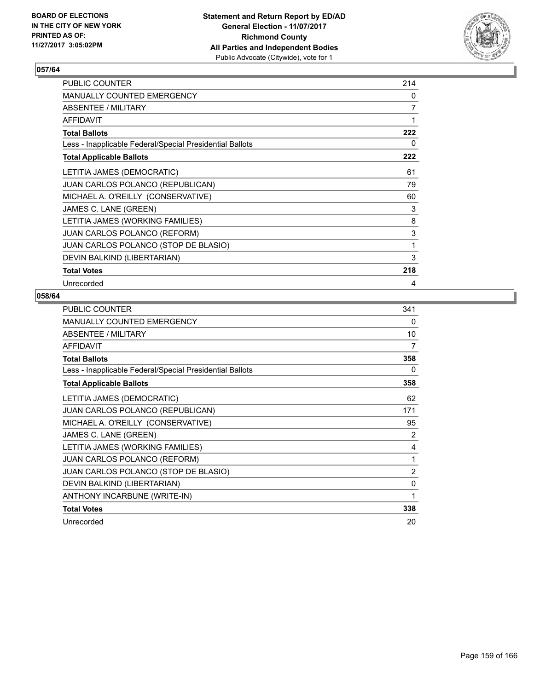

| <b>PUBLIC COUNTER</b>                                    | 214 |
|----------------------------------------------------------|-----|
| <b>MANUALLY COUNTED EMERGENCY</b>                        | 0   |
| ABSENTEE / MILITARY                                      | 7   |
| <b>AFFIDAVIT</b>                                         | 1   |
| <b>Total Ballots</b>                                     | 222 |
| Less - Inapplicable Federal/Special Presidential Ballots | 0   |
| <b>Total Applicable Ballots</b>                          | 222 |
| LETITIA JAMES (DEMOCRATIC)                               | 61  |
| JUAN CARLOS POLANCO (REPUBLICAN)                         | 79  |
| MICHAEL A. O'REILLY (CONSERVATIVE)                       | 60  |
| JAMES C. LANE (GREEN)                                    | 3   |
| LETITIA JAMES (WORKING FAMILIES)                         | 8   |
| <b>JUAN CARLOS POLANCO (REFORM)</b>                      | 3   |
| JUAN CARLOS POLANCO (STOP DE BLASIO)                     | 1   |
| DEVIN BALKIND (LIBERTARIAN)                              | 3   |
| <b>Total Votes</b>                                       | 218 |
| Unrecorded                                               | 4   |

| PUBLIC COUNTER                                           | 341            |
|----------------------------------------------------------|----------------|
| MANUALLY COUNTED EMERGENCY                               | 0              |
| ABSENTEE / MILITARY                                      | 10             |
| <b>AFFIDAVIT</b>                                         | 7              |
| <b>Total Ballots</b>                                     | 358            |
| Less - Inapplicable Federal/Special Presidential Ballots | 0              |
| <b>Total Applicable Ballots</b>                          | 358            |
| LETITIA JAMES (DEMOCRATIC)                               | 62             |
| JUAN CARLOS POLANCO (REPUBLICAN)                         | 171            |
| MICHAEL A. O'REILLY (CONSERVATIVE)                       | 95             |
| JAMES C. LANE (GREEN)                                    | 2              |
| LETITIA JAMES (WORKING FAMILIES)                         | 4              |
| JUAN CARLOS POLANCO (REFORM)                             | 1              |
| JUAN CARLOS POLANCO (STOP DE BLASIO)                     | $\overline{2}$ |
| DEVIN BALKIND (LIBERTARIAN)                              | 0              |
| ANTHONY INCARBUNE (WRITE-IN)                             | 1              |
| <b>Total Votes</b>                                       | 338            |
| Unrecorded                                               | 20             |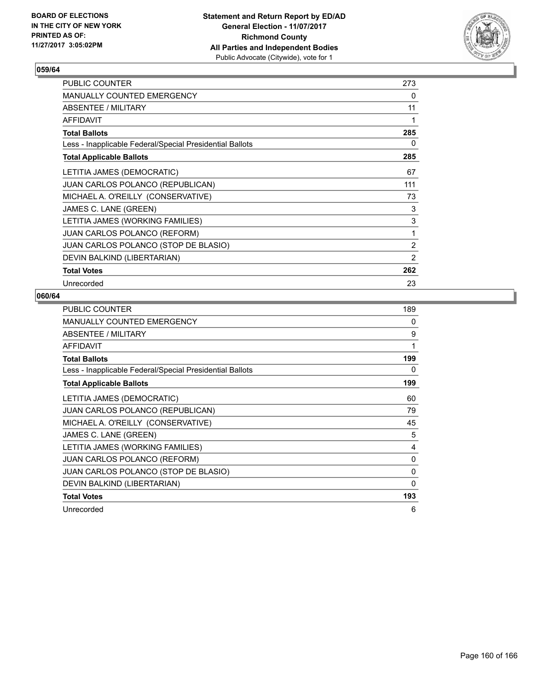

| <b>PUBLIC COUNTER</b>                                    | 273 |
|----------------------------------------------------------|-----|
| <b>MANUALLY COUNTED EMERGENCY</b>                        | 0   |
| ABSENTEE / MILITARY                                      | 11  |
| <b>AFFIDAVIT</b>                                         | 1   |
| <b>Total Ballots</b>                                     | 285 |
| Less - Inapplicable Federal/Special Presidential Ballots | 0   |
| <b>Total Applicable Ballots</b>                          | 285 |
| LETITIA JAMES (DEMOCRATIC)                               | 67  |
| JUAN CARLOS POLANCO (REPUBLICAN)                         | 111 |
| MICHAEL A. O'REILLY (CONSERVATIVE)                       | 73  |
| JAMES C. LANE (GREEN)                                    | 3   |
| LETITIA JAMES (WORKING FAMILIES)                         | 3   |
| <b>JUAN CARLOS POLANCO (REFORM)</b>                      | 1   |
| JUAN CARLOS POLANCO (STOP DE BLASIO)                     | 2   |
| DEVIN BALKIND (LIBERTARIAN)                              | 2   |
| <b>Total Votes</b>                                       | 262 |
| Unrecorded                                               | 23  |

| <b>PUBLIC COUNTER</b>                                    | 189 |
|----------------------------------------------------------|-----|
| MANUALLY COUNTED EMERGENCY                               | 0   |
| ABSENTEE / MILITARY                                      | 9   |
| <b>AFFIDAVIT</b>                                         | 1   |
| <b>Total Ballots</b>                                     | 199 |
| Less - Inapplicable Federal/Special Presidential Ballots | 0   |
| <b>Total Applicable Ballots</b>                          | 199 |
| LETITIA JAMES (DEMOCRATIC)                               | 60  |
| JUAN CARLOS POLANCO (REPUBLICAN)                         | 79  |
| MICHAEL A. O'REILLY (CONSERVATIVE)                       | 45  |
| JAMES C. LANE (GREEN)                                    | 5   |
| LETITIA JAMES (WORKING FAMILIES)                         | 4   |
| <b>JUAN CARLOS POLANCO (REFORM)</b>                      | 0   |
| JUAN CARLOS POLANCO (STOP DE BLASIO)                     | 0   |
| DEVIN BALKIND (LIBERTARIAN)                              | 0   |
| <b>Total Votes</b>                                       | 193 |
| Unrecorded                                               | 6   |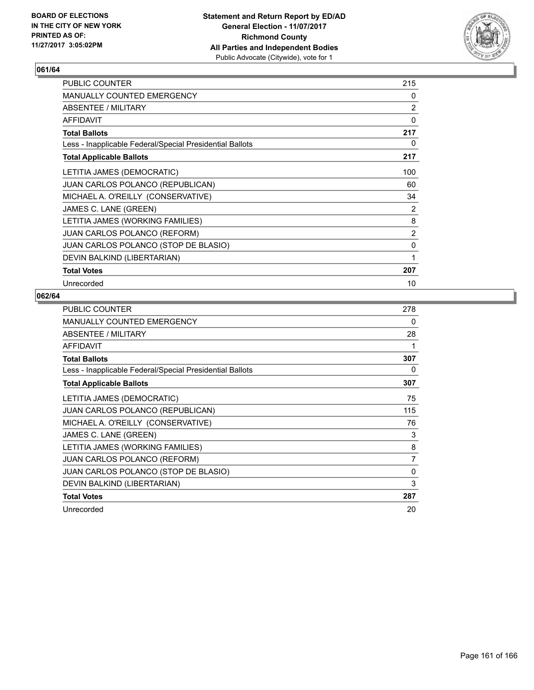

| <b>PUBLIC COUNTER</b>                                    | 215 |
|----------------------------------------------------------|-----|
| <b>MANUALLY COUNTED EMERGENCY</b>                        | 0   |
| ABSENTEE / MILITARY                                      | 2   |
| <b>AFFIDAVIT</b>                                         | 0   |
| <b>Total Ballots</b>                                     | 217 |
| Less - Inapplicable Federal/Special Presidential Ballots | 0   |
| <b>Total Applicable Ballots</b>                          | 217 |
| LETITIA JAMES (DEMOCRATIC)                               | 100 |
| <b>JUAN CARLOS POLANCO (REPUBLICAN)</b>                  | 60  |
| MICHAEL A. O'REILLY (CONSERVATIVE)                       | 34  |
| JAMES C. LANE (GREEN)                                    | 2   |
| LETITIA JAMES (WORKING FAMILIES)                         | 8   |
| JUAN CARLOS POLANCO (REFORM)                             | 2   |
| JUAN CARLOS POLANCO (STOP DE BLASIO)                     | 0   |
| DEVIN BALKIND (LIBERTARIAN)                              | 1   |
| <b>Total Votes</b>                                       | 207 |
| Unrecorded                                               | 10  |

| <b>PUBLIC COUNTER</b>                                    | 278            |
|----------------------------------------------------------|----------------|
| MANUALLY COUNTED EMERGENCY                               | 0              |
| ABSENTEE / MILITARY                                      | 28             |
| AFFIDAVIT                                                | 1              |
| <b>Total Ballots</b>                                     | 307            |
| Less - Inapplicable Federal/Special Presidential Ballots | 0              |
| <b>Total Applicable Ballots</b>                          | 307            |
| LETITIA JAMES (DEMOCRATIC)                               | 75             |
| JUAN CARLOS POLANCO (REPUBLICAN)                         | 115            |
| MICHAEL A. O'REILLY (CONSERVATIVE)                       | 76             |
| JAMES C. LANE (GREEN)                                    | 3              |
| LETITIA JAMES (WORKING FAMILIES)                         | 8              |
| <b>JUAN CARLOS POLANCO (REFORM)</b>                      | $\overline{7}$ |
| JUAN CARLOS POLANCO (STOP DE BLASIO)                     | 0              |
| DEVIN BALKIND (LIBERTARIAN)                              | 3              |
| <b>Total Votes</b>                                       | 287            |
| Unrecorded                                               | 20             |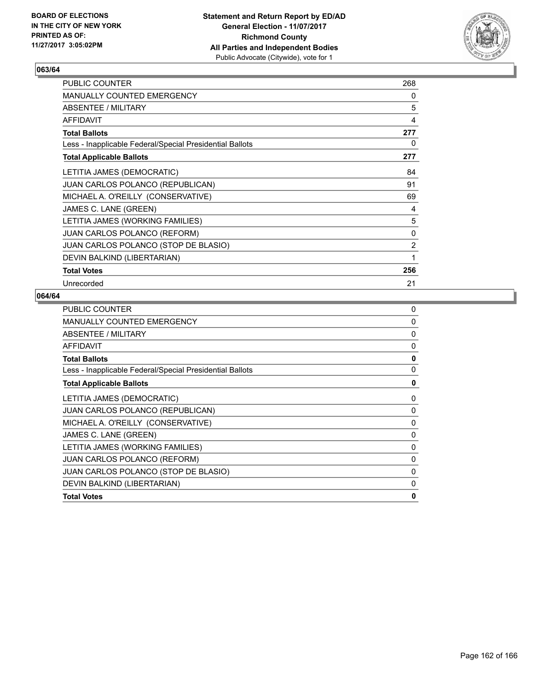

| <b>PUBLIC COUNTER</b>                                    | 268            |
|----------------------------------------------------------|----------------|
| <b>MANUALLY COUNTED EMERGENCY</b>                        | 0              |
| ABSENTEE / MILITARY                                      | 5              |
| <b>AFFIDAVIT</b>                                         | 4              |
| <b>Total Ballots</b>                                     | 277            |
| Less - Inapplicable Federal/Special Presidential Ballots | 0              |
| <b>Total Applicable Ballots</b>                          | 277            |
| LETITIA JAMES (DEMOCRATIC)                               | 84             |
| <b>JUAN CARLOS POLANCO (REPUBLICAN)</b>                  | 91             |
| MICHAEL A. O'REILLY (CONSERVATIVE)                       | 69             |
| JAMES C. LANE (GREEN)                                    | 4              |
| LETITIA JAMES (WORKING FAMILIES)                         | 5              |
| <b>JUAN CARLOS POLANCO (REFORM)</b>                      | 0              |
| JUAN CARLOS POLANCO (STOP DE BLASIO)                     | $\overline{2}$ |
| DEVIN BALKIND (LIBERTARIAN)                              | 1              |
| <b>Total Votes</b>                                       | 256            |
| Unrecorded                                               | 21             |

| <b>PUBLIC COUNTER</b>                                    | 0            |
|----------------------------------------------------------|--------------|
| MANUALLY COUNTED EMERGENCY                               | $\Omega$     |
| ABSENTEE / MILITARY                                      | 0            |
| <b>AFFIDAVIT</b>                                         | $\mathbf{0}$ |
| <b>Total Ballots</b>                                     | 0            |
| Less - Inapplicable Federal/Special Presidential Ballots | 0            |
| <b>Total Applicable Ballots</b>                          | 0            |
| LETITIA JAMES (DEMOCRATIC)                               | 0            |
| JUAN CARLOS POLANCO (REPUBLICAN)                         | 0            |
| MICHAEL A. O'REILLY (CONSERVATIVE)                       | 0            |
| JAMES C. LANE (GREEN)                                    | 0            |
| LETITIA JAMES (WORKING FAMILIES)                         | $\Omega$     |
| JUAN CARLOS POLANCO (REFORM)                             | $\Omega$     |
| JUAN CARLOS POLANCO (STOP DE BLASIO)                     | 0            |
| DEVIN BALKIND (LIBERTARIAN)                              | 0            |
| <b>Total Votes</b>                                       | $\mathbf{0}$ |
|                                                          |              |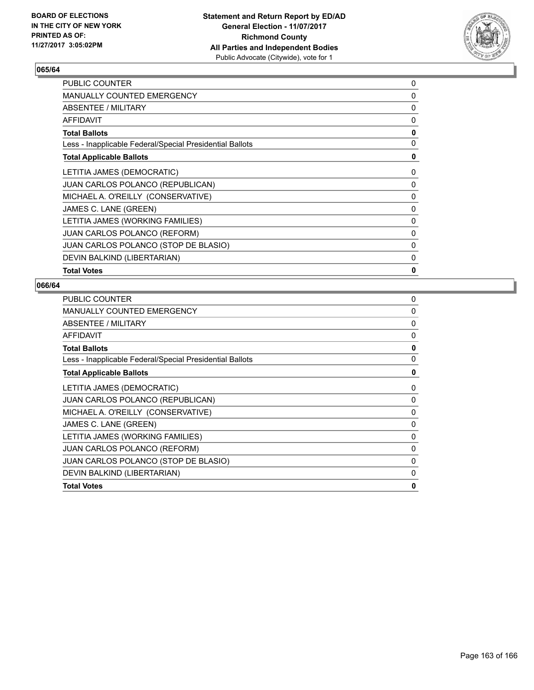

| <b>MANUALLY COUNTED EMERGENCY</b><br>0<br>ABSENTEE / MILITARY<br><b>AFFIDAVIT</b><br>0<br>0<br><b>Total Ballots</b><br>Less - Inapplicable Federal/Special Presidential Ballots<br><b>Total Applicable Ballots</b><br>LETITIA JAMES (DEMOCRATIC)<br>0<br><b>JUAN CARLOS POLANCO (REPUBLICAN)</b><br>0<br>MICHAEL A. O'REILLY (CONSERVATIVE)<br>0<br>JAMES C. LANE (GREEN)<br>0<br>LETITIA JAMES (WORKING FAMILIES)<br>0<br><b>JUAN CARLOS POLANCO (REFORM)</b><br>0<br>JUAN CARLOS POLANCO (STOP DE BLASIO)<br>0<br>DEVIN BALKIND (LIBERTARIAN)<br>$\Omega$<br>0<br><b>Total Votes</b> | <b>PUBLIC COUNTER</b> | 0 |
|----------------------------------------------------------------------------------------------------------------------------------------------------------------------------------------------------------------------------------------------------------------------------------------------------------------------------------------------------------------------------------------------------------------------------------------------------------------------------------------------------------------------------------------------------------------------------------------|-----------------------|---|
|                                                                                                                                                                                                                                                                                                                                                                                                                                                                                                                                                                                        |                       |   |
|                                                                                                                                                                                                                                                                                                                                                                                                                                                                                                                                                                                        |                       | 0 |
|                                                                                                                                                                                                                                                                                                                                                                                                                                                                                                                                                                                        |                       |   |
|                                                                                                                                                                                                                                                                                                                                                                                                                                                                                                                                                                                        |                       |   |
|                                                                                                                                                                                                                                                                                                                                                                                                                                                                                                                                                                                        |                       | 0 |
|                                                                                                                                                                                                                                                                                                                                                                                                                                                                                                                                                                                        |                       | 0 |
|                                                                                                                                                                                                                                                                                                                                                                                                                                                                                                                                                                                        |                       |   |
|                                                                                                                                                                                                                                                                                                                                                                                                                                                                                                                                                                                        |                       |   |
|                                                                                                                                                                                                                                                                                                                                                                                                                                                                                                                                                                                        |                       |   |
|                                                                                                                                                                                                                                                                                                                                                                                                                                                                                                                                                                                        |                       |   |
|                                                                                                                                                                                                                                                                                                                                                                                                                                                                                                                                                                                        |                       |   |
|                                                                                                                                                                                                                                                                                                                                                                                                                                                                                                                                                                                        |                       |   |
|                                                                                                                                                                                                                                                                                                                                                                                                                                                                                                                                                                                        |                       |   |
|                                                                                                                                                                                                                                                                                                                                                                                                                                                                                                                                                                                        |                       |   |
|                                                                                                                                                                                                                                                                                                                                                                                                                                                                                                                                                                                        |                       |   |

| <b>PUBLIC COUNTER</b>                                    | 0            |
|----------------------------------------------------------|--------------|
| MANUALLY COUNTED EMERGENCY                               | $\Omega$     |
| ABSENTEE / MILITARY                                      | 0            |
| <b>AFFIDAVIT</b>                                         | 0            |
| <b>Total Ballots</b>                                     | 0            |
| Less - Inapplicable Federal/Special Presidential Ballots | $\mathbf{0}$ |
| <b>Total Applicable Ballots</b>                          | 0            |
| LETITIA JAMES (DEMOCRATIC)                               | 0            |
| <b>JUAN CARLOS POLANCO (REPUBLICAN)</b>                  | 0            |
| MICHAEL A. O'REILLY (CONSERVATIVE)                       | $\Omega$     |
| JAMES C. LANE (GREEN)                                    | 0            |
| LETITIA JAMES (WORKING FAMILIES)                         | 0            |
| <b>JUAN CARLOS POLANCO (REFORM)</b>                      | 0            |
| JUAN CARLOS POLANCO (STOP DE BLASIO)                     | 0            |
| DEVIN BALKIND (LIBERTARIAN)                              | 0            |
| <b>Total Votes</b>                                       | 0            |
|                                                          |              |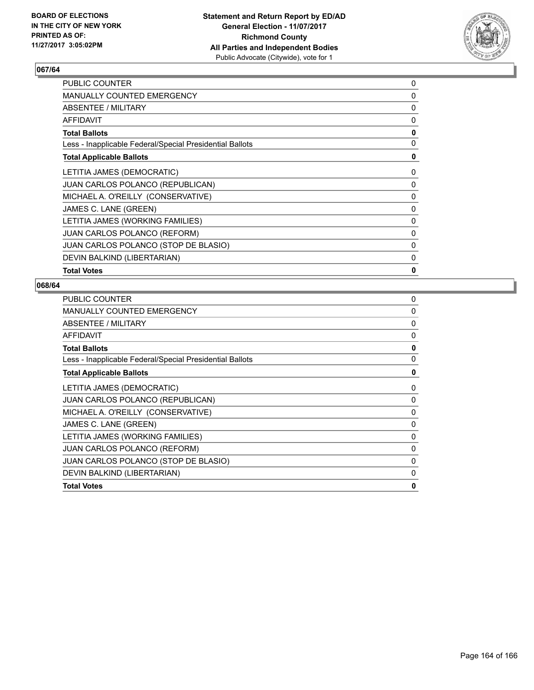

| PUBLIC COUNTER                                           | 0            |
|----------------------------------------------------------|--------------|
| <b>MANUALLY COUNTED EMERGENCY</b>                        | $\Omega$     |
| ABSENTEE / MILITARY                                      | 0            |
| <b>AFFIDAVIT</b>                                         | 0            |
| <b>Total Ballots</b>                                     | 0            |
| Less - Inapplicable Federal/Special Presidential Ballots | 0            |
| <b>Total Applicable Ballots</b>                          | 0            |
| LETITIA JAMES (DEMOCRATIC)                               | 0            |
| <b>JUAN CARLOS POLANCO (REPUBLICAN)</b>                  | 0            |
| MICHAEL A. O'REILLY (CONSERVATIVE)                       | 0            |
| JAMES C. LANE (GREEN)                                    | 0            |
| LETITIA JAMES (WORKING FAMILIES)                         | $\mathbf{0}$ |
| JUAN CARLOS POLANCO (REFORM)                             | 0            |
| JUAN CARLOS POLANCO (STOP DE BLASIO)                     | 0            |
| DEVIN BALKIND (LIBERTARIAN)                              | 0            |
| <b>Total Votes</b>                                       | 0            |

| <b>PUBLIC COUNTER</b>                                    | 0            |
|----------------------------------------------------------|--------------|
| MANUALLY COUNTED EMERGENCY                               | $\Omega$     |
| ABSENTEE / MILITARY                                      | 0            |
| <b>AFFIDAVIT</b>                                         | 0            |
| <b>Total Ballots</b>                                     | 0            |
| Less - Inapplicable Federal/Special Presidential Ballots | $\mathbf{0}$ |
| <b>Total Applicable Ballots</b>                          | 0            |
| LETITIA JAMES (DEMOCRATIC)                               | 0            |
| <b>JUAN CARLOS POLANCO (REPUBLICAN)</b>                  | 0            |
| MICHAEL A. O'REILLY (CONSERVATIVE)                       | $\Omega$     |
| JAMES C. LANE (GREEN)                                    | 0            |
| LETITIA JAMES (WORKING FAMILIES)                         | 0            |
| <b>JUAN CARLOS POLANCO (REFORM)</b>                      | 0            |
| JUAN CARLOS POLANCO (STOP DE BLASIO)                     | 0            |
| DEVIN BALKIND (LIBERTARIAN)                              | 0            |
| <b>Total Votes</b>                                       | 0            |
|                                                          |              |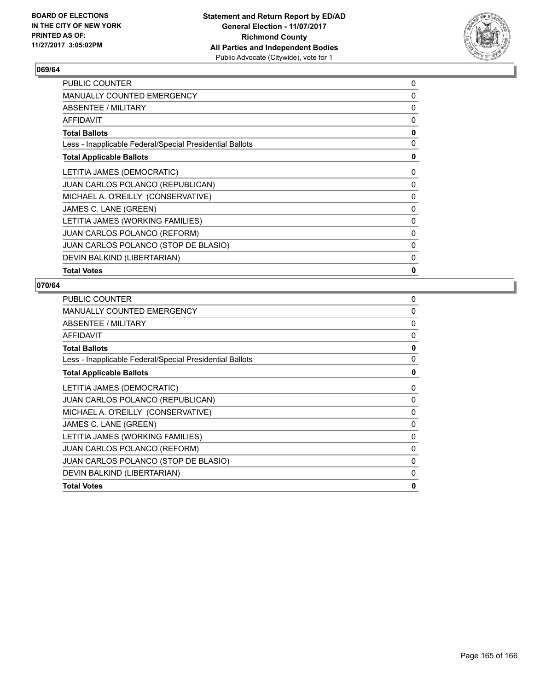

| <b>PUBLIC COUNTER</b>                                    | 0            |
|----------------------------------------------------------|--------------|
| <b>MANUALLY COUNTED EMERGENCY</b>                        | $\Omega$     |
| <b>ABSENTEE / MILITARY</b>                               | 0            |
| <b>AFFIDAVIT</b>                                         | 0            |
| <b>Total Ballots</b>                                     | $\mathbf{0}$ |
| Less - Inapplicable Federal/Special Presidential Ballots | 0            |
| <b>Total Applicable Ballots</b>                          | 0            |
| LETITIA JAMES (DEMOCRATIC)                               | 0            |
| <b>JUAN CARLOS POLANCO (REPUBLICAN)</b>                  | 0            |
| MICHAEL A. O'REILLY (CONSERVATIVE)                       | 0            |
| JAMES C. LANE (GREEN)                                    | 0            |
| LETITIA JAMES (WORKING FAMILIES)                         | 0            |
| <b>JUAN CARLOS POLANCO (REFORM)</b>                      | $\Omega$     |
| <b>JUAN CARLOS POLANCO (STOP DE BLASIO)</b>              | 0            |
| DEVIN BALKIND (LIBERTARIAN)                              | 0            |
| <b>Total Votes</b>                                       | 0            |

| <b>PUBLIC COUNTER</b>                                    | 0            |
|----------------------------------------------------------|--------------|
| MANUALLY COUNTED EMERGENCY                               | $\Omega$     |
| ABSENTEE / MILITARY                                      | 0            |
| <b>AFFIDAVIT</b>                                         | 0            |
| <b>Total Ballots</b>                                     | 0            |
| Less - Inapplicable Federal/Special Presidential Ballots | $\mathbf{0}$ |
| <b>Total Applicable Ballots</b>                          | 0            |
| LETITIA JAMES (DEMOCRATIC)                               | 0            |
| <b>JUAN CARLOS POLANCO (REPUBLICAN)</b>                  | 0            |
| MICHAEL A. O'REILLY (CONSERVATIVE)                       | $\Omega$     |
| JAMES C. LANE (GREEN)                                    | 0            |
| LETITIA JAMES (WORKING FAMILIES)                         | 0            |
| <b>JUAN CARLOS POLANCO (REFORM)</b>                      | 0            |
| JUAN CARLOS POLANCO (STOP DE BLASIO)                     | 0            |
| DEVIN BALKIND (LIBERTARIAN)                              | 0            |
| <b>Total Votes</b>                                       | 0            |
|                                                          |              |